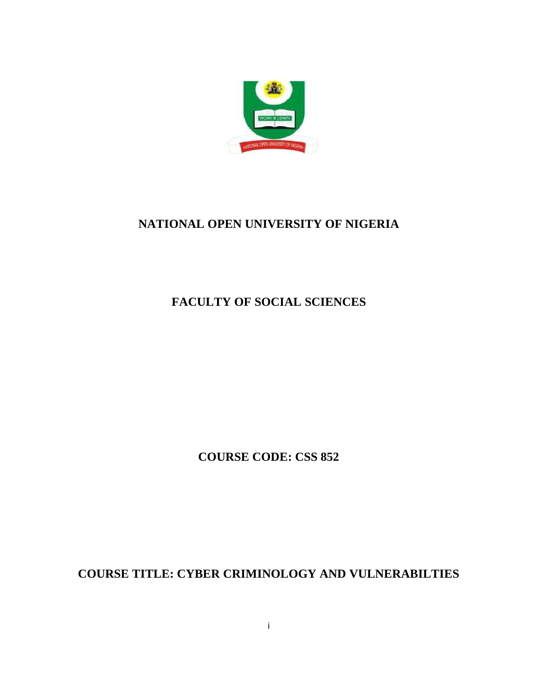

# **NATIONAL OPEN UNIVERSITY OF NIGERIA**

# **FACULTY OF SOCIAL SCIENCES**

**COURSE CODE: CSS 852**

**COURSE TITLE: CYBER CRIMINOLOGY AND VULNERABILTIES**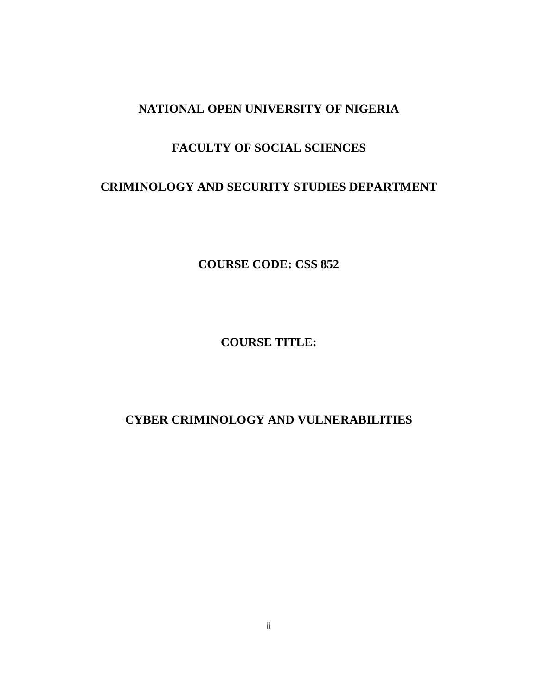## **NATIONAL OPEN UNIVERSITY OF NIGERIA**

## **FACULTY OF SOCIAL SCIENCES**

## **CRIMINOLOGY AND SECURITY STUDIES DEPARTMENT**

**COURSE CODE: CSS 852**

**COURSE TITLE:**

## **CYBER CRIMINOLOGY AND VULNERABILITIES**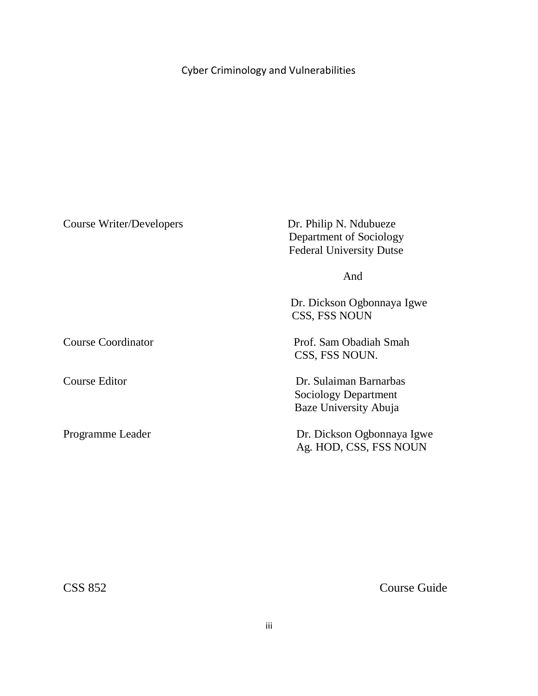# Cyber Criminology and Vulnerabilities

| Course Writer/Developers | Dr. Philip N. Ndubueze<br>Department of Sociology<br><b>Federal University Dutse</b> |
|--------------------------|--------------------------------------------------------------------------------------|
|                          | And                                                                                  |
|                          | Dr. Dickson Ogbonnaya Igwe<br>CSS, FSS NOUN                                          |
| Course Coordinator       | Prof. Sam Obadiah Smah<br>CSS, FSS NOUN.                                             |
| Course Editor            | Dr. Sulaiman Barnarbas<br>Sociology Department<br>Baze University Abuja              |
| Programme Leader         | Dr. Dickson Ogbonnaya Igwe<br>Ag. HOD, CSS, FSS NOUN                                 |

CSS 852 Course Guide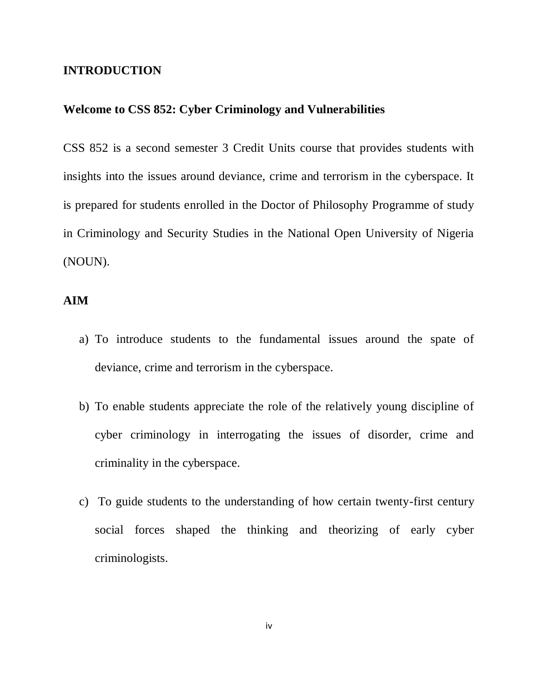#### **INTRODUCTION**

## **Welcome to CSS 852: Cyber Criminology and Vulnerabilities**

CSS 852 is a second semester 3 Credit Units course that provides students with insights into the issues around deviance, crime and terrorism in the cyberspace. It is prepared for students enrolled in the Doctor of Philosophy Programme of study in Criminology and Security Studies in the National Open University of Nigeria (NOUN).

## **AIM**

- a) To introduce students to the fundamental issues around the spate of deviance, crime and terrorism in the cyberspace.
- b) To enable students appreciate the role of the relatively young discipline of cyber criminology in interrogating the issues of disorder, crime and criminality in the cyberspace.
- c) To guide students to the understanding of how certain twenty-first century social forces shaped the thinking and theorizing of early cyber criminologists.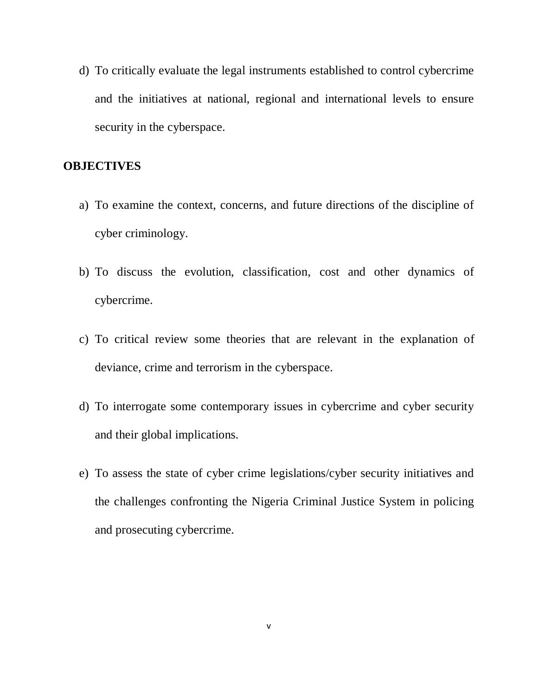d) To critically evaluate the legal instruments established to control cybercrime and the initiatives at national, regional and international levels to ensure security in the cyberspace.

## **OBJECTIVES**

- a) To examine the context, concerns, and future directions of the discipline of cyber criminology.
- b) To discuss the evolution, classification, cost and other dynamics of cybercrime.
- c) To critical review some theories that are relevant in the explanation of deviance, crime and terrorism in the cyberspace.
- d) To interrogate some contemporary issues in cybercrime and cyber security and their global implications.
- e) To assess the state of cyber crime legislations/cyber security initiatives and the challenges confronting the Nigeria Criminal Justice System in policing and prosecuting cybercrime.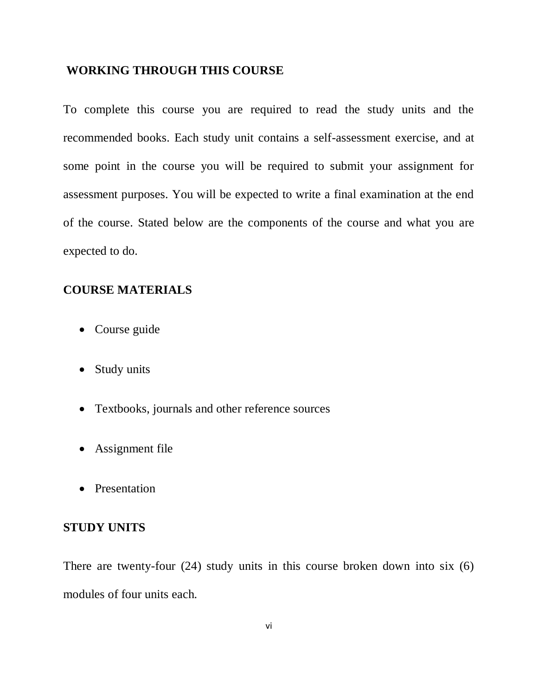#### **WORKING THROUGH THIS COURSE**

To complete this course you are required to read the study units and the recommended books. Each study unit contains a self-assessment exercise, and at some point in the course you will be required to submit your assignment for assessment purposes. You will be expected to write a final examination at the end of the course. Stated below are the components of the course and what you are expected to do.

## **COURSE MATERIALS**

- Course guide
- Study units
- Textbooks, journals and other reference sources
- Assignment file
- Presentation

## **STUDY UNITS**

There are twenty-four (24) study units in this course broken down into six (6) modules of four units each.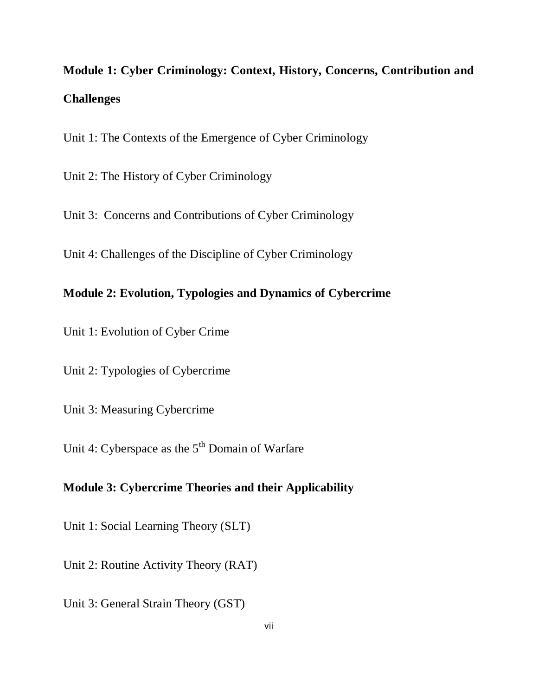**Module 1: Cyber Criminology: Context, History, Concerns, Contribution and Challenges**

Unit 1: The Contexts of the Emergence of Cyber Criminology

Unit 2: The History of Cyber Criminology

Unit 3: Concerns and Contributions of Cyber Criminology

Unit 4: Challenges of the Discipline of Cyber Criminology

## **Module 2: Evolution, Typologies and Dynamics of Cybercrime**

Unit 1: Evolution of Cyber Crime

Unit 2: Typologies of Cybercrime

Unit 3: Measuring Cybercrime

Unit 4: Cyberspace as the 5<sup>th</sup> Domain of Warfare

## **Module 3: Cybercrime Theories and their Applicability**

Unit 1: Social Learning Theory (SLT)

Unit 2: Routine Activity Theory (RAT)

Unit 3: General Strain Theory (GST)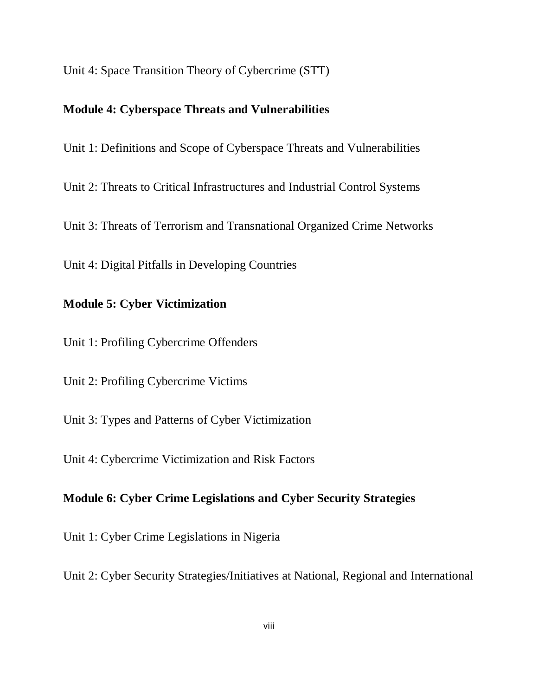Unit 4: Space Transition Theory of Cybercrime (STT)

## **Module 4: Cyberspace Threats and Vulnerabilities**

Unit 1: Definitions and Scope of Cyberspace Threats and Vulnerabilities

Unit 2: Threats to Critical Infrastructures and Industrial Control Systems

Unit 3: Threats of Terrorism and Transnational Organized Crime Networks

Unit 4: Digital Pitfalls in Developing Countries

## **Module 5: Cyber Victimization**

Unit 1: Profiling Cybercrime Offenders

Unit 2: Profiling Cybercrime Victims

Unit 3: Types and Patterns of Cyber Victimization

Unit 4: Cybercrime Victimization and Risk Factors

## **Module 6: Cyber Crime Legislations and Cyber Security Strategies**

Unit 1: Cyber Crime Legislations in Nigeria

Unit 2: Cyber Security Strategies/Initiatives at National, Regional and International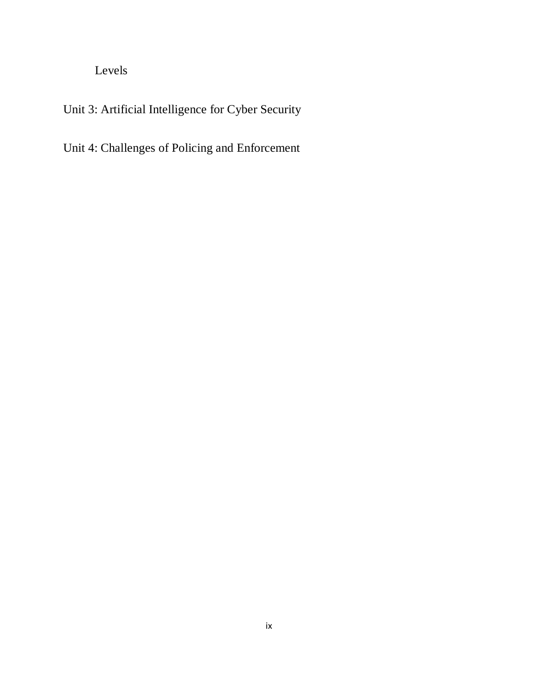Levels

Unit 3: Artificial Intelligence for Cyber Security

Unit 4: Challenges of Policing and Enforcement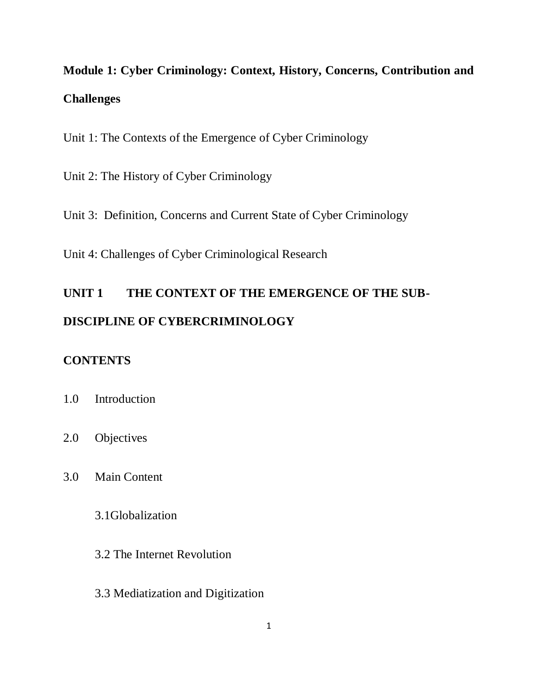# **Module 1: Cyber Criminology: Context, History, Concerns, Contribution and Challenges**

Unit 1: The Contexts of the Emergence of Cyber Criminology

Unit 2: The History of Cyber Criminology

Unit 3: Definition, Concerns and Current State of Cyber Criminology

Unit 4: Challenges of Cyber Criminological Research

# **UNIT 1 THE CONTEXT OF THE EMERGENCE OF THE SUB-DISCIPLINE OF CYBERCRIMINOLOGY**

## **CONTENTS**

- 1.0 Introduction
- 2.0 Objectives
- 3.0 Main Content

3.1Globalization

- 3.2 The Internet Revolution
- 3.3 Mediatization and Digitization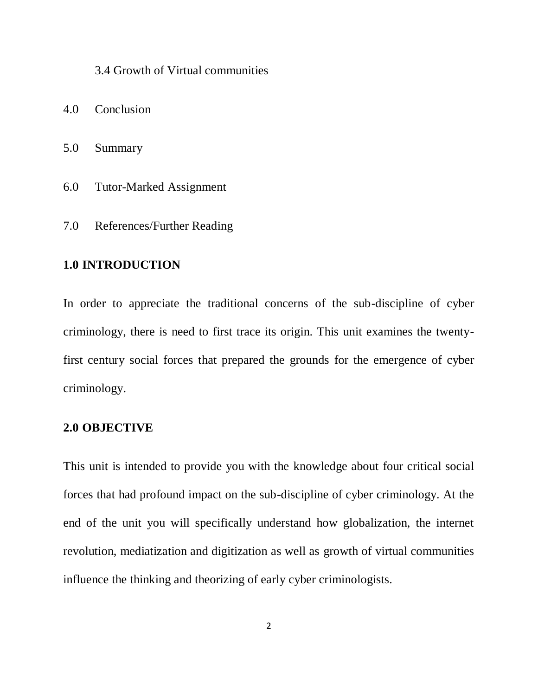3.4 Growth of Virtual communities

- 4.0 Conclusion
- 5.0 Summary
- 6.0 Tutor-Marked Assignment
- 7.0 References/Further Reading

## **1.0 INTRODUCTION**

In order to appreciate the traditional concerns of the sub-discipline of cyber criminology, there is need to first trace its origin. This unit examines the twentyfirst century social forces that prepared the grounds for the emergence of cyber criminology.

#### **2.0 OBJECTIVE**

This unit is intended to provide you with the knowledge about four critical social forces that had profound impact on the sub-discipline of cyber criminology. At the end of the unit you will specifically understand how globalization, the internet revolution, mediatization and digitization as well as growth of virtual communities influence the thinking and theorizing of early cyber criminologists.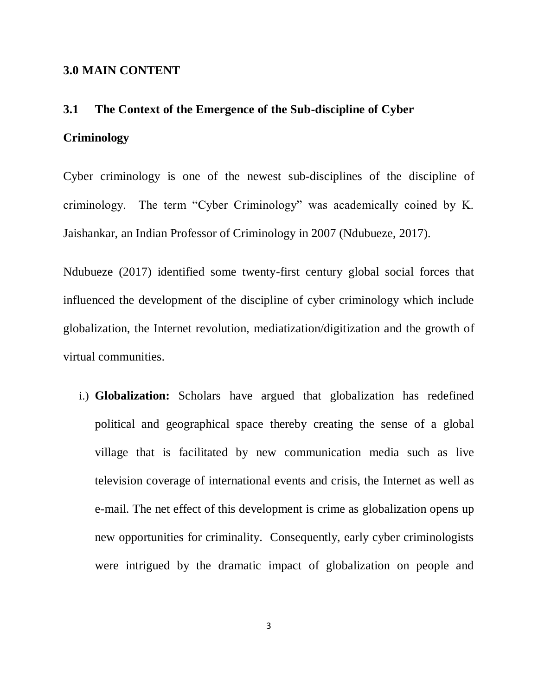#### **3.0 MAIN CONTENT**

# **3.1 The Context of the Emergence of the Sub-discipline of Cyber**

#### **Criminology**

Cyber criminology is one of the newest sub-disciplines of the discipline of criminology. The term "Cyber Criminology" was academically coined by K. Jaishankar, an Indian Professor of Criminology in 2007 (Ndubueze, 2017).

Ndubueze (2017) identified some twenty-first century global social forces that influenced the development of the discipline of cyber criminology which include globalization, the Internet revolution, mediatization/digitization and the growth of virtual communities.

i.) **Globalization:** Scholars have argued that globalization has redefined political and geographical space thereby creating the sense of a global village that is facilitated by new communication media such as live television coverage of international events and crisis, the Internet as well as e-mail. The net effect of this development is crime as globalization opens up new opportunities for criminality. Consequently, early cyber criminologists were intrigued by the dramatic impact of globalization on people and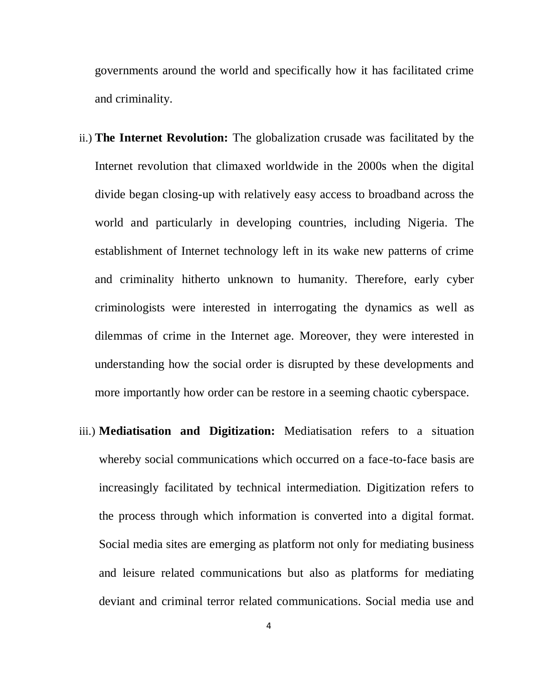governments around the world and specifically how it has facilitated crime and criminality.

- ii.) **The Internet Revolution:** The globalization crusade was facilitated by the Internet revolution that climaxed worldwide in the 2000s when the digital divide began closing-up with relatively easy access to broadband across the world and particularly in developing countries, including Nigeria. The establishment of Internet technology left in its wake new patterns of crime and criminality hitherto unknown to humanity. Therefore, early cyber criminologists were interested in interrogating the dynamics as well as dilemmas of crime in the Internet age. Moreover, they were interested in understanding how the social order is disrupted by these developments and more importantly how order can be restore in a seeming chaotic cyberspace.
- iii.) **Mediatisation and Digitization:** Mediatisation refers to a situation whereby social communications which occurred on a face-to-face basis are increasingly facilitated by technical intermediation. Digitization refers to the process through which information is converted into a digital format. Social media sites are emerging as platform not only for mediating business and leisure related communications but also as platforms for mediating deviant and criminal terror related communications. Social media use and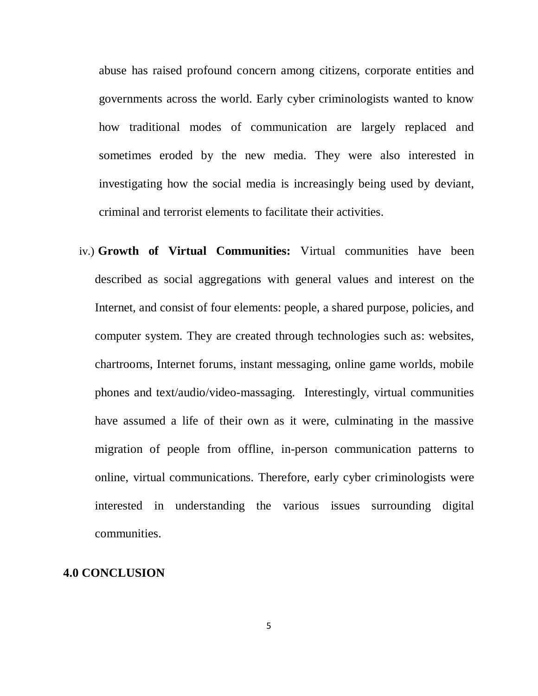abuse has raised profound concern among citizens, corporate entities and governments across the world. Early cyber criminologists wanted to know how traditional modes of communication are largely replaced and sometimes eroded by the new media. They were also interested in investigating how the social media is increasingly being used by deviant, criminal and terrorist elements to facilitate their activities.

iv.) **Growth of Virtual Communities:** Virtual communities have been described as social aggregations with general values and interest on the Internet, and consist of four elements: people, a shared purpose, policies, and computer system. They are created through technologies such as: websites, chartrooms, Internet forums, instant messaging, online game worlds, mobile phones and text/audio/video-massaging. Interestingly, virtual communities have assumed a life of their own as it were, culminating in the massive migration of people from offline, in-person communication patterns to online, virtual communications. Therefore, early cyber criminologists were interested in understanding the various issues surrounding digital communities.

## **4.0 CONCLUSION**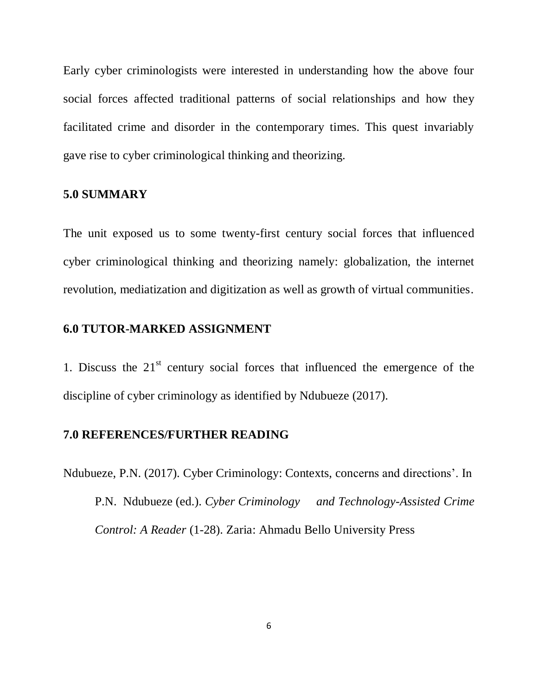Early cyber criminologists were interested in understanding how the above four social forces affected traditional patterns of social relationships and how they facilitated crime and disorder in the contemporary times. This quest invariably gave rise to cyber criminological thinking and theorizing.

## **5.0 SUMMARY**

The unit exposed us to some twenty-first century social forces that influenced cyber criminological thinking and theorizing namely: globalization, the internet revolution, mediatization and digitization as well as growth of virtual communities.

#### **6.0 TUTOR-MARKED ASSIGNMENT**

1. Discuss the  $21<sup>st</sup>$  century social forces that influenced the emergence of the discipline of cyber criminology as identified by Ndubueze (2017).

#### **7.0 REFERENCES/FURTHER READING**

Ndubueze, P.N. (2017). Cyber Criminology: Contexts, concerns and directions". In P.N. Ndubueze (ed.). *Cyber Criminology and Technology-Assisted Crime Control: A Reader* (1-28). Zaria: Ahmadu Bello University Press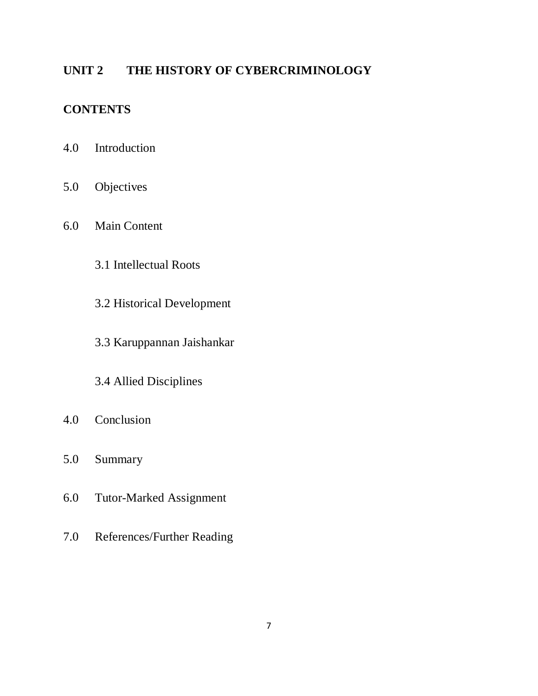# **UNIT 2 THE HISTORY OF CYBERCRIMINOLOGY**

# **CONTENTS**

- 4.0 Introduction
- 5.0 Objectives
- 6.0 Main Content
	- 3.1 Intellectual Roots
	- 3.2 Historical Development
	- 3.3 Karuppannan Jaishankar
	- 3.4 Allied Disciplines
- 4.0 Conclusion
- 5.0 Summary
- 6.0 Tutor-Marked Assignment
- 7.0 References/Further Reading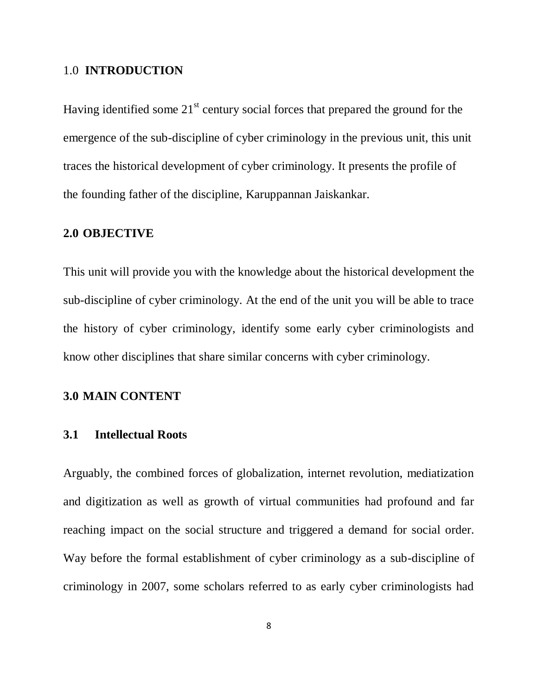## 1.0 **INTRODUCTION**

Having identified some  $21<sup>st</sup>$  century social forces that prepared the ground for the emergence of the sub-discipline of cyber criminology in the previous unit, this unit traces the historical development of cyber criminology. It presents the profile of the founding father of the discipline, Karuppannan Jaiskankar.

## **2.0 OBJECTIVE**

This unit will provide you with the knowledge about the historical development the sub-discipline of cyber criminology. At the end of the unit you will be able to trace the history of cyber criminology, identify some early cyber criminologists and know other disciplines that share similar concerns with cyber criminology.

#### **3.0 MAIN CONTENT**

#### **3.1 Intellectual Roots**

Arguably, the combined forces of globalization, internet revolution, mediatization and digitization as well as growth of virtual communities had profound and far reaching impact on the social structure and triggered a demand for social order. Way before the formal establishment of cyber criminology as a sub-discipline of criminology in 2007, some scholars referred to as early cyber criminologists had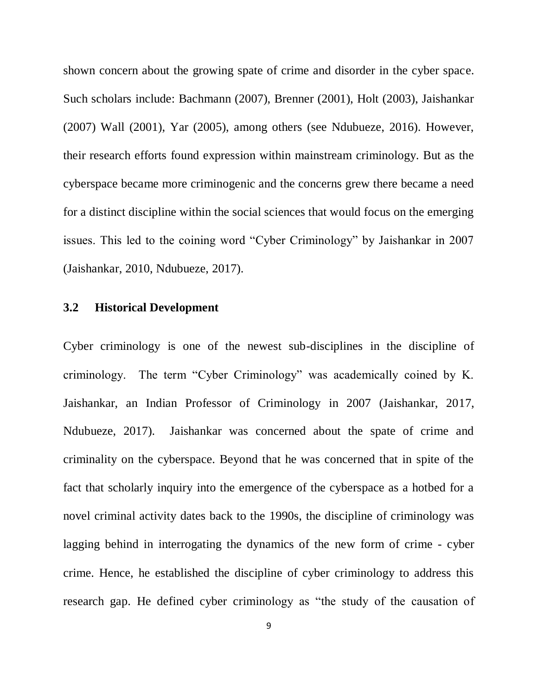shown concern about the growing spate of crime and disorder in the cyber space. Such scholars include: Bachmann (2007), Brenner (2001), Holt (2003), Jaishankar (2007) Wall (2001), Yar (2005), among others (see Ndubueze, 2016). However, their research efforts found expression within mainstream criminology. But as the cyberspace became more criminogenic and the concerns grew there became a need for a distinct discipline within the social sciences that would focus on the emerging issues. This led to the coining word "Cyber Criminology" by Jaishankar in 2007 (Jaishankar, 2010, Ndubueze, 2017).

## **3.2 Historical Development**

Cyber criminology is one of the newest sub-disciplines in the discipline of criminology. The term "Cyber Criminology" was academically coined by K. Jaishankar, an Indian Professor of Criminology in 2007 (Jaishankar, 2017, Ndubueze, 2017). Jaishankar was concerned about the spate of crime and criminality on the cyberspace. Beyond that he was concerned that in spite of the fact that scholarly inquiry into the emergence of the cyberspace as a hotbed for a novel criminal activity dates back to the 1990s, the discipline of criminology was lagging behind in interrogating the dynamics of the new form of crime - cyber crime. Hence, he established the discipline of cyber criminology to address this research gap. He defined cyber criminology as "the study of the causation of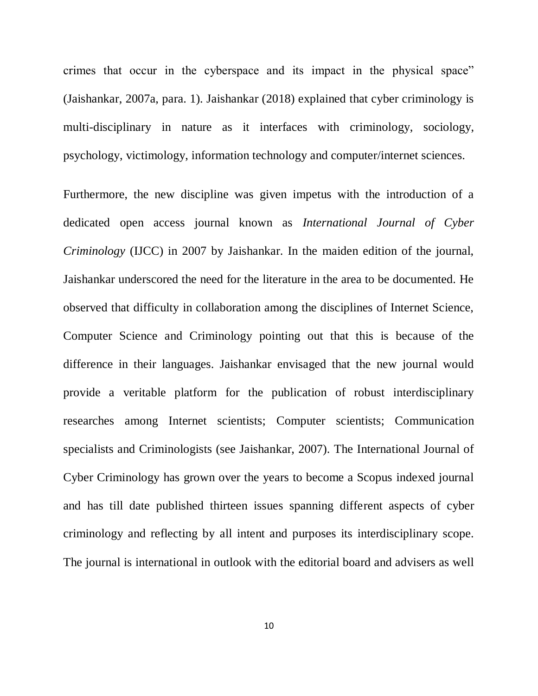crimes that occur in the cyberspace and its impact in the physical space" (Jaishankar, 2007a, para. 1). Jaishankar (2018) explained that cyber criminology is multi-disciplinary in nature as it interfaces with criminology, sociology, psychology, victimology, information technology and computer/internet sciences.

Furthermore, the new discipline was given impetus with the introduction of a dedicated open access journal known as *International Journal of Cyber Criminology* (IJCC) in 2007 by Jaishankar. In the maiden edition of the journal, Jaishankar underscored the need for the literature in the area to be documented. He observed that difficulty in collaboration among the disciplines of Internet Science, Computer Science and Criminology pointing out that this is because of the difference in their languages. Jaishankar envisaged that the new journal would provide a veritable platform for the publication of robust interdisciplinary researches among Internet scientists; Computer scientists; Communication specialists and Criminologists (see Jaishankar, 2007). The International Journal of Cyber Criminology has grown over the years to become a Scopus indexed journal and has till date published thirteen issues spanning different aspects of cyber criminology and reflecting by all intent and purposes its interdisciplinary scope. The journal is international in outlook with the editorial board and advisers as well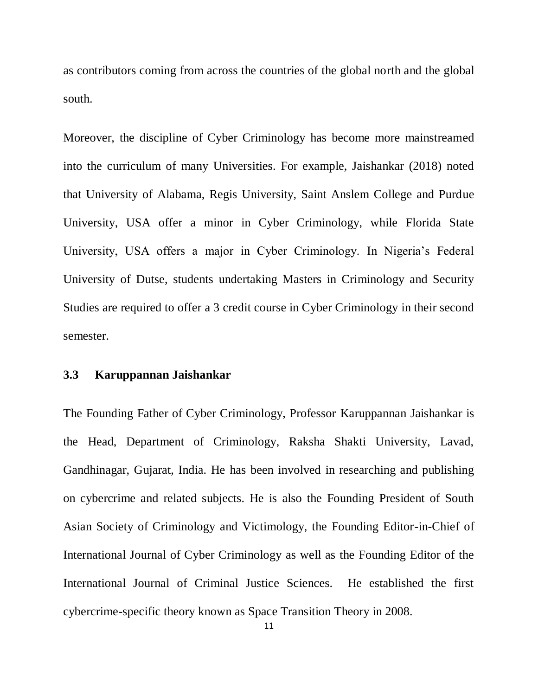as contributors coming from across the countries of the global north and the global south.

Moreover, the discipline of Cyber Criminology has become more mainstreamed into the curriculum of many Universities. For example, Jaishankar (2018) noted that University of Alabama, Regis University, Saint Anslem College and Purdue University, USA offer a minor in Cyber Criminology, while Florida State University, USA offers a major in Cyber Criminology. In Nigeria's Federal University of Dutse, students undertaking Masters in Criminology and Security Studies are required to offer a 3 credit course in Cyber Criminology in their second semester.

#### **3.3 Karuppannan Jaishankar**

The Founding Father of Cyber Criminology, Professor Karuppannan Jaishankar is the Head, Department of Criminology, Raksha Shakti University, Lavad, Gandhinagar, Gujarat, India. He has been involved in researching and publishing on cybercrime and related subjects. He is also the Founding President of South Asian Society of Criminology and Victimology, the Founding Editor-in-Chief of International Journal of Cyber Criminology as well as the Founding Editor of the International Journal of Criminal Justice Sciences. He established the first cybercrime-specific theory known as Space Transition Theory in 2008.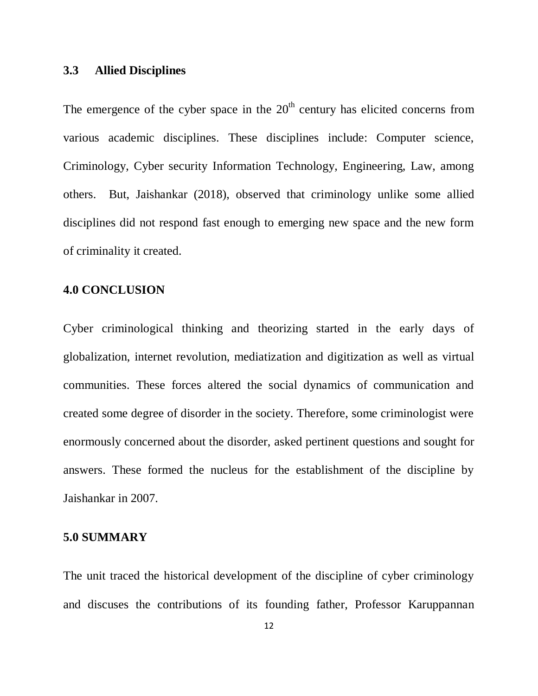## **3.3 Allied Disciplines**

The emergence of the cyber space in the  $20<sup>th</sup>$  century has elicited concerns from various academic disciplines. These disciplines include: Computer science, Criminology, Cyber security Information Technology, Engineering, Law, among others. But, Jaishankar (2018), observed that criminology unlike some allied disciplines did not respond fast enough to emerging new space and the new form of criminality it created.

#### **4.0 CONCLUSION**

Cyber criminological thinking and theorizing started in the early days of globalization, internet revolution, mediatization and digitization as well as virtual communities. These forces altered the social dynamics of communication and created some degree of disorder in the society. Therefore, some criminologist were enormously concerned about the disorder, asked pertinent questions and sought for answers. These formed the nucleus for the establishment of the discipline by Jaishankar in 2007.

#### **5.0 SUMMARY**

The unit traced the historical development of the discipline of cyber criminology and discuses the contributions of its founding father, Professor Karuppannan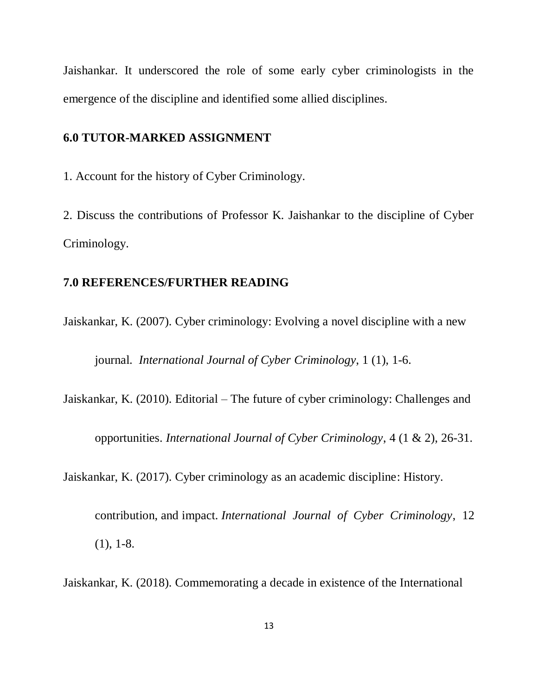Jaishankar. It underscored the role of some early cyber criminologists in the emergence of the discipline and identified some allied disciplines.

#### **6.0 TUTOR-MARKED ASSIGNMENT**

1. Account for the history of Cyber Criminology.

2. Discuss the contributions of Professor K. Jaishankar to the discipline of Cyber Criminology.

## **7.0 REFERENCES/FURTHER READING**

Jaiskankar, K. (2007). Cyber criminology: Evolving a novel discipline with a new

journal. *International Journal of Cyber Criminology*, 1 (1), 1-6.

Jaiskankar, K. (2010). Editorial – The future of cyber criminology: Challenges and

opportunities. *International Journal of Cyber Criminology*, 4 (1 & 2), 26-31.

Jaiskankar, K. (2017). Cyber criminology as an academic discipline: History.

contribution, and impact. *International Journal of Cyber Criminology*, 12 (1), 1-8.

Jaiskankar, K. (2018). Commemorating a decade in existence of the International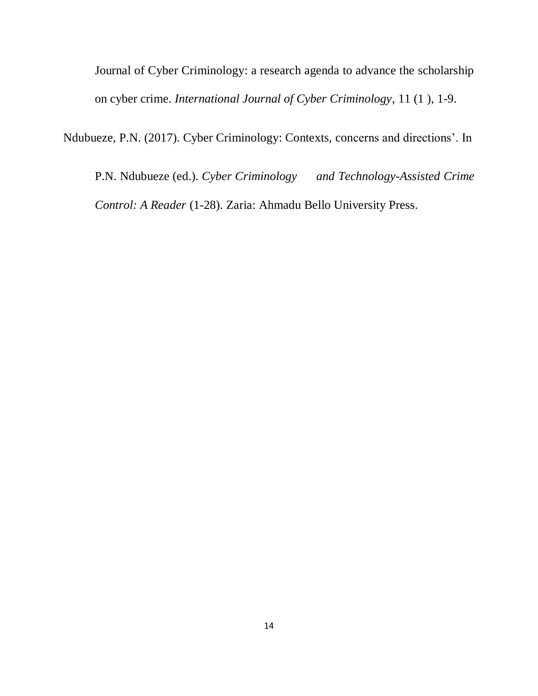Journal of Cyber Criminology: a research agenda to advance the scholarship on cyber crime. *International Journal of Cyber Criminology*, 11 (1 ), 1-9.

Ndubueze, P.N. (2017). Cyber Criminology: Contexts, concerns and directions". In

P.N. Ndubueze (ed.). *Cyber Criminology and Technology-Assisted Crime Control: A Reader* (1-28). Zaria: Ahmadu Bello University Press.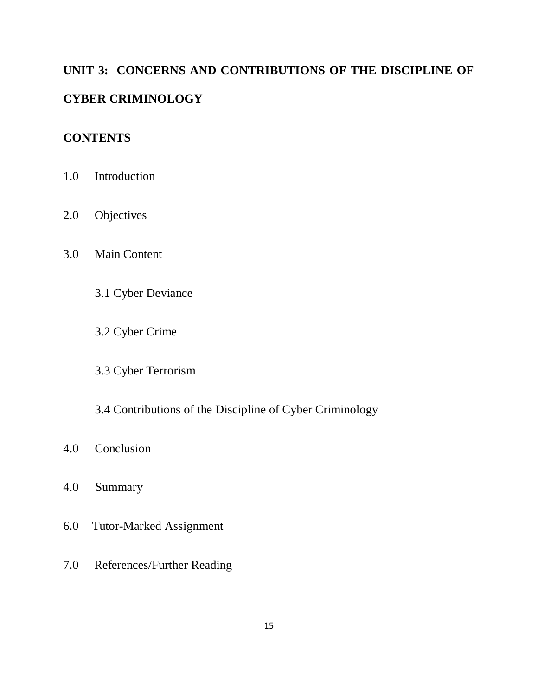# **UNIT 3: CONCERNS AND CONTRIBUTIONS OF THE DISCIPLINE OF CYBER CRIMINOLOGY**

# **CONTENTS**

- 1.0 Introduction
- 2.0 Objectives
- 3.0 Main Content
	- 3.1 Cyber Deviance
	- 3.2 Cyber Crime
	- 3.3 Cyber Terrorism
	- 3.4 Contributions of the Discipline of Cyber Criminology
- 4.0 Conclusion
- 4.0 Summary
- 6.0 Tutor-Marked Assignment
- 7.0 References/Further Reading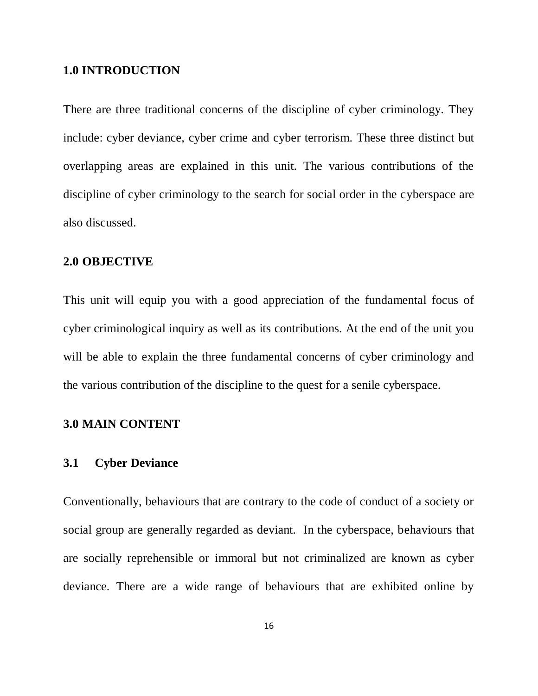#### **1.0 INTRODUCTION**

There are three traditional concerns of the discipline of cyber criminology. They include: cyber deviance, cyber crime and cyber terrorism. These three distinct but overlapping areas are explained in this unit. The various contributions of the discipline of cyber criminology to the search for social order in the cyberspace are also discussed.

#### **2.0 OBJECTIVE**

This unit will equip you with a good appreciation of the fundamental focus of cyber criminological inquiry as well as its contributions. At the end of the unit you will be able to explain the three fundamental concerns of cyber criminology and the various contribution of the discipline to the quest for a senile cyberspace.

## **3.0 MAIN CONTENT**

#### **3.1 Cyber Deviance**

Conventionally, behaviours that are contrary to the code of conduct of a society or social group are generally regarded as deviant. In the cyberspace, behaviours that are socially reprehensible or immoral but not criminalized are known as cyber deviance. There are a wide range of behaviours that are exhibited online by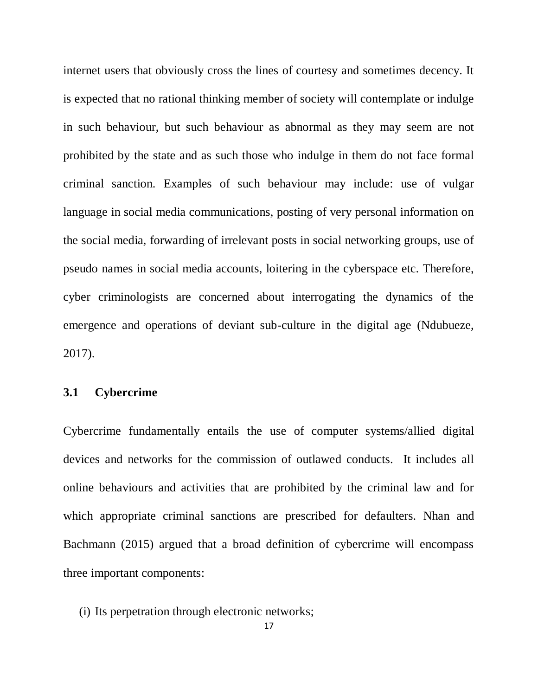internet users that obviously cross the lines of courtesy and sometimes decency. It is expected that no rational thinking member of society will contemplate or indulge in such behaviour, but such behaviour as abnormal as they may seem are not prohibited by the state and as such those who indulge in them do not face formal criminal sanction. Examples of such behaviour may include: use of vulgar language in social media communications, posting of very personal information on the social media, forwarding of irrelevant posts in social networking groups, use of pseudo names in social media accounts, loitering in the cyberspace etc. Therefore, cyber criminologists are concerned about interrogating the dynamics of the emergence and operations of deviant sub-culture in the digital age (Ndubueze, 2017).

## **3.1 Cybercrime**

Cybercrime fundamentally entails the use of computer systems/allied digital devices and networks for the commission of outlawed conducts. It includes all online behaviours and activities that are prohibited by the criminal law and for which appropriate criminal sanctions are prescribed for defaulters. Nhan and Bachmann (2015) argued that a broad definition of cybercrime will encompass three important components:

(i) Its perpetration through electronic networks;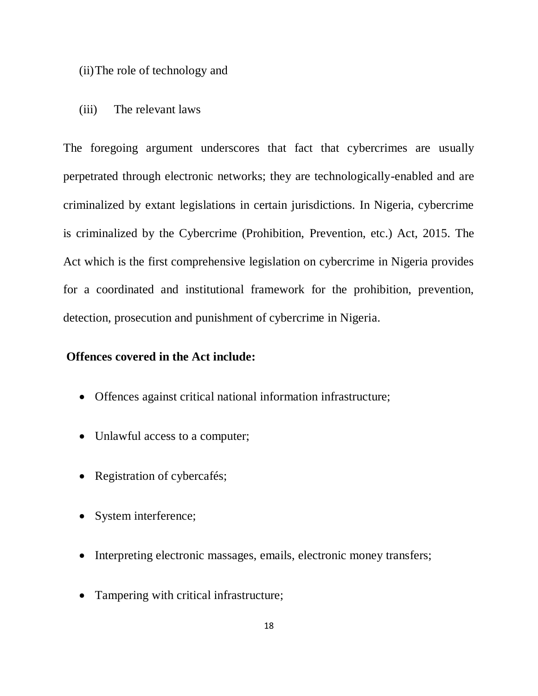- (ii)The role of technology and
- (iii) The relevant laws

The foregoing argument underscores that fact that cybercrimes are usually perpetrated through electronic networks; they are technologically-enabled and are criminalized by extant legislations in certain jurisdictions. In Nigeria, cybercrime is criminalized by the Cybercrime (Prohibition, Prevention, etc.) Act, 2015. The Act which is the first comprehensive legislation on cybercrime in Nigeria provides for a coordinated and institutional framework for the prohibition, prevention, detection, prosecution and punishment of cybercrime in Nigeria.

## **Offences covered in the Act include:**

- Offences against critical national information infrastructure;
- Unlawful access to a computer;
- Registration of cybercafés;
- System interference;
- Interpreting electronic massages, emails, electronic money transfers;
- Tampering with critical infrastructure;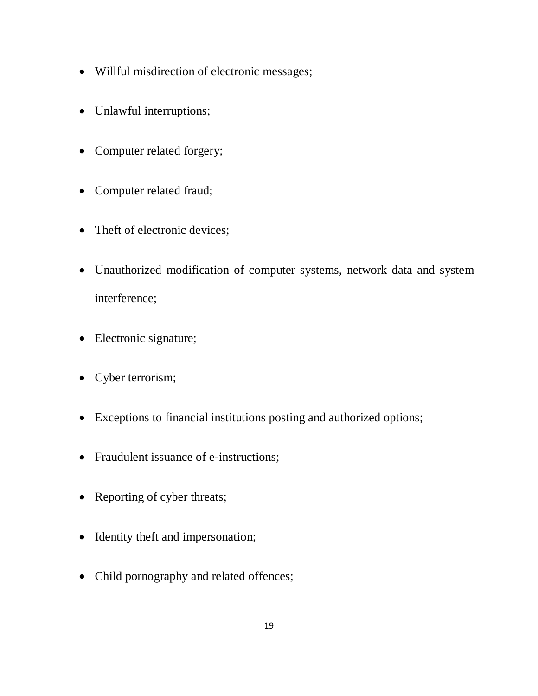- Willful misdirection of electronic messages;
- Unlawful interruptions;
- Computer related forgery;
- Computer related fraud;
- Theft of electronic devices;
- Unauthorized modification of computer systems, network data and system interference;
- Electronic signature;
- Cyber terrorism;
- Exceptions to financial institutions posting and authorized options;
- Fraudulent issuance of e-instructions;
- Reporting of cyber threats;
- Identity theft and impersonation;
- Child pornography and related offences;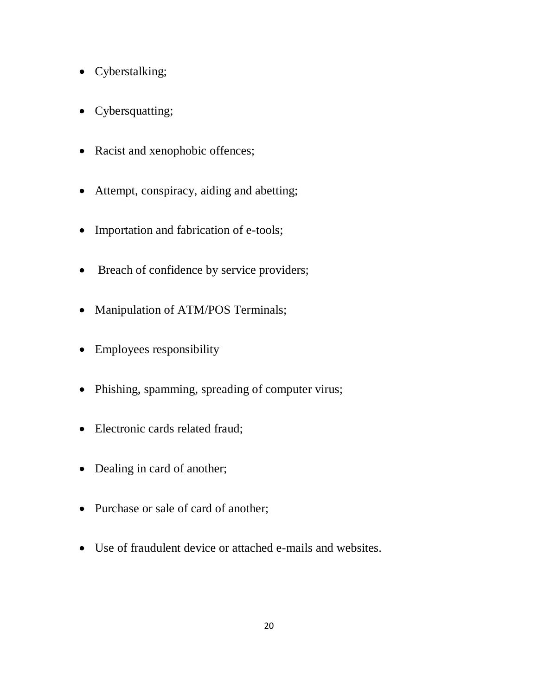- Cyberstalking;
- Cybersquatting;
- Racist and xenophobic offences;
- Attempt, conspiracy, aiding and abetting;
- Importation and fabrication of e-tools;
- Breach of confidence by service providers;
- Manipulation of ATM/POS Terminals;
- Employees responsibility
- Phishing, spamming, spreading of computer virus;
- Electronic cards related fraud;
- Dealing in card of another;
- Purchase or sale of card of another;
- Use of fraudulent device or attached e-mails and websites.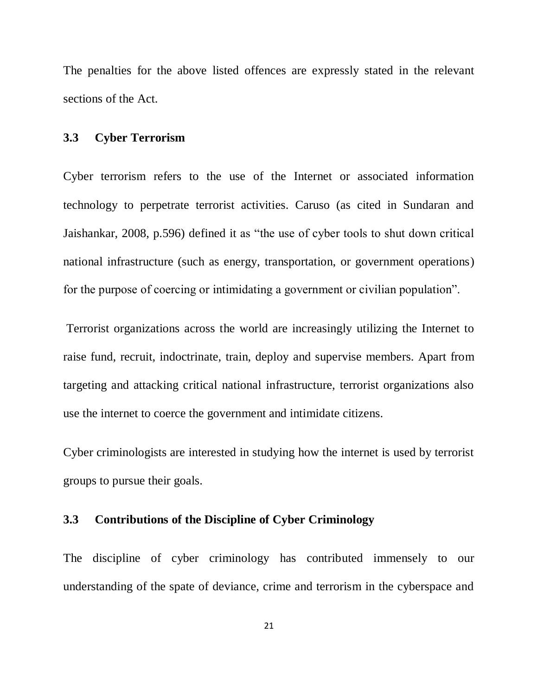The penalties for the above listed offences are expressly stated in the relevant sections of the Act.

## **3.3 Cyber Terrorism**

Cyber terrorism refers to the use of the Internet or associated information technology to perpetrate terrorist activities. Caruso (as cited in Sundaran and Jaishankar, 2008, p.596) defined it as "the use of cyber tools to shut down critical national infrastructure (such as energy, transportation, or government operations) for the purpose of coercing or intimidating a government or civilian population".

Terrorist organizations across the world are increasingly utilizing the Internet to raise fund, recruit, indoctrinate, train, deploy and supervise members. Apart from targeting and attacking critical national infrastructure, terrorist organizations also use the internet to coerce the government and intimidate citizens.

Cyber criminologists are interested in studying how the internet is used by terrorist groups to pursue their goals.

## **3.3 Contributions of the Discipline of Cyber Criminology**

The discipline of cyber criminology has contributed immensely to our understanding of the spate of deviance, crime and terrorism in the cyberspace and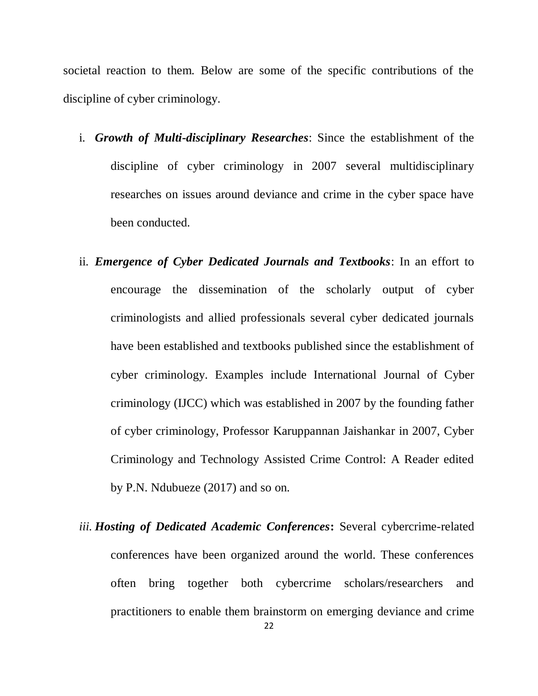societal reaction to them. Below are some of the specific contributions of the discipline of cyber criminology.

- i. *Growth of Multi-disciplinary Researches*: Since the establishment of the discipline of cyber criminology in 2007 several multidisciplinary researches on issues around deviance and crime in the cyber space have been conducted.
- ii. *Emergence of Cyber Dedicated Journals and Textbooks*: In an effort to encourage the dissemination of the scholarly output of cyber criminologists and allied professionals several cyber dedicated journals have been established and textbooks published since the establishment of cyber criminology. Examples include International Journal of Cyber criminology (IJCC) which was established in 2007 by the founding father of cyber criminology, Professor Karuppannan Jaishankar in 2007, Cyber Criminology and Technology Assisted Crime Control: A Reader edited by P.N. Ndubueze (2017) and so on.
- *iii. Hosting of Dedicated Academic Conferences***:** Several cybercrime-related conferences have been organized around the world. These conferences often bring together both cybercrime scholars/researchers and practitioners to enable them brainstorm on emerging deviance and crime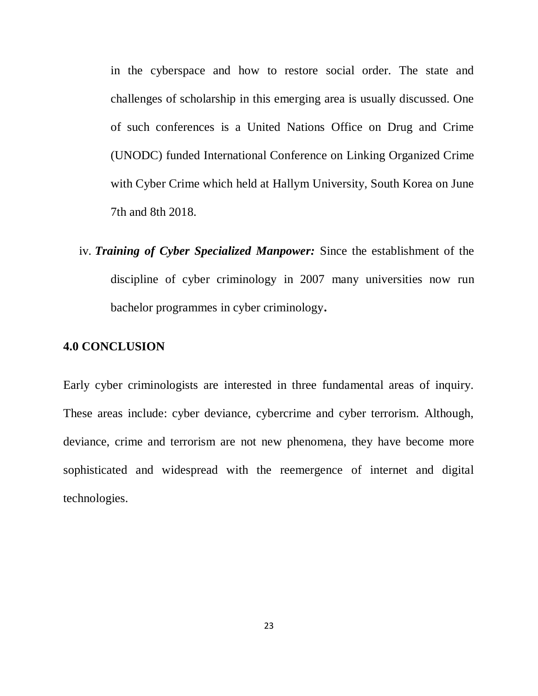in the cyberspace and how to restore social order. The state and challenges of scholarship in this emerging area is usually discussed. One of such conferences is a United Nations Office on Drug and Crime (UNODC) funded International Conference on Linking Organized Crime with Cyber Crime which held at Hallym University, South Korea on June 7th and 8th 2018.

iv. *Training of Cyber Specialized Manpower:* Since the establishment of the discipline of cyber criminology in 2007 many universities now run bachelor programmes in cyber criminology**.**

#### **4.0 CONCLUSION**

Early cyber criminologists are interested in three fundamental areas of inquiry. These areas include: cyber deviance, cybercrime and cyber terrorism. Although, deviance, crime and terrorism are not new phenomena, they have become more sophisticated and widespread with the reemergence of internet and digital technologies.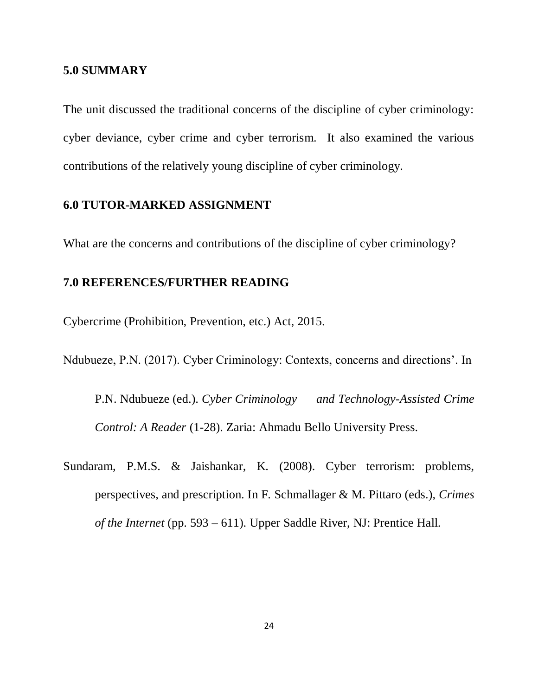#### **5.0 SUMMARY**

The unit discussed the traditional concerns of the discipline of cyber criminology: cyber deviance, cyber crime and cyber terrorism. It also examined the various contributions of the relatively young discipline of cyber criminology.

#### **6.0 TUTOR-MARKED ASSIGNMENT**

What are the concerns and contributions of the discipline of cyber criminology?

## **7.0 REFERENCES/FURTHER READING**

Cybercrime (Prohibition, Prevention, etc.) Act, 2015.

Ndubueze, P.N. (2017). Cyber Criminology: Contexts, concerns and directions". In

P.N. Ndubueze (ed.). *Cyber Criminology and Technology-Assisted Crime Control: A Reader* (1-28). Zaria: Ahmadu Bello University Press.

Sundaram, P.M.S. & Jaishankar, K. (2008). Cyber terrorism: problems, perspectives, and prescription. In F. Schmallager & M. Pittaro (eds.), *Crimes of the Internet* (pp. 593 – 611). Upper Saddle River, NJ: Prentice Hall.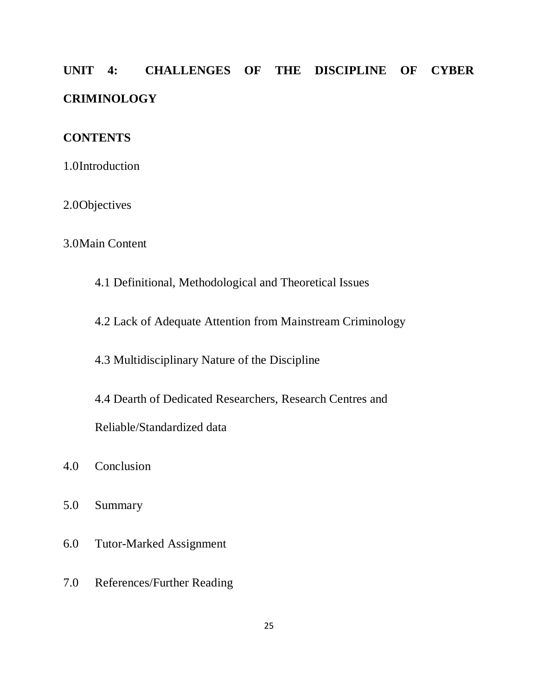# **UNIT 4: CHALLENGES OF THE DISCIPLINE OF CYBER CRIMINOLOGY**

## **CONTENTS**

1.0Introduction

2.0Objectives

# 3.0Main Content

- 4.1 Definitional, Methodological and Theoretical Issues
- 4.2 Lack of Adequate Attention from Mainstream Criminology

4.3 Multidisciplinary Nature of the Discipline

4.4 Dearth of Dedicated Researchers, Research Centres and

Reliable/Standardized data

- 4.0 Conclusion
- 5.0 Summary
- 6.0 Tutor-Marked Assignment
- 7.0 References/Further Reading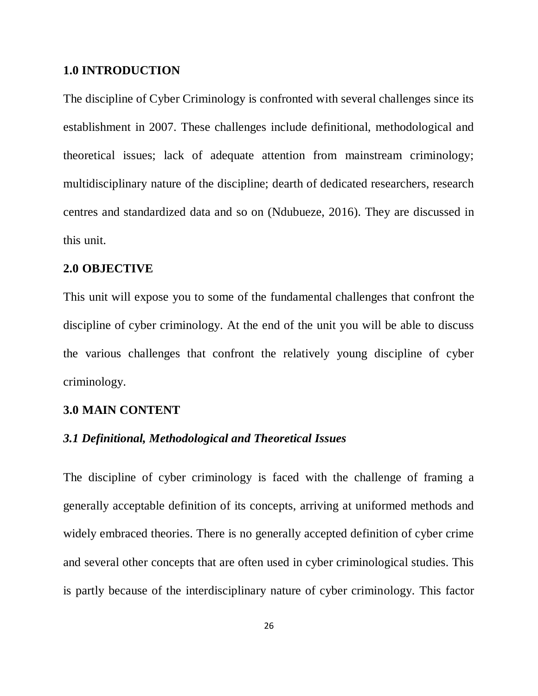#### **1.0 INTRODUCTION**

The discipline of Cyber Criminology is confronted with several challenges since its establishment in 2007. These challenges include definitional, methodological and theoretical issues; lack of adequate attention from mainstream criminology; multidisciplinary nature of the discipline; dearth of dedicated researchers, research centres and standardized data and so on (Ndubueze, 2016). They are discussed in this unit.

#### **2.0 OBJECTIVE**

This unit will expose you to some of the fundamental challenges that confront the discipline of cyber criminology. At the end of the unit you will be able to discuss the various challenges that confront the relatively young discipline of cyber criminology.

## **3.0 MAIN CONTENT**

#### *3.1 Definitional, Methodological and Theoretical Issues*

The discipline of cyber criminology is faced with the challenge of framing a generally acceptable definition of its concepts, arriving at uniformed methods and widely embraced theories. There is no generally accepted definition of cyber crime and several other concepts that are often used in cyber criminological studies. This is partly because of the interdisciplinary nature of cyber criminology. This factor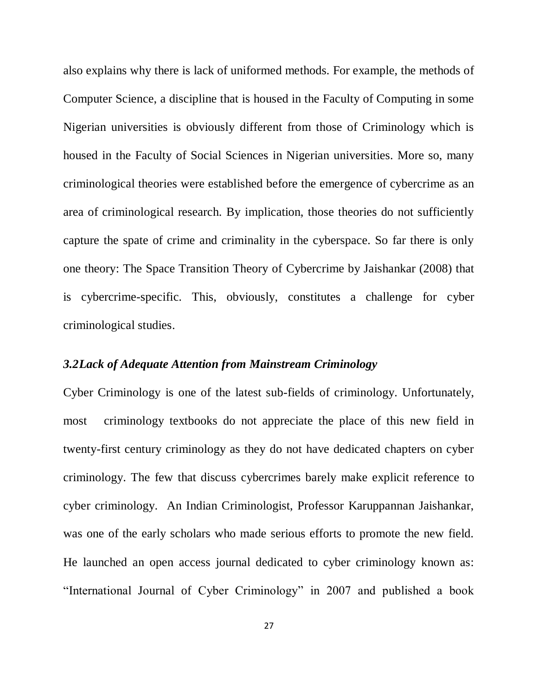also explains why there is lack of uniformed methods. For example, the methods of Computer Science, a discipline that is housed in the Faculty of Computing in some Nigerian universities is obviously different from those of Criminology which is housed in the Faculty of Social Sciences in Nigerian universities. More so, many criminological theories were established before the emergence of cybercrime as an area of criminological research. By implication, those theories do not sufficiently capture the spate of crime and criminality in the cyberspace. So far there is only one theory: The Space Transition Theory of Cybercrime by Jaishankar (2008) that is cybercrime-specific. This, obviously, constitutes a challenge for cyber criminological studies.

#### *3.2Lack of Adequate Attention from Mainstream Criminology*

Cyber Criminology is one of the latest sub-fields of criminology. Unfortunately, most criminology textbooks do not appreciate the place of this new field in twenty-first century criminology as they do not have dedicated chapters on cyber criminology. The few that discuss cybercrimes barely make explicit reference to cyber criminology. An Indian Criminologist, Professor Karuppannan Jaishankar, was one of the early scholars who made serious efforts to promote the new field. He launched an open access journal dedicated to cyber criminology known as: "International Journal of Cyber Criminology" in 2007 and published a book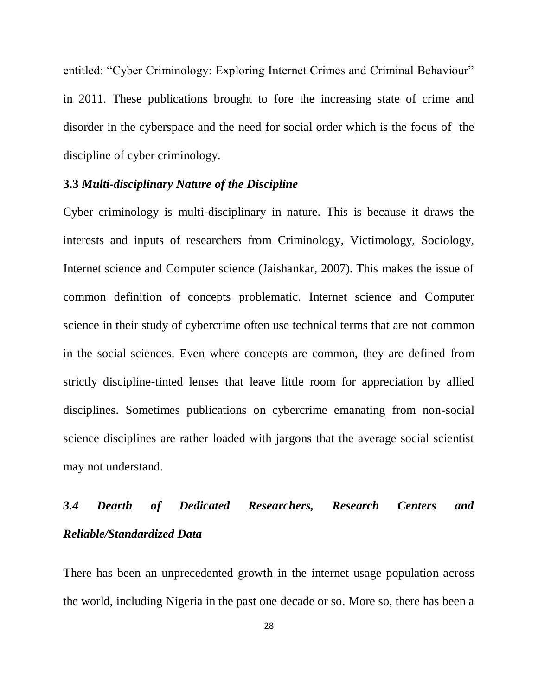entitled: "Cyber Criminology: Exploring Internet Crimes and Criminal Behaviour" in 2011. These publications brought to fore the increasing state of crime and disorder in the cyberspace and the need for social order which is the focus of the discipline of cyber criminology.

#### **3.3** *Multi-disciplinary Nature of the Discipline*

Cyber criminology is multi-disciplinary in nature. This is because it draws the interests and inputs of researchers from Criminology, Victimology, Sociology, Internet science and Computer science (Jaishankar, 2007). This makes the issue of common definition of concepts problematic. Internet science and Computer science in their study of cybercrime often use technical terms that are not common in the social sciences. Even where concepts are common, they are defined from strictly discipline-tinted lenses that leave little room for appreciation by allied disciplines. Sometimes publications on cybercrime emanating from non-social science disciplines are rather loaded with jargons that the average social scientist may not understand.

# *3.4 Dearth of Dedicated Researchers, Research Centers and Reliable/Standardized Data*

There has been an unprecedented growth in the internet usage population across the world, including Nigeria in the past one decade or so. More so, there has been a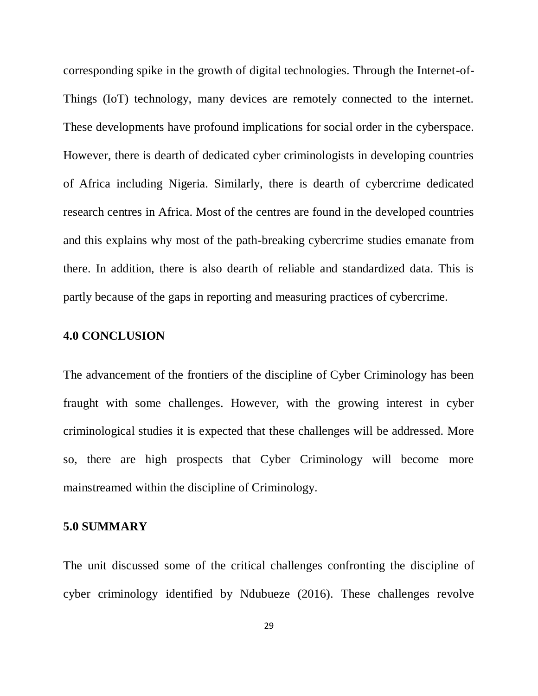corresponding spike in the growth of digital technologies. Through the Internet-of-Things (IoT) technology, many devices are remotely connected to the internet. These developments have profound implications for social order in the cyberspace. However, there is dearth of dedicated cyber criminologists in developing countries of Africa including Nigeria. Similarly, there is dearth of cybercrime dedicated research centres in Africa. Most of the centres are found in the developed countries and this explains why most of the path-breaking cybercrime studies emanate from there. In addition, there is also dearth of reliable and standardized data. This is partly because of the gaps in reporting and measuring practices of cybercrime.

#### **4.0 CONCLUSION**

The advancement of the frontiers of the discipline of Cyber Criminology has been fraught with some challenges. However, with the growing interest in cyber criminological studies it is expected that these challenges will be addressed. More so, there are high prospects that Cyber Criminology will become more mainstreamed within the discipline of Criminology.

#### **5.0 SUMMARY**

The unit discussed some of the critical challenges confronting the discipline of cyber criminology identified by Ndubueze (2016). These challenges revolve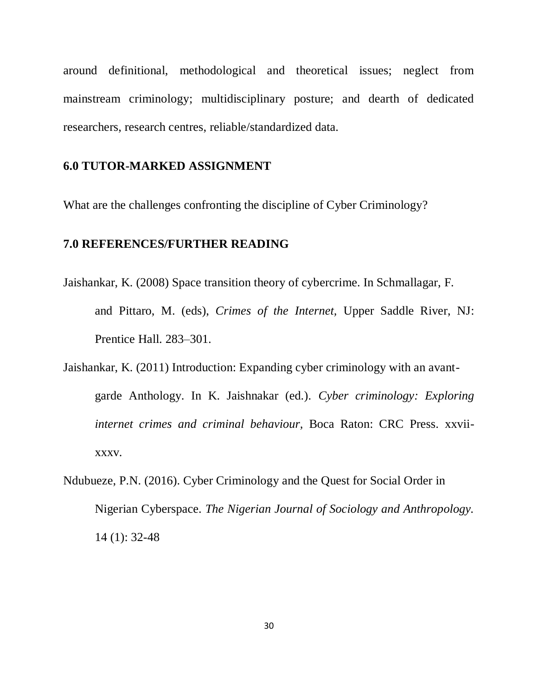around definitional, methodological and theoretical issues; neglect from mainstream criminology; multidisciplinary posture; and dearth of dedicated researchers, research centres, reliable/standardized data.

### **6.0 TUTOR-MARKED ASSIGNMENT**

What are the challenges confronting the discipline of Cyber Criminology?

# **7.0 REFERENCES/FURTHER READING**

- Jaishankar, K. (2008) Space transition theory of cybercrime. In Schmallagar, F. and Pittaro, M. (eds), *Crimes of the Internet,* Upper Saddle River, NJ: Prentice Hall. 283–301.
- Jaishankar, K. (2011) Introduction: Expanding cyber criminology with an avantgarde Anthology. In K. Jaishnakar (ed.). *Cyber criminology: Exploring internet crimes and criminal behaviour,* Boca Raton: CRC Press. xxviixxxv.
- Ndubueze, P.N. (2016). Cyber Criminology and the Quest for Social Order in Nigerian Cyberspace. *The Nigerian Journal of Sociology and Anthropology.*  14 (1): 32-48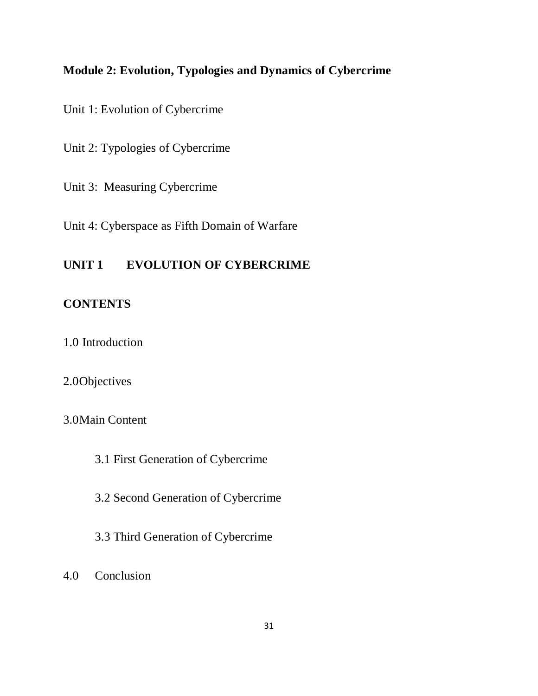# **Module 2: Evolution, Typologies and Dynamics of Cybercrime**

Unit 1: Evolution of Cybercrime

Unit 2: Typologies of Cybercrime

Unit 3: Measuring Cybercrime

Unit 4: Cyberspace as Fifth Domain of Warfare

# **UNIT 1 EVOLUTION OF CYBERCRIME**

# **CONTENTS**

1.0 Introduction

### 2.0Objectives

3.0Main Content

3.1 First Generation of Cybercrime

3.2 Second Generation of Cybercrime

3.3 Third Generation of Cybercrime

4.0 Conclusion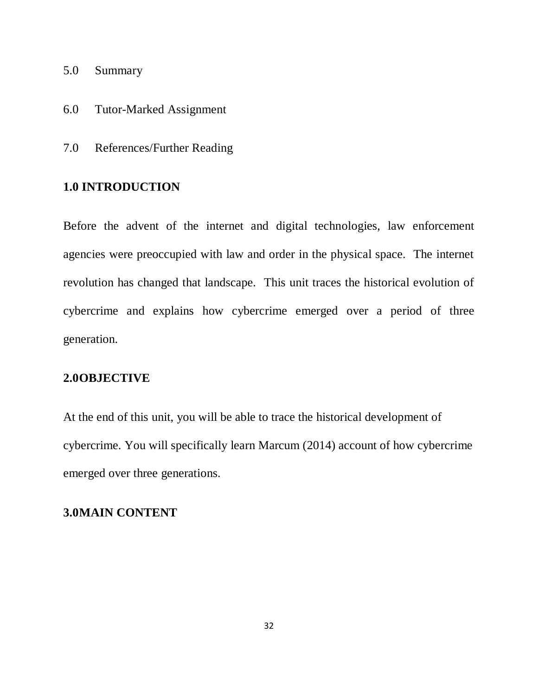- 5.0 Summary
- 6.0 Tutor-Marked Assignment
- 7.0 References/Further Reading

# **1.0 INTRODUCTION**

Before the advent of the internet and digital technologies, law enforcement agencies were preoccupied with law and order in the physical space. The internet revolution has changed that landscape. This unit traces the historical evolution of cybercrime and explains how cybercrime emerged over a period of three generation.

### **2.0OBJECTIVE**

At the end of this unit, you will be able to trace the historical development of cybercrime. You will specifically learn Marcum (2014) account of how cybercrime emerged over three generations.

### **3.0MAIN CONTENT**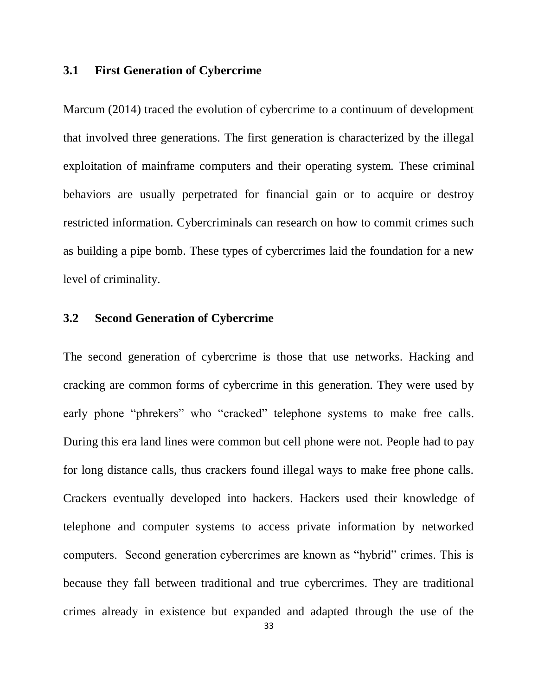#### **3.1 First Generation of Cybercrime**

Marcum (2014) traced the evolution of cybercrime to a continuum of development that involved three generations. The first generation is characterized by the illegal exploitation of mainframe computers and their operating system. These criminal behaviors are usually perpetrated for financial gain or to acquire or destroy restricted information. Cybercriminals can research on how to commit crimes such as building a pipe bomb. These types of cybercrimes laid the foundation for a new level of criminality.

### **3.2 Second Generation of Cybercrime**

The second generation of cybercrime is those that use networks. Hacking and cracking are common forms of cybercrime in this generation. They were used by early phone "phrekers" who "cracked" telephone systems to make free calls. During this era land lines were common but cell phone were not. People had to pay for long distance calls, thus crackers found illegal ways to make free phone calls. Crackers eventually developed into hackers. Hackers used their knowledge of telephone and computer systems to access private information by networked computers. Second generation cybercrimes are known as "hybrid" crimes. This is because they fall between traditional and true cybercrimes. They are traditional crimes already in existence but expanded and adapted through the use of the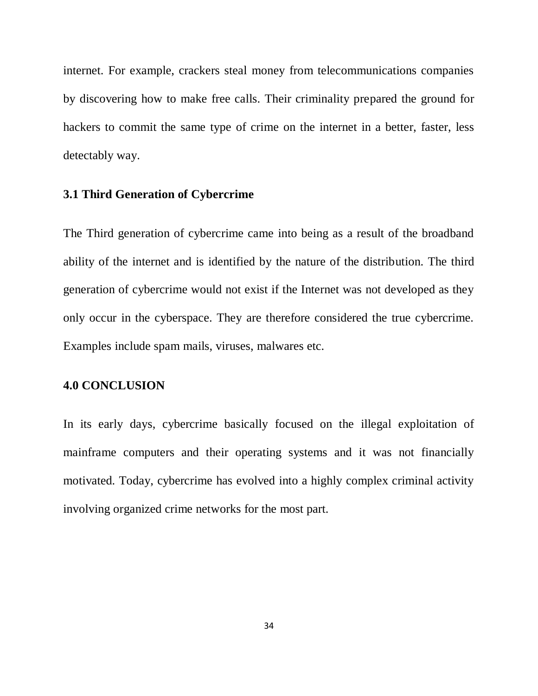internet. For example, crackers steal money from telecommunications companies by discovering how to make free calls. Their criminality prepared the ground for hackers to commit the same type of crime on the internet in a better, faster, less detectably way.

### **3.1 Third Generation of Cybercrime**

The Third generation of cybercrime came into being as a result of the broadband ability of the internet and is identified by the nature of the distribution. The third generation of cybercrime would not exist if the Internet was not developed as they only occur in the cyberspace. They are therefore considered the true cybercrime. Examples include spam mails, viruses, malwares etc.

#### **4.0 CONCLUSION**

In its early days, cybercrime basically focused on the illegal exploitation of mainframe computers and their operating systems and it was not financially motivated. Today, cybercrime has evolved into a highly complex criminal activity involving organized crime networks for the most part.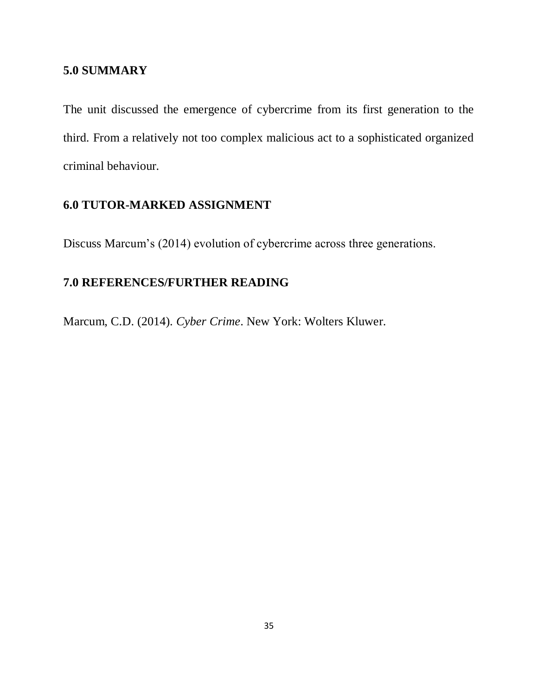## **5.0 SUMMARY**

The unit discussed the emergence of cybercrime from its first generation to the third. From a relatively not too complex malicious act to a sophisticated organized criminal behaviour.

# **6.0 TUTOR-MARKED ASSIGNMENT**

Discuss Marcum"s (2014) evolution of cybercrime across three generations.

# **7.0 REFERENCES/FURTHER READING**

Marcum, C.D. (2014). *Cyber Crime*. New York: Wolters Kluwer.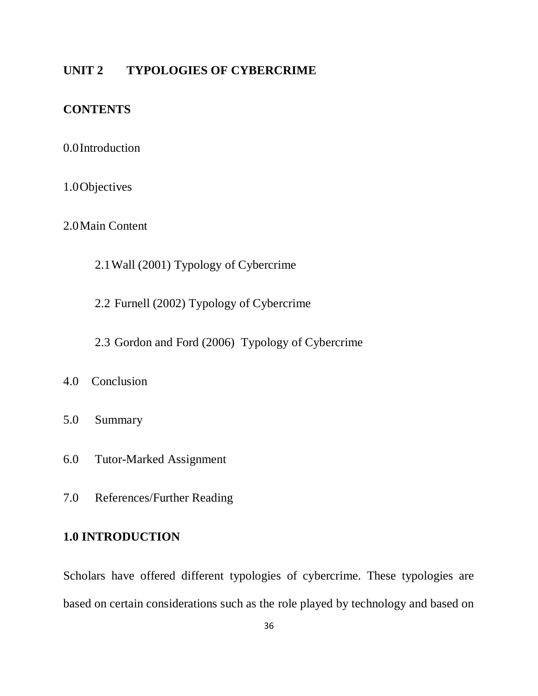### **UNIT 2 TYPOLOGIES OF CYBERCRIME**

# **CONTENTS**

### 0.0Introduction

### 1.0Objectives

2.0Main Content

- 2.1Wall (2001) Typology of Cybercrime
- 2.2 Furnell (2002) Typology of Cybercrime
- 2.3 Gordon and Ford (2006) Typology of Cybercrime
- 4.0 Conclusion
- 5.0 Summary
- 6.0 Tutor-Marked Assignment
- 7.0 References/Further Reading

### **1.0 INTRODUCTION**

Scholars have offered different typologies of cybercrime. These typologies are based on certain considerations such as the role played by technology and based on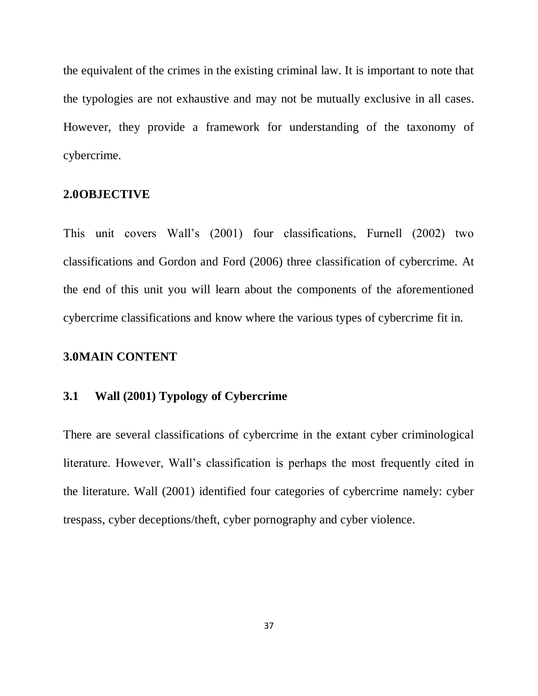the equivalent of the crimes in the existing criminal law. It is important to note that the typologies are not exhaustive and may not be mutually exclusive in all cases. However, they provide a framework for understanding of the taxonomy of cybercrime.

#### **2.0OBJECTIVE**

This unit covers Wall"s (2001) four classifications, Furnell (2002) two classifications and Gordon and Ford (2006) three classification of cybercrime. At the end of this unit you will learn about the components of the aforementioned cybercrime classifications and know where the various types of cybercrime fit in.

### **3.0MAIN CONTENT**

### **3.1 Wall (2001) Typology of Cybercrime**

There are several classifications of cybercrime in the extant cyber criminological literature. However, Wall"s classification is perhaps the most frequently cited in the literature. Wall (2001) identified four categories of cybercrime namely: cyber trespass, cyber deceptions/theft, cyber pornography and cyber violence.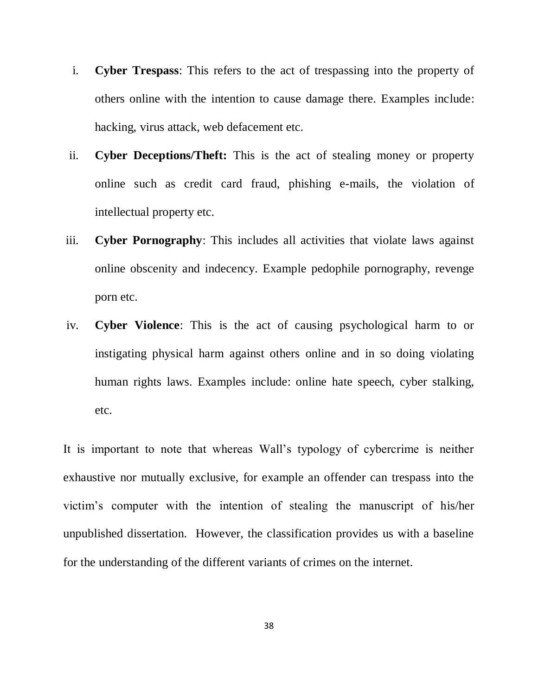- i. **Cyber Trespass**: This refers to the act of trespassing into the property of others online with the intention to cause damage there. Examples include: hacking, virus attack, web defacement etc.
- ii. **Cyber Deceptions/Theft:** This is the act of stealing money or property online such as credit card fraud, phishing e-mails, the violation of intellectual property etc.
- iii. **Cyber Pornography**: This includes all activities that violate laws against online obscenity and indecency. Example pedophile pornography, revenge porn etc.
- iv. **Cyber Violence**: This is the act of causing psychological harm to or instigating physical harm against others online and in so doing violating human rights laws. Examples include: online hate speech, cyber stalking, etc.

It is important to note that whereas Wall"s typology of cybercrime is neither exhaustive nor mutually exclusive, for example an offender can trespass into the victim"s computer with the intention of stealing the manuscript of his/her unpublished dissertation. However, the classification provides us with a baseline for the understanding of the different variants of crimes on the internet.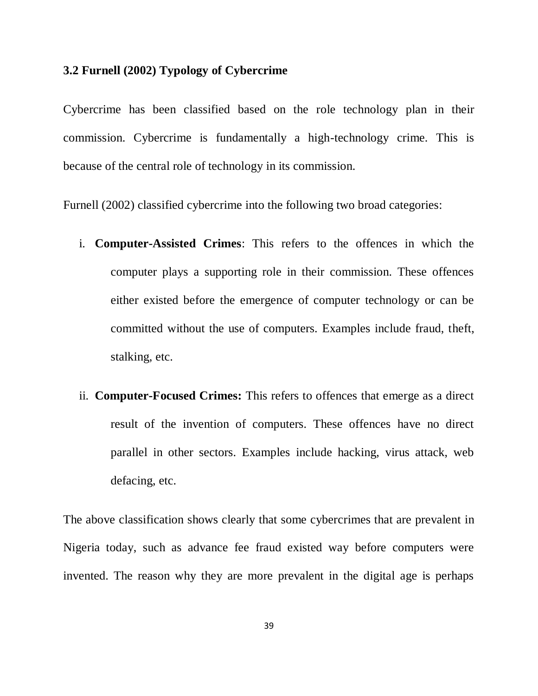### **3.2 Furnell (2002) Typology of Cybercrime**

Cybercrime has been classified based on the role technology plan in their commission. Cybercrime is fundamentally a high-technology crime. This is because of the central role of technology in its commission.

Furnell (2002) classified cybercrime into the following two broad categories:

- i. **Computer-Assisted Crimes**: This refers to the offences in which the computer plays a supporting role in their commission. These offences either existed before the emergence of computer technology or can be committed without the use of computers. Examples include fraud, theft, stalking, etc.
- ii. **Computer-Focused Crimes:** This refers to offences that emerge as a direct result of the invention of computers. These offences have no direct parallel in other sectors. Examples include hacking, virus attack, web defacing, etc.

The above classification shows clearly that some cybercrimes that are prevalent in Nigeria today, such as advance fee fraud existed way before computers were invented. The reason why they are more prevalent in the digital age is perhaps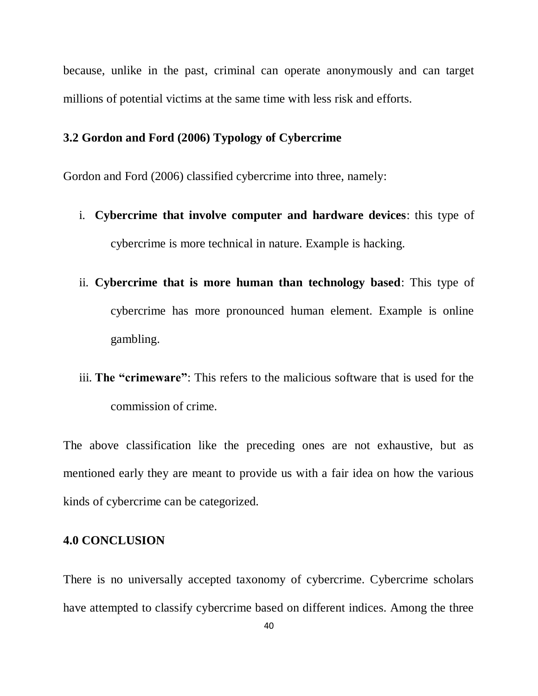because, unlike in the past, criminal can operate anonymously and can target millions of potential victims at the same time with less risk and efforts.

### **3.2 Gordon and Ford (2006) Typology of Cybercrime**

Gordon and Ford (2006) classified cybercrime into three, namely:

- i. **Cybercrime that involve computer and hardware devices**: this type of cybercrime is more technical in nature. Example is hacking.
- ii. **Cybercrime that is more human than technology based**: This type of cybercrime has more pronounced human element. Example is online gambling.
- iii. **The "crimeware"**: This refers to the malicious software that is used for the commission of crime.

The above classification like the preceding ones are not exhaustive, but as mentioned early they are meant to provide us with a fair idea on how the various kinds of cybercrime can be categorized.

### **4.0 CONCLUSION**

There is no universally accepted taxonomy of cybercrime. Cybercrime scholars have attempted to classify cybercrime based on different indices. Among the three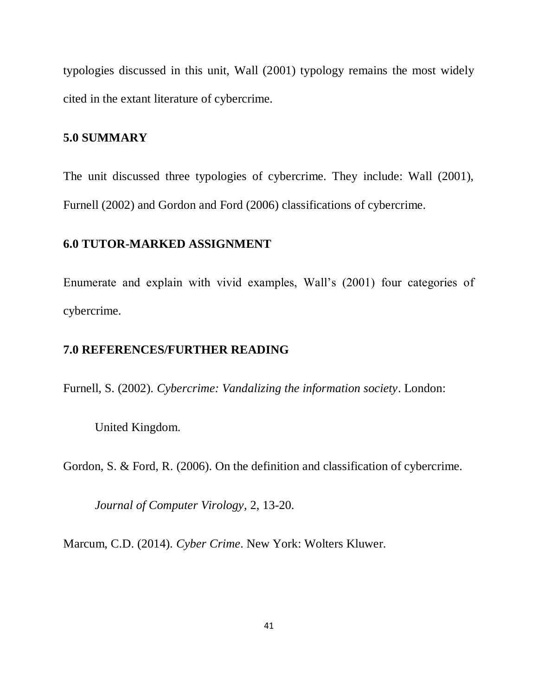typologies discussed in this unit, Wall (2001) typology remains the most widely cited in the extant literature of cybercrime.

### **5.0 SUMMARY**

The unit discussed three typologies of cybercrime. They include: Wall (2001), Furnell (2002) and Gordon and Ford (2006) classifications of cybercrime.

# **6.0 TUTOR-MARKED ASSIGNMENT**

Enumerate and explain with vivid examples, Wall"s (2001) four categories of cybercrime.

### **7.0 REFERENCES/FURTHER READING**

Furnell, S. (2002). *Cybercrime: Vandalizing the information society*. London:

United Kingdom.

Gordon, S. & Ford, R. (2006). On the definition and classification of cybercrime.

*Journal of Computer Virology*, 2, 13-20.

Marcum, C.D. (2014). *Cyber Crime*. New York: Wolters Kluwer.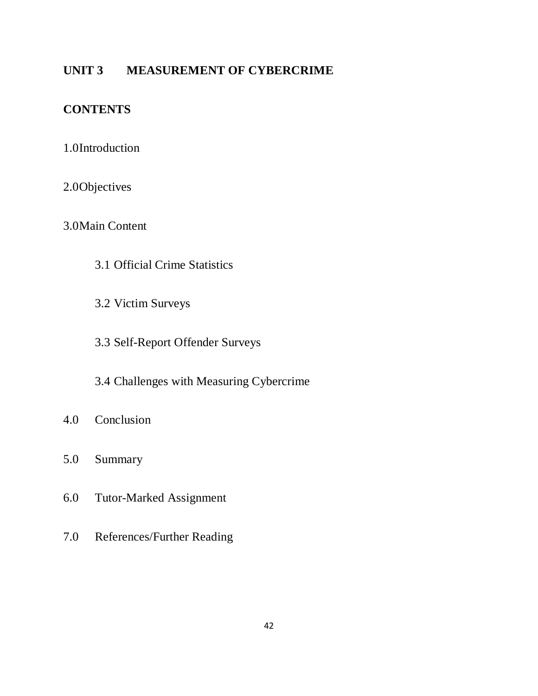# **UNIT 3 MEASUREMENT OF CYBERCRIME**

# **CONTENTS**

# 1.0Introduction

# 2.0Objectives

# 3.0Main Content

- 3.1 Official Crime Statistics
- 3.2 Victim Surveys
- 3.3 Self-Report Offender Surveys
- 3.4 Challenges with Measuring Cybercrime
- 4.0 Conclusion
- 5.0 Summary
- 6.0 Tutor-Marked Assignment
- 7.0 References/Further Reading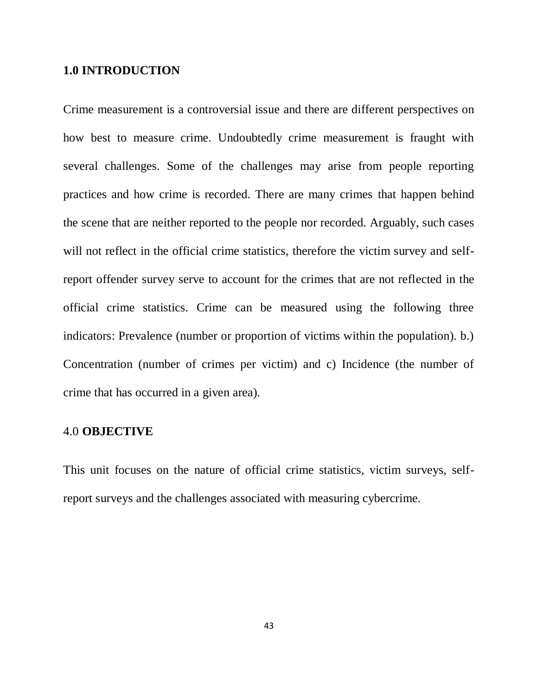#### **1.0 INTRODUCTION**

Crime measurement is a controversial issue and there are different perspectives on how best to measure crime. Undoubtedly crime measurement is fraught with several challenges. Some of the challenges may arise from people reporting practices and how crime is recorded. There are many crimes that happen behind the scene that are neither reported to the people nor recorded. Arguably, such cases will not reflect in the official crime statistics, therefore the victim survey and selfreport offender survey serve to account for the crimes that are not reflected in the official crime statistics. Crime can be measured using the following three indicators: Prevalence (number or proportion of victims within the population). b.) Concentration (number of crimes per victim) and c) Incidence (the number of crime that has occurred in a given area).

### 4.0 **OBJECTIVE**

This unit focuses on the nature of official crime statistics, victim surveys, selfreport surveys and the challenges associated with measuring cybercrime.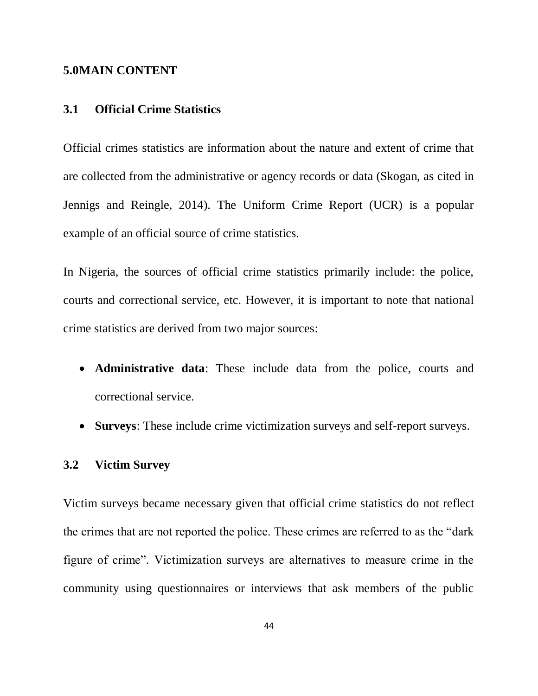#### **5.0MAIN CONTENT**

#### **3.1 Official Crime Statistics**

Official crimes statistics are information about the nature and extent of crime that are collected from the administrative or agency records or data (Skogan, as cited in Jennigs and Reingle, 2014). The Uniform Crime Report (UCR) is a popular example of an official source of crime statistics.

In Nigeria, the sources of official crime statistics primarily include: the police, courts and correctional service, etc. However, it is important to note that national crime statistics are derived from two major sources:

- **Administrative data**: These include data from the police, courts and correctional service.
- **Surveys**: These include crime victimization surveys and self-report surveys.

### **3.2 Victim Survey**

Victim surveys became necessary given that official crime statistics do not reflect the crimes that are not reported the police. These crimes are referred to as the "dark figure of crime". Victimization surveys are alternatives to measure crime in the community using questionnaires or interviews that ask members of the public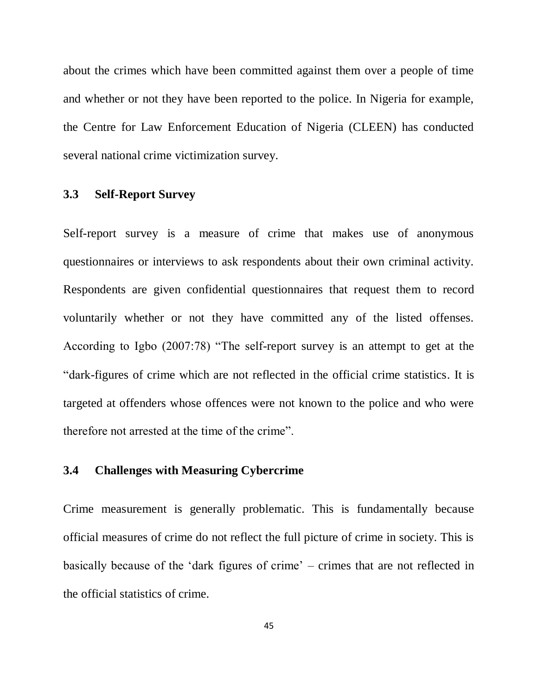about the crimes which have been committed against them over a people of time and whether or not they have been reported to the police. In Nigeria for example, the Centre for Law Enforcement Education of Nigeria (CLEEN) has conducted several national crime victimization survey.

### **3.3 Self-Report Survey**

Self-report survey is a measure of crime that makes use of anonymous questionnaires or interviews to ask respondents about their own criminal activity. Respondents are given confidential questionnaires that request them to record voluntarily whether or not they have committed any of the listed offenses. According to Igbo (2007:78) "The self-report survey is an attempt to get at the "dark-figures of crime which are not reflected in the official crime statistics. It is targeted at offenders whose offences were not known to the police and who were therefore not arrested at the time of the crime".

### **3.4 Challenges with Measuring Cybercrime**

Crime measurement is generally problematic. This is fundamentally because official measures of crime do not reflect the full picture of crime in society. This is basically because of the "dark figures of crime" – crimes that are not reflected in the official statistics of crime.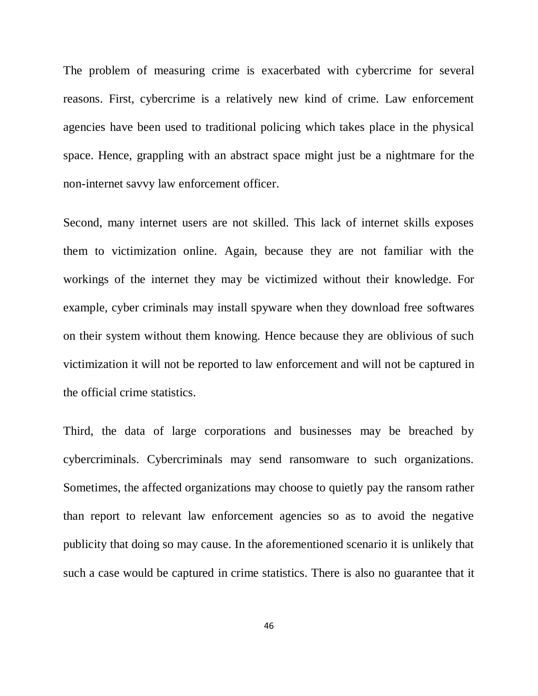The problem of measuring crime is exacerbated with cybercrime for several reasons. First, cybercrime is a relatively new kind of crime. Law enforcement agencies have been used to traditional policing which takes place in the physical space. Hence, grappling with an abstract space might just be a nightmare for the non-internet savvy law enforcement officer.

Second, many internet users are not skilled. This lack of internet skills exposes them to victimization online. Again, because they are not familiar with the workings of the internet they may be victimized without their knowledge. For example, cyber criminals may install spyware when they download free softwares on their system without them knowing. Hence because they are oblivious of such victimization it will not be reported to law enforcement and will not be captured in the official crime statistics.

Third, the data of large corporations and businesses may be breached by cybercriminals. Cybercriminals may send ransomware to such organizations. Sometimes, the affected organizations may choose to quietly pay the ransom rather than report to relevant law enforcement agencies so as to avoid the negative publicity that doing so may cause. In the aforementioned scenario it is unlikely that such a case would be captured in crime statistics. There is also no guarantee that it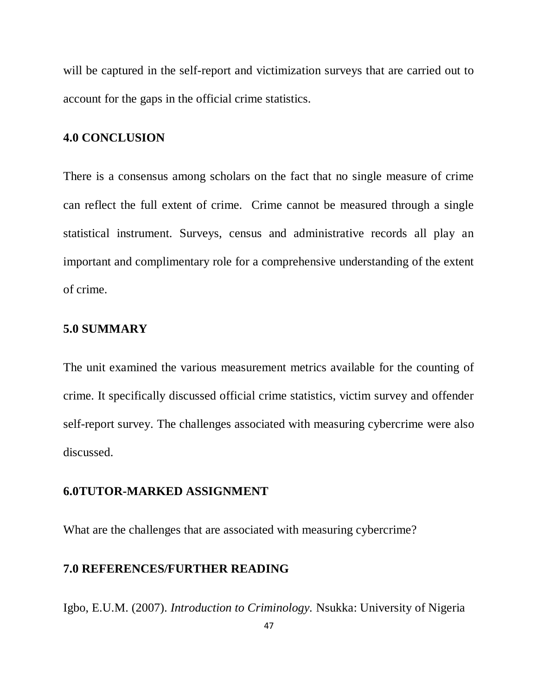will be captured in the self-report and victimization surveys that are carried out to account for the gaps in the official crime statistics.

### **4.0 CONCLUSION**

There is a consensus among scholars on the fact that no single measure of crime can reflect the full extent of crime. Crime cannot be measured through a single statistical instrument. Surveys, census and administrative records all play an important and complimentary role for a comprehensive understanding of the extent of crime.

### **5.0 SUMMARY**

The unit examined the various measurement metrics available for the counting of crime. It specifically discussed official crime statistics, victim survey and offender self-report survey. The challenges associated with measuring cybercrime were also discussed.

#### **6.0TUTOR-MARKED ASSIGNMENT**

What are the challenges that are associated with measuring cybercrime?

#### **7.0 REFERENCES/FURTHER READING**

Igbo, E.U.M. (2007). *Introduction to Criminology.* Nsukka: University of Nigeria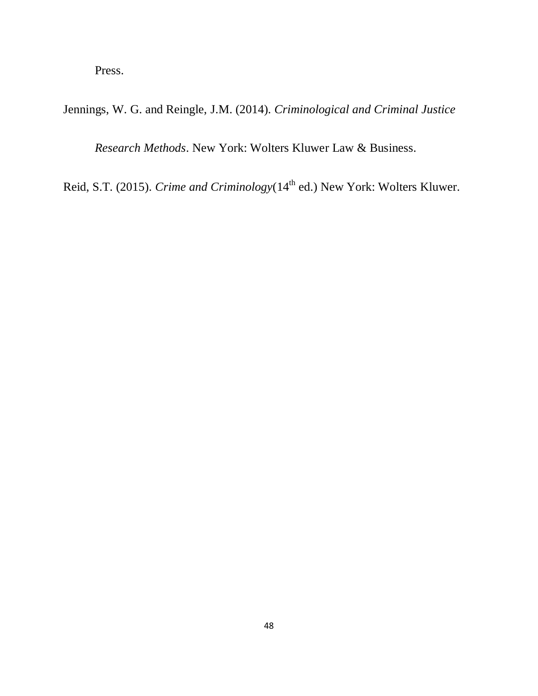Press.

Jennings, W. G. and Reingle, J.M. (2014). *Criminological and Criminal Justice* 

*Research Methods*. New York: Wolters Kluwer Law & Business.

Reid, S.T. (2015). *Crime and Criminology* (14<sup>th</sup> ed.) New York: Wolters Kluwer.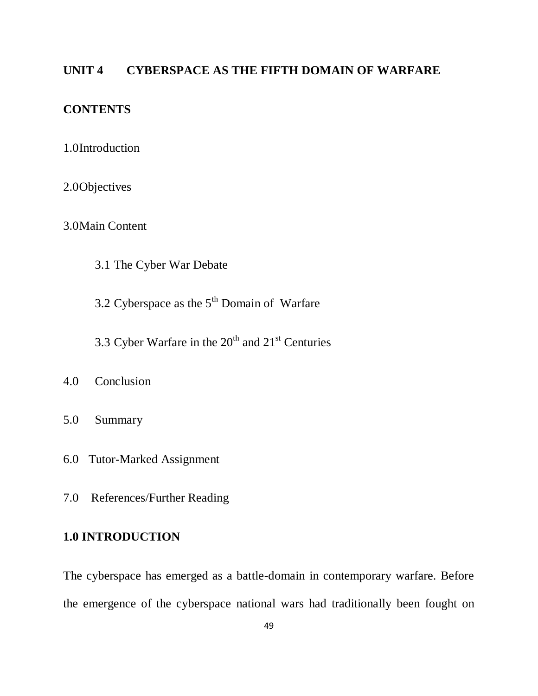# **UNIT 4 CYBERSPACE AS THE FIFTH DOMAIN OF WARFARE**

# **CONTENTS**

- 1.0Introduction
- 2.0Objectives
- 3.0Main Content
	- 3.1 The Cyber War Debate
	- 3.2 Cyberspace as the  $5<sup>th</sup>$  Domain of Warfare
	- 3.3 Cyber Warfare in the  $20<sup>th</sup>$  and  $21<sup>st</sup>$  Centuries
- 4.0 Conclusion
- 5.0 Summary
- 6.0 Tutor-Marked Assignment
- 7.0 References/Further Reading

### **1.0 INTRODUCTION**

The cyberspace has emerged as a battle-domain in contemporary warfare. Before the emergence of the cyberspace national wars had traditionally been fought on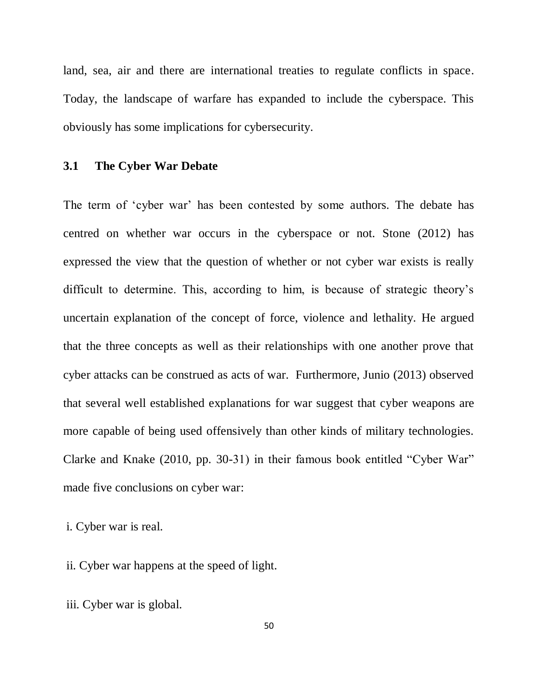land, sea, air and there are international treaties to regulate conflicts in space. Today, the landscape of warfare has expanded to include the cyberspace. This obviously has some implications for cybersecurity.

### **3.1 The Cyber War Debate**

The term of "cyber war" has been contested by some authors. The debate has centred on whether war occurs in the cyberspace or not. Stone (2012) has expressed the view that the question of whether or not cyber war exists is really difficult to determine. This, according to him, is because of strategic theory"s uncertain explanation of the concept of force, violence and lethality. He argued that the three concepts as well as their relationships with one another prove that cyber attacks can be construed as acts of war. Furthermore, Junio (2013) observed that several well established explanations for war suggest that cyber weapons are more capable of being used offensively than other kinds of military technologies. Clarke and Knake (2010, pp. 30-31) in their famous book entitled "Cyber War" made five conclusions on cyber war:

i. Cyber war is real.

ii. Cyber war happens at the speed of light.

iii. Cyber war is global.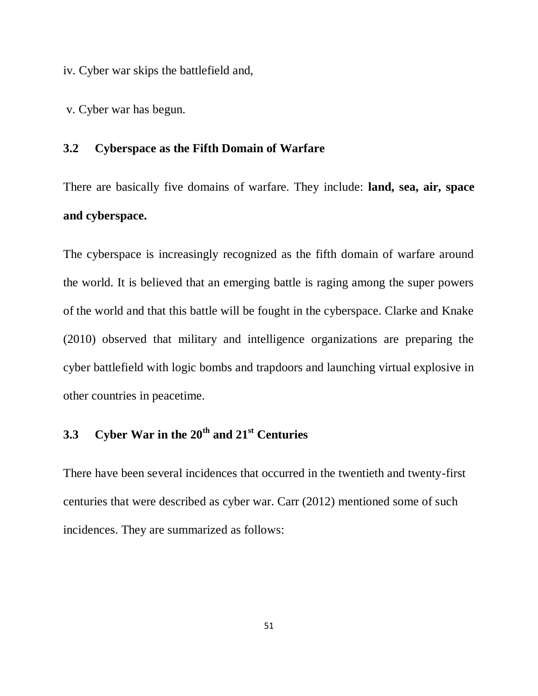iv. Cyber war skips the battlefield and,

v. Cyber war has begun.

### **3.2 Cyberspace as the Fifth Domain of Warfare**

There are basically five domains of warfare. They include: **land, sea, air, space and cyberspace.**

The cyberspace is increasingly recognized as the fifth domain of warfare around the world. It is believed that an emerging battle is raging among the super powers of the world and that this battle will be fought in the cyberspace. Clarke and Knake (2010) observed that military and intelligence organizations are preparing the cyber battlefield with logic bombs and trapdoors and launching virtual explosive in other countries in peacetime.

# **3.3 Cyber War in the 20th and 21st Centuries**

There have been several incidences that occurred in the twentieth and twenty-first centuries that were described as cyber war. Carr (2012) mentioned some of such incidences. They are summarized as follows: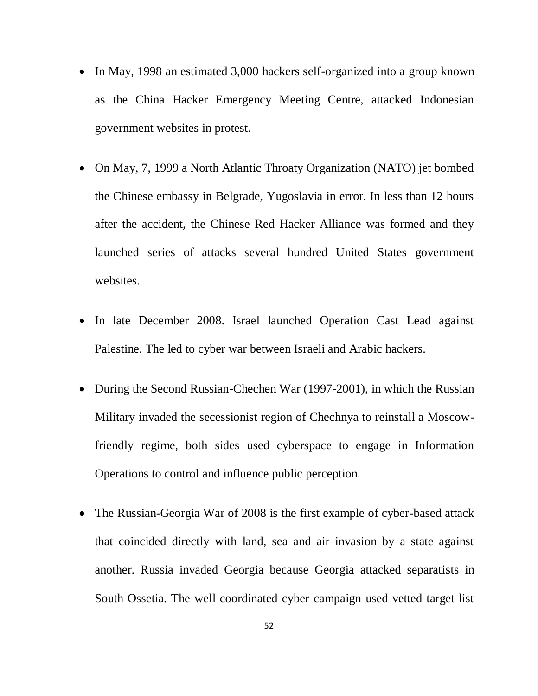- In May, 1998 an estimated 3,000 hackers self-organized into a group known as the China Hacker Emergency Meeting Centre, attacked Indonesian government websites in protest.
- On May, 7, 1999 a North Atlantic Throaty Organization (NATO) jet bombed the Chinese embassy in Belgrade, Yugoslavia in error. In less than 12 hours after the accident, the Chinese Red Hacker Alliance was formed and they launched series of attacks several hundred United States government websites.
- In late December 2008. Israel launched Operation Cast Lead against Palestine. The led to cyber war between Israeli and Arabic hackers.
- During the Second Russian-Chechen War (1997-2001), in which the Russian Military invaded the secessionist region of Chechnya to reinstall a Moscowfriendly regime, both sides used cyberspace to engage in Information Operations to control and influence public perception.
- The Russian-Georgia War of 2008 is the first example of cyber-based attack that coincided directly with land, sea and air invasion by a state against another. Russia invaded Georgia because Georgia attacked separatists in South Ossetia. The well coordinated cyber campaign used vetted target list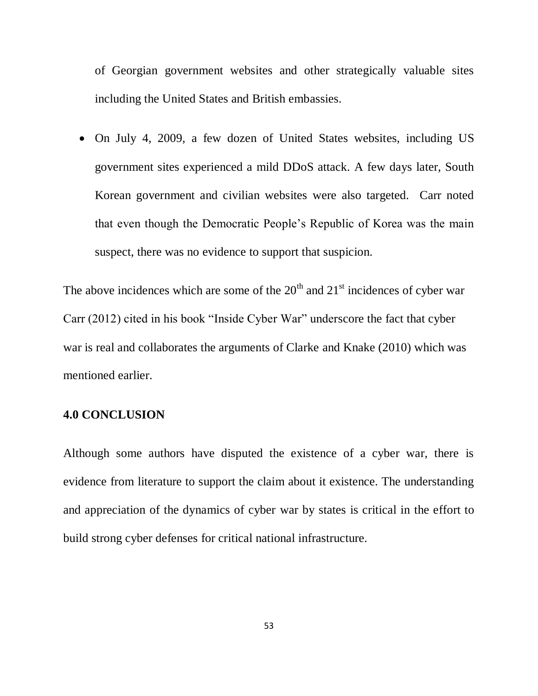of Georgian government websites and other strategically valuable sites including the United States and British embassies.

 On July 4, 2009, a few dozen of United States websites, including US government sites experienced a mild DDoS attack. A few days later, South Korean government and civilian websites were also targeted. Carr noted that even though the Democratic People"s Republic of Korea was the main suspect, there was no evidence to support that suspicion.

The above incidences which are some of the  $20<sup>th</sup>$  and  $21<sup>st</sup>$  incidences of cyber war Carr (2012) cited in his book "Inside Cyber War" underscore the fact that cyber war is real and collaborates the arguments of Clarke and Knake (2010) which was mentioned earlier.

### **4.0 CONCLUSION**

Although some authors have disputed the existence of a cyber war, there is evidence from literature to support the claim about it existence. The understanding and appreciation of the dynamics of cyber war by states is critical in the effort to build strong cyber defenses for critical national infrastructure.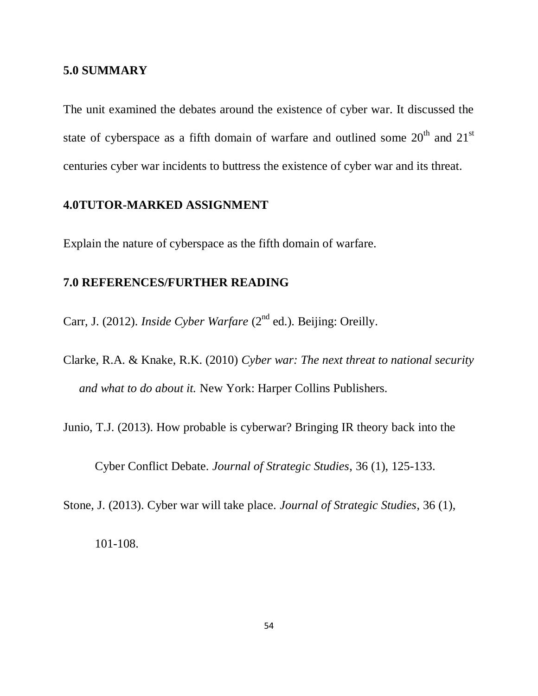#### **5.0 SUMMARY**

The unit examined the debates around the existence of cyber war. It discussed the state of cyberspace as a fifth domain of warfare and outlined some  $20<sup>th</sup>$  and  $21<sup>st</sup>$ centuries cyber war incidents to buttress the existence of cyber war and its threat.

### **4.0TUTOR-MARKED ASSIGNMENT**

Explain the nature of cyberspace as the fifth domain of warfare.

## **7.0 REFERENCES/FURTHER READING**

Carr, J. (2012). *Inside Cyber Warfare* (2<sup>nd</sup> ed.). Beijing: Oreilly.

Clarke, R.A. & Knake, R.K. (2010) *Cyber war: The next threat to national security and what to do about it.* New York: Harper Collins Publishers.

Junio, T.J. (2013). How probable is cyberwar? Bringing IR theory back into the

Cyber Conflict Debate. *Journal of Strategic Studies*, 36 (1), 125-133.

Stone, J. (2013). Cyber war will take place. *Journal of Strategic Studies*, 36 (1),

101-108.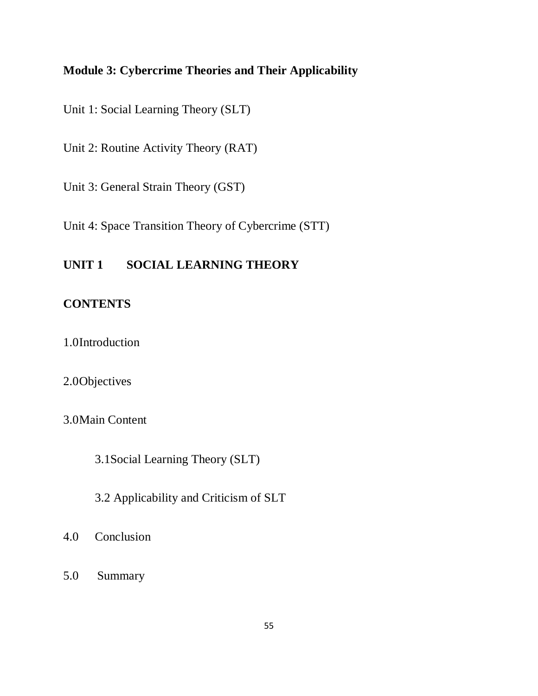# **Module 3: Cybercrime Theories and Their Applicability**

Unit 1: Social Learning Theory (SLT)

Unit 2: Routine Activity Theory (RAT)

Unit 3: General Strain Theory (GST)

Unit 4: Space Transition Theory of Cybercrime (STT)

# **UNIT 1 SOCIAL LEARNING THEORY**

# **CONTENTS**

1.0Introduction

### 2.0Objectives

3.0Main Content

3.1Social Learning Theory (SLT)

3.2 Applicability and Criticism of SLT

- 4.0 Conclusion
- 5.0 Summary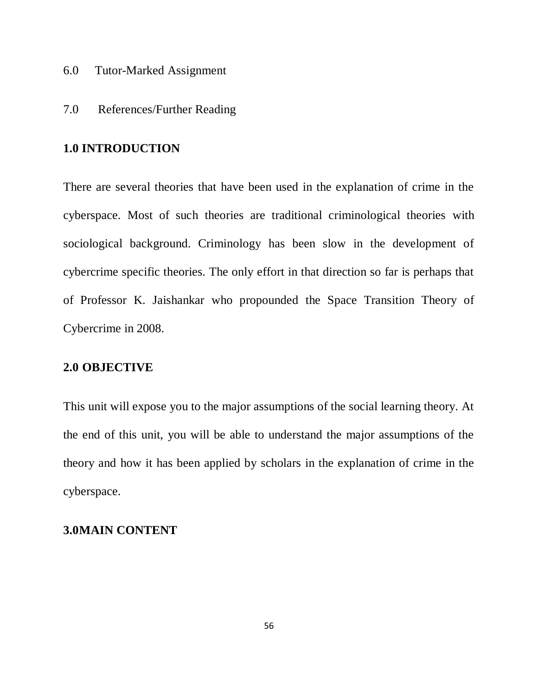- 6.0 Tutor-Marked Assignment
- 7.0 References/Further Reading

#### **1.0 INTRODUCTION**

There are several theories that have been used in the explanation of crime in the cyberspace. Most of such theories are traditional criminological theories with sociological background. Criminology has been slow in the development of cybercrime specific theories. The only effort in that direction so far is perhaps that of Professor K. Jaishankar who propounded the Space Transition Theory of Cybercrime in 2008.

### **2.0 OBJECTIVE**

This unit will expose you to the major assumptions of the social learning theory. At the end of this unit, you will be able to understand the major assumptions of the theory and how it has been applied by scholars in the explanation of crime in the cyberspace.

#### **3.0MAIN CONTENT**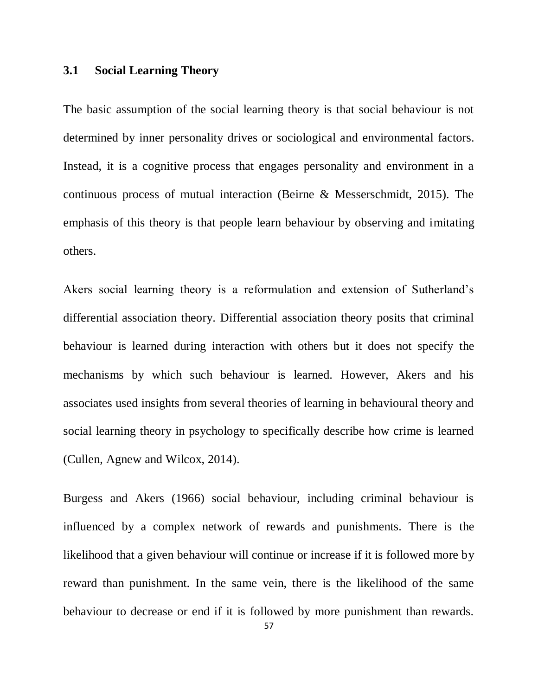#### **3.1 Social Learning Theory**

The basic assumption of the social learning theory is that social behaviour is not determined by inner personality drives or sociological and environmental factors. Instead, it is a cognitive process that engages personality and environment in a continuous process of mutual interaction (Beirne & Messerschmidt, 2015). The emphasis of this theory is that people learn behaviour by observing and imitating others.

Akers social learning theory is a reformulation and extension of Sutherland"s differential association theory. Differential association theory posits that criminal behaviour is learned during interaction with others but it does not specify the mechanisms by which such behaviour is learned. However, Akers and his associates used insights from several theories of learning in behavioural theory and social learning theory in psychology to specifically describe how crime is learned (Cullen, Agnew and Wilcox, 2014).

Burgess and Akers (1966) social behaviour, including criminal behaviour is influenced by a complex network of rewards and punishments. There is the likelihood that a given behaviour will continue or increase if it is followed more by reward than punishment. In the same vein, there is the likelihood of the same behaviour to decrease or end if it is followed by more punishment than rewards.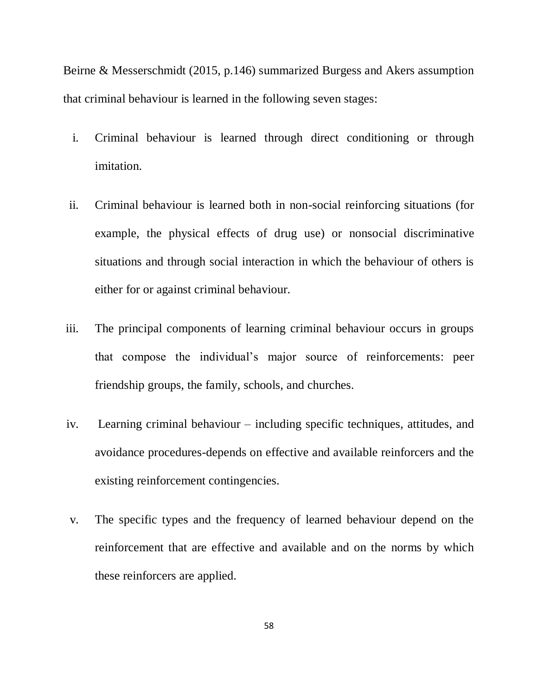Beirne & Messerschmidt (2015, p.146) summarized Burgess and Akers assumption that criminal behaviour is learned in the following seven stages:

- i. Criminal behaviour is learned through direct conditioning or through imitation.
- ii. Criminal behaviour is learned both in non-social reinforcing situations (for example, the physical effects of drug use) or nonsocial discriminative situations and through social interaction in which the behaviour of others is either for or against criminal behaviour.
- iii. The principal components of learning criminal behaviour occurs in groups that compose the individual"s major source of reinforcements: peer friendship groups, the family, schools, and churches.
- iv. Learning criminal behaviour including specific techniques, attitudes, and avoidance procedures-depends on effective and available reinforcers and the existing reinforcement contingencies.
- v. The specific types and the frequency of learned behaviour depend on the reinforcement that are effective and available and on the norms by which these reinforcers are applied.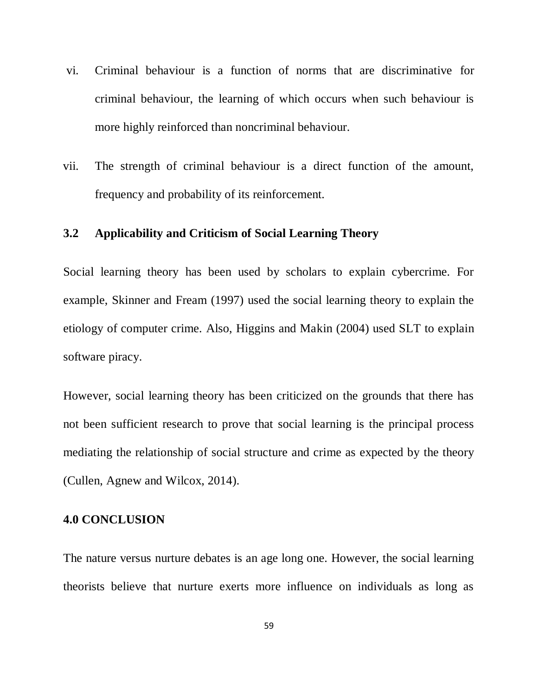- vi. Criminal behaviour is a function of norms that are discriminative for criminal behaviour, the learning of which occurs when such behaviour is more highly reinforced than noncriminal behaviour.
- vii. The strength of criminal behaviour is a direct function of the amount, frequency and probability of its reinforcement.

### **3.2 Applicability and Criticism of Social Learning Theory**

Social learning theory has been used by scholars to explain cybercrime. For example, Skinner and Fream (1997) used the social learning theory to explain the etiology of computer crime. Also, Higgins and Makin (2004) used SLT to explain software piracy.

However, social learning theory has been criticized on the grounds that there has not been sufficient research to prove that social learning is the principal process mediating the relationship of social structure and crime as expected by the theory (Cullen, Agnew and Wilcox, 2014).

# **4.0 CONCLUSION**

The nature versus nurture debates is an age long one. However, the social learning theorists believe that nurture exerts more influence on individuals as long as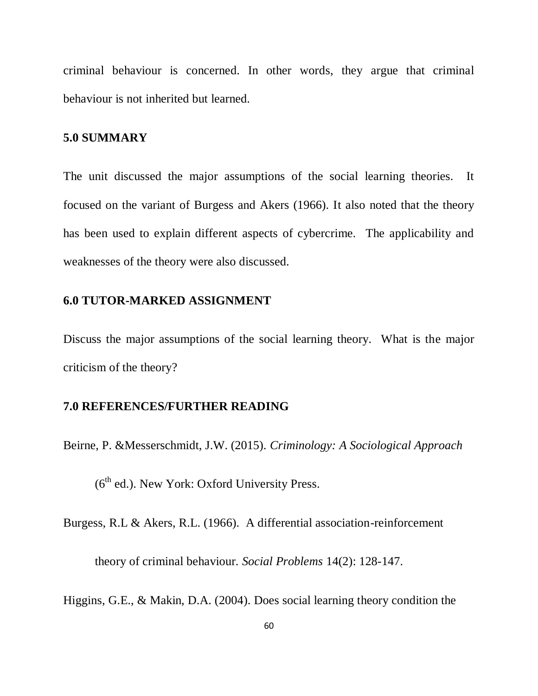criminal behaviour is concerned. In other words, they argue that criminal behaviour is not inherited but learned.

### **5.0 SUMMARY**

The unit discussed the major assumptions of the social learning theories. It focused on the variant of Burgess and Akers (1966). It also noted that the theory has been used to explain different aspects of cybercrime. The applicability and weaknesses of the theory were also discussed.

### **6.0 TUTOR-MARKED ASSIGNMENT**

Discuss the major assumptions of the social learning theory. What is the major criticism of the theory?

### **7.0 REFERENCES/FURTHER READING**

Beirne, P. &Messerschmidt, J.W. (2015). *Criminology: A Sociological Approach*

 $(6<sup>th</sup>$  ed.). New York: Oxford University Press.

Burgess, R.L & Akers, R.L. (1966). A differential association-reinforcement

theory of criminal behaviour. *Social Problems* 14(2): 128-147.

Higgins, G.E., & Makin, D.A. (2004). Does social learning theory condition the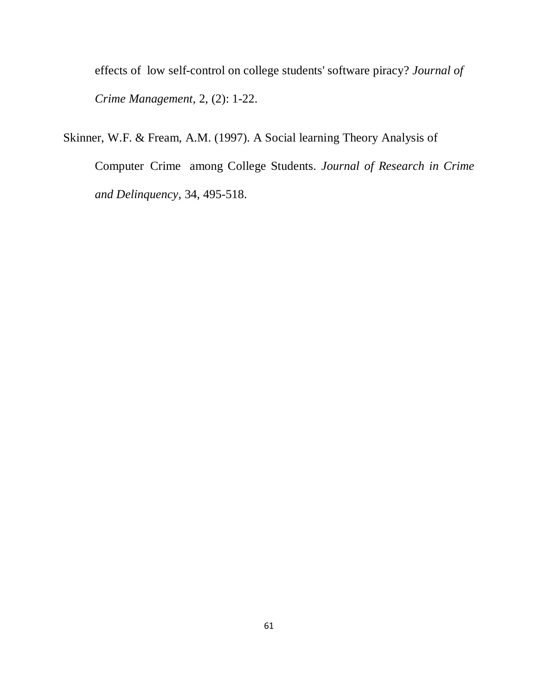effects of low self-control on college students' software piracy? *Journal of Crime Management,* 2, (2): 1-22.

Skinner, W.F. & Fream, A.M. (1997). A Social learning Theory Analysis of Computer Crime among College Students. *Journal of Research in Crime and Delinquency*, 34, 495-518.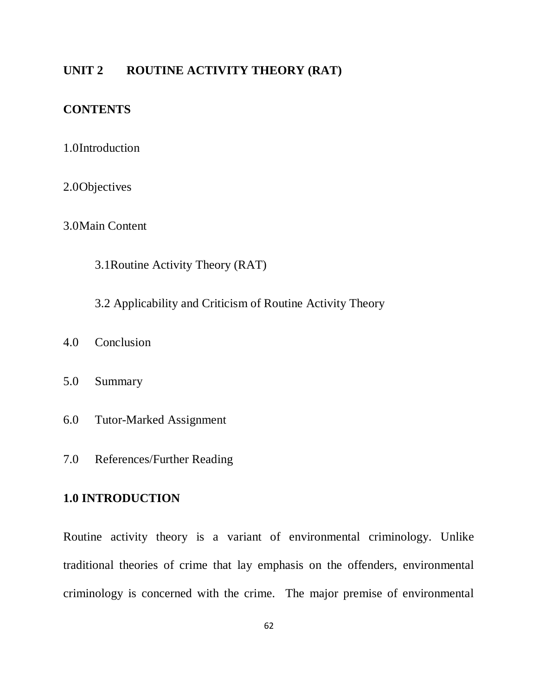### **UNIT 2 ROUTINE ACTIVITY THEORY (RAT)**

# **CONTENTS**

- 1.0Introduction
- 2.0Objectives
- 3.0Main Content
	- 3.1Routine Activity Theory (RAT)
	- 3.2 Applicability and Criticism of Routine Activity Theory
- 4.0 Conclusion
- 5.0 Summary
- 6.0 Tutor-Marked Assignment
- 7.0 References/Further Reading

### **1.0 INTRODUCTION**

Routine activity theory is a variant of environmental criminology. Unlike traditional theories of crime that lay emphasis on the offenders, environmental criminology is concerned with the crime. The major premise of environmental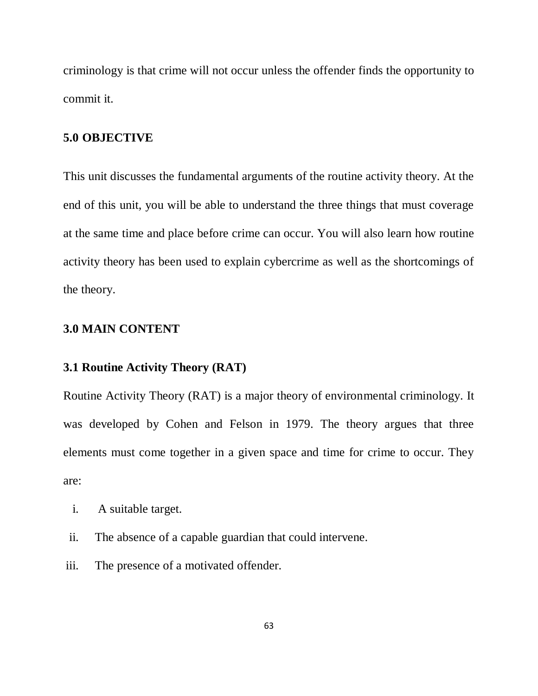criminology is that crime will not occur unless the offender finds the opportunity to commit it.

### **5.0 OBJECTIVE**

This unit discusses the fundamental arguments of the routine activity theory. At the end of this unit, you will be able to understand the three things that must coverage at the same time and place before crime can occur. You will also learn how routine activity theory has been used to explain cybercrime as well as the shortcomings of the theory.

### **3.0 MAIN CONTENT**

#### **3.1 Routine Activity Theory (RAT)**

Routine Activity Theory (RAT) is a major theory of environmental criminology. It was developed by Cohen and Felson in 1979. The theory argues that three elements must come together in a given space and time for crime to occur. They are:

- i. A suitable target.
- ii. The absence of a capable guardian that could intervene.
- iii. The presence of a motivated offender.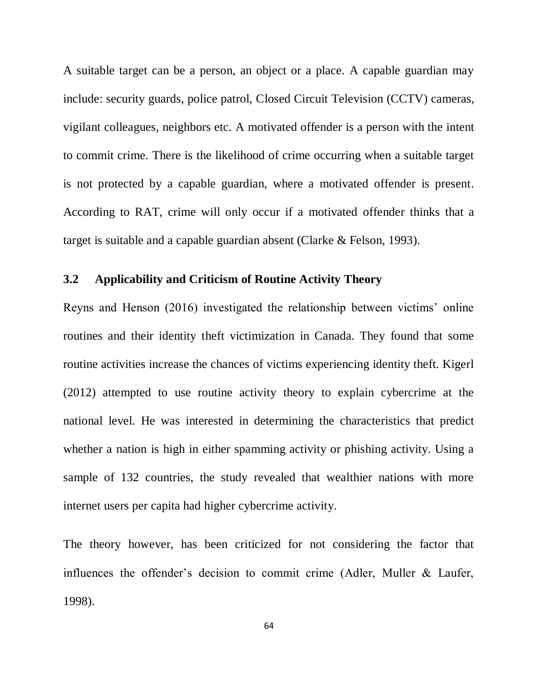A suitable target can be a person, an object or a place. A capable guardian may include: security guards, police patrol, Closed Circuit Television (CCTV) cameras, vigilant colleagues, neighbors etc. A motivated offender is a person with the intent to commit crime. There is the likelihood of crime occurring when a suitable target is not protected by a capable guardian, where a motivated offender is present. According to RAT, crime will only occur if a motivated offender thinks that a target is suitable and a capable guardian absent (Clarke & Felson, 1993).

# **3.2 Applicability and Criticism of Routine Activity Theory**

Reyns and Henson (2016) investigated the relationship between victims" online routines and their identity theft victimization in Canada. They found that some routine activities increase the chances of victims experiencing identity theft. Kigerl (2012) attempted to use routine activity theory to explain cybercrime at the national level. He was interested in determining the characteristics that predict whether a nation is high in either spamming activity or phishing activity. Using a sample of 132 countries, the study revealed that wealthier nations with more internet users per capita had higher cybercrime activity.

The theory however, has been criticized for not considering the factor that influences the offender's decision to commit crime (Adler, Muller & Laufer, 1998).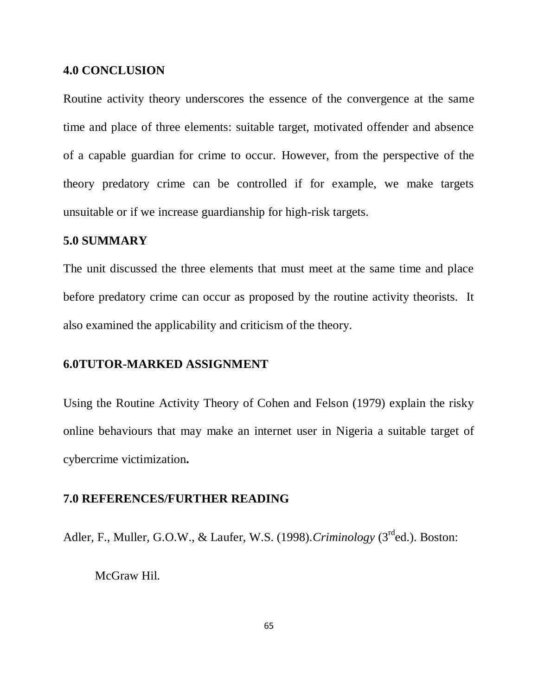#### **4.0 CONCLUSION**

Routine activity theory underscores the essence of the convergence at the same time and place of three elements: suitable target, motivated offender and absence of a capable guardian for crime to occur. However, from the perspective of the theory predatory crime can be controlled if for example, we make targets unsuitable or if we increase guardianship for high-risk targets.

#### **5.0 SUMMARY**

The unit discussed the three elements that must meet at the same time and place before predatory crime can occur as proposed by the routine activity theorists. It also examined the applicability and criticism of the theory.

#### **6.0TUTOR-MARKED ASSIGNMENT**

Using the Routine Activity Theory of Cohen and Felson (1979) explain the risky online behaviours that may make an internet user in Nigeria a suitable target of cybercrime victimization**.**

#### **7.0 REFERENCES/FURTHER READING**

Adler, F., Muller, G.O.W., & Laufer, W.S. (1998).*Criminology* (3rded.). Boston:

McGraw Hil.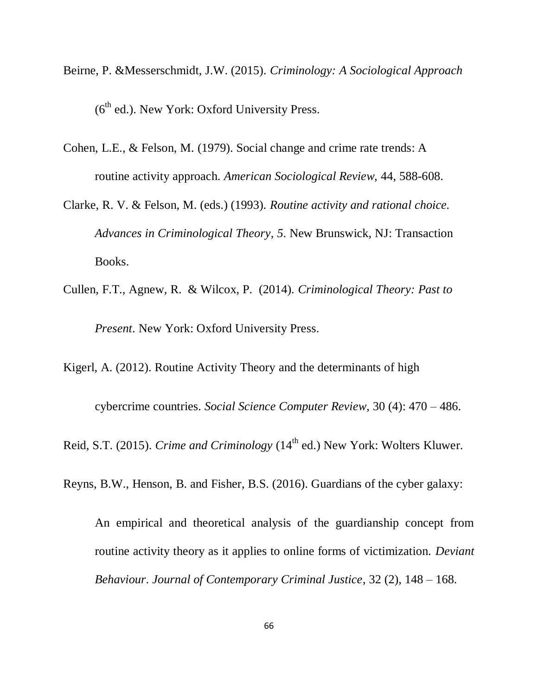- Beirne, P. &Messerschmidt, J.W. (2015). *Criminology: A Sociological Approach*  $(6<sup>th</sup>$  ed.). New York: Oxford University Press.
- Cohen, L.E., & Felson, M. (1979). Social change and crime rate trends: A routine activity approach. *American Sociological Review,* 44, 588-608.
- Clarke, R. V. & Felson, M. (eds.) (1993). *Routine activity and rational choice. Advances in Criminological Theory*, *5*. New Brunswick, NJ: Transaction Books.
- Cullen, F.T., Agnew, R. & Wilcox, P. (2014). *Criminological Theory: Past to Present*. New York: Oxford University Press.

Kigerl, A. (2012). Routine Activity Theory and the determinants of high

cybercrime countries. *Social Science Computer Review*, 30 (4): 470 – 486.

Reid, S.T. (2015). *Crime and Criminology* (14<sup>th</sup> ed.) New York: Wolters Kluwer.

Reyns, B.W., Henson, B. and Fisher, B.S. (2016). Guardians of the cyber galaxy:

An empirical and theoretical analysis of the guardianship concept from routine activity theory as it applies to online forms of victimization. *Deviant Behaviour*. *Journal of Contemporary Criminal Justice*, 32 (2), 148 – 168.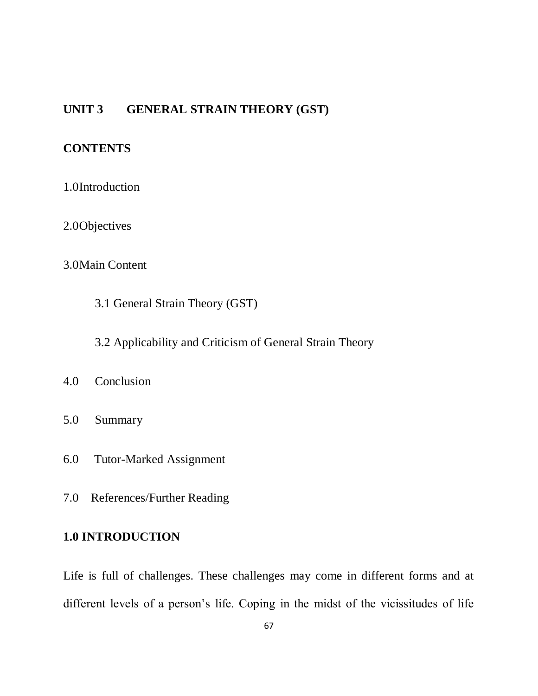# **UNIT 3 GENERAL STRAIN THEORY (GST)**

# **CONTENTS**

- 1.0Introduction
- 2.0Objectives

# 3.0Main Content

- 3.1 General Strain Theory (GST)
- 3.2 Applicability and Criticism of General Strain Theory
- 4.0 Conclusion
- 5.0 Summary
- 6.0 Tutor-Marked Assignment
- 7.0 References/Further Reading

# **1.0 INTRODUCTION**

Life is full of challenges. These challenges may come in different forms and at different levels of a person's life. Coping in the midst of the vicissitudes of life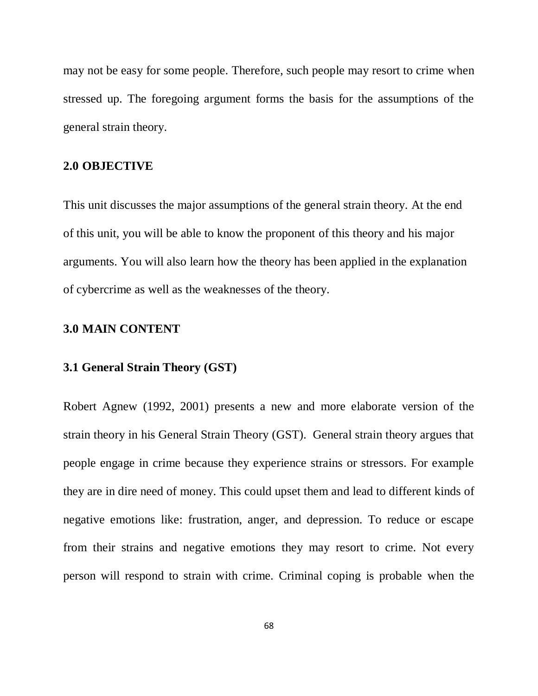may not be easy for some people. Therefore, such people may resort to crime when stressed up. The foregoing argument forms the basis for the assumptions of the general strain theory.

## **2.0 OBJECTIVE**

This unit discusses the major assumptions of the general strain theory. At the end of this unit, you will be able to know the proponent of this theory and his major arguments. You will also learn how the theory has been applied in the explanation of cybercrime as well as the weaknesses of the theory.

## **3.0 MAIN CONTENT**

#### **3.1 General Strain Theory (GST)**

Robert Agnew (1992, 2001) presents a new and more elaborate version of the strain theory in his General Strain Theory (GST). General strain theory argues that people engage in crime because they experience strains or stressors. For example they are in dire need of money. This could upset them and lead to different kinds of negative emotions like: frustration, anger, and depression. To reduce or escape from their strains and negative emotions they may resort to crime. Not every person will respond to strain with crime. Criminal coping is probable when the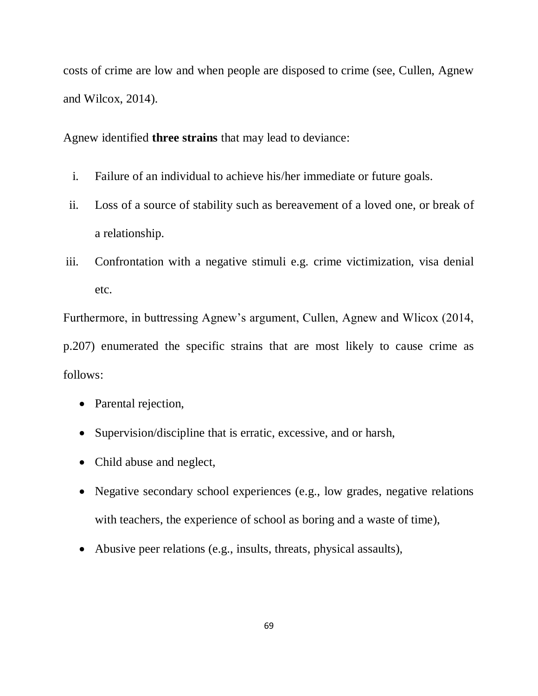costs of crime are low and when people are disposed to crime (see, Cullen, Agnew and Wilcox, 2014).

Agnew identified **three strains** that may lead to deviance:

- i. Failure of an individual to achieve his/her immediate or future goals.
- ii. Loss of a source of stability such as bereavement of a loved one, or break of a relationship.
- iii. Confrontation with a negative stimuli e.g. crime victimization, visa denial etc.

Furthermore, in buttressing Agnew"s argument, Cullen, Agnew and Wlicox (2014, p.207) enumerated the specific strains that are most likely to cause crime as follows:

- Parental rejection,
- Supervision/discipline that is erratic, excessive, and or harsh,
- Child abuse and neglect,
- Negative secondary school experiences (e.g., low grades, negative relations with teachers, the experience of school as boring and a waste of time),
- Abusive peer relations (e.g., insults, threats, physical assaults),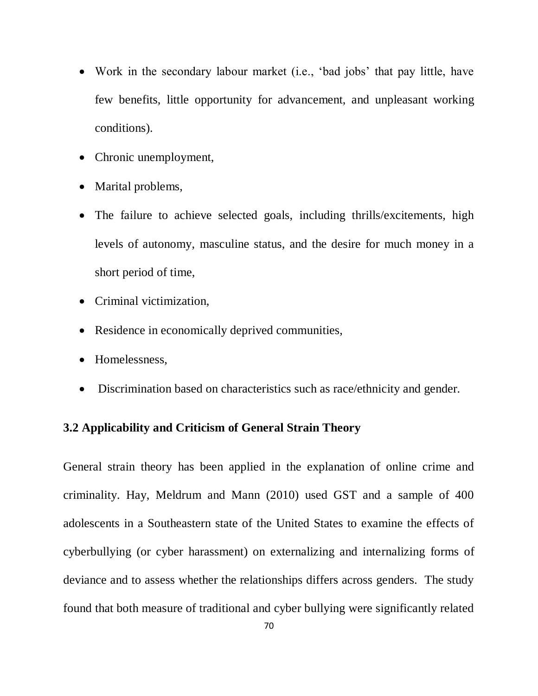- Work in the secondary labour market (i.e., 'bad jobs' that pay little, have few benefits, little opportunity for advancement, and unpleasant working conditions).
- Chronic unemployment,
- Marital problems,
- The failure to achieve selected goals, including thrills/excitements, high levels of autonomy, masculine status, and the desire for much money in a short period of time,
- Criminal victimization,
- Residence in economically deprived communities,
- Homelessness,
- Discrimination based on characteristics such as race/ethnicity and gender.

# **3.2 Applicability and Criticism of General Strain Theory**

General strain theory has been applied in the explanation of online crime and criminality. Hay, Meldrum and Mann (2010) used GST and a sample of 400 adolescents in a Southeastern state of the United States to examine the effects of cyberbullying (or cyber harassment) on externalizing and internalizing forms of deviance and to assess whether the relationships differs across genders. The study found that both measure of traditional and cyber bullying were significantly related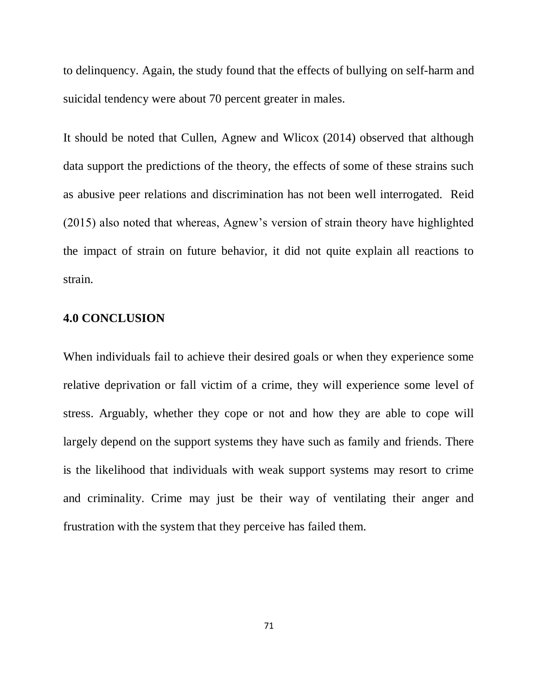to delinquency. Again, the study found that the effects of bullying on self-harm and suicidal tendency were about 70 percent greater in males.

It should be noted that Cullen, Agnew and Wlicox (2014) observed that although data support the predictions of the theory, the effects of some of these strains such as abusive peer relations and discrimination has not been well interrogated. Reid (2015) also noted that whereas, Agnew"s version of strain theory have highlighted the impact of strain on future behavior, it did not quite explain all reactions to strain.

## **4.0 CONCLUSION**

When individuals fail to achieve their desired goals or when they experience some relative deprivation or fall victim of a crime, they will experience some level of stress. Arguably, whether they cope or not and how they are able to cope will largely depend on the support systems they have such as family and friends. There is the likelihood that individuals with weak support systems may resort to crime and criminality. Crime may just be their way of ventilating their anger and frustration with the system that they perceive has failed them.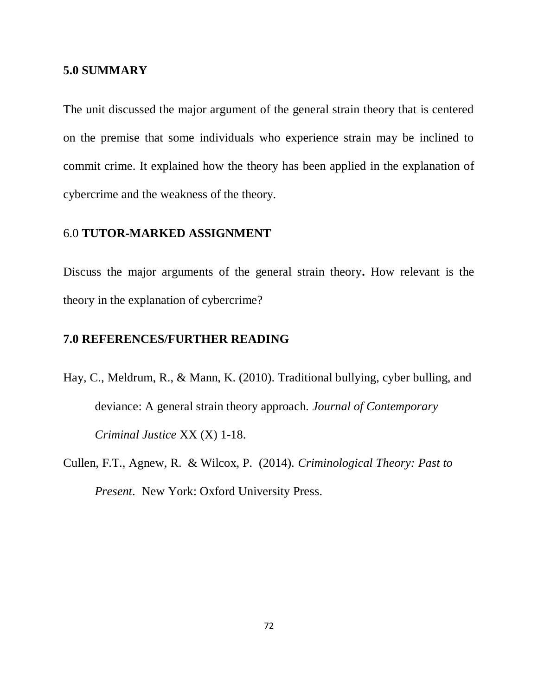#### **5.0 SUMMARY**

The unit discussed the major argument of the general strain theory that is centered on the premise that some individuals who experience strain may be inclined to commit crime. It explained how the theory has been applied in the explanation of cybercrime and the weakness of the theory.

# 6.0 **TUTOR-MARKED ASSIGNMENT**

Discuss the major arguments of the general strain theory**.** How relevant is the theory in the explanation of cybercrime?

# **7.0 REFERENCES/FURTHER READING**

- Hay, C., Meldrum, R., & Mann, K. (2010). Traditional bullying, cyber bulling, and deviance: A general strain theory approach. *Journal of Contemporary Criminal Justice* XX (X) 1-18.
- Cullen, F.T., Agnew, R. & Wilcox, P. (2014). *Criminological Theory: Past to Present*. New York: Oxford University Press.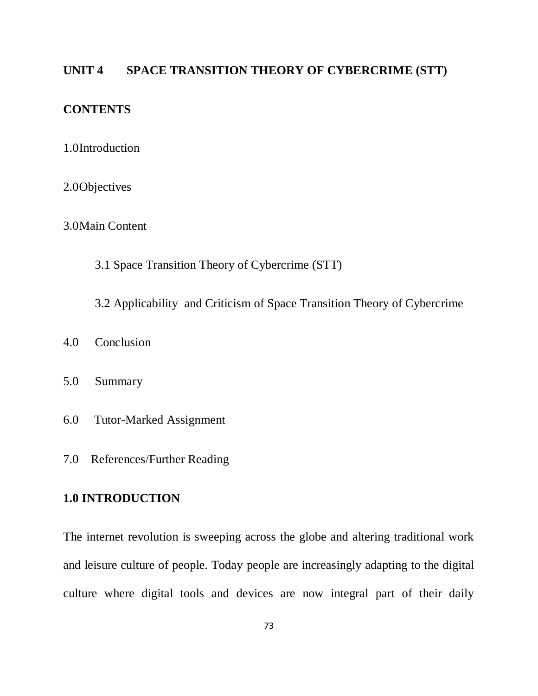# **UNIT 4 SPACE TRANSITION THEORY OF CYBERCRIME (STT)**

# **CONTENTS**

- 1.0Introduction
- 2.0Objectives

3.0Main Content

3.1 Space Transition Theory of Cybercrime (STT)

3.2 Applicability and Criticism of Space Transition Theory of Cybercrime

- 4.0 Conclusion
- 5.0 Summary
- 6.0 Tutor-Marked Assignment
- 7.0 References/Further Reading

# **1.0 INTRODUCTION**

The internet revolution is sweeping across the globe and altering traditional work and leisure culture of people. Today people are increasingly adapting to the digital culture where digital tools and devices are now integral part of their daily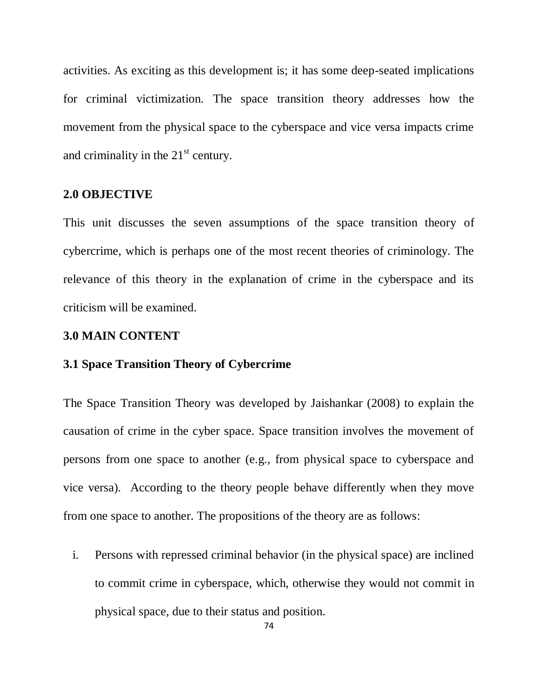activities. As exciting as this development is; it has some deep-seated implications for criminal victimization. The space transition theory addresses how the movement from the physical space to the cyberspace and vice versa impacts crime and criminality in the  $21<sup>st</sup>$  century.

# **2.0 OBJECTIVE**

This unit discusses the seven assumptions of the space transition theory of cybercrime, which is perhaps one of the most recent theories of criminology. The relevance of this theory in the explanation of crime in the cyberspace and its criticism will be examined.

#### **3.0 MAIN CONTENT**

# **3.1 Space Transition Theory of Cybercrime**

The Space Transition Theory was developed by Jaishankar (2008) to explain the causation of crime in the cyber space. Space transition involves the movement of persons from one space to another (e.g., from physical space to cyberspace and vice versa). According to the theory people behave differently when they move from one space to another. The propositions of the theory are as follows:

i. Persons with repressed criminal behavior (in the physical space) are inclined to commit crime in cyberspace, which, otherwise they would not commit in physical space, due to their status and position.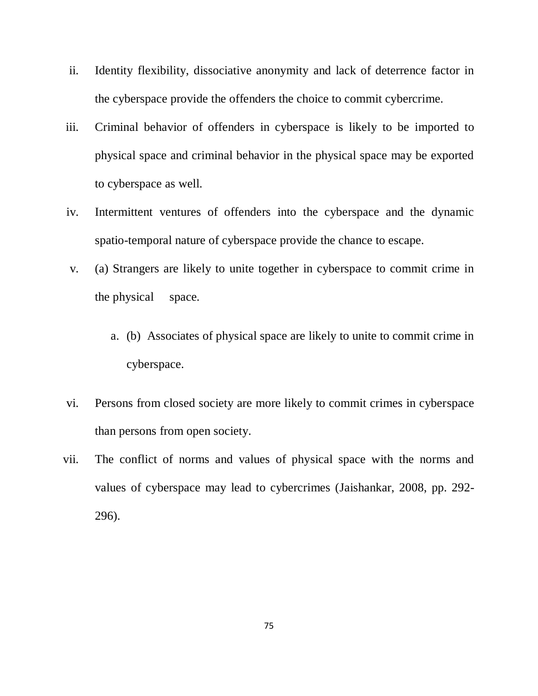- ii. Identity flexibility, dissociative anonymity and lack of deterrence factor in the cyberspace provide the offenders the choice to commit cybercrime.
- iii. Criminal behavior of offenders in cyberspace is likely to be imported to physical space and criminal behavior in the physical space may be exported to cyberspace as well.
- iv. Intermittent ventures of offenders into the cyberspace and the dynamic spatio-temporal nature of cyberspace provide the chance to escape.
- v. (a) Strangers are likely to unite together in cyberspace to commit crime in the physical space.
	- a. (b) Associates of physical space are likely to unite to commit crime in cyberspace.
- vi. Persons from closed society are more likely to commit crimes in cyberspace than persons from open society.
- vii. The conflict of norms and values of physical space with the norms and values of cyberspace may lead to cybercrimes (Jaishankar, 2008, pp. 292- 296).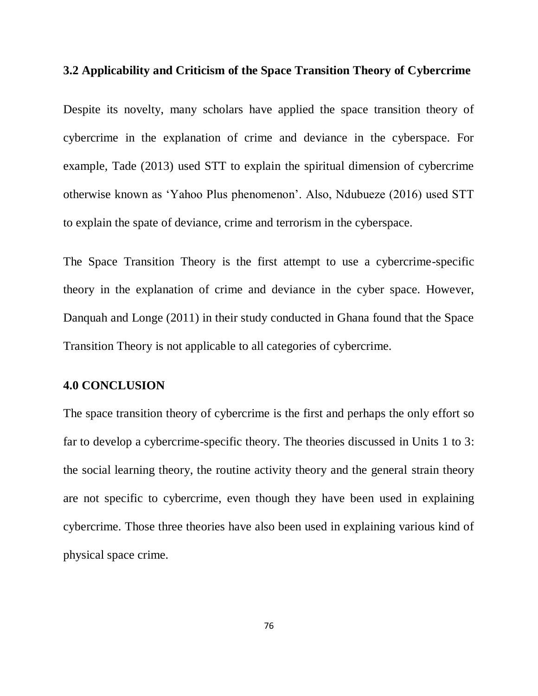# **3.2 Applicability and Criticism of the Space Transition Theory of Cybercrime**

Despite its novelty, many scholars have applied the space transition theory of cybercrime in the explanation of crime and deviance in the cyberspace. For example, Tade (2013) used STT to explain the spiritual dimension of cybercrime otherwise known as "Yahoo Plus phenomenon". Also, Ndubueze (2016) used STT to explain the spate of deviance, crime and terrorism in the cyberspace.

The Space Transition Theory is the first attempt to use a cybercrime-specific theory in the explanation of crime and deviance in the cyber space. However, Danquah and Longe (2011) in their study conducted in Ghana found that the Space Transition Theory is not applicable to all categories of cybercrime.

### **4.0 CONCLUSION**

The space transition theory of cybercrime is the first and perhaps the only effort so far to develop a cybercrime-specific theory. The theories discussed in Units 1 to 3: the social learning theory, the routine activity theory and the general strain theory are not specific to cybercrime, even though they have been used in explaining cybercrime. Those three theories have also been used in explaining various kind of physical space crime.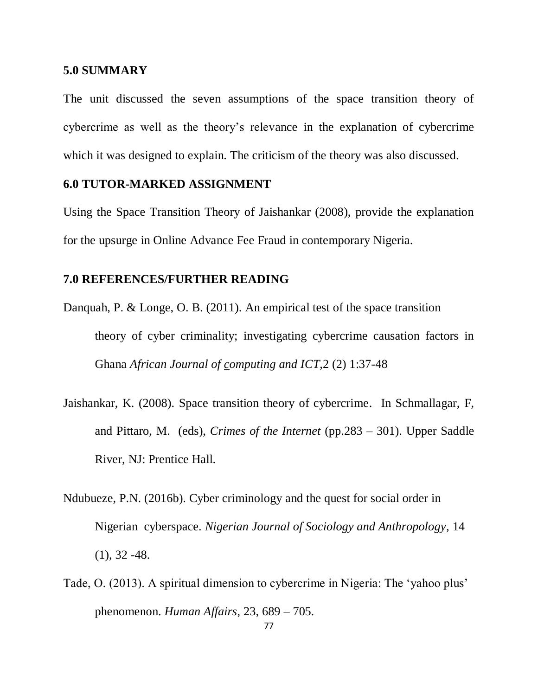#### **5.0 SUMMARY**

The unit discussed the seven assumptions of the space transition theory of cybercrime as well as the theory"s relevance in the explanation of cybercrime which it was designed to explain. The criticism of the theory was also discussed.

#### **6.0 TUTOR-MARKED ASSIGNMENT**

Using the Space Transition Theory of Jaishankar (2008), provide the explanation for the upsurge in Online Advance Fee Fraud in contemporary Nigeria.

#### **7.0 REFERENCES/FURTHER READING**

- Danquah, P. & Longe, O. B. (2011). An empirical test of the space transition theory of cyber criminality; investigating cybercrime causation factors in Ghana *African Journal of computing and ICT*,2 (2) 1:37-48
- Jaishankar, K. (2008). Space transition theory of cybercrime. In Schmallagar, F, and Pittaro, M. (eds), *Crimes of the Internet* (pp.283 – 301). Upper Saddle River, NJ: Prentice Hall.
- Ndubueze, P.N. (2016b). Cyber criminology and the quest for social order in Nigerian cyberspace. *Nigerian Journal of Sociology and Anthropology*, 14  $(1), 32 -48.$
- Tade, O. (2013). A spiritual dimension to cybercrime in Nigeria: The "yahoo plus" phenomenon. *Human Affairs*, 23, 689 – 705.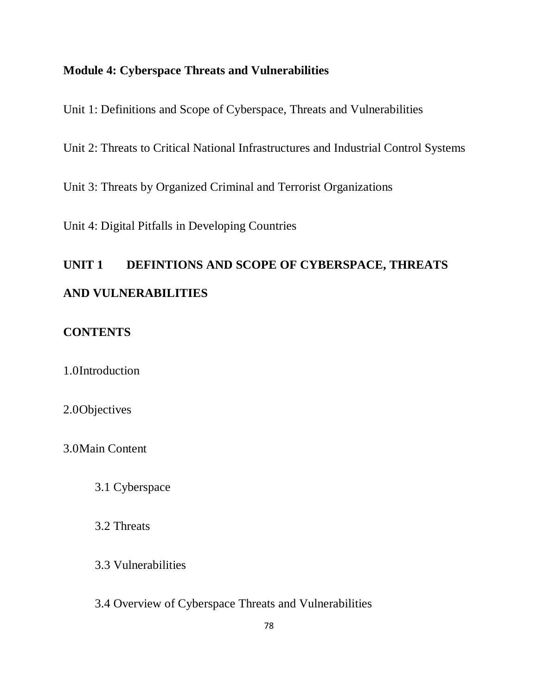# **Module 4: Cyberspace Threats and Vulnerabilities**

Unit 1: Definitions and Scope of Cyberspace, Threats and Vulnerabilities

Unit 2: Threats to Critical National Infrastructures and Industrial Control Systems

Unit 3: Threats by Organized Criminal and Terrorist Organizations

Unit 4: Digital Pitfalls in Developing Countries

# **UNIT 1 DEFINTIONS AND SCOPE OF CYBERSPACE, THREATS AND VULNERABILITIES**

# **CONTENTS**

1.0Introduction

2.0Objectives

3.0Main Content

3.1 Cyberspace

3.2 Threats

3.3 Vulnerabilities

3.4 Overview of Cyberspace Threats and Vulnerabilities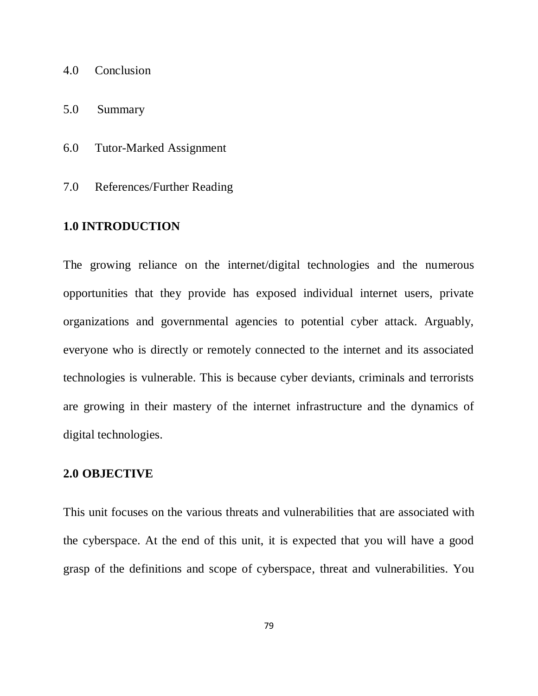- 4.0 Conclusion
- 5.0 Summary
- 6.0 Tutor-Marked Assignment
- 7.0 References/Further Reading

## **1.0 INTRODUCTION**

The growing reliance on the internet/digital technologies and the numerous opportunities that they provide has exposed individual internet users, private organizations and governmental agencies to potential cyber attack. Arguably, everyone who is directly or remotely connected to the internet and its associated technologies is vulnerable. This is because cyber deviants, criminals and terrorists are growing in their mastery of the internet infrastructure and the dynamics of digital technologies.

#### **2.0 OBJECTIVE**

This unit focuses on the various threats and vulnerabilities that are associated with the cyberspace. At the end of this unit, it is expected that you will have a good grasp of the definitions and scope of cyberspace, threat and vulnerabilities. You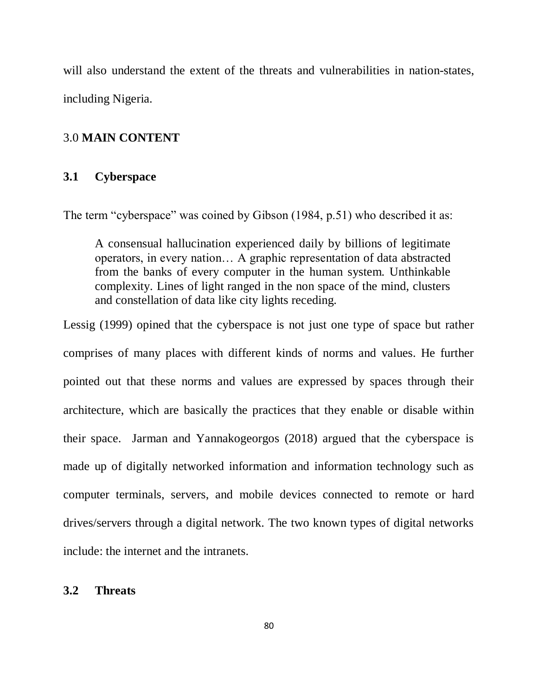will also understand the extent of the threats and vulnerabilities in nation-states, including Nigeria.

# 3.0 **MAIN CONTENT**

# **3.1 Cyberspace**

The term "cyberspace" was coined by Gibson (1984, p.51) who described it as:

A consensual hallucination experienced daily by billions of legitimate operators, in every nation… A graphic representation of data abstracted from the banks of every computer in the human system. Unthinkable complexity. Lines of light ranged in the non space of the mind, clusters and constellation of data like city lights receding.

Lessig (1999) opined that the cyberspace is not just one type of space but rather comprises of many places with different kinds of norms and values. He further pointed out that these norms and values are expressed by spaces through their architecture, which are basically the practices that they enable or disable within their space. Jarman and Yannakogeorgos (2018) argued that the cyberspace is made up of digitally networked information and information technology such as computer terminals, servers, and mobile devices connected to remote or hard drives/servers through a digital network. The two known types of digital networks include: the internet and the intranets.

#### **3.2 Threats**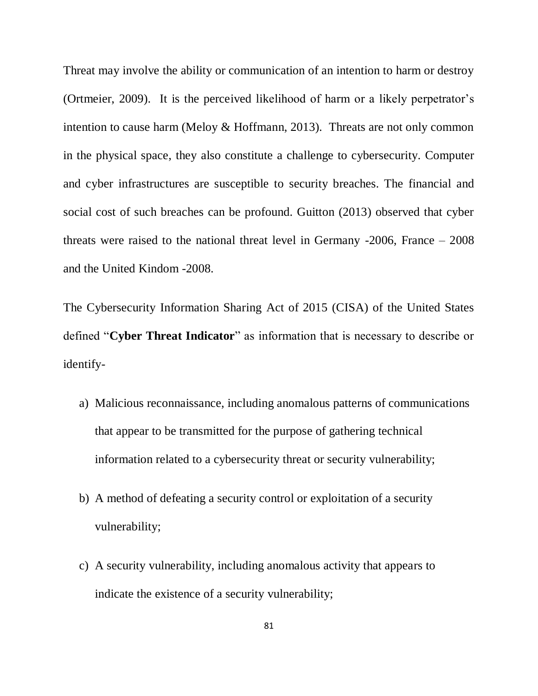Threat may involve the ability or communication of an intention to harm or destroy (Ortmeier, 2009). It is the perceived likelihood of harm or a likely perpetrator"s intention to cause harm (Meloy & Hoffmann, 2013). Threats are not only common in the physical space, they also constitute a challenge to cybersecurity. Computer and cyber infrastructures are susceptible to security breaches. The financial and social cost of such breaches can be profound. Guitton (2013) observed that cyber threats were raised to the national threat level in Germany -2006, France – 2008 and the United Kindom -2008.

The Cybersecurity Information Sharing Act of 2015 (CISA) of the United States defined "**Cyber Threat Indicator**" as information that is necessary to describe or identify-

- a) Malicious reconnaissance, including anomalous patterns of communications that appear to be transmitted for the purpose of gathering technical information related to a cybersecurity threat or security vulnerability;
- b) A method of defeating a security control or exploitation of a security vulnerability;
- c) A security vulnerability, including anomalous activity that appears to indicate the existence of a security vulnerability;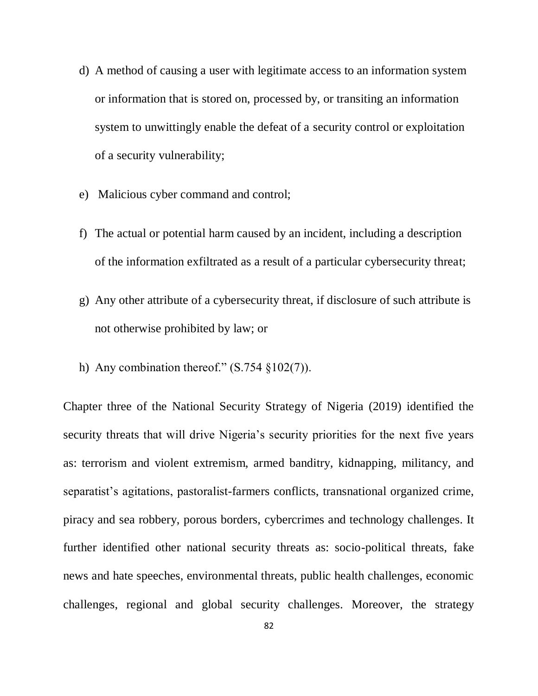- d) A method of causing a user with legitimate access to an information system or information that is stored on, processed by, or transiting an information system to unwittingly enable the defeat of a security control or exploitation of a security vulnerability;
- e) Malicious cyber command and control;
- f) The actual or potential harm caused by an incident, including a description of the information exfiltrated as a result of a particular cybersecurity threat;
- g) Any other attribute of a cybersecurity threat, if disclosure of such attribute is not otherwise prohibited by law; or
- h) Any combination thereof."  $(S.754 \text{ §}102(7))$ .

Chapter three of the National Security Strategy of Nigeria (2019) identified the security threats that will drive Nigeria's security priorities for the next five years as: terrorism and violent extremism, armed banditry, kidnapping, militancy, and separatist's agitations, pastoralist-farmers conflicts, transnational organized crime, piracy and sea robbery, porous borders, cybercrimes and technology challenges. It further identified other national security threats as: socio-political threats, fake news and hate speeches, environmental threats, public health challenges, economic challenges, regional and global security challenges. Moreover, the strategy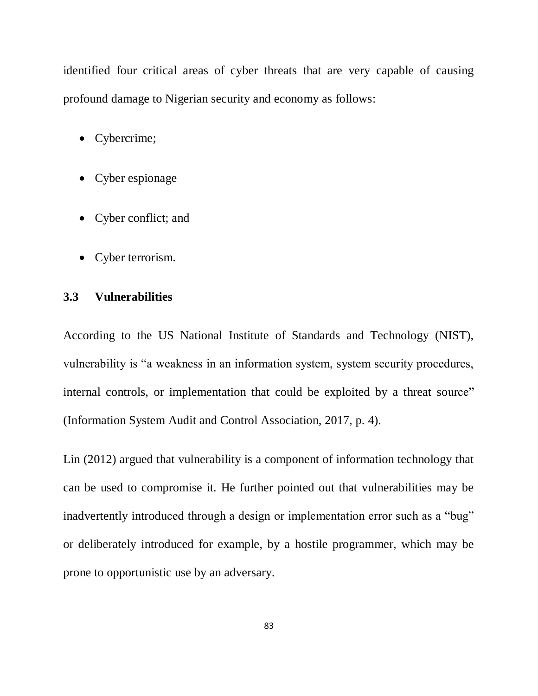identified four critical areas of cyber threats that are very capable of causing profound damage to Nigerian security and economy as follows:

- Cybercrime;
- Cyber espionage
- Cyber conflict; and
- Cyber terrorism.

# **3.3 Vulnerabilities**

According to the US National Institute of Standards and Technology (NIST), vulnerability is "a weakness in an information system, system security procedures, internal controls, or implementation that could be exploited by a threat source" (Information System Audit and Control Association, 2017, p. 4).

Lin (2012) argued that vulnerability is a component of information technology that can be used to compromise it. He further pointed out that vulnerabilities may be inadvertently introduced through a design or implementation error such as a "bug" or deliberately introduced for example, by a hostile programmer, which may be prone to opportunistic use by an adversary.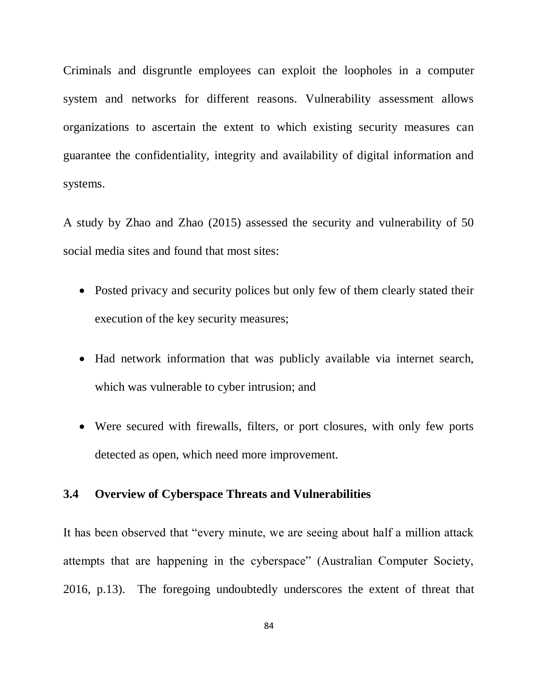Criminals and disgruntle employees can exploit the loopholes in a computer system and networks for different reasons. Vulnerability assessment allows organizations to ascertain the extent to which existing security measures can guarantee the confidentiality, integrity and availability of digital information and systems.

A study by Zhao and Zhao (2015) assessed the security and vulnerability of 50 social media sites and found that most sites:

- Posted privacy and security polices but only few of them clearly stated their execution of the key security measures;
- Had network information that was publicly available via internet search, which was vulnerable to cyber intrusion; and
- Were secured with firewalls, filters, or port closures, with only few ports detected as open, which need more improvement.

# **3.4 Overview of Cyberspace Threats and Vulnerabilities**

It has been observed that "every minute, we are seeing about half a million attack attempts that are happening in the cyberspace" (Australian Computer Society, 2016, p.13). The foregoing undoubtedly underscores the extent of threat that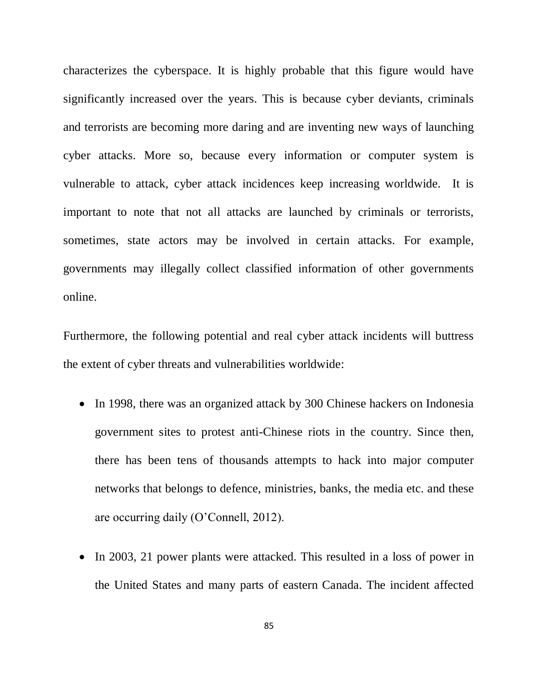characterizes the cyberspace. It is highly probable that this figure would have significantly increased over the years. This is because cyber deviants, criminals and terrorists are becoming more daring and are inventing new ways of launching cyber attacks. More so, because every information or computer system is vulnerable to attack, cyber attack incidences keep increasing worldwide. It is important to note that not all attacks are launched by criminals or terrorists, sometimes, state actors may be involved in certain attacks. For example, governments may illegally collect classified information of other governments online.

Furthermore, the following potential and real cyber attack incidents will buttress the extent of cyber threats and vulnerabilities worldwide:

- In 1998, there was an organized attack by 300 Chinese hackers on Indonesia government sites to protest anti-Chinese riots in the country. Since then, there has been tens of thousands attempts to hack into major computer networks that belongs to defence, ministries, banks, the media etc. and these are occurring daily (O"Connell, 2012).
- In 2003, 21 power plants were attacked. This resulted in a loss of power in the United States and many parts of eastern Canada. The incident affected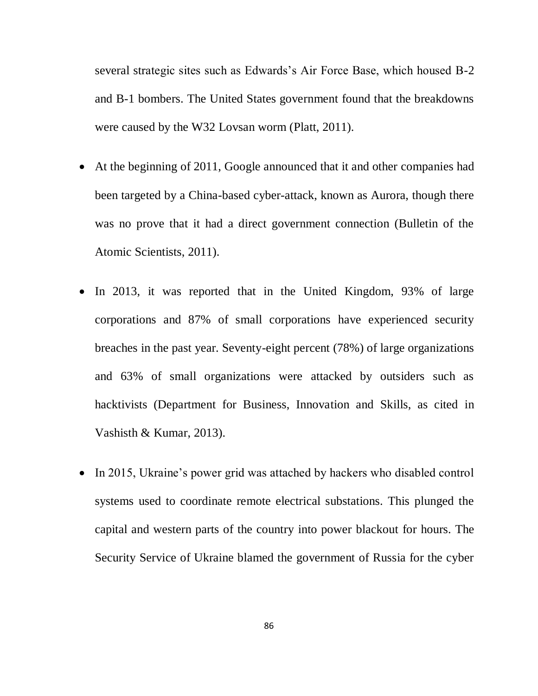several strategic sites such as Edwards"s Air Force Base, which housed B-2 and B-1 bombers. The United States government found that the breakdowns were caused by the W32 Lovsan worm (Platt, 2011).

- At the beginning of 2011, Google announced that it and other companies had been targeted by a China-based cyber-attack, known as Aurora, though there was no prove that it had a direct government connection (Bulletin of the Atomic Scientists, 2011).
- In 2013, it was reported that in the United Kingdom, 93% of large corporations and 87% of small corporations have experienced security breaches in the past year. Seventy-eight percent (78%) of large organizations and 63% of small organizations were attacked by outsiders such as hacktivists (Department for Business, Innovation and Skills, as cited in Vashisth & Kumar, 2013).
- In 2015, Ukraine's power grid was attached by hackers who disabled control systems used to coordinate remote electrical substations. This plunged the capital and western parts of the country into power blackout for hours. The Security Service of Ukraine blamed the government of Russia for the cyber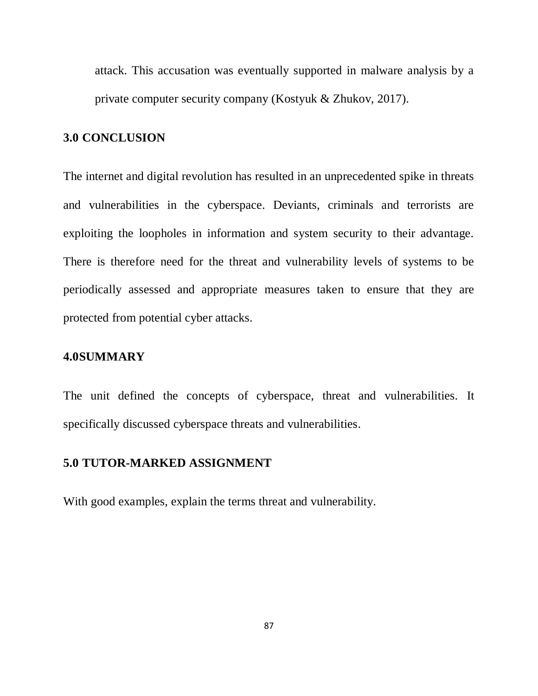attack. This accusation was eventually supported in malware analysis by a private computer security company (Kostyuk & Zhukov, 2017).

## **3.0 CONCLUSION**

The internet and digital revolution has resulted in an unprecedented spike in threats and vulnerabilities in the cyberspace. Deviants, criminals and terrorists are exploiting the loopholes in information and system security to their advantage. There is therefore need for the threat and vulnerability levels of systems to be periodically assessed and appropriate measures taken to ensure that they are protected from potential cyber attacks.

## **4.0SUMMARY**

The unit defined the concepts of cyberspace, threat and vulnerabilities. It specifically discussed cyberspace threats and vulnerabilities.

## **5.0 TUTOR-MARKED ASSIGNMENT**

With good examples, explain the terms threat and vulnerability.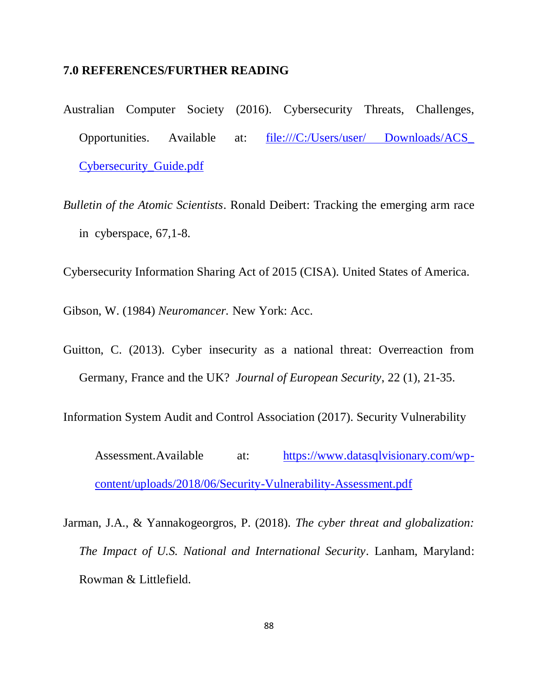#### **7.0 REFERENCES/FURTHER READING**

- Australian Computer Society (2016). Cybersecurity Threats, Challenges, Opportunities. Available at: file:///C:/Users/user/ Downloads/ACS [Cybersecurity\\_Guide.pdf](file:///C:\Users\DR\Downloads\Downloads\ACS_%20Cybersecurity_Guide.pdf)
- *Bulletin of the Atomic Scientists*. Ronald Deibert: Tracking the emerging arm race in cyberspace, 67,1-8.

Cybersecurity Information Sharing Act of 2015 (CISA). United States of America.

Gibson, W. (1984) *Neuromancer.* New York: Acc.

Guitton, C. (2013). Cyber insecurity as a national threat: Overreaction from Germany, France and the UK? *Journal of European Security*, 22 (1), 21-35.

Information System Audit and Control Association (2017). Security Vulnerability

Assessment.Available at: [https://www.datasqlvisionary.com/wp](https://www.datasqlvisionary.com/wp-content/uploads/2018/06/Security-Vulnerability-Assessment.pdf)[content/uploads/2018/06/Security-Vulnerability-Assessment.pdf](https://www.datasqlvisionary.com/wp-content/uploads/2018/06/Security-Vulnerability-Assessment.pdf)

Jarman, J.A., & Yannakogeorgros, P. (2018). *The cyber threat and globalization: The Impact of U.S. National and International Security*. Lanham, Maryland: Rowman & Littlefield.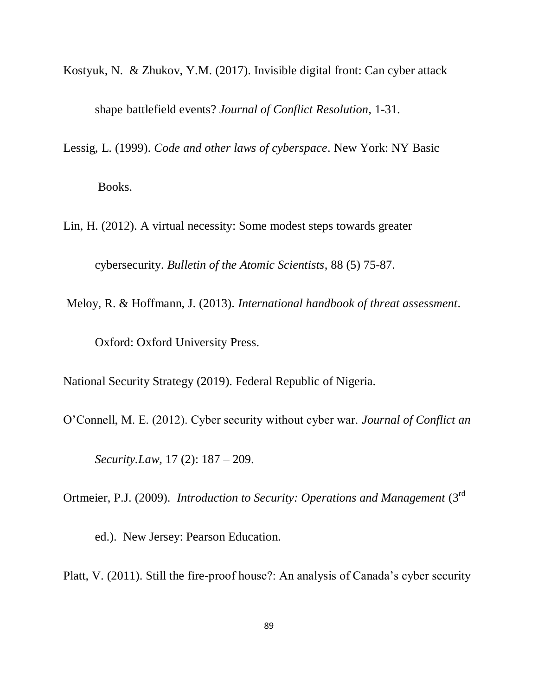- Kostyuk, N. & Zhukov, Y.M. (2017). Invisible digital front: Can cyber attack shape battlefield events? *Journal of Conflict Resolution*, 1-31.
- Lessig, L. (1999). *Code and other laws of cyberspace*. New York: NY Basic

Books.

Lin, H. (2012). A virtual necessity: Some modest steps towards greater

cybersecurity. *Bulletin of the Atomic Scientists*, 88 (5) 75-87.

Meloy, R. & Hoffmann, J. (2013). *International handbook of threat assessment*. Oxford: Oxford University Press.

National Security Strategy (2019). Federal Republic of Nigeria.

O"Connell, M. E. (2012). Cyber security without cyber war. *Journal of Conflict an*

*Security.Law*, 17 (2): 187 – 209.

Ortmeier, P.J. (2009). *Introduction to Security: Operations and Management* (3rd

ed.). New Jersey: Pearson Education.

Platt, V. (2011). Still the fire-proof house?: An analysis of Canada"s cyber security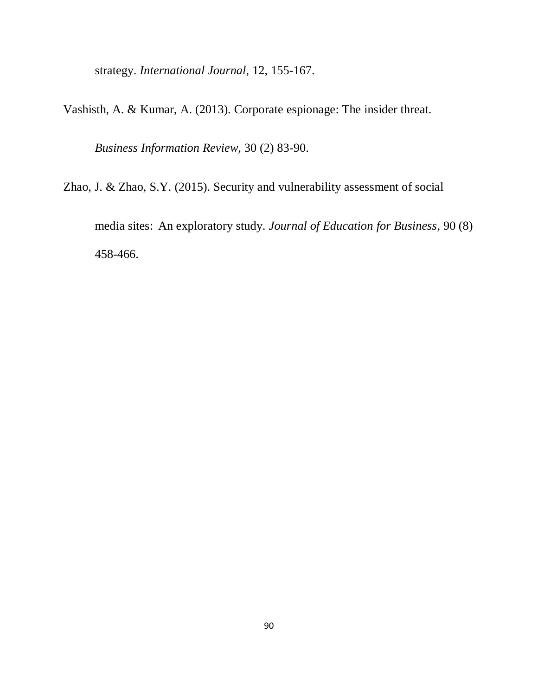strategy. *International Journal*, 12, 155-167.

Vashisth, A. & Kumar, A. (2013). Corporate espionage: The insider threat.

*Business Information Review*, 30 (2) 83-90.

Zhao, J. & Zhao, S.Y. (2015). Security and vulnerability assessment of social

media sites: An exploratory study. *Journal of Education for Business*, 90 (8) 458-466.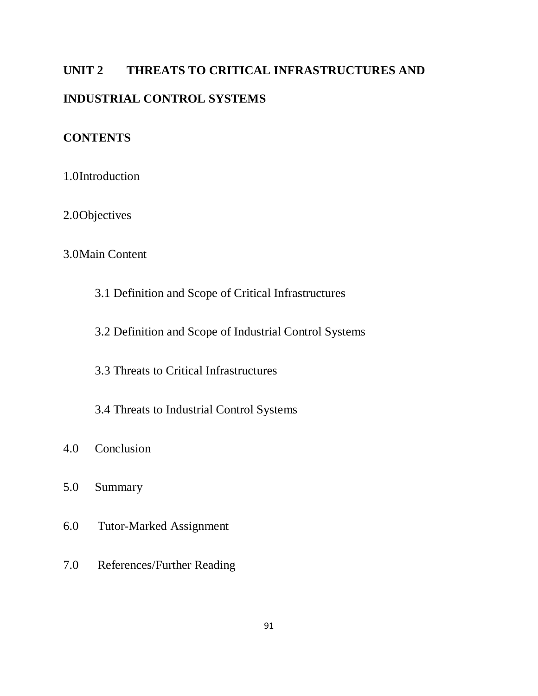# **UNIT 2 THREATS TO CRITICAL INFRASTRUCTURES AND INDUSTRIAL CONTROL SYSTEMS**

# **CONTENTS**

1.0Introduction

2.0Objectives

# 3.0Main Content

3.1 Definition and Scope of Critical Infrastructures

3.2 Definition and Scope of Industrial Control Systems

3.3 Threats to Critical Infrastructures

3.4 Threats to Industrial Control Systems

- 4.0 Conclusion
- 5.0 Summary
- 6.0 Tutor-Marked Assignment
- 7.0 References/Further Reading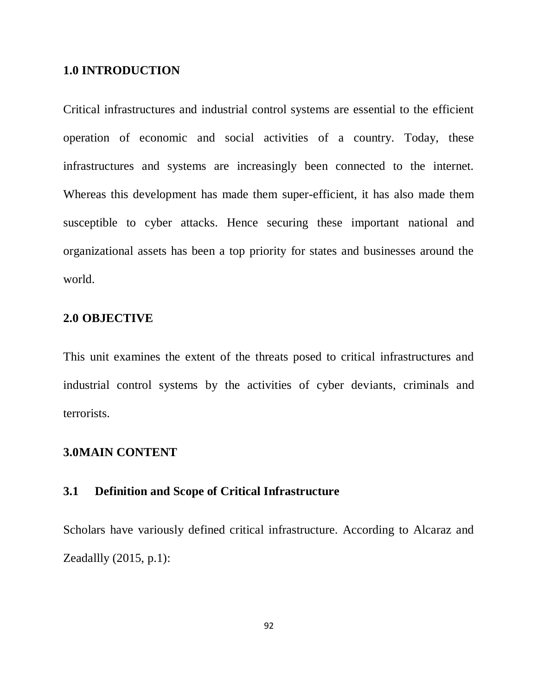#### **1.0 INTRODUCTION**

Critical infrastructures and industrial control systems are essential to the efficient operation of economic and social activities of a country. Today, these infrastructures and systems are increasingly been connected to the internet. Whereas this development has made them super-efficient, it has also made them susceptible to cyber attacks. Hence securing these important national and organizational assets has been a top priority for states and businesses around the world.

## **2.0 OBJECTIVE**

This unit examines the extent of the threats posed to critical infrastructures and industrial control systems by the activities of cyber deviants, criminals and terrorists.

#### **3.0MAIN CONTENT**

# **3.1 Definition and Scope of Critical Infrastructure**

Scholars have variously defined critical infrastructure. According to Alcaraz and Zeadallly (2015, p.1):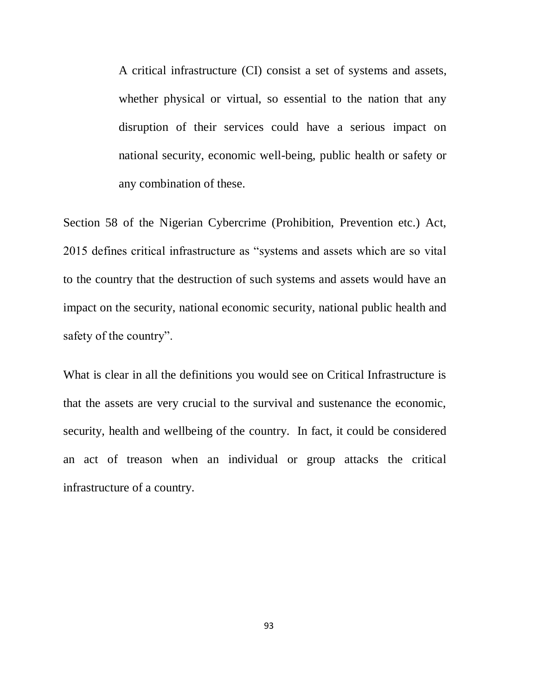A critical infrastructure (CI) consist a set of systems and assets, whether physical or virtual, so essential to the nation that any disruption of their services could have a serious impact on national security, economic well-being, public health or safety or any combination of these.

Section 58 of the Nigerian Cybercrime (Prohibition, Prevention etc.) Act, 2015 defines critical infrastructure as "systems and assets which are so vital to the country that the destruction of such systems and assets would have an impact on the security, national economic security, national public health and safety of the country".

What is clear in all the definitions you would see on Critical Infrastructure is that the assets are very crucial to the survival and sustenance the economic, security, health and wellbeing of the country. In fact, it could be considered an act of treason when an individual or group attacks the critical infrastructure of a country.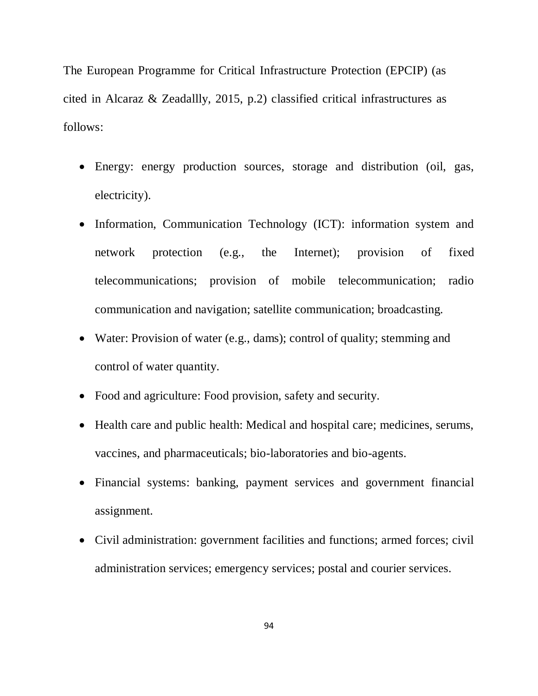The European Programme for Critical Infrastructure Protection (EPCIP) (as cited in Alcaraz & Zeadallly, 2015, p.2) classified critical infrastructures as follows:

- Energy: energy production sources, storage and distribution (oil, gas, electricity).
- Information, Communication Technology (ICT): information system and network protection (e.g., the Internet); provision of fixed telecommunications; provision of mobile telecommunication; radio communication and navigation; satellite communication; broadcasting.
- Water: Provision of water (e.g., dams); control of quality; stemming and control of water quantity.
- Food and agriculture: Food provision, safety and security.
- Health care and public health: Medical and hospital care; medicines, serums, vaccines, and pharmaceuticals; bio-laboratories and bio-agents.
- Financial systems: banking, payment services and government financial assignment.
- Civil administration: government facilities and functions; armed forces; civil administration services; emergency services; postal and courier services.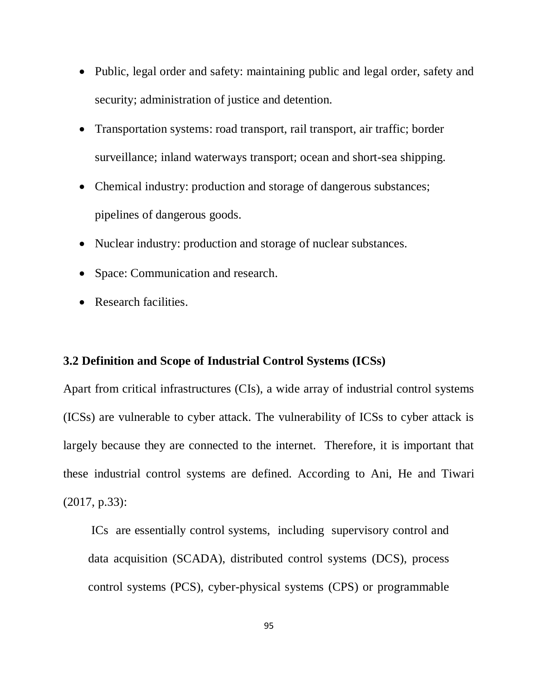- Public, legal order and safety: maintaining public and legal order, safety and security; administration of justice and detention.
- Transportation systems: road transport, rail transport, air traffic; border surveillance; inland waterways transport; ocean and short-sea shipping.
- Chemical industry: production and storage of dangerous substances; pipelines of dangerous goods.
- Nuclear industry: production and storage of nuclear substances.
- Space: Communication and research.
- Research facilities.

# **3.2 Definition and Scope of Industrial Control Systems (ICSs)**

Apart from critical infrastructures (CIs), a wide array of industrial control systems (ICSs) are vulnerable to cyber attack. The vulnerability of ICSs to cyber attack is largely because they are connected to the internet. Therefore, it is important that these industrial control systems are defined. According to Ani, He and Tiwari (2017, p.33):

ICs are essentially control systems, including supervisory control and data acquisition (SCADA), distributed control systems (DCS), process control systems (PCS), cyber-physical systems (CPS) or programmable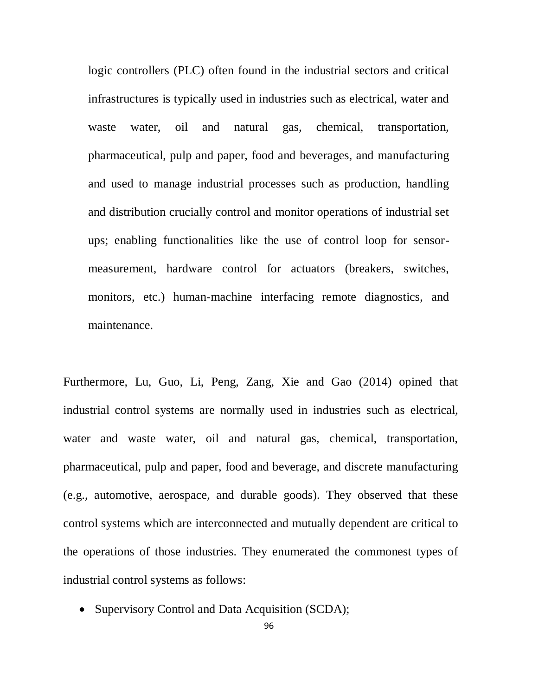logic controllers (PLC) often found in the industrial sectors and critical infrastructures is typically used in industries such as electrical, water and waste water, oil and natural gas, chemical, transportation, pharmaceutical, pulp and paper, food and beverages, and manufacturing and used to manage industrial processes such as production, handling and distribution crucially control and monitor operations of industrial set ups; enabling functionalities like the use of control loop for sensormeasurement, hardware control for actuators (breakers, switches, monitors, etc.) human-machine interfacing remote diagnostics, and maintenance.

Furthermore, Lu, Guo, Li, Peng, Zang, Xie and Gao (2014) opined that industrial control systems are normally used in industries such as electrical, water and waste water, oil and natural gas, chemical, transportation, pharmaceutical, pulp and paper, food and beverage, and discrete manufacturing (e.g., automotive, aerospace, and durable goods). They observed that these control systems which are interconnected and mutually dependent are critical to the operations of those industries. They enumerated the commonest types of industrial control systems as follows:

• Supervisory Control and Data Acquisition (SCDA);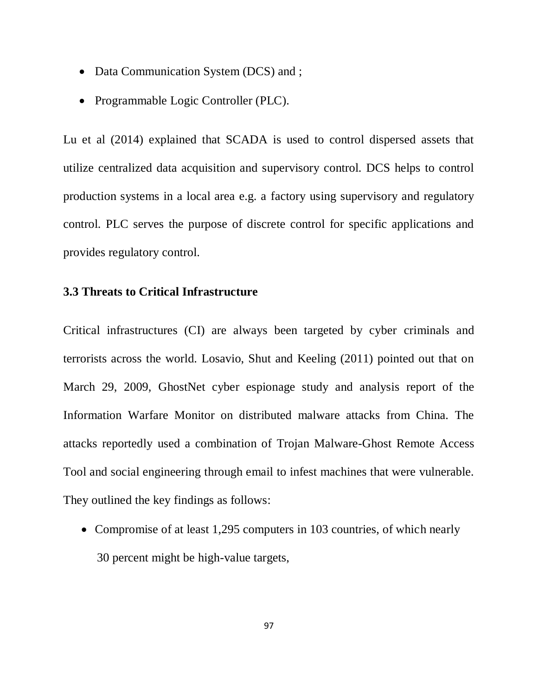- Data Communication System (DCS) and ;
- Programmable Logic Controller (PLC).

Lu et al (2014) explained that SCADA is used to control dispersed assets that utilize centralized data acquisition and supervisory control. DCS helps to control production systems in a local area e.g. a factory using supervisory and regulatory control. PLC serves the purpose of discrete control for specific applications and provides regulatory control.

#### **3.3 Threats to Critical Infrastructure**

Critical infrastructures (CI) are always been targeted by cyber criminals and terrorists across the world. Losavio, Shut and Keeling (2011) pointed out that on March 29, 2009, GhostNet cyber espionage study and analysis report of the Information Warfare Monitor on distributed malware attacks from China. The attacks reportedly used a combination of Trojan Malware-Ghost Remote Access Tool and social engineering through email to infest machines that were vulnerable. They outlined the key findings as follows:

• Compromise of at least 1,295 computers in 103 countries, of which nearly 30 percent might be high-value targets,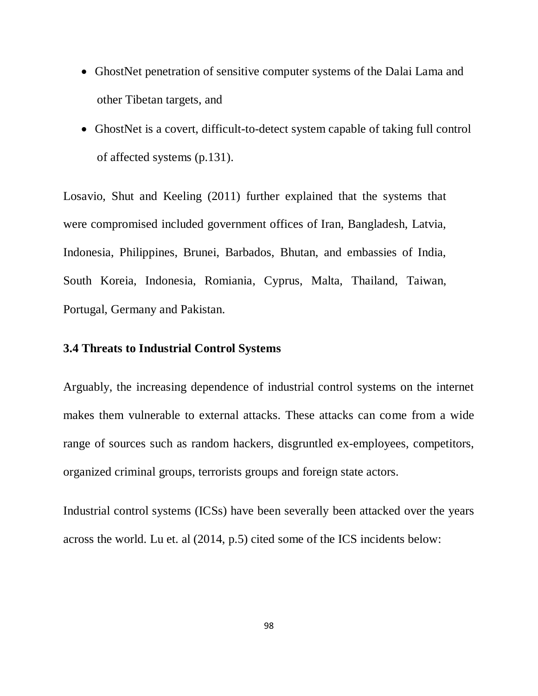- GhostNet penetration of sensitive computer systems of the Dalai Lama and other Tibetan targets, and
- GhostNet is a covert, difficult-to-detect system capable of taking full control of affected systems (p.131).

Losavio, Shut and Keeling (2011) further explained that the systems that were compromised included government offices of Iran, Bangladesh, Latvia, Indonesia, Philippines, Brunei, Barbados, Bhutan, and embassies of India, South Koreia, Indonesia, Romiania, Cyprus, Malta, Thailand, Taiwan, Portugal, Germany and Pakistan.

# **3.4 Threats to Industrial Control Systems**

Arguably, the increasing dependence of industrial control systems on the internet makes them vulnerable to external attacks. These attacks can come from a wide range of sources such as random hackers, disgruntled ex-employees, competitors, organized criminal groups, terrorists groups and foreign state actors.

Industrial control systems (ICSs) have been severally been attacked over the years across the world. Lu et. al (2014, p.5) cited some of the ICS incidents below: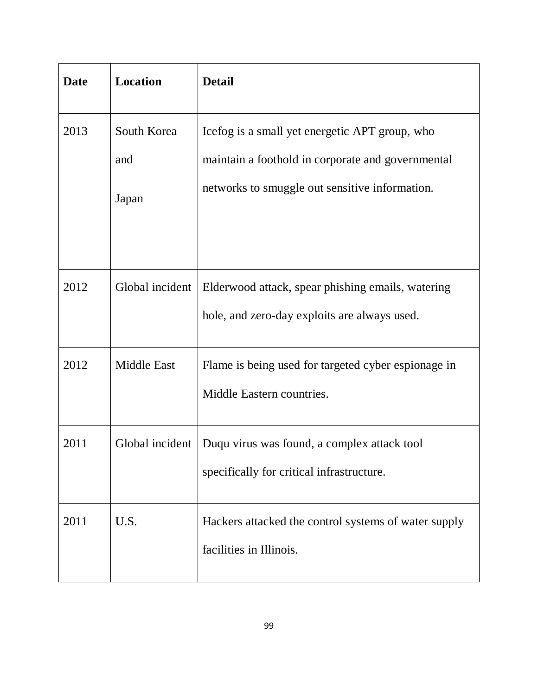| <b>Date</b> | Location           | <b>Detail</b>                                                                                       |
|-------------|--------------------|-----------------------------------------------------------------------------------------------------|
| 2013        | South Korea<br>and | Icefog is a small yet energetic APT group, who<br>maintain a foothold in corporate and governmental |
|             | Japan              | networks to smuggle out sensitive information.                                                      |
| 2012        | Global incident    | Elderwood attack, spear phishing emails, watering<br>hole, and zero-day exploits are always used.   |
| 2012        | <b>Middle East</b> | Flame is being used for targeted cyber espionage in<br>Middle Eastern countries.                    |
| 2011        | Global incident    | Duqu virus was found, a complex attack tool<br>specifically for critical infrastructure.            |
| 2011        | U.S.               | Hackers attacked the control systems of water supply<br>facilities in Illinois.                     |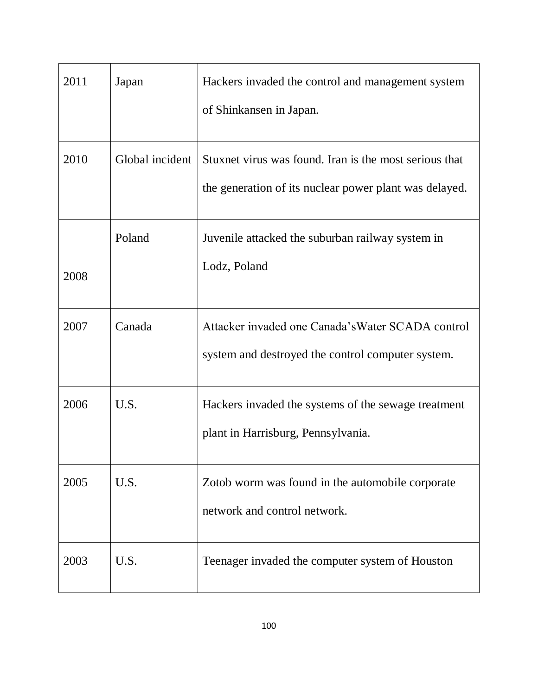| 2011 | Japan           | Hackers invaded the control and management system<br>of Shinkansen in Japan.                                     |
|------|-----------------|------------------------------------------------------------------------------------------------------------------|
| 2010 | Global incident | Stuxnet virus was found. Iran is the most serious that<br>the generation of its nuclear power plant was delayed. |
| 2008 | Poland          | Juvenile attacked the suburban railway system in<br>Lodz, Poland                                                 |
| 2007 | Canada          | Attacker invaded one Canada's Water SCADA control<br>system and destroyed the control computer system.           |
| 2006 | U.S.            | Hackers invaded the systems of the sewage treatment<br>plant in Harrisburg, Pennsylvania.                        |
| 2005 | U.S.            | Zotob worm was found in the automobile corporate<br>network and control network.                                 |
| 2003 | U.S.            | Teenager invaded the computer system of Houston                                                                  |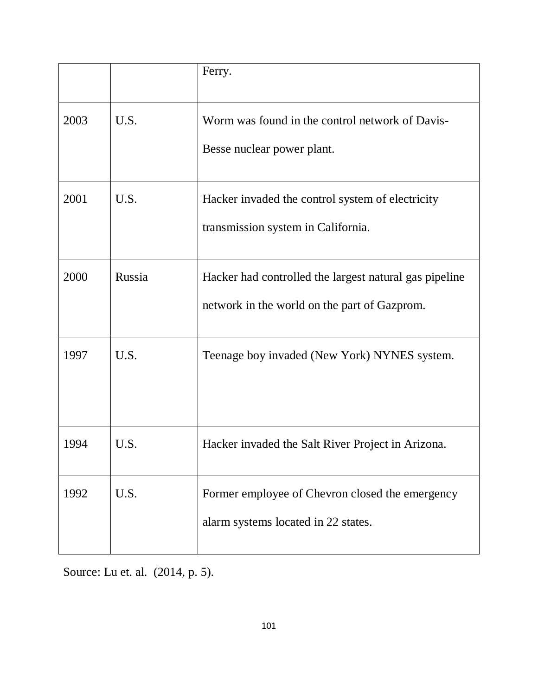|      |        | Ferry.                                                                        |
|------|--------|-------------------------------------------------------------------------------|
| 2003 | U.S.   | Worm was found in the control network of Davis-<br>Besse nuclear power plant. |
|      |        |                                                                               |
| 2001 | U.S.   | Hacker invaded the control system of electricity                              |
|      |        | transmission system in California.                                            |
| 2000 | Russia | Hacker had controlled the largest natural gas pipeline                        |
|      |        | network in the world on the part of Gazprom.                                  |
| 1997 | U.S.   | Teenage boy invaded (New York) NYNES system.                                  |
|      |        |                                                                               |
| 1994 | U.S.   | Hacker invaded the Salt River Project in Arizona.                             |
| 1992 | U.S.   | Former employee of Chevron closed the emergency                               |
|      |        | alarm systems located in 22 states.                                           |

Source: Lu et. al. (2014, p. 5).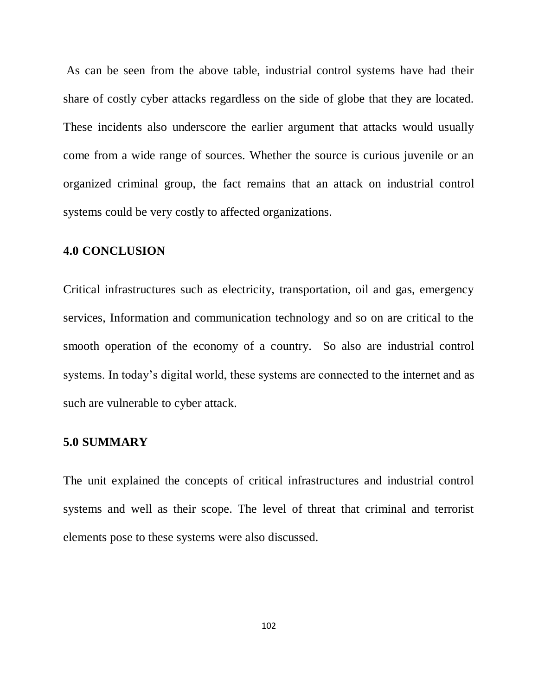As can be seen from the above table, industrial control systems have had their share of costly cyber attacks regardless on the side of globe that they are located. These incidents also underscore the earlier argument that attacks would usually come from a wide range of sources. Whether the source is curious juvenile or an organized criminal group, the fact remains that an attack on industrial control systems could be very costly to affected organizations.

#### **4.0 CONCLUSION**

Critical infrastructures such as electricity, transportation, oil and gas, emergency services, Information and communication technology and so on are critical to the smooth operation of the economy of a country. So also are industrial control systems. In today's digital world, these systems are connected to the internet and as such are vulnerable to cyber attack.

#### **5.0 SUMMARY**

The unit explained the concepts of critical infrastructures and industrial control systems and well as their scope. The level of threat that criminal and terrorist elements pose to these systems were also discussed.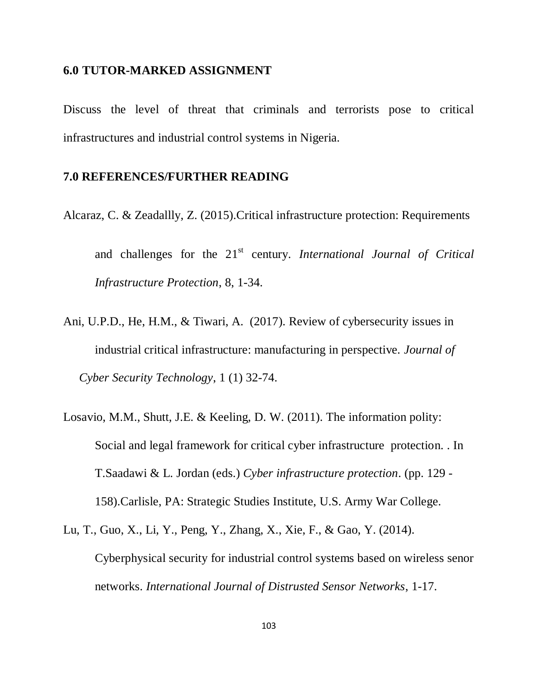#### **6.0 TUTOR-MARKED ASSIGNMENT**

Discuss the level of threat that criminals and terrorists pose to critical infrastructures and industrial control systems in Nigeria.

#### **7.0 REFERENCES/FURTHER READING**

Alcaraz, C. & Zeadallly, Z. (2015).Critical infrastructure protection: Requirements

and challenges for the 21<sup>st</sup> century. *International Journal of Critical Infrastructure Protection*, 8, 1-34.

- Ani, U.P.D., He, H.M., & Tiwari, A. (2017). Review of cybersecurity issues in industrial critical infrastructure: manufacturing in perspective. *Journal of Cyber Security Technology*, 1 (1) 32-74.
- Losavio, M.M., Shutt, J.E. & Keeling, D. W. (2011). The information polity: Social and legal framework for critical cyber infrastructure protection. . In T.Saadawi & L. Jordan (eds.) *Cyber infrastructure protection*. (pp. 129 - 158).Carlisle, PA: Strategic Studies Institute, U.S. Army War College.
- Lu, T., Guo, X., Li, Y., Peng, Y., Zhang, X., Xie, F., & Gao, Y. (2014). Cyberphysical security for industrial control systems based on wireless senor networks. *International Journal of Distrusted Sensor Networks*, 1-17.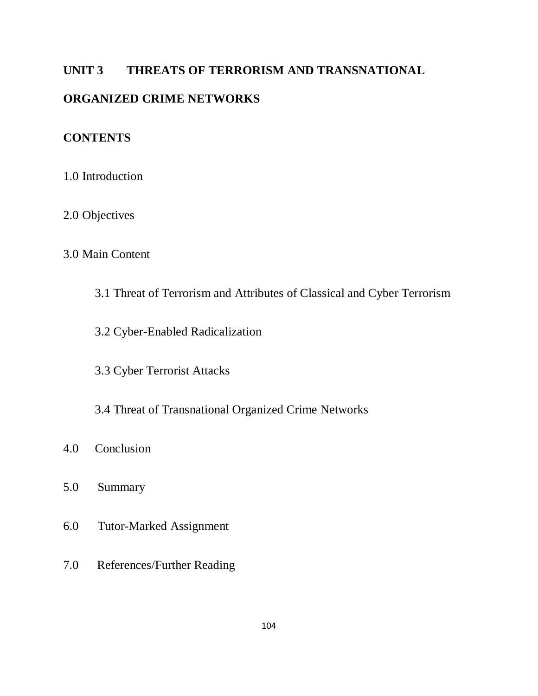# **UNIT 3 THREATS OF TERRORISM AND TRANSNATIONAL**

# **ORGANIZED CRIME NETWORKS**

# **CONTENTS**

- 1.0 Introduction
- 2.0 Objectives

# 3.0 Main Content

- 3.1 Threat of Terrorism and Attributes of Classical and Cyber Terrorism
- 3.2 Cyber-Enabled Radicalization
- 3.3 Cyber Terrorist Attacks
- 3.4 Threat of Transnational Organized Crime Networks
- 4.0 Conclusion
- 5.0 Summary
- 6.0 Tutor-Marked Assignment
- 7.0 References/Further Reading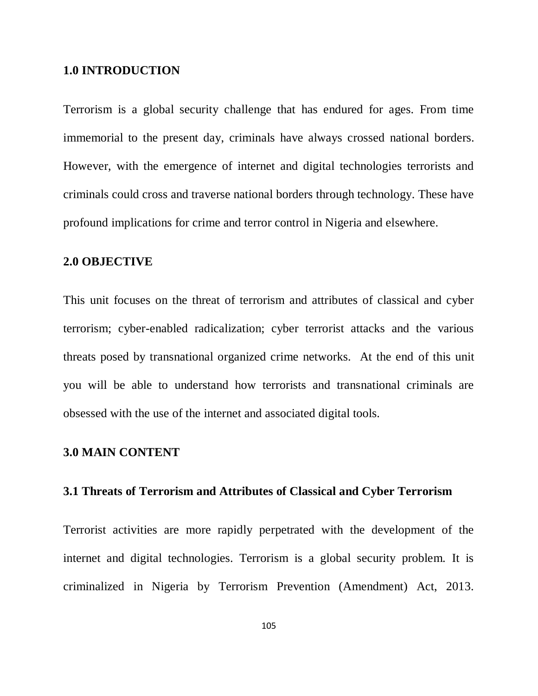#### **1.0 INTRODUCTION**

Terrorism is a global security challenge that has endured for ages. From time immemorial to the present day, criminals have always crossed national borders. However, with the emergence of internet and digital technologies terrorists and criminals could cross and traverse national borders through technology. These have profound implications for crime and terror control in Nigeria and elsewhere.

#### **2.0 OBJECTIVE**

This unit focuses on the threat of terrorism and attributes of classical and cyber terrorism; cyber-enabled radicalization; cyber terrorist attacks and the various threats posed by transnational organized crime networks. At the end of this unit you will be able to understand how terrorists and transnational criminals are obsessed with the use of the internet and associated digital tools.

#### **3.0 MAIN CONTENT**

#### **3.1 Threats of Terrorism and Attributes of Classical and Cyber Terrorism**

Terrorist activities are more rapidly perpetrated with the development of the internet and digital technologies. Terrorism is a global security problem. It is criminalized in Nigeria by Terrorism Prevention (Amendment) Act, 2013.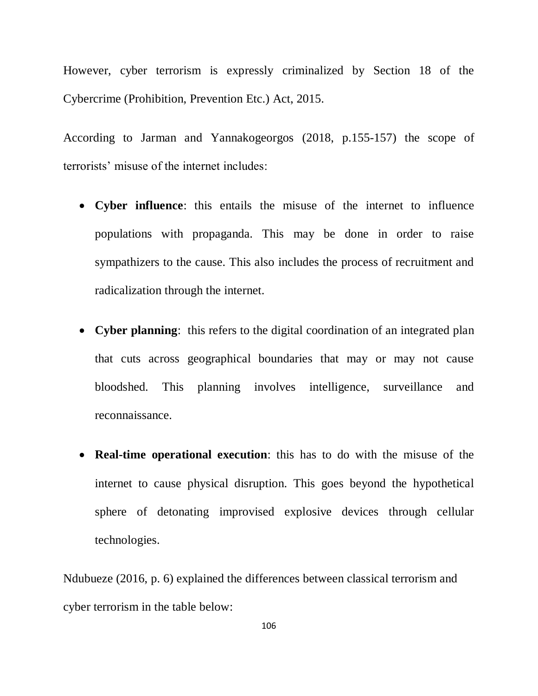However, cyber terrorism is expressly criminalized by Section 18 of the Cybercrime (Prohibition, Prevention Etc.) Act, 2015.

According to Jarman and Yannakogeorgos (2018, p.155-157) the scope of terrorists" misuse of the internet includes:

- **Cyber influence**: this entails the misuse of the internet to influence populations with propaganda. This may be done in order to raise sympathizers to the cause. This also includes the process of recruitment and radicalization through the internet.
- **Cyber planning**: this refers to the digital coordination of an integrated plan that cuts across geographical boundaries that may or may not cause bloodshed. This planning involves intelligence, surveillance and reconnaissance.
- **Real-time operational execution**: this has to do with the misuse of the internet to cause physical disruption. This goes beyond the hypothetical sphere of detonating improvised explosive devices through cellular technologies.

Ndubueze (2016, p. 6) explained the differences between classical terrorism and cyber terrorism in the table below: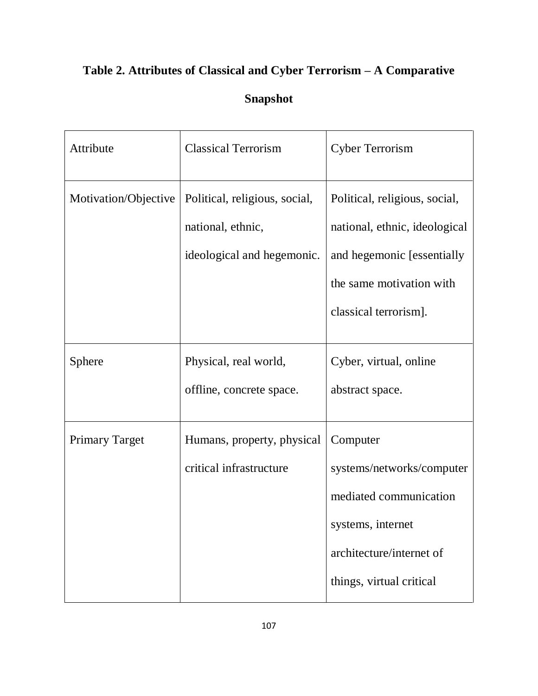# **Table 2. Attributes of Classical and Cyber Terrorism – A Comparative**

# **Snapshot**

| Attribute             | <b>Classical Terrorism</b>                                                       | <b>Cyber Terrorism</b>                                                                                                                             |
|-----------------------|----------------------------------------------------------------------------------|----------------------------------------------------------------------------------------------------------------------------------------------------|
| Motivation/Objective  | Political, religious, social,<br>national, ethnic,<br>ideological and hegemonic. | Political, religious, social,<br>national, ethnic, ideological<br>and hegemonic [essentially]<br>the same motivation with<br>classical terrorism]. |
| Sphere                | Physical, real world,<br>offline, concrete space.                                | Cyber, virtual, online<br>abstract space.                                                                                                          |
| <b>Primary Target</b> | Humans, property, physical<br>critical infrastructure                            | Computer<br>systems/networks/computer<br>mediated communication<br>systems, internet<br>architecture/internet of<br>things, virtual critical       |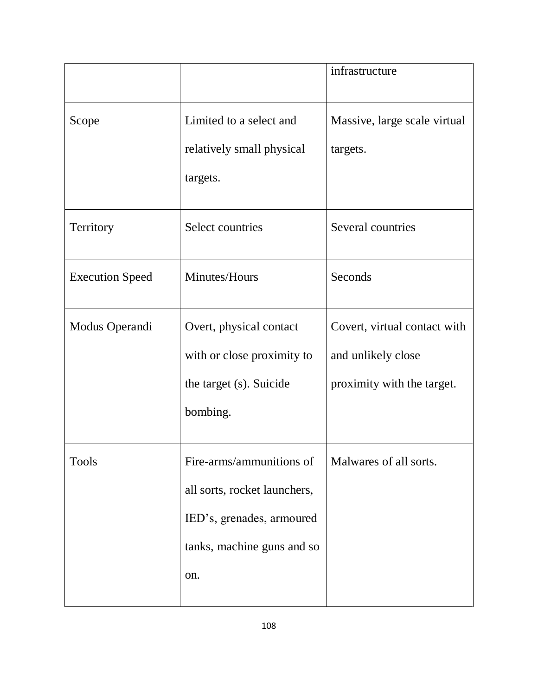|                        |                                                                                                                            | infrastructure                                                                   |
|------------------------|----------------------------------------------------------------------------------------------------------------------------|----------------------------------------------------------------------------------|
| Scope                  | Limited to a select and<br>relatively small physical<br>targets.                                                           | Massive, large scale virtual<br>targets.                                         |
| Territory              | Select countries                                                                                                           | Several countries                                                                |
| <b>Execution Speed</b> | Minutes/Hours                                                                                                              | Seconds                                                                          |
| Modus Operandi         | Overt, physical contact<br>with or close proximity to<br>the target (s). Suicide<br>bombing.                               | Covert, virtual contact with<br>and unlikely close<br>proximity with the target. |
| <b>Tools</b>           | Fire-arms/ammunitions of<br>all sorts, rocket launchers,<br>IED's, grenades, armoured<br>tanks, machine guns and so<br>on. | Malwares of all sorts.                                                           |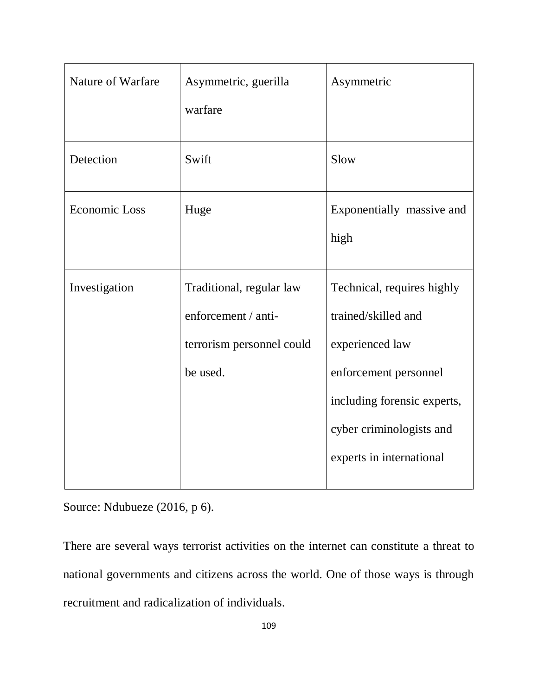| Nature of Warfare    | Asymmetric, guerilla      | Asymmetric                  |
|----------------------|---------------------------|-----------------------------|
|                      | warfare                   |                             |
| Detection            | Swift                     | Slow                        |
| <b>Economic Loss</b> | Huge                      | Exponentially massive and   |
|                      |                           | high                        |
| Investigation        | Traditional, regular law  | Technical, requires highly  |
|                      | enforcement / anti-       | trained/skilled and         |
|                      | terrorism personnel could | experienced law             |
|                      | be used.                  | enforcement personnel       |
|                      |                           | including forensic experts, |
|                      |                           | cyber criminologists and    |
|                      |                           | experts in international    |

Source: Ndubueze (2016, p 6).

There are several ways terrorist activities on the internet can constitute a threat to national governments and citizens across the world. One of those ways is through recruitment and radicalization of individuals.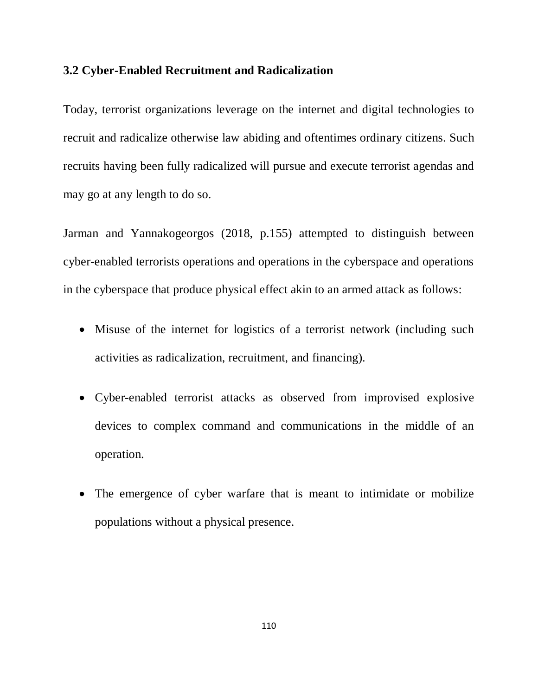#### **3.2 Cyber-Enabled Recruitment and Radicalization**

Today, terrorist organizations leverage on the internet and digital technologies to recruit and radicalize otherwise law abiding and oftentimes ordinary citizens. Such recruits having been fully radicalized will pursue and execute terrorist agendas and may go at any length to do so.

Jarman and Yannakogeorgos (2018, p.155) attempted to distinguish between cyber-enabled terrorists operations and operations in the cyberspace and operations in the cyberspace that produce physical effect akin to an armed attack as follows:

- Misuse of the internet for logistics of a terrorist network (including such activities as radicalization, recruitment, and financing).
- Cyber-enabled terrorist attacks as observed from improvised explosive devices to complex command and communications in the middle of an operation.
- The emergence of cyber warfare that is meant to intimidate or mobilize populations without a physical presence.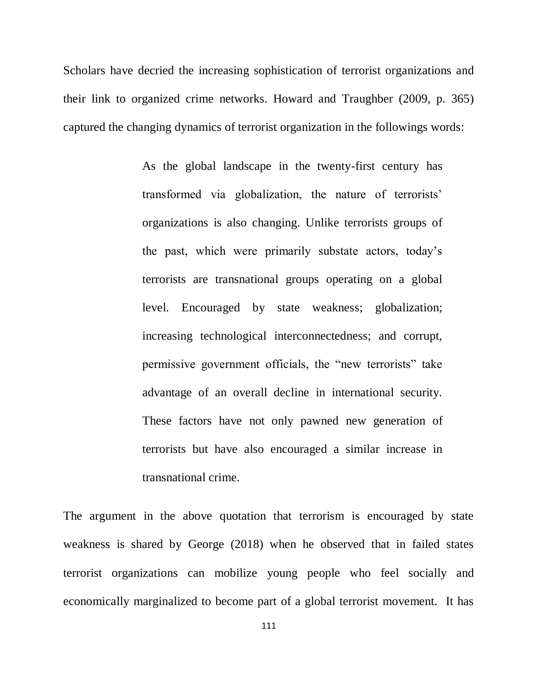Scholars have decried the increasing sophistication of terrorist organizations and their link to organized crime networks. Howard and Traughber (2009, p. 365) captured the changing dynamics of terrorist organization in the followings words:

> As the global landscape in the twenty-first century has transformed via globalization, the nature of terrorists" organizations is also changing. Unlike terrorists groups of the past, which were primarily substate actors, today"s terrorists are transnational groups operating on a global level. Encouraged by state weakness; globalization; increasing technological interconnectedness; and corrupt, permissive government officials, the "new terrorists" take advantage of an overall decline in international security. These factors have not only pawned new generation of terrorists but have also encouraged a similar increase in transnational crime.

The argument in the above quotation that terrorism is encouraged by state weakness is shared by George (2018) when he observed that in failed states terrorist organizations can mobilize young people who feel socially and economically marginalized to become part of a global terrorist movement. It has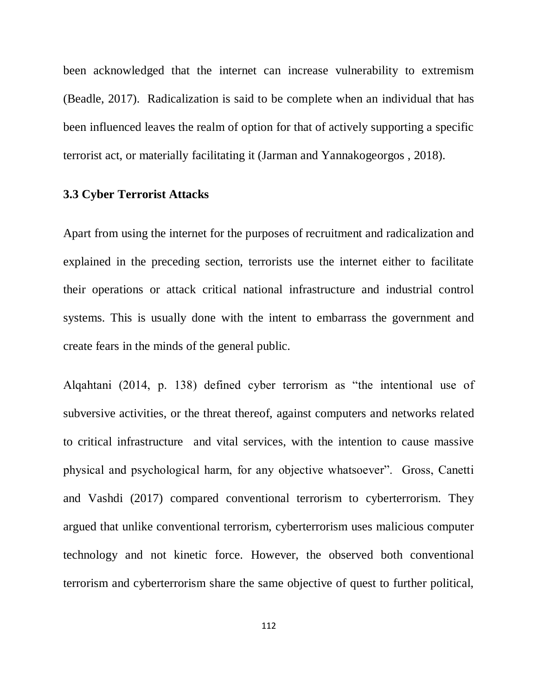been acknowledged that the internet can increase vulnerability to extremism (Beadle, 2017). Radicalization is said to be complete when an individual that has been influenced leaves the realm of option for that of actively supporting a specific terrorist act, or materially facilitating it (Jarman and Yannakogeorgos , 2018).

#### **3.3 Cyber Terrorist Attacks**

Apart from using the internet for the purposes of recruitment and radicalization and explained in the preceding section, terrorists use the internet either to facilitate their operations or attack critical national infrastructure and industrial control systems. This is usually done with the intent to embarrass the government and create fears in the minds of the general public.

Alqahtani (2014, p. 138) defined cyber terrorism as "the intentional use of subversive activities, or the threat thereof, against computers and networks related to critical infrastructure and vital services, with the intention to cause massive physical and psychological harm, for any objective whatsoever". Gross, Canetti and Vashdi (2017) compared conventional terrorism to cyberterrorism. They argued that unlike conventional terrorism, cyberterrorism uses malicious computer technology and not kinetic force. However, the observed both conventional terrorism and cyberterrorism share the same objective of quest to further political,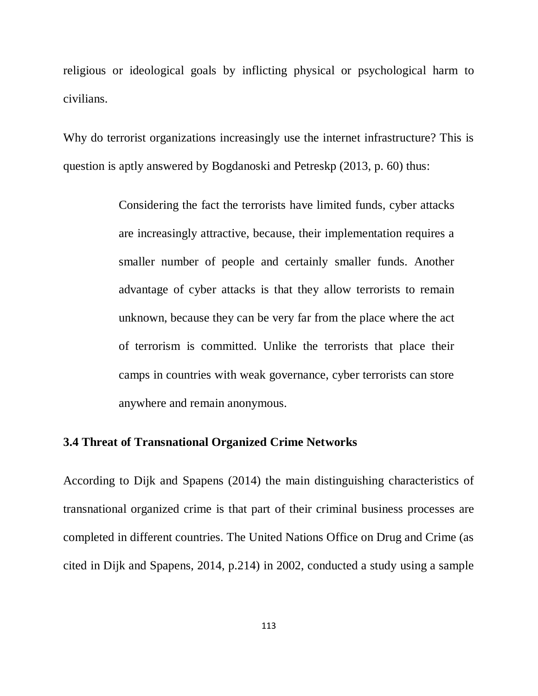religious or ideological goals by inflicting physical or psychological harm to civilians.

Why do terrorist organizations increasingly use the internet infrastructure? This is question is aptly answered by Bogdanoski and Petreskp (2013, p. 60) thus:

> Considering the fact the terrorists have limited funds, cyber attacks are increasingly attractive, because, their implementation requires a smaller number of people and certainly smaller funds. Another advantage of cyber attacks is that they allow terrorists to remain unknown, because they can be very far from the place where the act of terrorism is committed. Unlike the terrorists that place their camps in countries with weak governance, cyber terrorists can store anywhere and remain anonymous.

#### **3.4 Threat of Transnational Organized Crime Networks**

According to Dijk and Spapens (2014) the main distinguishing characteristics of transnational organized crime is that part of their criminal business processes are completed in different countries. The United Nations Office on Drug and Crime (as cited in Dijk and Spapens, 2014, p.214) in 2002, conducted a study using a sample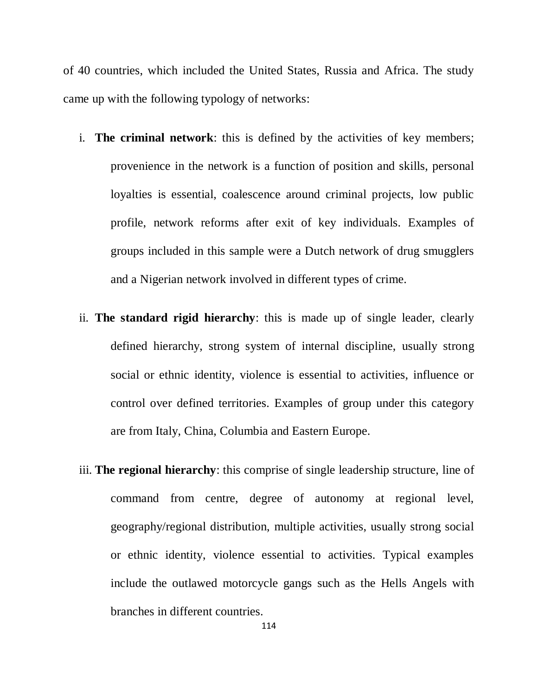of 40 countries, which included the United States, Russia and Africa. The study came up with the following typology of networks:

- i. **The criminal network**: this is defined by the activities of key members; provenience in the network is a function of position and skills, personal loyalties is essential, coalescence around criminal projects, low public profile, network reforms after exit of key individuals. Examples of groups included in this sample were a Dutch network of drug smugglers and a Nigerian network involved in different types of crime.
- ii. **The standard rigid hierarchy**: this is made up of single leader, clearly defined hierarchy, strong system of internal discipline, usually strong social or ethnic identity, violence is essential to activities, influence or control over defined territories. Examples of group under this category are from Italy, China, Columbia and Eastern Europe.
- iii. **The regional hierarchy**: this comprise of single leadership structure, line of command from centre, degree of autonomy at regional level, geography/regional distribution, multiple activities, usually strong social or ethnic identity, violence essential to activities. Typical examples include the outlawed motorcycle gangs such as the Hells Angels with branches in different countries.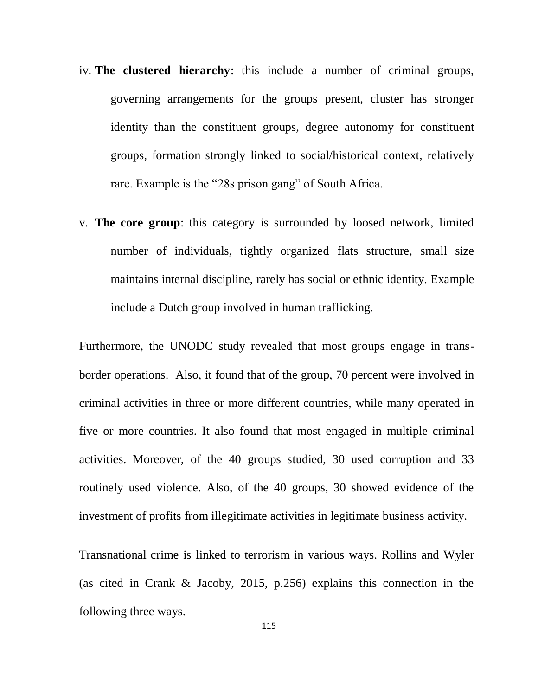- iv. **The clustered hierarchy**: this include a number of criminal groups, governing arrangements for the groups present, cluster has stronger identity than the constituent groups, degree autonomy for constituent groups, formation strongly linked to social/historical context, relatively rare. Example is the "28s prison gang" of South Africa.
- v. **The core group**: this category is surrounded by loosed network, limited number of individuals, tightly organized flats structure, small size maintains internal discipline, rarely has social or ethnic identity. Example include a Dutch group involved in human trafficking.

Furthermore, the UNODC study revealed that most groups engage in transborder operations. Also, it found that of the group, 70 percent were involved in criminal activities in three or more different countries, while many operated in five or more countries. It also found that most engaged in multiple criminal activities. Moreover, of the 40 groups studied, 30 used corruption and 33 routinely used violence. Also, of the 40 groups, 30 showed evidence of the investment of profits from illegitimate activities in legitimate business activity.

Transnational crime is linked to terrorism in various ways. Rollins and Wyler (as cited in Crank & Jacoby, 2015, p.256) explains this connection in the following three ways.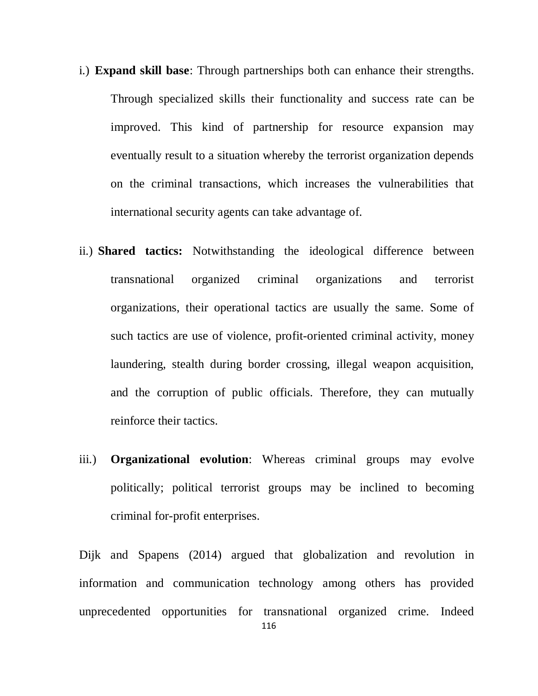- i.) **Expand skill base**: Through partnerships both can enhance their strengths. Through specialized skills their functionality and success rate can be improved. This kind of partnership for resource expansion may eventually result to a situation whereby the terrorist organization depends on the criminal transactions, which increases the vulnerabilities that international security agents can take advantage of.
- ii.) **Shared tactics:** Notwithstanding the ideological difference between transnational organized criminal organizations and terrorist organizations, their operational tactics are usually the same. Some of such tactics are use of violence, profit-oriented criminal activity, money laundering, stealth during border crossing, illegal weapon acquisition, and the corruption of public officials. Therefore, they can mutually reinforce their tactics.
- iii.) **Organizational evolution**: Whereas criminal groups may evolve politically; political terrorist groups may be inclined to becoming criminal for-profit enterprises.

Dijk and Spapens (2014) argued that globalization and revolution in information and communication technology among others has provided unprecedented opportunities for transnational organized crime. Indeed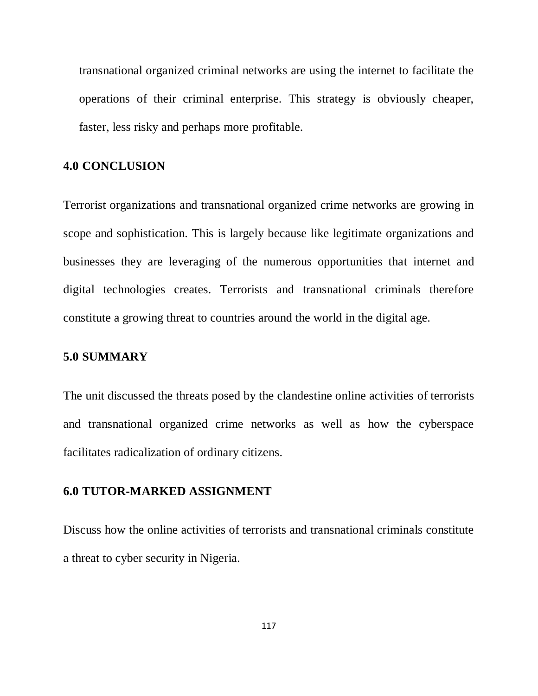transnational organized criminal networks are using the internet to facilitate the operations of their criminal enterprise. This strategy is obviously cheaper, faster, less risky and perhaps more profitable.

#### **4.0 CONCLUSION**

Terrorist organizations and transnational organized crime networks are growing in scope and sophistication. This is largely because like legitimate organizations and businesses they are leveraging of the numerous opportunities that internet and digital technologies creates. Terrorists and transnational criminals therefore constitute a growing threat to countries around the world in the digital age.

#### **5.0 SUMMARY**

The unit discussed the threats posed by the clandestine online activities of terrorists and transnational organized crime networks as well as how the cyberspace facilitates radicalization of ordinary citizens.

#### **6.0 TUTOR-MARKED ASSIGNMENT**

Discuss how the online activities of terrorists and transnational criminals constitute a threat to cyber security in Nigeria.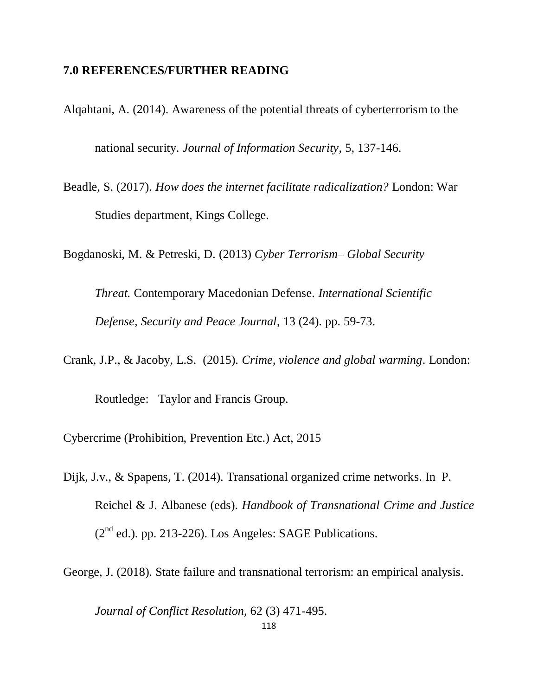#### **7.0 REFERENCES/FURTHER READING**

- Alqahtani, A. (2014). Awareness of the potential threats of cyberterrorism to the national security. *Journal of Information Security*, 5, 137-146.
- Beadle, S. (2017). *How does the internet facilitate radicalization?* London: War Studies department, Kings College.

Bogdanoski, M. & Petreski, D. (2013) *Cyber Terrorism– Global Security* 

*Threat.* Contemporary Macedonian Defense. *International Scientific Defense, Security and Peace Journal*, 13 (24). pp. 59-73.

Crank, J.P., & Jacoby, L.S. (2015). *Crime, violence and global warming*. London:

Routledge: Taylor and Francis Group.

Cybercrime (Prohibition, Prevention Etc.) Act, 2015

Dijk, J.v., & Spapens, T. (2014). Transational organized crime networks. In P. Reichel & J. Albanese (eds). *Handbook of Transnational Crime and Justice*  $(2<sup>nd</sup>$  ed.). pp. 213-226). Los Angeles: SAGE Publications.

George, J. (2018). State failure and transnational terrorism: an empirical analysis*.* 

*Journal of Conflict Resolution*, 62 (3) 471-495.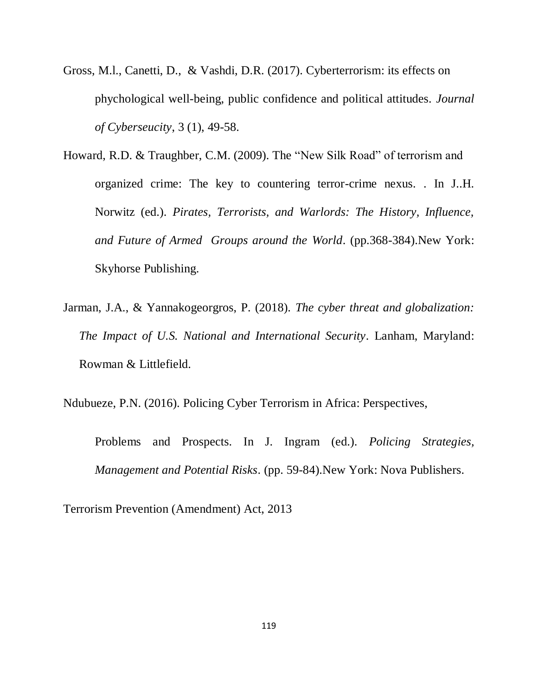- Gross, M.l., Canetti, D., & Vashdi, D.R. (2017). Cyberterrorism: its effects on phychological well-being, public confidence and political attitudes. *Journal of Cyberseucity*, 3 (1), 49-58.
- Howard, R.D. & Traughber, C.M. (2009). The "New Silk Road" of terrorism and organized crime: The key to countering terror-crime nexus. . In J..H. Norwitz (ed.). *Pirates, Terrorists, and Warlords: The History, Influence, and Future of Armed Groups around the World*. (pp.368-384).New York: Skyhorse Publishing.
- Jarman, J.A., & Yannakogeorgros, P. (2018). *The cyber threat and globalization: The Impact of U.S. National and International Security*. Lanham, Maryland: Rowman & Littlefield.

Ndubueze, P.N. (2016). Policing Cyber Terrorism in Africa: Perspectives,

Problems and Prospects. In J. Ingram (ed.). *Policing Strategies, Management and Potential Risks*. (pp. 59-84).New York: Nova Publishers.

Terrorism Prevention (Amendment) Act, 2013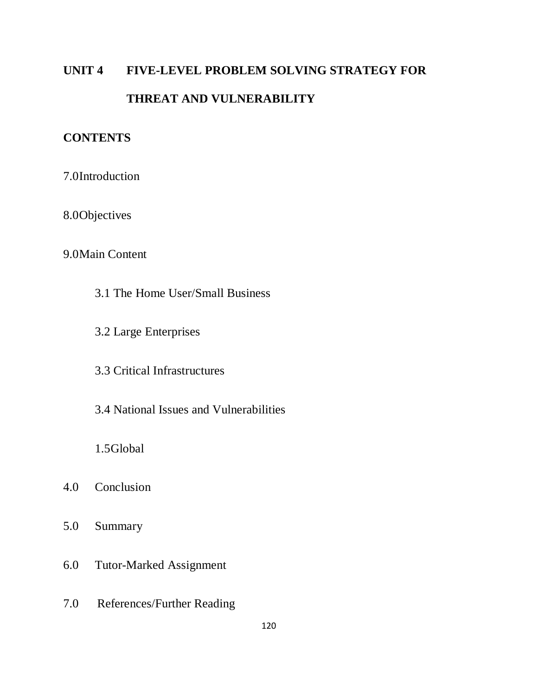# **UNIT 4 FIVE-LEVEL PROBLEM SOLVING STRATEGY FOR THREAT AND VULNERABILITY**

# **CONTENTS**

7.0Introduction

8.0Objectives

#### 9.0Main Content

- 3.1 The Home User/Small Business
- 3.2 Large Enterprises
- 3.3 Critical Infrastructures
- 3.4 National Issues and Vulnerabilities

1.5Global

- 4.0 Conclusion
- 5.0 Summary
- 6.0 Tutor-Marked Assignment
- 7.0 References/Further Reading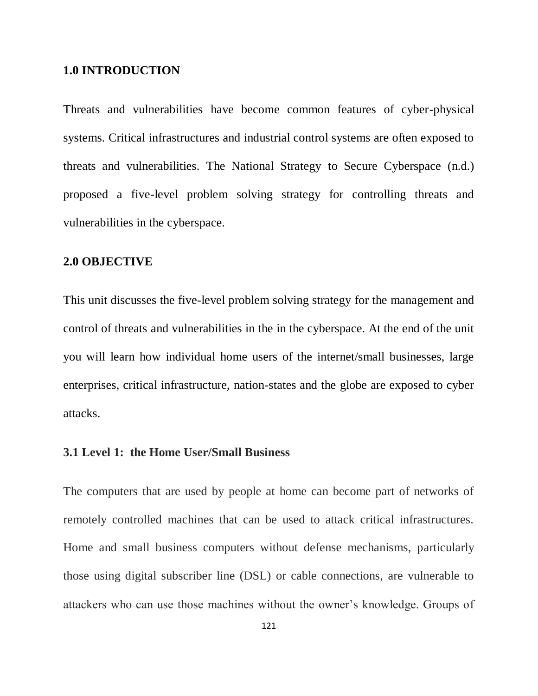#### **1.0 INTRODUCTION**

Threats and vulnerabilities have become common features of cyber-physical systems. Critical infrastructures and industrial control systems are often exposed to threats and vulnerabilities. The National Strategy to Secure Cyberspace (n.d.) proposed a five-level problem solving strategy for controlling threats and vulnerabilities in the cyberspace.

#### **2.0 OBJECTIVE**

This unit discusses the five-level problem solving strategy for the management and control of threats and vulnerabilities in the in the cyberspace. At the end of the unit you will learn how individual home users of the internet/small businesses, large enterprises, critical infrastructure, nation-states and the globe are exposed to cyber attacks.

#### **3.1 Level 1: the Home User/Small Business**

The computers that are used by people at home can become part of networks of remotely controlled machines that can be used to attack critical infrastructures. Home and small business computers without defense mechanisms, particularly those using digital subscriber line (DSL) or cable connections, are vulnerable to attackers who can use those machines without the owner"s knowledge. Groups of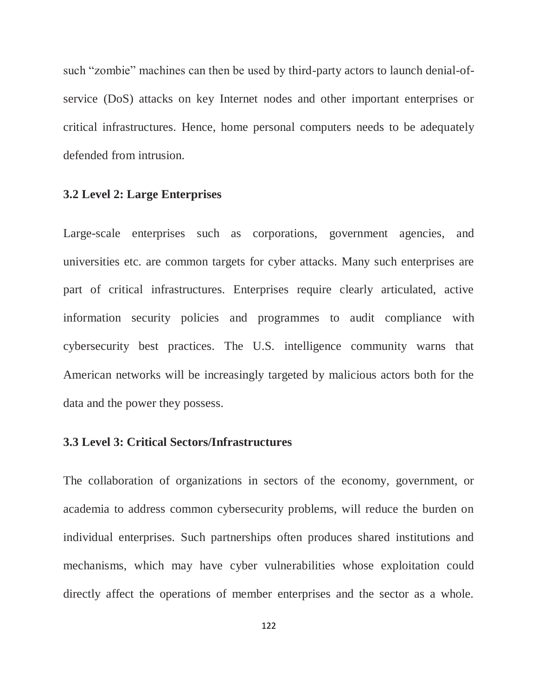such "zombie" machines can then be used by third-party actors to launch denial-ofservice (DoS) attacks on key Internet nodes and other important enterprises or critical infrastructures. Hence, home personal computers needs to be adequately defended from intrusion.

#### **3.2 Level 2: Large Enterprises**

Large-scale enterprises such as corporations, government agencies, and universities etc. are common targets for cyber attacks. Many such enterprises are part of critical infrastructures. Enterprises require clearly articulated, active information security policies and programmes to audit compliance with cybersecurity best practices. The U.S. intelligence community warns that American networks will be increasingly targeted by malicious actors both for the data and the power they possess.

#### **3.3 Level 3: Critical Sectors/Infrastructures**

The collaboration of organizations in sectors of the economy, government, or academia to address common cybersecurity problems, will reduce the burden on individual enterprises. Such partnerships often produces shared institutions and mechanisms, which may have cyber vulnerabilities whose exploitation could directly affect the operations of member enterprises and the sector as a whole.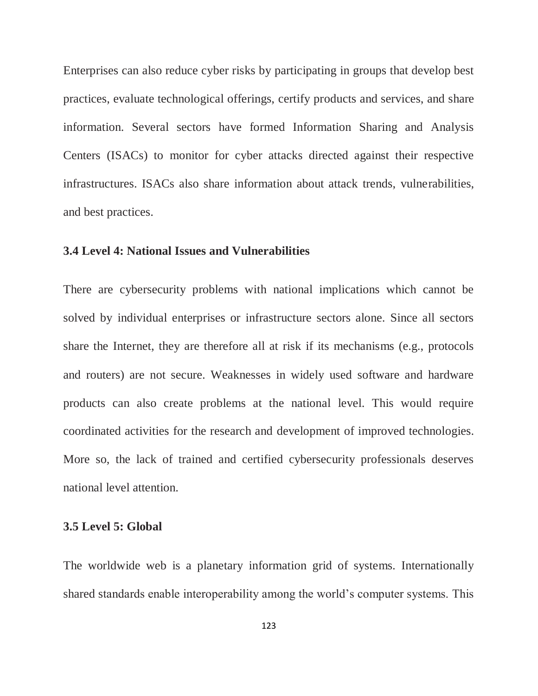Enterprises can also reduce cyber risks by participating in groups that develop best practices, evaluate technological offerings, certify products and services, and share information. Several sectors have formed Information Sharing and Analysis Centers (ISACs) to monitor for cyber attacks directed against their respective infrastructures. ISACs also share information about attack trends, vulnerabilities, and best practices.

#### **3.4 Level 4: National Issues and Vulnerabilities**

There are cybersecurity problems with national implications which cannot be solved by individual enterprises or infrastructure sectors alone. Since all sectors share the Internet, they are therefore all at risk if its mechanisms (e.g., protocols and routers) are not secure. Weaknesses in widely used software and hardware products can also create problems at the national level. This would require coordinated activities for the research and development of improved technologies. More so, the lack of trained and certified cybersecurity professionals deserves national level attention.

#### **3.5 Level 5: Global**

The worldwide web is a planetary information grid of systems. Internationally shared standards enable interoperability among the world's computer systems. This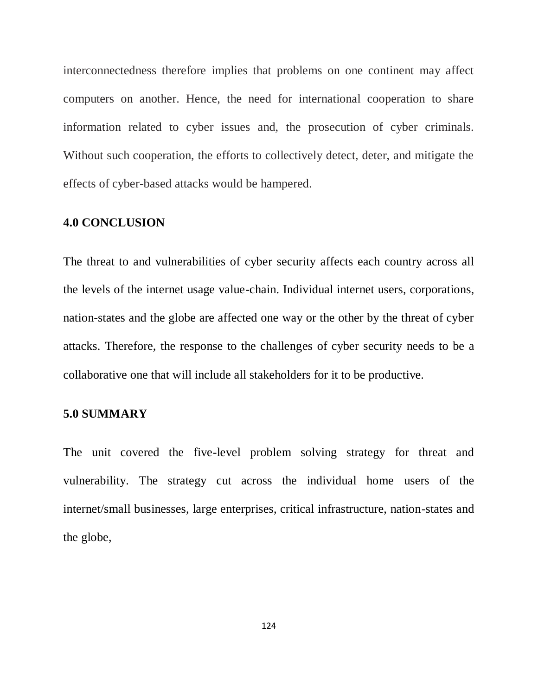interconnectedness therefore implies that problems on one continent may affect computers on another. Hence, the need for international cooperation to share information related to cyber issues and, the prosecution of cyber criminals. Without such cooperation, the efforts to collectively detect, deter, and mitigate the effects of cyber-based attacks would be hampered.

#### **4.0 CONCLUSION**

The threat to and vulnerabilities of cyber security affects each country across all the levels of the internet usage value-chain. Individual internet users, corporations, nation-states and the globe are affected one way or the other by the threat of cyber attacks. Therefore, the response to the challenges of cyber security needs to be a collaborative one that will include all stakeholders for it to be productive.

#### **5.0 SUMMARY**

The unit covered the five-level problem solving strategy for threat and vulnerability. The strategy cut across the individual home users of the internet/small businesses, large enterprises, critical infrastructure, nation-states and the globe,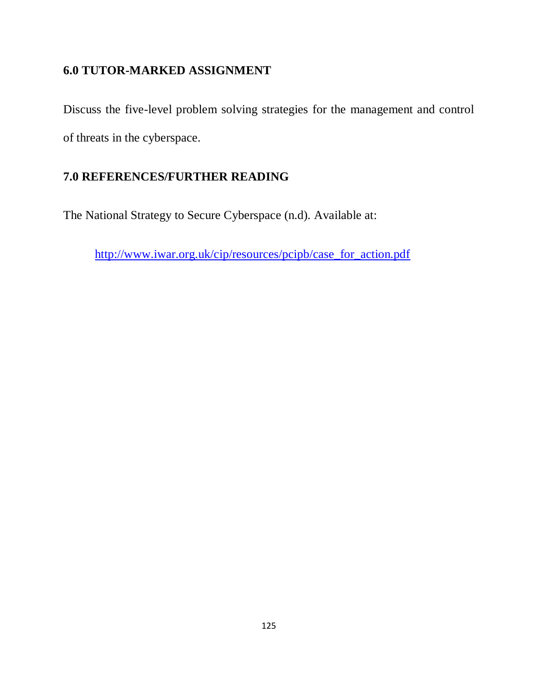# **6.0 TUTOR-MARKED ASSIGNMENT**

Discuss the five-level problem solving strategies for the management and control of threats in the cyberspace.

# **7.0 REFERENCES/FURTHER READING**

The National Strategy to Secure Cyberspace (n.d). Available at:

[http://www.iwar.org.uk/cip/resources/pcipb/case\\_for\\_action.pdf](http://www.iwar.org.uk/cip/resources/pcipb/case_for_action.pdf)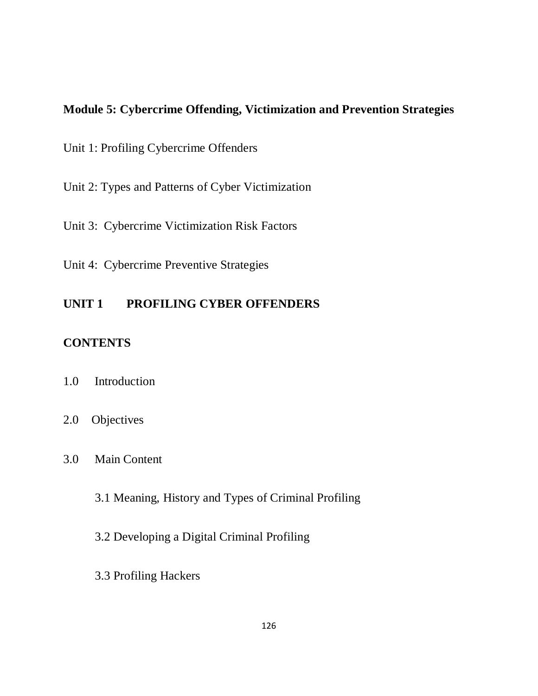### **Module 5: Cybercrime Offending, Victimization and Prevention Strategies**

Unit 1: Profiling Cybercrime Offenders

Unit 2: Types and Patterns of Cyber Victimization

Unit 3: Cybercrime Victimization Risk Factors

Unit 4: Cybercrime Preventive Strategies

## **UNIT 1 PROFILING CYBER OFFENDERS**

# **CONTENTS**

- 1.0 Introduction
- 2.0 Objectives
- 3.0 Main Content
	- 3.1 Meaning, History and Types of Criminal Profiling
	- 3.2 Developing a Digital Criminal Profiling
	- 3.3 Profiling Hackers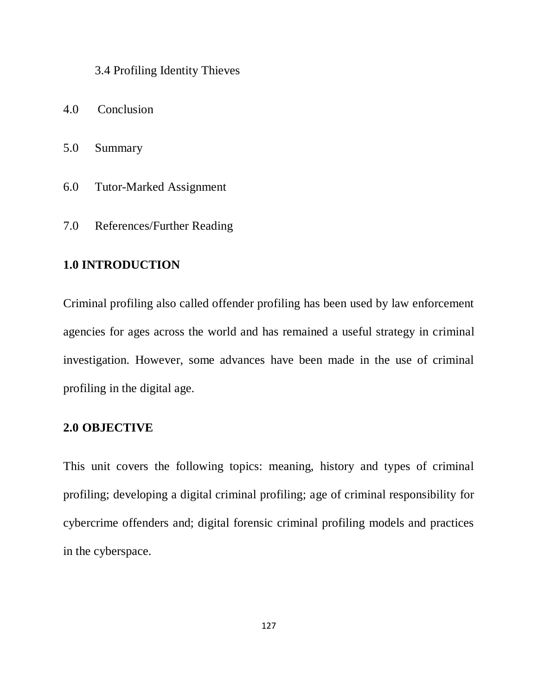#### 3.4 Profiling Identity Thieves

- 4.0 Conclusion
- 5.0 Summary
- 6.0 Tutor-Marked Assignment
- 7.0 References/Further Reading

# **1.0 INTRODUCTION**

Criminal profiling also called offender profiling has been used by law enforcement agencies for ages across the world and has remained a useful strategy in criminal investigation. However, some advances have been made in the use of criminal profiling in the digital age.

### **2.0 OBJECTIVE**

This unit covers the following topics: meaning, history and types of criminal profiling; developing a digital criminal profiling; age of criminal responsibility for cybercrime offenders and; digital forensic criminal profiling models and practices in the cyberspace.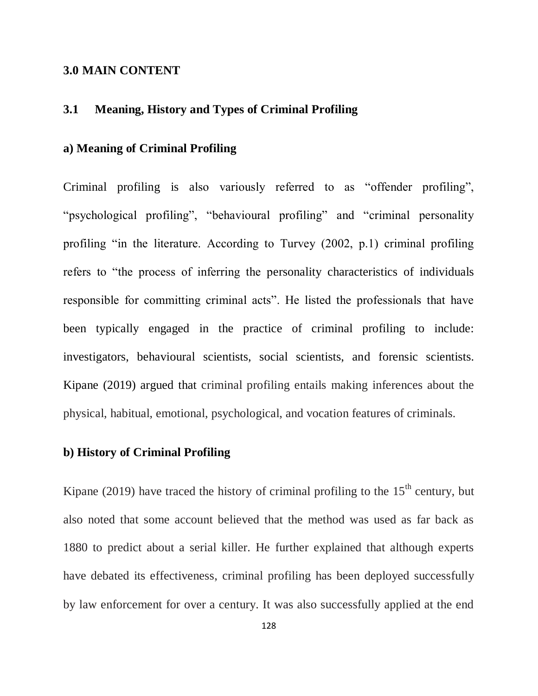#### **3.0 MAIN CONTENT**

#### **3.1 Meaning, History and Types of Criminal Profiling**

#### **a) Meaning of Criminal Profiling**

Criminal profiling is also variously referred to as "offender profiling", "psychological profiling", "behavioural profiling" and "criminal personality profiling "in the literature. According to Turvey (2002, p.1) criminal profiling refers to "the process of inferring the personality characteristics of individuals responsible for committing criminal acts". He listed the professionals that have been typically engaged in the practice of criminal profiling to include: investigators, behavioural scientists, social scientists, and forensic scientists. Kipane (2019) argued that criminal profiling entails making inferences about the physical, habitual, emotional, psychological, and vocation features of criminals.

#### **b) History of Criminal Profiling**

Kipane (2019) have traced the history of criminal profiling to the  $15<sup>th</sup>$  century, but also noted that some account believed that the method was used as far back as 1880 to predict about a serial killer. He further explained that although experts have debated its effectiveness, criminal profiling has been deployed successfully by law enforcement for over a century. It was also successfully applied at the end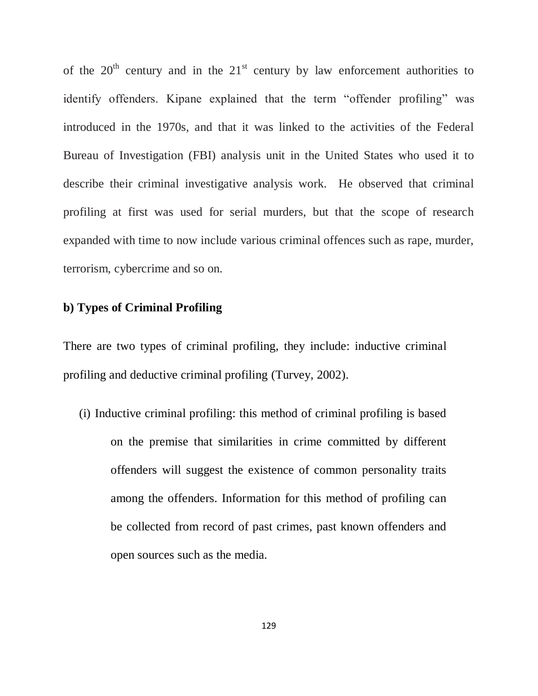of the  $20<sup>th</sup>$  century and in the  $21<sup>st</sup>$  century by law enforcement authorities to identify offenders. Kipane explained that the term "offender profiling" was introduced in the 1970s, and that it was linked to the activities of the Federal Bureau of Investigation (FBI) analysis unit in the United States who used it to describe their criminal investigative analysis work. He observed that criminal profiling at first was used for serial murders, but that the scope of research expanded with time to now include various criminal offences such as rape, murder, terrorism, cybercrime and so on.

#### **b) Types of Criminal Profiling**

There are two types of criminal profiling, they include: inductive criminal profiling and deductive criminal profiling (Turvey, 2002).

(i) Inductive criminal profiling: this method of criminal profiling is based on the premise that similarities in crime committed by different offenders will suggest the existence of common personality traits among the offenders. Information for this method of profiling can be collected from record of past crimes, past known offenders and open sources such as the media.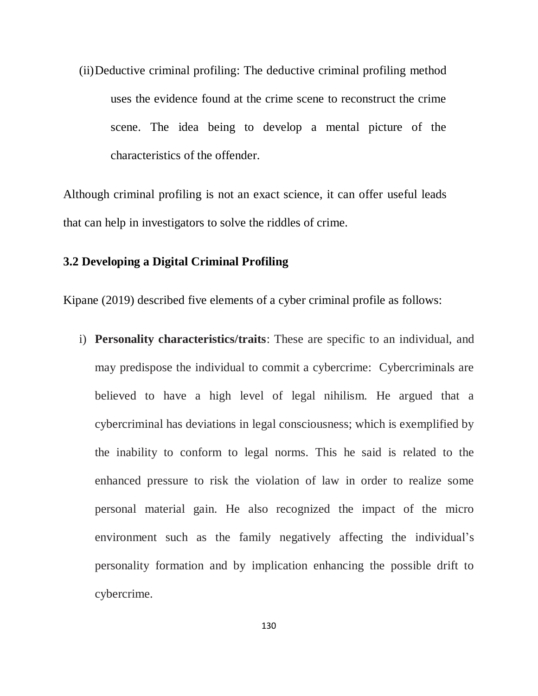(ii)Deductive criminal profiling: The deductive criminal profiling method uses the evidence found at the crime scene to reconstruct the crime scene. The idea being to develop a mental picture of the characteristics of the offender.

Although criminal profiling is not an exact science, it can offer useful leads that can help in investigators to solve the riddles of crime.

#### **3.2 Developing a Digital Criminal Profiling**

Kipane (2019) described five elements of a cyber criminal profile as follows:

i) **Personality characteristics/traits**: These are specific to an individual, and may predispose the individual to commit a cybercrime: Cybercriminals are believed to have a high level of legal nihilism. He argued that a cybercriminal has deviations in legal consciousness; which is exemplified by the inability to conform to legal norms. This he said is related to the enhanced pressure to risk the violation of law in order to realize some personal material gain. He also recognized the impact of the micro environment such as the family negatively affecting the individual's personality formation and by implication enhancing the possible drift to cybercrime.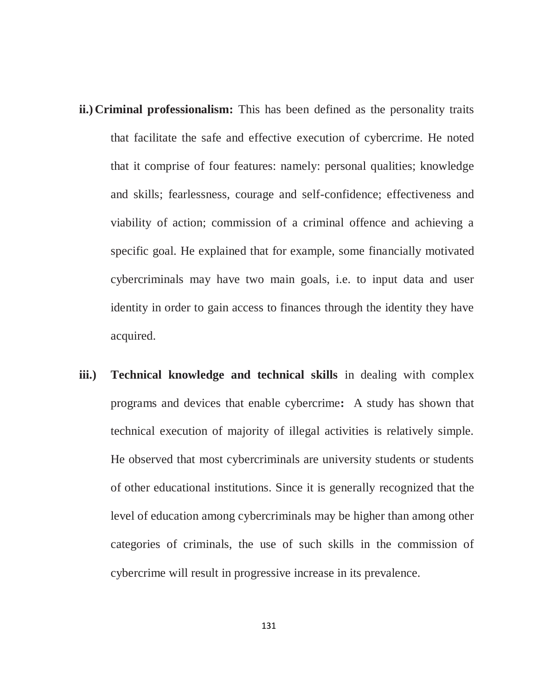- **ii.) Criminal professionalism:** This has been defined as the personality traits that facilitate the safe and effective execution of cybercrime. He noted that it comprise of four features: namely: personal qualities; knowledge and skills; fearlessness, courage and self-confidence; effectiveness and viability of action; commission of a criminal offence and achieving a specific goal. He explained that for example, some financially motivated cybercriminals may have two main goals, i.e. to input data and user identity in order to gain access to finances through the identity they have acquired.
- **iii.) Technical knowledge and technical skills** in dealing with complex programs and devices that enable cybercrime**:** A study has shown that technical execution of majority of illegal activities is relatively simple. He observed that most cybercriminals are university students or students of other educational institutions. Since it is generally recognized that the level of education among cybercriminals may be higher than among other categories of criminals, the use of such skills in the commission of cybercrime will result in progressive increase in its prevalence.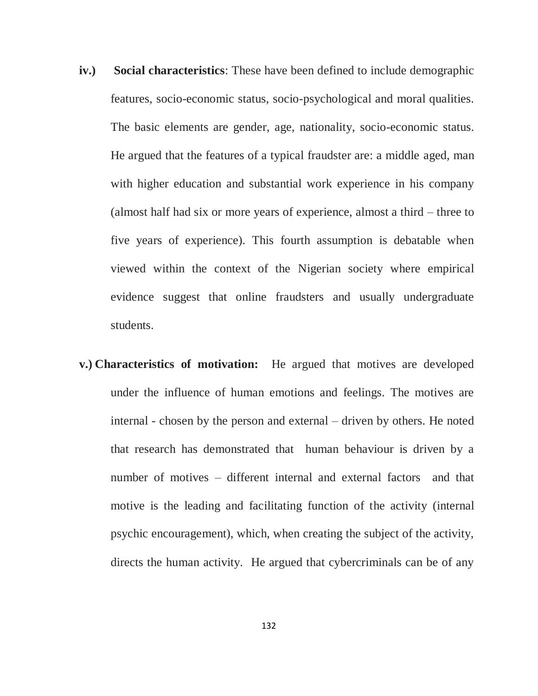- **iv.) Social characteristics**: These have been defined to include demographic features, socio-economic status, socio-psychological and moral qualities. The basic elements are gender, age, nationality, socio-economic status. He argued that the features of a typical fraudster are: a middle aged, man with higher education and substantial work experience in his company (almost half had six or more years of experience, almost a third – three to five years of experience). This fourth assumption is debatable when viewed within the context of the Nigerian society where empirical evidence suggest that online fraudsters and usually undergraduate students.
- **v.) Characteristics of motivation:** He argued that motives are developed under the influence of human emotions and feelings. The motives are internal - chosen by the person and external – driven by others. He noted that research has demonstrated that human behaviour is driven by a number of motives – different internal and external factors and that motive is the leading and facilitating function of the activity (internal psychic encouragement), which, when creating the subject of the activity, directs the human activity. He argued that cybercriminals can be of any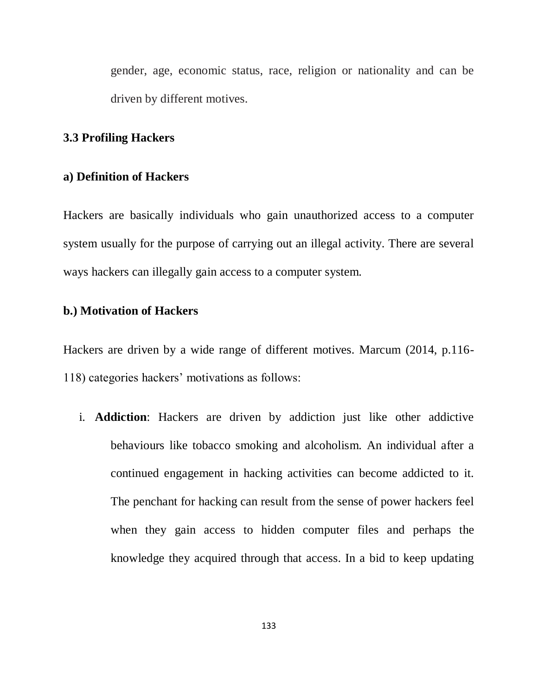gender, age, economic status, race, religion or nationality and can be driven by different motives.

#### **3.3 Profiling Hackers**

#### **a) Definition of Hackers**

Hackers are basically individuals who gain unauthorized access to a computer system usually for the purpose of carrying out an illegal activity. There are several ways hackers can illegally gain access to a computer system.

#### **b.) Motivation of Hackers**

Hackers are driven by a wide range of different motives. Marcum (2014, p.116- 118) categories hackers" motivations as follows:

i. **Addiction**: Hackers are driven by addiction just like other addictive behaviours like tobacco smoking and alcoholism. An individual after a continued engagement in hacking activities can become addicted to it. The penchant for hacking can result from the sense of power hackers feel when they gain access to hidden computer files and perhaps the knowledge they acquired through that access. In a bid to keep updating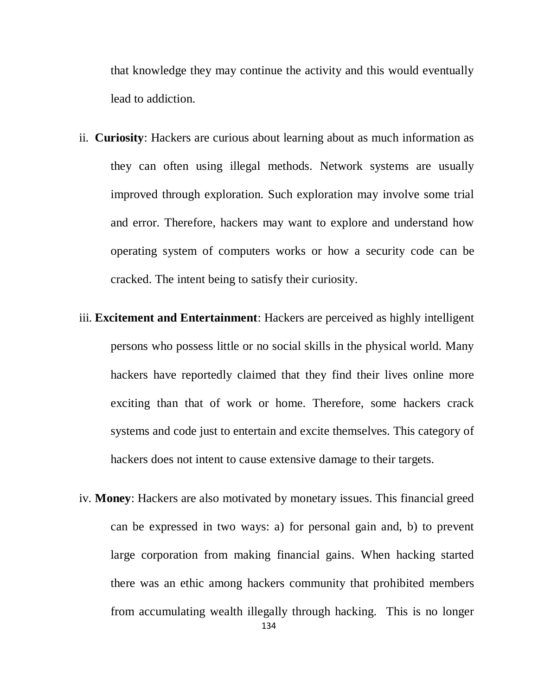that knowledge they may continue the activity and this would eventually lead to addiction.

- ii. **Curiosity**: Hackers are curious about learning about as much information as they can often using illegal methods. Network systems are usually improved through exploration. Such exploration may involve some trial and error. Therefore, hackers may want to explore and understand how operating system of computers works or how a security code can be cracked. The intent being to satisfy their curiosity.
- iii. **Excitement and Entertainment**: Hackers are perceived as highly intelligent persons who possess little or no social skills in the physical world. Many hackers have reportedly claimed that they find their lives online more exciting than that of work or home. Therefore, some hackers crack systems and code just to entertain and excite themselves. This category of hackers does not intent to cause extensive damage to their targets.
- iv. **Money**: Hackers are also motivated by monetary issues. This financial greed can be expressed in two ways: a) for personal gain and, b) to prevent large corporation from making financial gains. When hacking started there was an ethic among hackers community that prohibited members from accumulating wealth illegally through hacking. This is no longer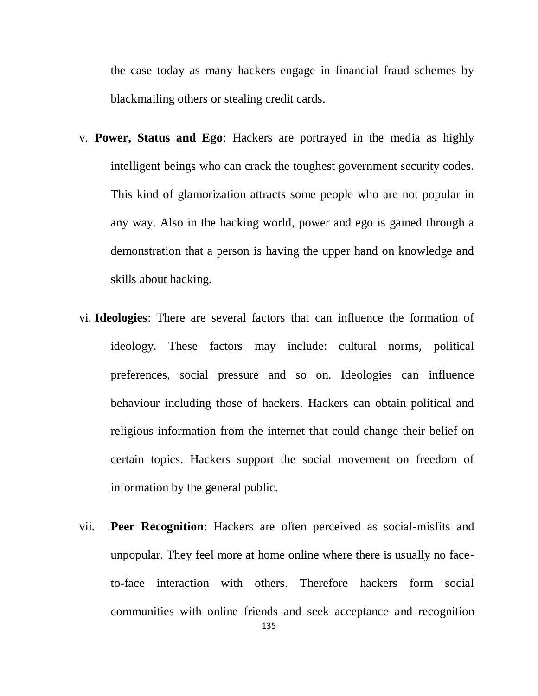the case today as many hackers engage in financial fraud schemes by blackmailing others or stealing credit cards.

- v. **Power, Status and Ego**: Hackers are portrayed in the media as highly intelligent beings who can crack the toughest government security codes. This kind of glamorization attracts some people who are not popular in any way. Also in the hacking world, power and ego is gained through a demonstration that a person is having the upper hand on knowledge and skills about hacking.
- vi. **Ideologies**: There are several factors that can influence the formation of ideology. These factors may include: cultural norms, political preferences, social pressure and so on. Ideologies can influence behaviour including those of hackers. Hackers can obtain political and religious information from the internet that could change their belief on certain topics. Hackers support the social movement on freedom of information by the general public.
- vii. **Peer Recognition**: Hackers are often perceived as social-misfits and unpopular. They feel more at home online where there is usually no faceto-face interaction with others. Therefore hackers form social communities with online friends and seek acceptance and recognition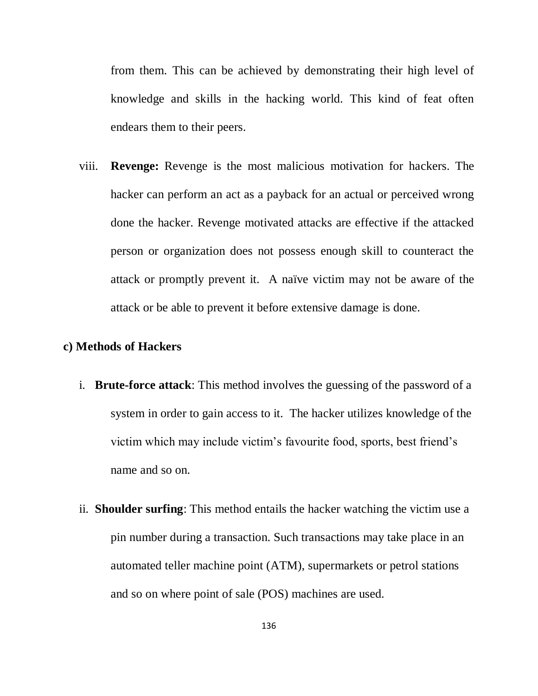from them. This can be achieved by demonstrating their high level of knowledge and skills in the hacking world. This kind of feat often endears them to their peers.

viii. **Revenge:** Revenge is the most malicious motivation for hackers. The hacker can perform an act as a payback for an actual or perceived wrong done the hacker. Revenge motivated attacks are effective if the attacked person or organization does not possess enough skill to counteract the attack or promptly prevent it. A naïve victim may not be aware of the attack or be able to prevent it before extensive damage is done.

#### **c) Methods of Hackers**

- i. **Brute-force attack**: This method involves the guessing of the password of a system in order to gain access to it. The hacker utilizes knowledge of the victim which may include victim"s favourite food, sports, best friend"s name and so on.
- ii. **Shoulder surfing**: This method entails the hacker watching the victim use a pin number during a transaction. Such transactions may take place in an automated teller machine point (ATM), supermarkets or petrol stations and so on where point of sale (POS) machines are used.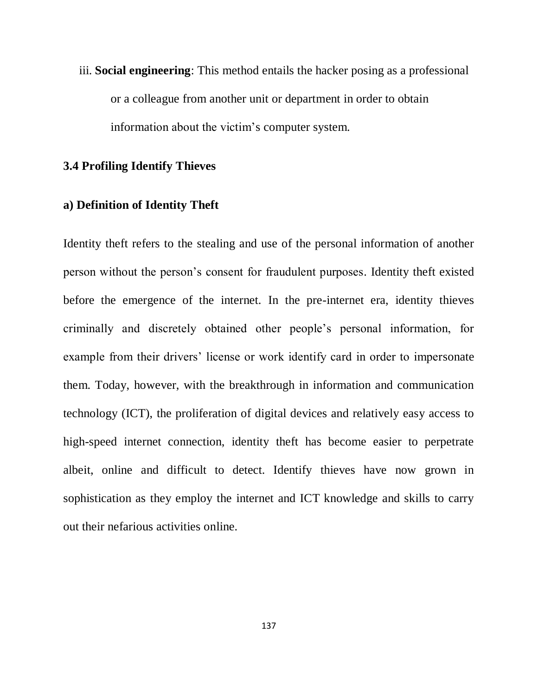iii. **Social engineering**: This method entails the hacker posing as a professional or a colleague from another unit or department in order to obtain information about the victim"s computer system.

# **3.4 Profiling Identify Thieves**

# **a) Definition of Identity Theft**

Identity theft refers to the stealing and use of the personal information of another person without the person"s consent for fraudulent purposes. Identity theft existed before the emergence of the internet. In the pre-internet era, identity thieves criminally and discretely obtained other people"s personal information, for example from their drivers' license or work identify card in order to impersonate them. Today, however, with the breakthrough in information and communication technology (ICT), the proliferation of digital devices and relatively easy access to high-speed internet connection, identity theft has become easier to perpetrate albeit, online and difficult to detect. Identify thieves have now grown in sophistication as they employ the internet and ICT knowledge and skills to carry out their nefarious activities online.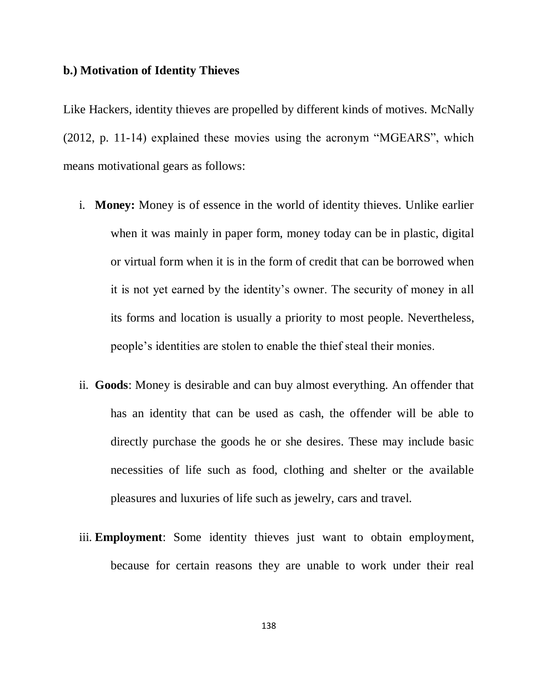#### **b.) Motivation of Identity Thieves**

Like Hackers, identity thieves are propelled by different kinds of motives. McNally (2012, p. 11-14) explained these movies using the acronym "MGEARS", which means motivational gears as follows:

- i. **Money:** Money is of essence in the world of identity thieves. Unlike earlier when it was mainly in paper form, money today can be in plastic, digital or virtual form when it is in the form of credit that can be borrowed when it is not yet earned by the identity"s owner. The security of money in all its forms and location is usually a priority to most people. Nevertheless, people"s identities are stolen to enable the thief steal their monies.
- ii. **Goods**: Money is desirable and can buy almost everything. An offender that has an identity that can be used as cash, the offender will be able to directly purchase the goods he or she desires. These may include basic necessities of life such as food, clothing and shelter or the available pleasures and luxuries of life such as jewelry, cars and travel.
- iii. **Employment**: Some identity thieves just want to obtain employment, because for certain reasons they are unable to work under their real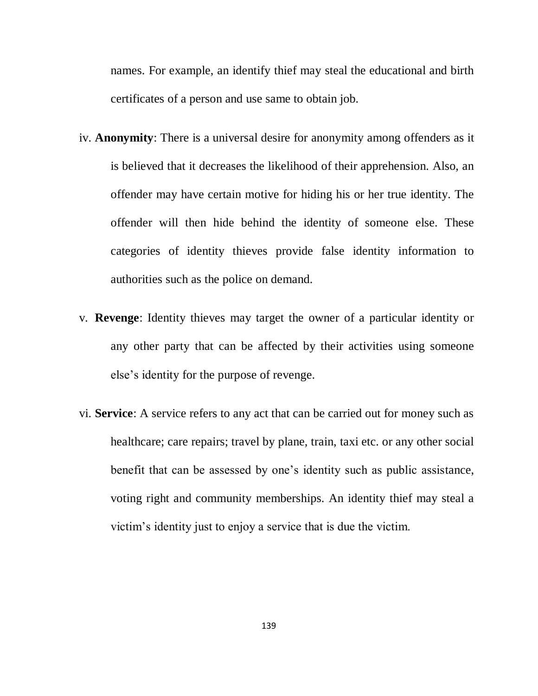names. For example, an identify thief may steal the educational and birth certificates of a person and use same to obtain job.

- iv. **Anonymity**: There is a universal desire for anonymity among offenders as it is believed that it decreases the likelihood of their apprehension. Also, an offender may have certain motive for hiding his or her true identity. The offender will then hide behind the identity of someone else. These categories of identity thieves provide false identity information to authorities such as the police on demand.
- v. **Revenge**: Identity thieves may target the owner of a particular identity or any other party that can be affected by their activities using someone else"s identity for the purpose of revenge.
- vi. **Service**: A service refers to any act that can be carried out for money such as healthcare; care repairs; travel by plane, train, taxi etc. or any other social benefit that can be assessed by one"s identity such as public assistance, voting right and community memberships. An identity thief may steal a victim"s identity just to enjoy a service that is due the victim.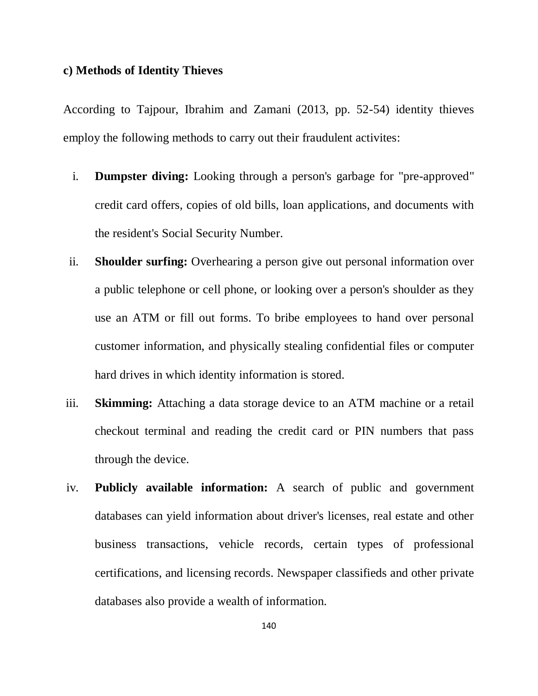### **c) Methods of Identity Thieves**

According to Tajpour, Ibrahim and Zamani (2013, pp. 52-54) identity thieves employ the following methods to carry out their fraudulent activites:

- i. **Dumpster diving:** Looking through a person's garbage for "pre-approved" credit card offers, copies of old bills, loan applications, and documents with the resident's Social Security Number.
- ii. **Shoulder surfing:** Overhearing a person give out personal information over a public telephone or cell phone, or looking over a person's shoulder as they use an ATM or fill out forms. To bribe employees to hand over personal customer information, and physically stealing confidential files or computer hard drives in which identity information is stored.
- iii. **Skimming:** Attaching a data storage device to an ATM machine or a retail checkout terminal and reading the credit card or PIN numbers that pass through the device.
- iv. **Publicly available information:** A search of public and government databases can yield information about driver's licenses, real estate and other business transactions, vehicle records, certain types of professional certifications, and licensing records. Newspaper classifieds and other private databases also provide a wealth of information.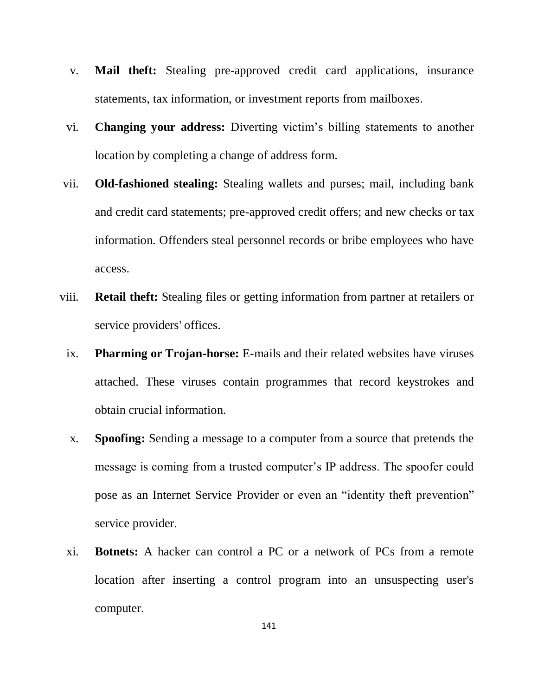- v. **Mail theft:** Stealing pre-approved credit card applications, insurance statements, tax information, or investment reports from mailboxes.
- vi. **Changing your address:** Diverting victim"s billing statements to another location by completing a change of address form.
- vii. **Old-fashioned stealing:** Stealing wallets and purses; mail, including bank and credit card statements; pre-approved credit offers; and new checks or tax information. Offenders steal personnel records or bribe employees who have access.
- viii. **Retail theft:** Stealing files or getting information from partner at retailers or service providers' offices.
- ix. **Pharming or Trojan-horse:** E-mails and their related websites have viruses attached. These viruses contain programmes that record keystrokes and obtain crucial information.
- x. **Spoofing:** Sending a message to a computer from a source that pretends the message is coming from a trusted computer's IP address. The spoofer could pose as an Internet Service Provider or even an "identity theft prevention" service provider.
- xi. **Botnets:** A hacker can control a PC or a network of PCs from a remote location after inserting a control program into an unsuspecting user's computer.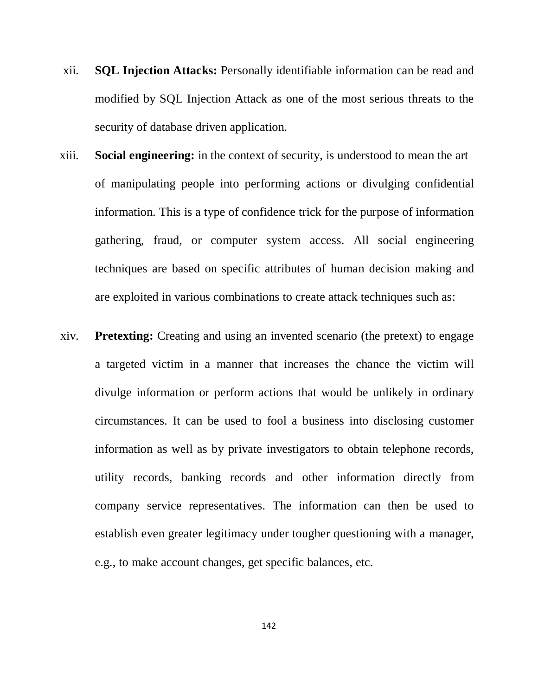- xii. **SQL Injection Attacks:** Personally identifiable information can be read and modified by SQL Injection Attack as one of the most serious threats to the security of database driven application.
- xiii. **Social engineering:** in the context of security, is understood to mean the art of manipulating people into performing actions or divulging confidential information. This is a type of confidence trick for the purpose of information gathering, fraud, or computer system access. All social engineering techniques are based on specific attributes of human decision making and are exploited in various combinations to create attack techniques such as:
- xiv. **Pretexting:** Creating and using an invented scenario (the pretext) to engage a targeted victim in a manner that increases the chance the victim will divulge information or perform actions that would be unlikely in ordinary circumstances. It can be used to fool a business into disclosing customer information as well as by private investigators to obtain telephone records, utility records, banking records and other information directly from company service representatives. The information can then be used to establish even greater legitimacy under tougher questioning with a manager, e.g., to make account changes, get specific balances, etc.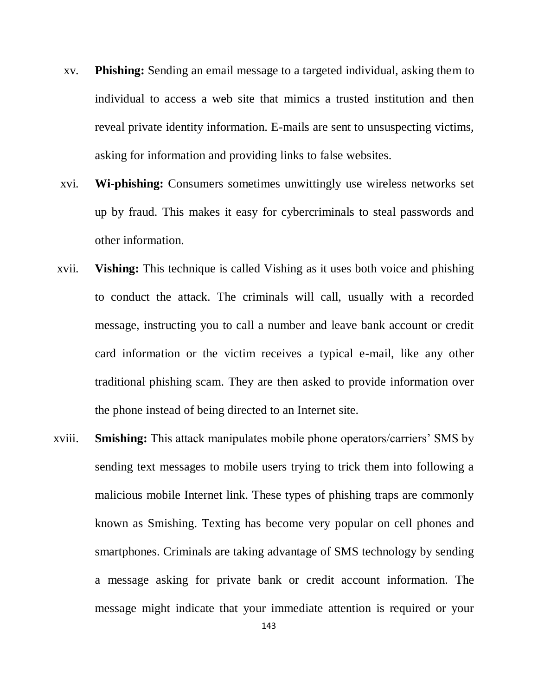- xv. **Phishing:** Sending an email message to a targeted individual, asking them to individual to access a web site that mimics a trusted institution and then reveal private identity information. E-mails are sent to unsuspecting victims, asking for information and providing links to false websites.
- xvi. **Wi-phishing:** Consumers sometimes unwittingly use wireless networks set up by fraud. This makes it easy for cybercriminals to steal passwords and other information.
- xvii. **Vishing:** This technique is called Vishing as it uses both voice and phishing to conduct the attack. The criminals will call, usually with a recorded message, instructing you to call a number and leave bank account or credit card information or the victim receives a typical e-mail, like any other traditional phishing scam. They are then asked to provide information over the phone instead of being directed to an Internet site.
- xviii. **Smishing:** This attack manipulates mobile phone operators/carriers" SMS by sending text messages to mobile users trying to trick them into following a malicious mobile Internet link. These types of phishing traps are commonly known as Smishing. Texting has become very popular on cell phones and smartphones. Criminals are taking advantage of SMS technology by sending a message asking for private bank or credit account information. The message might indicate that your immediate attention is required or your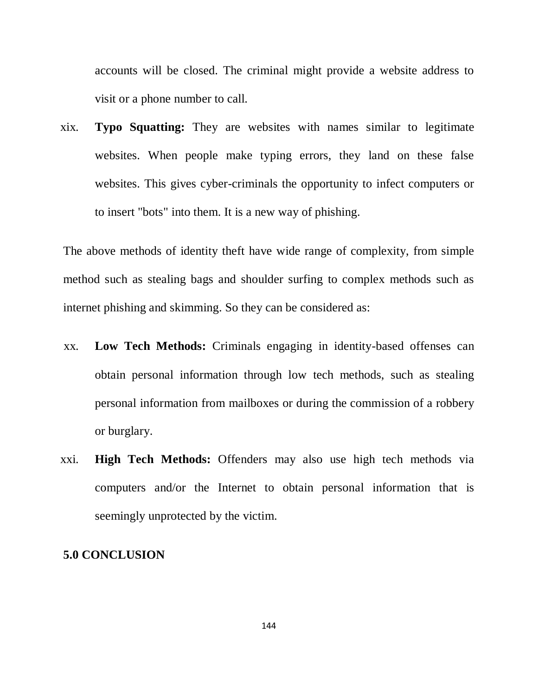accounts will be closed. The criminal might provide a website address to visit or a phone number to call.

xix. **Typo Squatting:** They are websites with names similar to legitimate websites. When people make typing errors, they land on these false websites. This gives cyber-criminals the opportunity to infect computers or to insert "bots" into them. It is a new way of phishing.

The above methods of identity theft have wide range of complexity, from simple method such as stealing bags and shoulder surfing to complex methods such as internet phishing and skimming. So they can be considered as:

- xx. **Low Tech Methods:** Criminals engaging in identity-based offenses can obtain personal information through low tech methods, such as stealing personal information from mailboxes or during the commission of a robbery or burglary.
- xxi. **High Tech Methods:** Offenders may also use high tech methods via computers and/or the Internet to obtain personal information that is seemingly unprotected by the victim.

#### **5.0 CONCLUSION**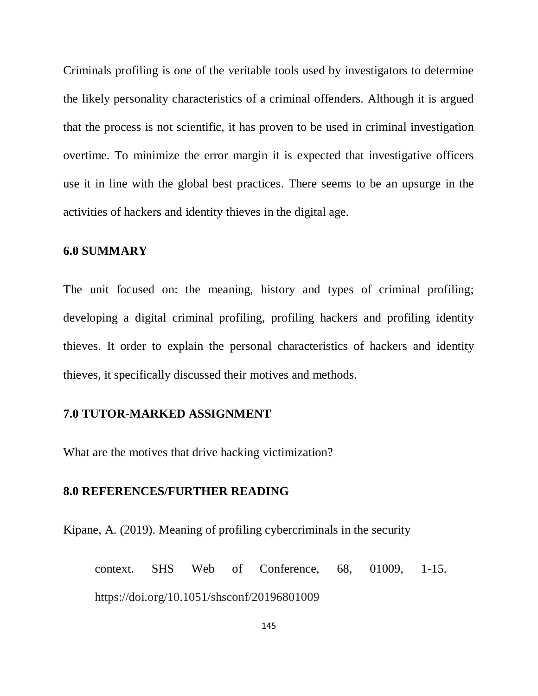Criminals profiling is one of the veritable tools used by investigators to determine the likely personality characteristics of a criminal offenders. Although it is argued that the process is not scientific, it has proven to be used in criminal investigation overtime. To minimize the error margin it is expected that investigative officers use it in line with the global best practices. There seems to be an upsurge in the activities of hackers and identity thieves in the digital age.

#### **6.0 SUMMARY**

The unit focused on: the meaning, history and types of criminal profiling; developing a digital criminal profiling, profiling hackers and profiling identity thieves. It order to explain the personal characteristics of hackers and identity thieves, it specifically discussed their motives and methods.

#### **7.0 TUTOR-MARKED ASSIGNMENT**

What are the motives that drive hacking victimization?

#### **8.0 REFERENCES/FURTHER READING**

Kipane, A. (2019). Meaning of profiling cybercriminals in the security

context. SHS Web of Conference, 68, 01009, 1-15. https://doi.org/10.1051/shsconf/20196801009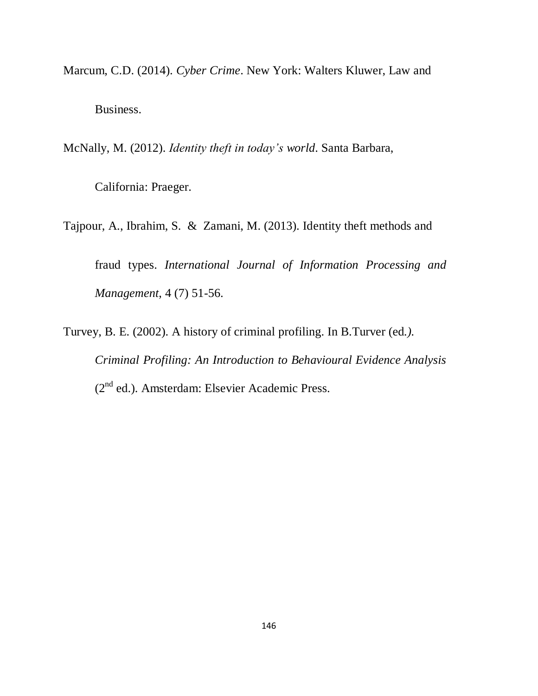Marcum, C.D. (2014). *Cyber Crime*. New York: Walters Kluwer, Law and Business.

McNally, M. (2012). *Identity theft in today's world*. Santa Barbara,

California: Praeger.

Tajpour, A., Ibrahim, S. & Zamani, M. (2013). Identity theft methods and

fraud types. *International Journal of Information Processing and Management*, 4 (7) 51-56.

Turvey, B. E. (2002). A history of criminal profiling. In B.Turver (ed*.). Criminal Profiling: An Introduction to Behavioural Evidence Analysis* (2nd ed.). Amsterdam: Elsevier Academic Press.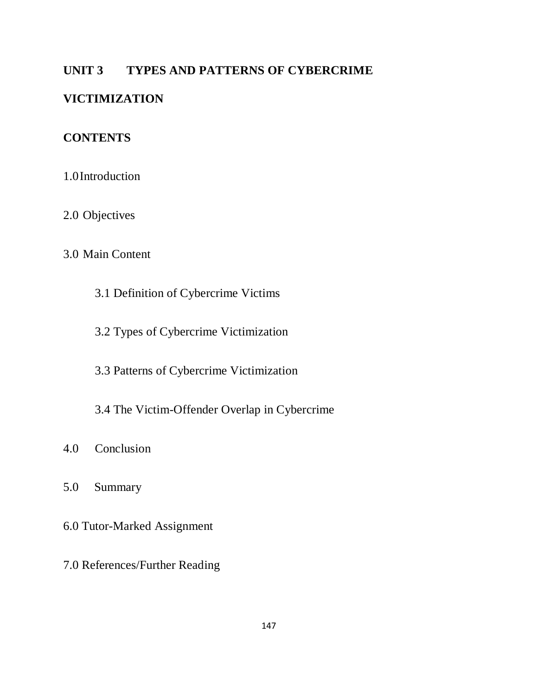# **UNIT 3 TYPES AND PATTERNS OF CYBERCRIME**

# **VICTIMIZATION**

# **CONTENTS**

- 1.0Introduction
- 2.0 Objectives

# 3.0 Main Content

- 3.1 Definition of Cybercrime Victims
- 3.2 Types of Cybercrime Victimization
- 3.3 Patterns of Cybercrime Victimization
- 3.4 The Victim-Offender Overlap in Cybercrime
- 4.0 Conclusion
- 5.0 Summary
- 6.0 Tutor-Marked Assignment
- 7.0 References/Further Reading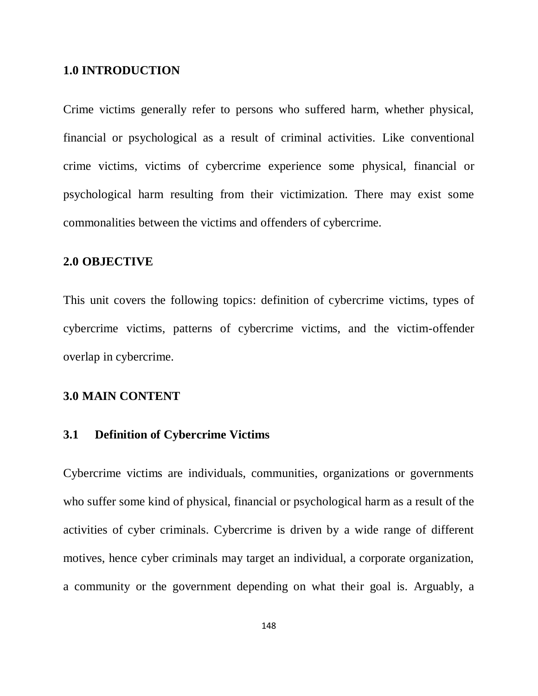#### **1.0 INTRODUCTION**

Crime victims generally refer to persons who suffered harm, whether physical, financial or psychological as a result of criminal activities. Like conventional crime victims, victims of cybercrime experience some physical, financial or psychological harm resulting from their victimization. There may exist some commonalities between the victims and offenders of cybercrime.

## **2.0 OBJECTIVE**

This unit covers the following topics: definition of cybercrime victims, types of cybercrime victims, patterns of cybercrime victims, and the victim-offender overlap in cybercrime.

#### **3.0 MAIN CONTENT**

#### **3.1 Definition of Cybercrime Victims**

Cybercrime victims are individuals, communities, organizations or governments who suffer some kind of physical, financial or psychological harm as a result of the activities of cyber criminals. Cybercrime is driven by a wide range of different motives, hence cyber criminals may target an individual, a corporate organization, a community or the government depending on what their goal is. Arguably, a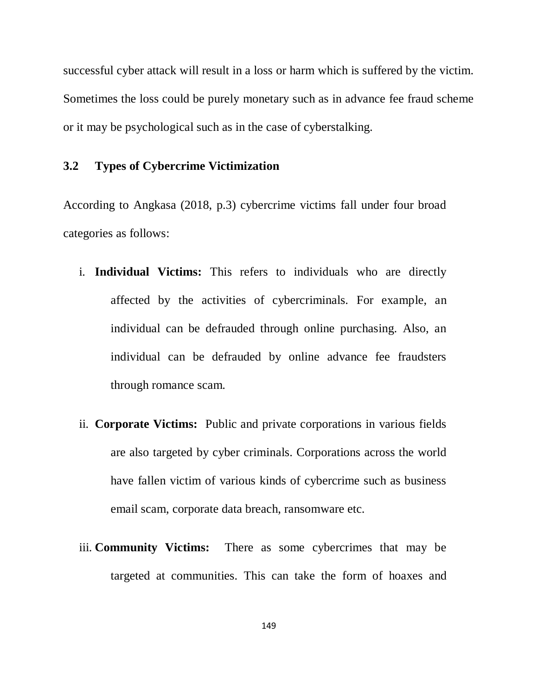successful cyber attack will result in a loss or harm which is suffered by the victim. Sometimes the loss could be purely monetary such as in advance fee fraud scheme or it may be psychological such as in the case of cyberstalking.

# **3.2 Types of Cybercrime Victimization**

According to Angkasa (2018, p.3) cybercrime victims fall under four broad categories as follows:

- i. **Individual Victims:** This refers to individuals who are directly affected by the activities of cybercriminals. For example, an individual can be defrauded through online purchasing. Also, an individual can be defrauded by online advance fee fraudsters through romance scam.
- ii. **Corporate Victims:** Public and private corporations in various fields are also targeted by cyber criminals. Corporations across the world have fallen victim of various kinds of cybercrime such as business email scam, corporate data breach, ransomware etc.
- iii. **Community Victims:** There as some cybercrimes that may be targeted at communities. This can take the form of hoaxes and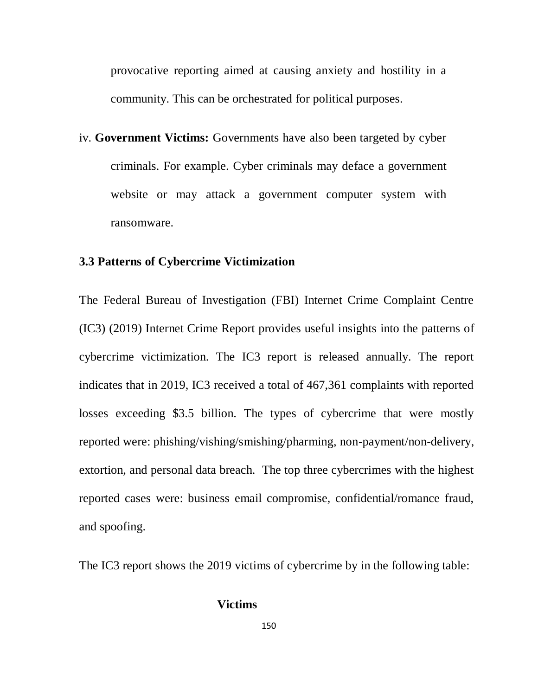provocative reporting aimed at causing anxiety and hostility in a community. This can be orchestrated for political purposes.

iv. **Government Victims:** Governments have also been targeted by cyber criminals. For example. Cyber criminals may deface a government website or may attack a government computer system with ransomware.

#### **3.3 Patterns of Cybercrime Victimization**

The Federal Bureau of Investigation (FBI) Internet Crime Complaint Centre (IC3) (2019) Internet Crime Report provides useful insights into the patterns of cybercrime victimization. The IC3 report is released annually. The report indicates that in 2019, IC3 received a total of 467,361 complaints with reported losses exceeding \$3.5 billion. The types of cybercrime that were mostly reported were: phishing/vishing/smishing/pharming, non-payment/non-delivery, extortion, and personal data breach. The top three cybercrimes with the highest reported cases were: business email compromise, confidential/romance fraud, and spoofing.

The IC3 report shows the 2019 victims of cybercrime by in the following table:

#### **Victims**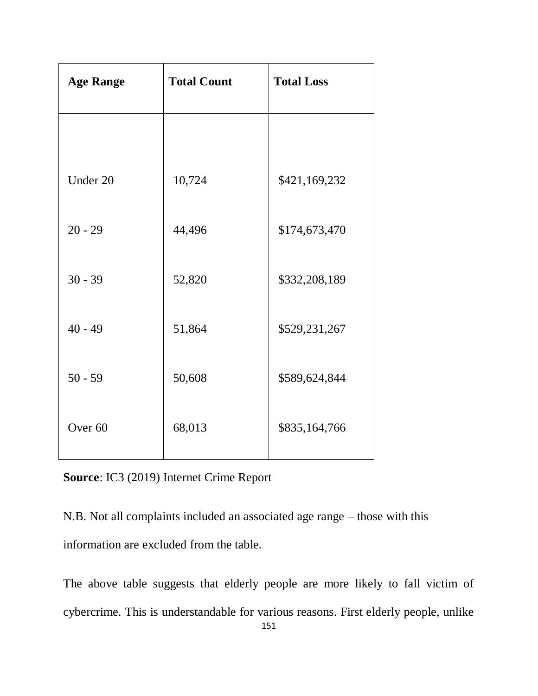| <b>Age Range</b>   | <b>Total Count</b> | <b>Total Loss</b> |
|--------------------|--------------------|-------------------|
|                    |                    |                   |
| Under 20           | 10,724             | \$421,169,232     |
| $20 - 29$          | 44,496             | \$174,673,470     |
| $30 - 39$          | 52,820             | \$332,208,189     |
| $40 - 49$          | 51,864             | \$529,231,267     |
| $50 - 59$          | 50,608             | \$589,624,844     |
| Over <sub>60</sub> | 68,013             | \$835,164,766     |

**Source**: IC3 (2019) Internet Crime Report

N.B. Not all complaints included an associated age range – those with this information are excluded from the table.

The above table suggests that elderly people are more likely to fall victim of cybercrime. This is understandable for various reasons. First elderly people, unlike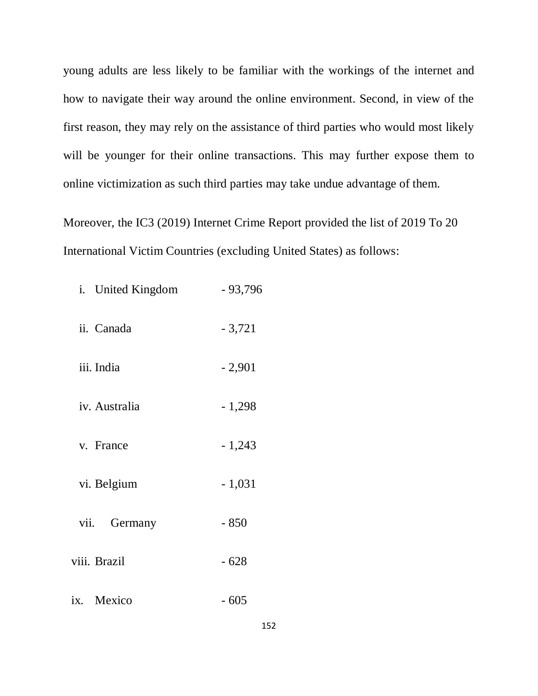young adults are less likely to be familiar with the workings of the internet and how to navigate their way around the online environment. Second, in view of the first reason, they may rely on the assistance of third parties who would most likely will be younger for their online transactions. This may further expose them to online victimization as such third parties may take undue advantage of them.

Moreover, the IC3 (2019) Internet Crime Report provided the list of 2019 To 20 International Victim Countries (excluding United States) as follows:

| i. United Kingdom | $-93,796$ |
|-------------------|-----------|
| ii. Canada        | $-3,721$  |
| iii. India        | $-2,901$  |
| iv. Australia     | $-1,298$  |
| v. France         | $-1,243$  |
| vi. Belgium       | $-1,031$  |
| Germany<br>vii.   | $-850$    |
| viii. Brazil      | $-628$    |
| ix. Mexico        | - 605     |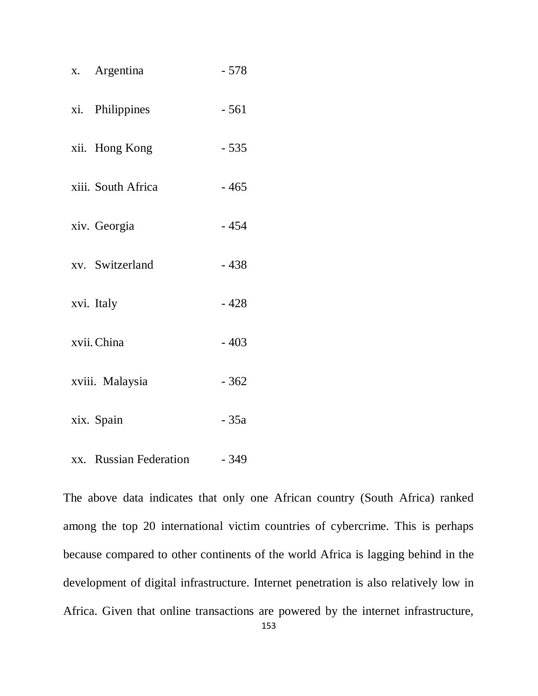| x. Argentina       | $-578$ |
|--------------------|--------|
| xi. Philippines    | $-561$ |
| xii. Hong Kong     | $-535$ |
| xiii. South Africa | $-465$ |
| xiv. Georgia       | $-454$ |
| xv. Switzerland    | $-438$ |
| xvi. Italy         | $-428$ |
| xvii. China        | $-403$ |
| xviii. Malaysia    | $-362$ |
| xix. Spain         | $-35a$ |
|                    |        |

xx. Russian Federation - 349

The above data indicates that only one African country (South Africa) ranked among the top 20 international victim countries of cybercrime. This is perhaps because compared to other continents of the world Africa is lagging behind in the development of digital infrastructure. Internet penetration is also relatively low in Africa. Given that online transactions are powered by the internet infrastructure,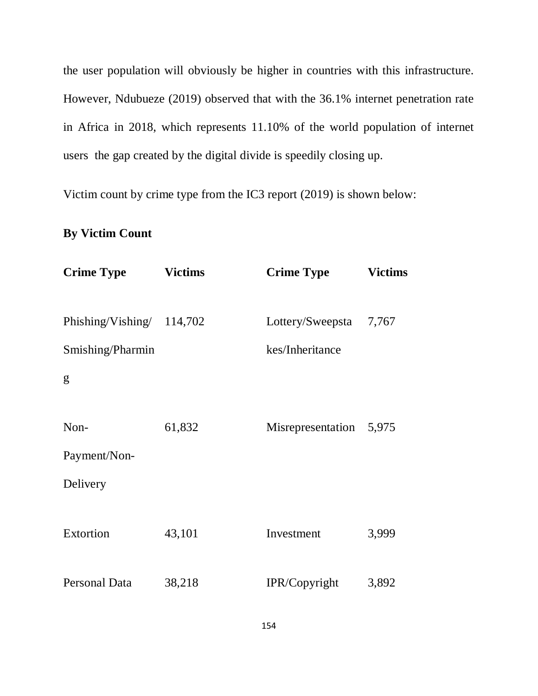the user population will obviously be higher in countries with this infrastructure. However, Ndubueze (2019) observed that with the 36.1% internet penetration rate in Africa in 2018, which represents 11.10% of the world population of internet users the gap created by the digital divide is speedily closing up.

Victim count by crime type from the IC3 report (2019) is shown below:

# **By Victim Count**

| <b>Crime Type</b>                             | <b>Victims</b> | <b>Crime Type</b>                         | <b>Victims</b> |
|-----------------------------------------------|----------------|-------------------------------------------|----------------|
| Phishing/Vishing/ 114,702<br>Smishing/Pharmin |                | Lottery/Sweepsta 7,767<br>kes/Inheritance |                |
| g                                             |                |                                           |                |
| Non-<br>Payment/Non-                          | 61,832         | Misrepresentation 5,975                   |                |
| Delivery                                      |                |                                           |                |
| Extortion                                     | 43,101         | Investment                                | 3,999          |
| Personal Data                                 | 38,218         | IPR/Copyright                             | 3,892          |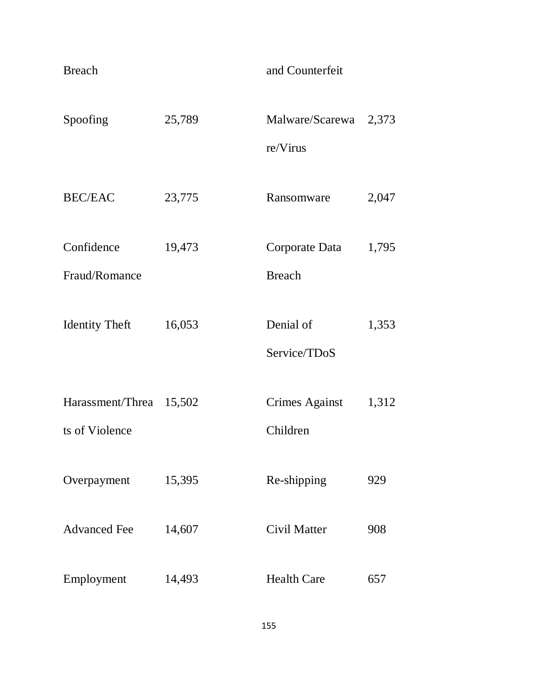| <b>Breach</b>                             |        | and Counterfeit                   |       |
|-------------------------------------------|--------|-----------------------------------|-------|
| Spoofing                                  | 25,789 | Malware/Scarewa<br>re/Virus       | 2,373 |
| <b>BEC/EAC</b>                            | 23,775 | Ransomware                        | 2,047 |
| Confidence<br>Fraud/Romance               | 19,473 | Corporate Data<br><b>Breach</b>   | 1,795 |
| <b>Identity Theft</b>                     | 16,053 | Denial of<br>Service/TDoS         | 1,353 |
| Harassment/Threa 15,502<br>ts of Violence |        | <b>Crimes Against</b><br>Children | 1,312 |
| Overpayment                               | 15,395 | Re-shipping                       | 929   |
| <b>Advanced Fee</b>                       | 14,607 | Civil Matter                      | 908   |
| Employment                                | 14,493 | <b>Health Care</b>                | 657   |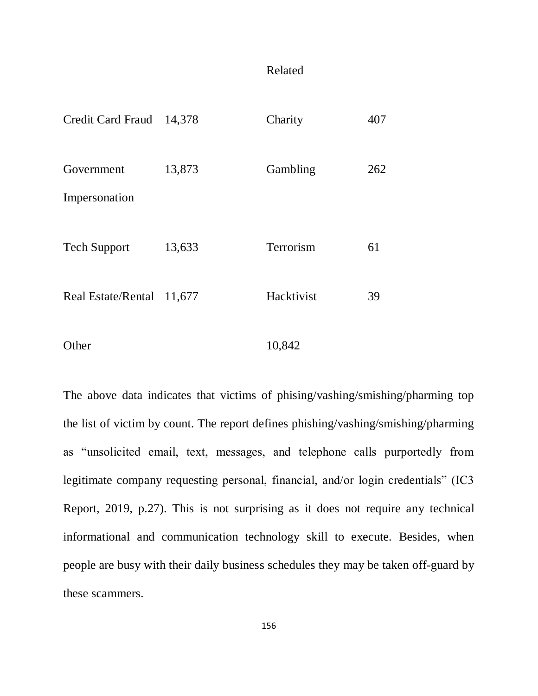#### Related

| Credit Card Fraud 14,378    |        | Charity    | 407 |
|-----------------------------|--------|------------|-----|
| Government<br>Impersonation | 13,873 | Gambling   | 262 |
| <b>Tech Support</b>         | 13,633 | Terrorism  | 61  |
| Real Estate/Rental 11,677   |        | Hacktivist | 39  |
| Other                       |        | 10,842     |     |

The above data indicates that victims of phising/vashing/smishing/pharming top the list of victim by count. The report defines phishing/vashing/smishing/pharming as "unsolicited email, text, messages, and telephone calls purportedly from legitimate company requesting personal, financial, and/or login credentials" (IC3 Report, 2019, p.27). This is not surprising as it does not require any technical informational and communication technology skill to execute. Besides, when people are busy with their daily business schedules they may be taken off-guard by these scammers.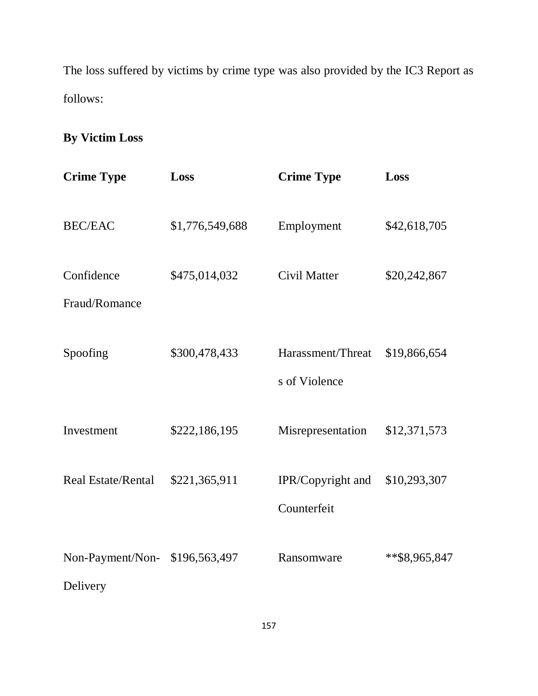The loss suffered by victims by crime type was also provided by the IC3 Report as follows:

# **By Victim Loss**

| <b>Crime Type</b>            | Loss            | <b>Crime Type</b>                  | Loss          |
|------------------------------|-----------------|------------------------------------|---------------|
| <b>BEC/EAC</b>               | \$1,776,549,688 | Employment                         | \$42,618,705  |
| Confidence<br>Fraud/Romance  | \$475,014,032   | Civil Matter                       | \$20,242,867  |
| Spoofing                     | \$300,478,433   | Harassment/Threat<br>s of Violence | \$19,866,654  |
| Investment                   | \$222,186,195   | Misrepresentation                  | \$12,371,573  |
| <b>Real Estate/Rental</b>    | \$221,365,911   | IPR/Copyright and<br>Counterfeit   | \$10,293,307  |
| Non-Payment/Non-<br>Delivery | \$196,563,497   | Ransomware                         | **\$8,965,847 |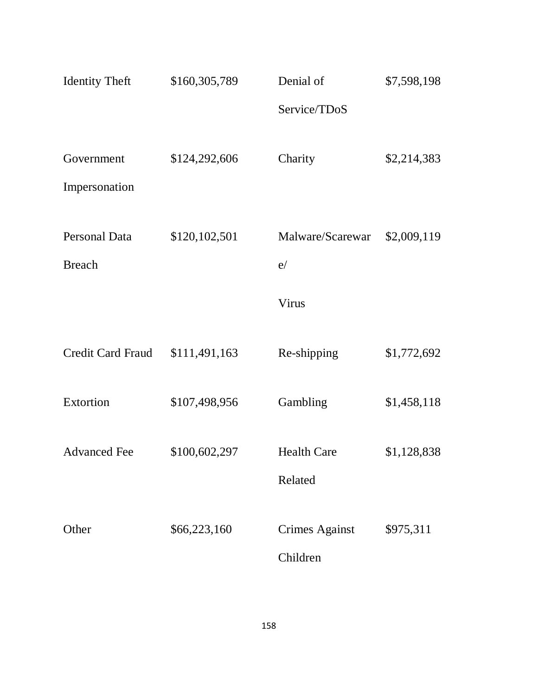| <b>Identity Theft</b>    | \$160,305,789 | Denial of             | \$7,598,198 |
|--------------------------|---------------|-----------------------|-------------|
|                          |               | Service/TDoS          |             |
|                          |               |                       |             |
| Government               | \$124,292,606 | Charity               | \$2,214,383 |
| Impersonation            |               |                       |             |
|                          |               |                       |             |
| <b>Personal Data</b>     | \$120,102,501 | Malware/Scarewar      | \$2,009,119 |
| <b>Breach</b>            |               | e/                    |             |
|                          |               | Virus                 |             |
|                          |               |                       |             |
| <b>Credit Card Fraud</b> | \$111,491,163 | Re-shipping           | \$1,772,692 |
|                          |               |                       |             |
| Extortion                | \$107,498,956 | Gambling              | \$1,458,118 |
|                          |               |                       |             |
| <b>Advanced Fee</b>      | \$100,602,297 | <b>Health Care</b>    | \$1,128,838 |
|                          |               | Related               |             |
| Other                    | \$66,223,160  | <b>Crimes Against</b> | \$975,311   |
|                          |               |                       |             |
|                          |               | Children              |             |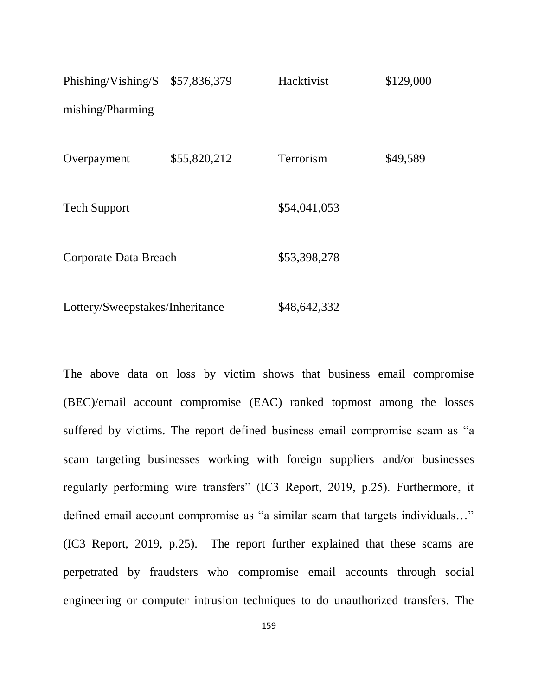| Phishing/Vishing/S \$57,836,379 |              | Hacktivist   | \$129,000 |
|---------------------------------|--------------|--------------|-----------|
| mishing/Pharming                |              |              |           |
| Overpayment                     | \$55,820,212 | Terrorism    | \$49,589  |
| <b>Tech Support</b>             |              | \$54,041,053 |           |
| Corporate Data Breach           |              | \$53,398,278 |           |
| Lottery/Sweepstakes/Inheritance |              | \$48,642,332 |           |

The above data on loss by victim shows that business email compromise (BEC)/email account compromise (EAC) ranked topmost among the losses suffered by victims. The report defined business email compromise scam as "a scam targeting businesses working with foreign suppliers and/or businesses regularly performing wire transfers" (IC3 Report, 2019, p.25). Furthermore, it defined email account compromise as "a similar scam that targets individuals…" (IC3 Report, 2019, p.25). The report further explained that these scams are perpetrated by fraudsters who compromise email accounts through social engineering or computer intrusion techniques to do unauthorized transfers. The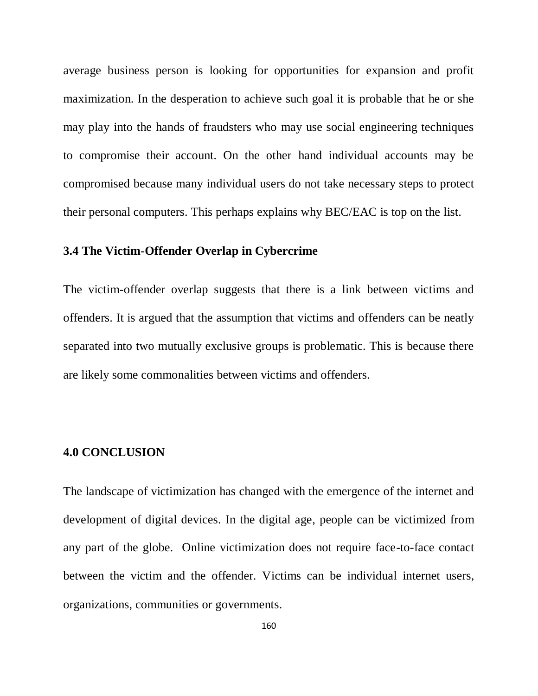average business person is looking for opportunities for expansion and profit maximization. In the desperation to achieve such goal it is probable that he or she may play into the hands of fraudsters who may use social engineering techniques to compromise their account. On the other hand individual accounts may be compromised because many individual users do not take necessary steps to protect their personal computers. This perhaps explains why BEC/EAC is top on the list.

#### **3.4 The Victim-Offender Overlap in Cybercrime**

The victim-offender overlap suggests that there is a link between victims and offenders. It is argued that the assumption that victims and offenders can be neatly separated into two mutually exclusive groups is problematic. This is because there are likely some commonalities between victims and offenders.

#### **4.0 CONCLUSION**

The landscape of victimization has changed with the emergence of the internet and development of digital devices. In the digital age, people can be victimized from any part of the globe. Online victimization does not require face-to-face contact between the victim and the offender. Victims can be individual internet users, organizations, communities or governments.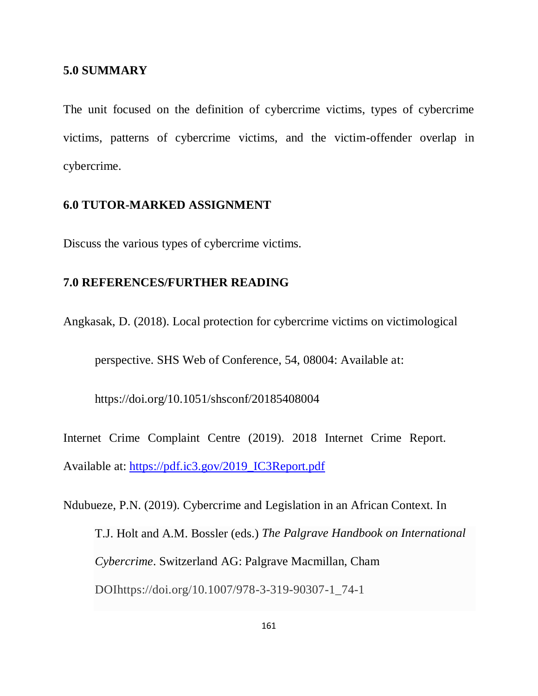#### **5.0 SUMMARY**

The unit focused on the definition of cybercrime victims, types of cybercrime victims, patterns of cybercrime victims, and the victim-offender overlap in cybercrime.

#### **6.0 TUTOR-MARKED ASSIGNMENT**

Discuss the various types of cybercrime victims.

# **7.0 REFERENCES/FURTHER READING**

Angkasak, D. (2018). Local protection for cybercrime victims on victimological

perspective. SHS Web of Conference, 54, 08004: Available at:

https://doi.org/10.1051/shsconf/20185408004

Internet Crime Complaint Centre (2019). 2018 Internet Crime Report. Available at: [https://pdf.ic3.gov/2019\\_IC3Report.pdf](https://pdf.ic3.gov/2019_IC3Report.pdf)

Ndubueze, P.N. (2019). Cybercrime and Legislation in an African Context. In T.J. Holt and A.M. Bossler (eds.) *The Palgrave Handbook on International Cybercrime*. Switzerland AG: Palgrave Macmillan, Cham DOIhttps://doi.org/10.1007/978-3-319-90307-1\_74-1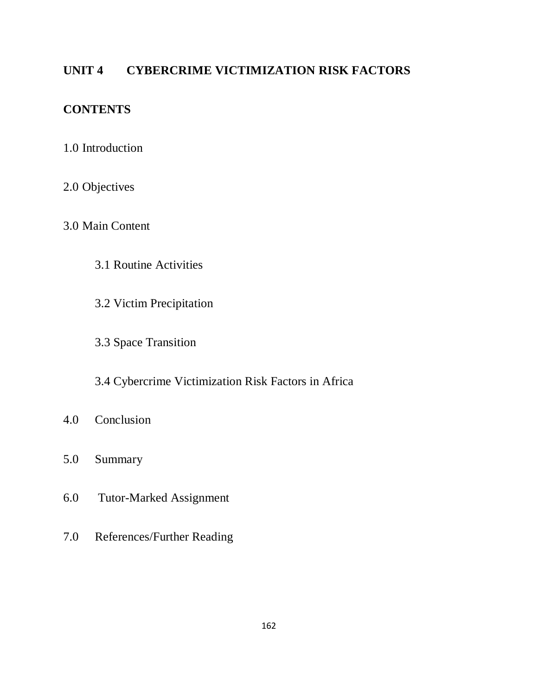# **UNIT 4 CYBERCRIME VICTIMIZATION RISK FACTORS**

# **CONTENTS**

- 1.0 Introduction
- 2.0 Objectives
- 3.0 Main Content
	- 3.1 Routine Activities
	- 3.2 Victim Precipitation
	- 3.3 Space Transition
	- 3.4 Cybercrime Victimization Risk Factors in Africa
- 4.0 Conclusion
- 5.0 Summary
- 6.0 Tutor-Marked Assignment
- 7.0 References/Further Reading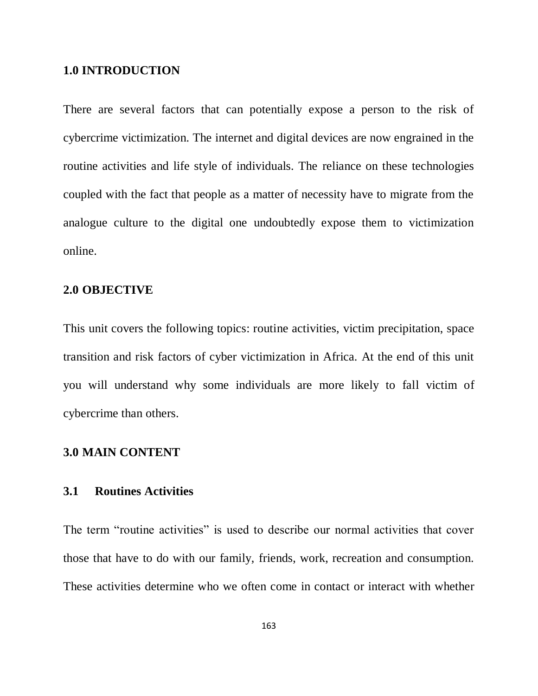#### **1.0 INTRODUCTION**

There are several factors that can potentially expose a person to the risk of cybercrime victimization. The internet and digital devices are now engrained in the routine activities and life style of individuals. The reliance on these technologies coupled with the fact that people as a matter of necessity have to migrate from the analogue culture to the digital one undoubtedly expose them to victimization online.

#### **2.0 OBJECTIVE**

This unit covers the following topics: routine activities, victim precipitation, space transition and risk factors of cyber victimization in Africa. At the end of this unit you will understand why some individuals are more likely to fall victim of cybercrime than others.

#### **3.0 MAIN CONTENT**

#### **3.1 Routines Activities**

The term "routine activities" is used to describe our normal activities that cover those that have to do with our family, friends, work, recreation and consumption. These activities determine who we often come in contact or interact with whether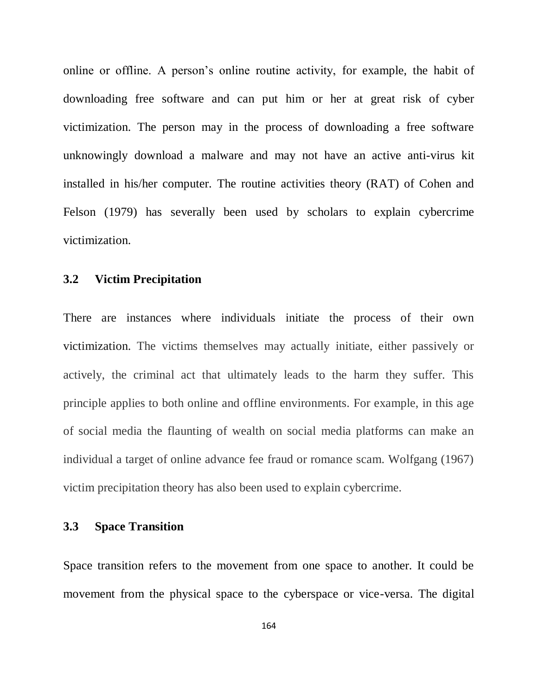online or offline. A person"s online routine activity, for example, the habit of downloading free software and can put him or her at great risk of cyber victimization. The person may in the process of downloading a free software unknowingly download a malware and may not have an active anti-virus kit installed in his/her computer. The routine activities theory (RAT) of Cohen and Felson (1979) has severally been used by scholars to explain cybercrime victimization.

#### **3.2 Victim Precipitation**

There are instances where individuals initiate the process of their own victimization. The victims themselves may actually initiate, either passively or actively, the criminal act that ultimately leads to the harm they suffer. This principle applies to both online and offline environments. For example, in this age of social media the flaunting of wealth on social media platforms can make an individual a target of online advance fee fraud or romance scam. Wolfgang (1967) victim precipitation theory has also been used to explain cybercrime.

# **3.3 Space Transition**

Space transition refers to the movement from one space to another. It could be movement from the physical space to the cyberspace or vice-versa. The digital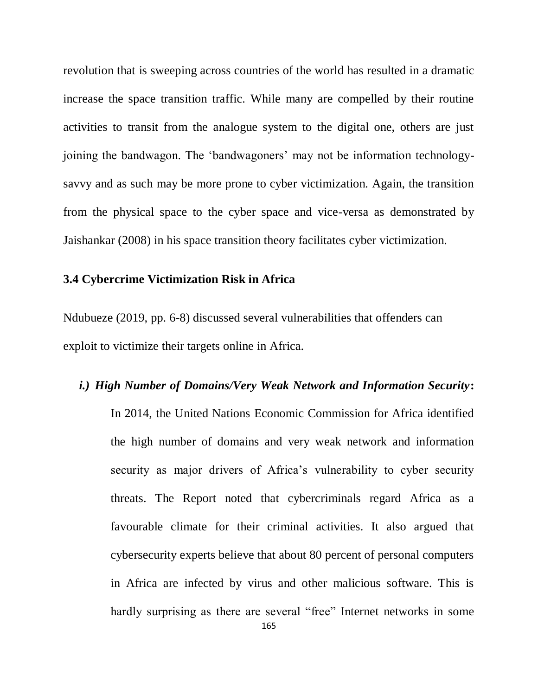revolution that is sweeping across countries of the world has resulted in a dramatic increase the space transition traffic. While many are compelled by their routine activities to transit from the analogue system to the digital one, others are just joining the bandwagon. The "bandwagoners" may not be information technologysavvy and as such may be more prone to cyber victimization. Again, the transition from the physical space to the cyber space and vice-versa as demonstrated by Jaishankar (2008) in his space transition theory facilitates cyber victimization.

#### **3.4 Cybercrime Victimization Risk in Africa**

Ndubueze (2019, pp. 6-8) discussed several vulnerabilities that offenders can exploit to victimize their targets online in Africa.

# *i.) High Number of Domains/Very Weak Network and Information Security***:**

In 2014, the United Nations Economic Commission for Africa identified the high number of domains and very weak network and information security as major drivers of Africa's vulnerability to cyber security threats. The Report noted that cybercriminals regard Africa as a favourable climate for their criminal activities. It also argued that cybersecurity experts believe that about 80 percent of personal computers in Africa are infected by virus and other malicious software. This is hardly surprising as there are several "free" Internet networks in some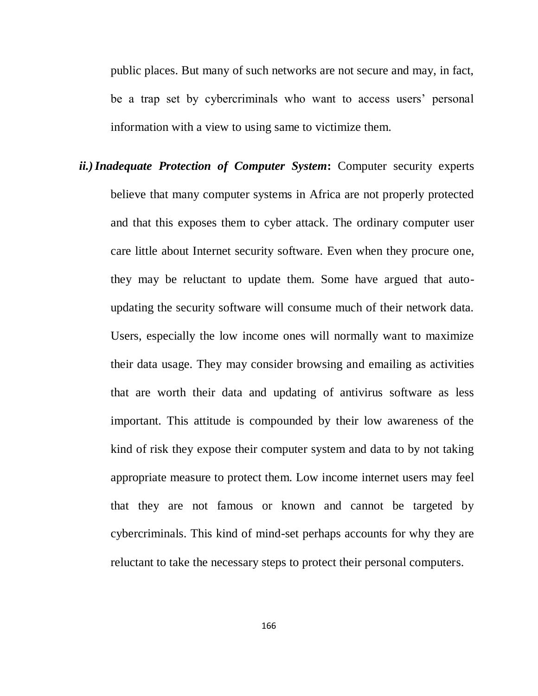public places. But many of such networks are not secure and may, in fact, be a trap set by cybercriminals who want to access users' personal information with a view to using same to victimize them.

*ii.)Inadequate Protection of Computer System***:** Computer security experts believe that many computer systems in Africa are not properly protected and that this exposes them to cyber attack. The ordinary computer user care little about Internet security software. Even when they procure one, they may be reluctant to update them. Some have argued that autoupdating the security software will consume much of their network data. Users, especially the low income ones will normally want to maximize their data usage. They may consider browsing and emailing as activities that are worth their data and updating of antivirus software as less important. This attitude is compounded by their low awareness of the kind of risk they expose their computer system and data to by not taking appropriate measure to protect them. Low income internet users may feel that they are not famous or known and cannot be targeted by cybercriminals. This kind of mind-set perhaps accounts for why they are reluctant to take the necessary steps to protect their personal computers.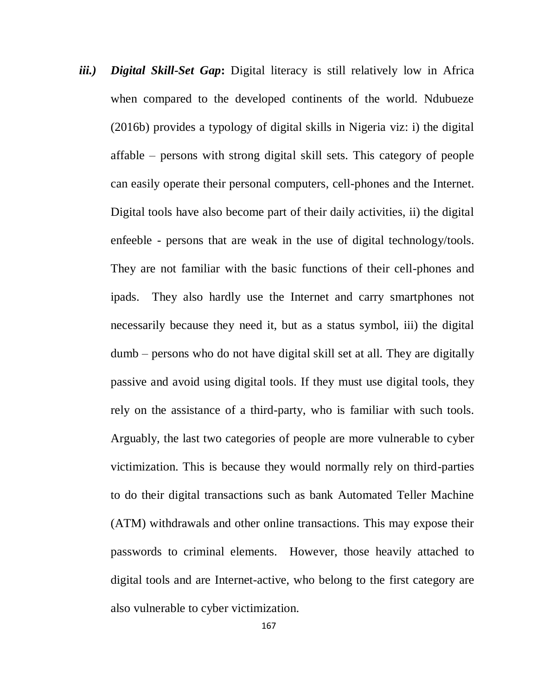*iii.) Digital Skill-Set Gap***:** Digital literacy is still relatively low in Africa when compared to the developed continents of the world. Ndubueze (2016b) provides a typology of digital skills in Nigeria viz: i) the digital affable – persons with strong digital skill sets. This category of people can easily operate their personal computers, cell-phones and the Internet. Digital tools have also become part of their daily activities, ii) the digital enfeeble - persons that are weak in the use of digital technology/tools. They are not familiar with the basic functions of their cell-phones and ipads. They also hardly use the Internet and carry smartphones not necessarily because they need it, but as a status symbol, iii) the digital dumb – persons who do not have digital skill set at all. They are digitally passive and avoid using digital tools. If they must use digital tools, they rely on the assistance of a third-party, who is familiar with such tools. Arguably, the last two categories of people are more vulnerable to cyber victimization. This is because they would normally rely on third-parties to do their digital transactions such as bank Automated Teller Machine (ATM) withdrawals and other online transactions. This may expose their passwords to criminal elements. However, those heavily attached to digital tools and are Internet-active, who belong to the first category are also vulnerable to cyber victimization.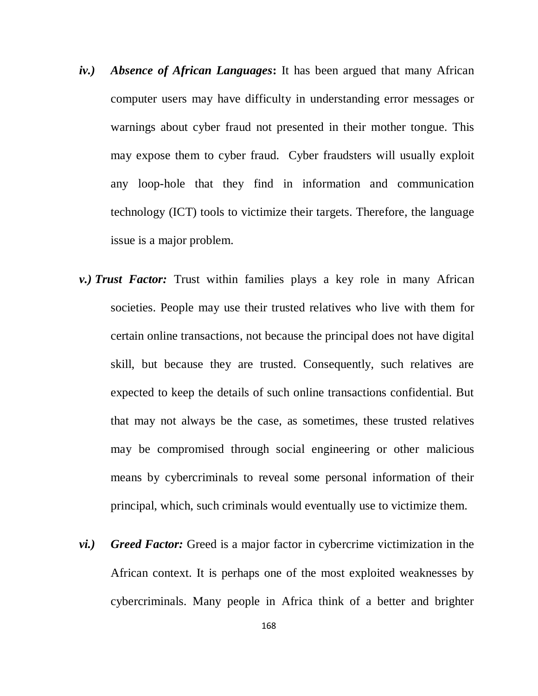- *iv.) Absence of African Languages***:** It has been argued that many African computer users may have difficulty in understanding error messages or warnings about cyber fraud not presented in their mother tongue. This may expose them to cyber fraud. Cyber fraudsters will usually exploit any loop-hole that they find in information and communication technology (ICT) tools to victimize their targets. Therefore, the language issue is a major problem.
- *v.) Trust Factor:* Trust within families plays a key role in many African societies. People may use their trusted relatives who live with them for certain online transactions, not because the principal does not have digital skill, but because they are trusted. Consequently, such relatives are expected to keep the details of such online transactions confidential. But that may not always be the case, as sometimes, these trusted relatives may be compromised through social engineering or other malicious means by cybercriminals to reveal some personal information of their principal, which, such criminals would eventually use to victimize them.
- *vi.) Greed Factor:* Greed is a major factor in cybercrime victimization in the African context. It is perhaps one of the most exploited weaknesses by cybercriminals. Many people in Africa think of a better and brighter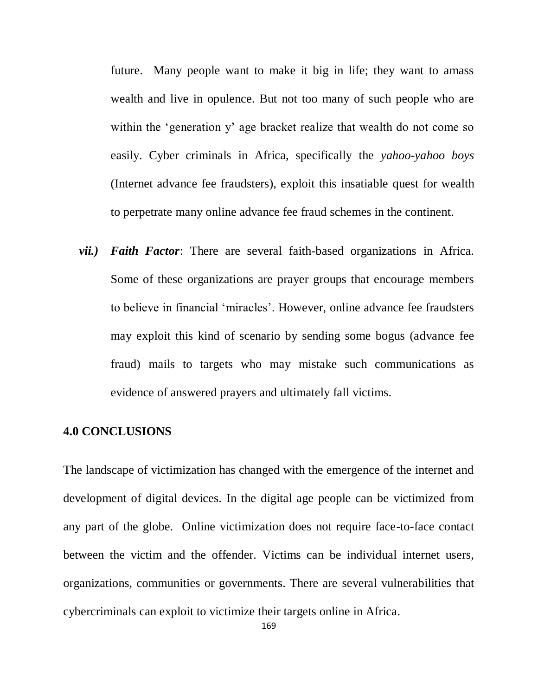future. Many people want to make it big in life; they want to amass wealth and live in opulence. But not too many of such people who are within the 'generation y' age bracket realize that wealth do not come so easily. Cyber criminals in Africa, specifically the *yahoo-yahoo boys* (Internet advance fee fraudsters), exploit this insatiable quest for wealth to perpetrate many online advance fee fraud schemes in the continent.

*vii.) Faith Factor*: There are several faith-based organizations in Africa. Some of these organizations are prayer groups that encourage members to believe in financial "miracles". However, online advance fee fraudsters may exploit this kind of scenario by sending some bogus (advance fee fraud) mails to targets who may mistake such communications as evidence of answered prayers and ultimately fall victims.

# **4.0 CONCLUSIONS**

The landscape of victimization has changed with the emergence of the internet and development of digital devices. In the digital age people can be victimized from any part of the globe. Online victimization does not require face-to-face contact between the victim and the offender. Victims can be individual internet users, organizations, communities or governments. There are several vulnerabilities that cybercriminals can exploit to victimize their targets online in Africa.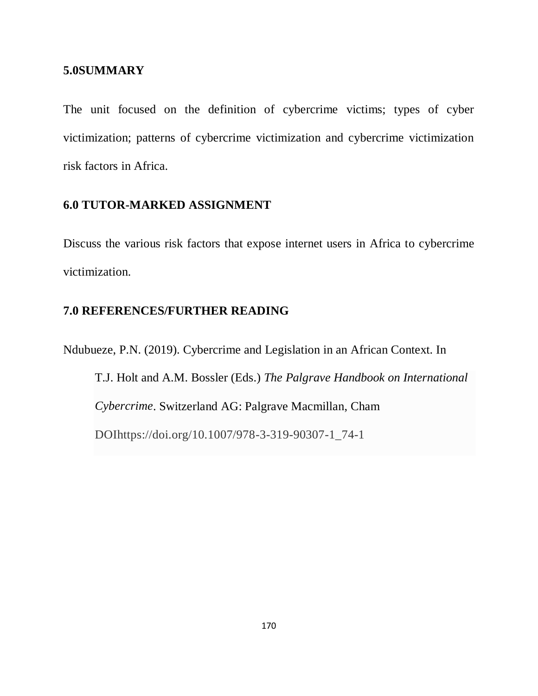#### **5.0SUMMARY**

The unit focused on the definition of cybercrime victims; types of cyber victimization; patterns of cybercrime victimization and cybercrime victimization risk factors in Africa.

# **6.0 TUTOR-MARKED ASSIGNMENT**

Discuss the various risk factors that expose internet users in Africa to cybercrime victimization.

# **7.0 REFERENCES/FURTHER READING**

Ndubueze, P.N. (2019). Cybercrime and Legislation in an African Context. In T.J. Holt and A.M. Bossler (Eds.) *The Palgrave Handbook on International Cybercrime*. Switzerland AG: Palgrave Macmillan, Cham DOIhttps://doi.org/10.1007/978-3-319-90307-1\_74-1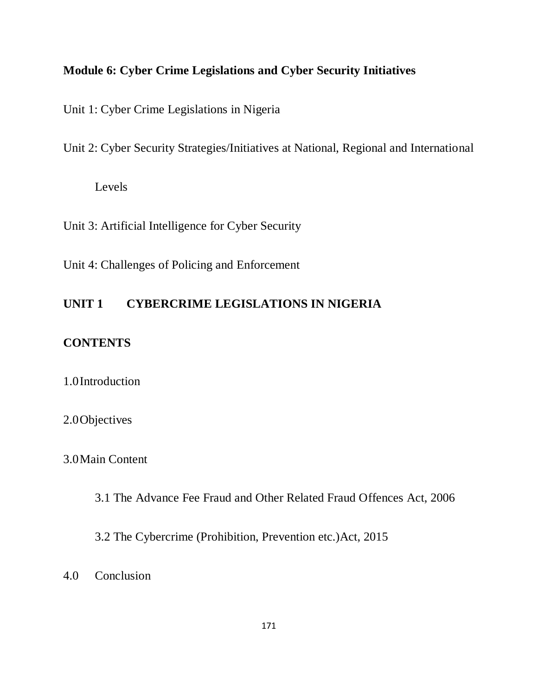# **Module 6: Cyber Crime Legislations and Cyber Security Initiatives**

Unit 1: Cyber Crime Legislations in Nigeria

Unit 2: Cyber Security Strategies/Initiatives at National, Regional and International

Levels

Unit 3: Artificial Intelligence for Cyber Security

Unit 4: Challenges of Policing and Enforcement

# **UNIT 1 CYBERCRIME LEGISLATIONS IN NIGERIA**

# **CONTENTS**

# 1.0Introduction

# 2.0Objectives

# 3.0Main Content

3.1 The Advance Fee Fraud and Other Related Fraud Offences Act, 2006

3.2 The Cybercrime (Prohibition, Prevention etc.)Act, 2015

4.0 Conclusion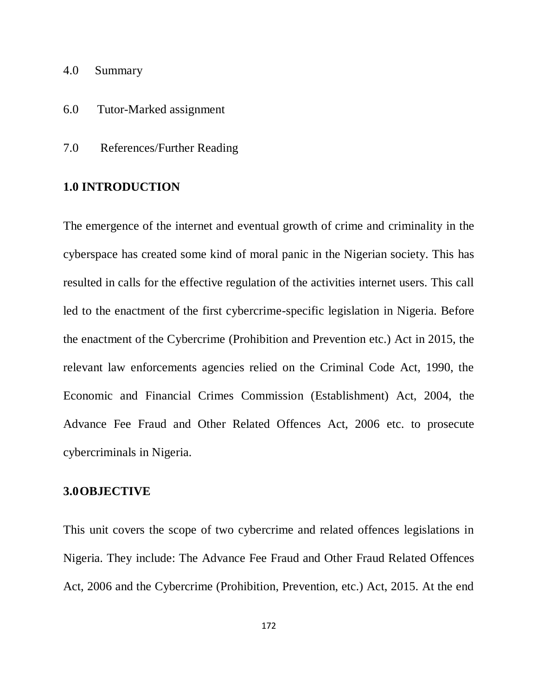- 4.0 Summary
- 6.0 Tutor-Marked assignment
- 7.0 References/Further Reading

### **1.0 INTRODUCTION**

The emergence of the internet and eventual growth of crime and criminality in the cyberspace has created some kind of moral panic in the Nigerian society. This has resulted in calls for the effective regulation of the activities internet users. This call led to the enactment of the first cybercrime-specific legislation in Nigeria. Before the enactment of the Cybercrime (Prohibition and Prevention etc.) Act in 2015, the relevant law enforcements agencies relied on the Criminal Code Act, 1990, the Economic and Financial Crimes Commission (Establishment) Act, 2004, the Advance Fee Fraud and Other Related Offences Act, 2006 etc. to prosecute cybercriminals in Nigeria.

#### **3.0OBJECTIVE**

This unit covers the scope of two cybercrime and related offences legislations in Nigeria. They include: The Advance Fee Fraud and Other Fraud Related Offences Act, 2006 and the Cybercrime (Prohibition, Prevention, etc.) Act, 2015. At the end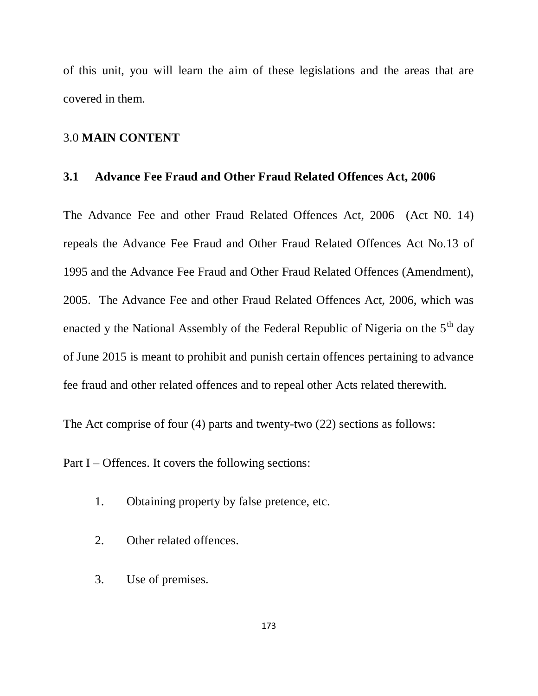of this unit, you will learn the aim of these legislations and the areas that are covered in them.

### 3.0 **MAIN CONTENT**

### **3.1 Advance Fee Fraud and Other Fraud Related Offences Act, 2006**

The Advance Fee and other Fraud Related Offences Act, 2006 (Act N0. 14) repeals the Advance Fee Fraud and Other Fraud Related Offences Act No.13 of 1995 and the Advance Fee Fraud and Other Fraud Related Offences (Amendment), 2005. The Advance Fee and other Fraud Related Offences Act, 2006, which was enacted y the National Assembly of the Federal Republic of Nigeria on the  $5<sup>th</sup>$  day of June 2015 is meant to prohibit and punish certain offences pertaining to advance fee fraud and other related offences and to repeal other Acts related therewith.

The Act comprise of four (4) parts and twenty-two (22) sections as follows:

Part I – Offences. It covers the following sections:

- 1. Obtaining property by false pretence, etc.
- 2. Other related offences.
- 3. Use of premises.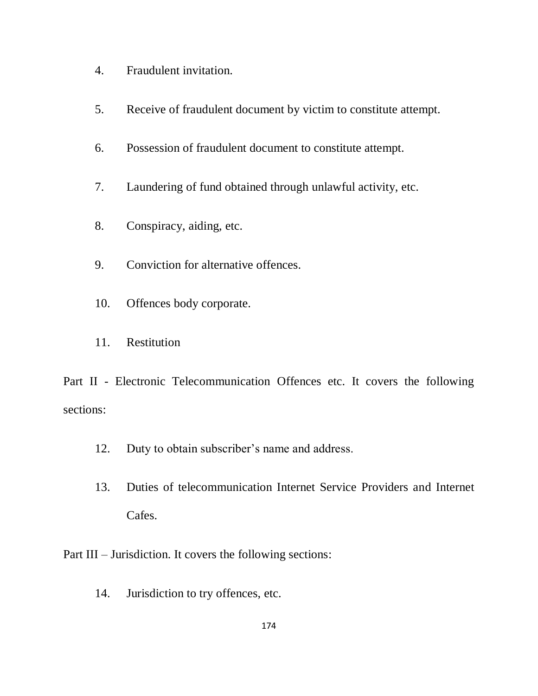- 4. Fraudulent invitation.
- 5. Receive of fraudulent document by victim to constitute attempt.
- 6. Possession of fraudulent document to constitute attempt.
- 7. Laundering of fund obtained through unlawful activity, etc.
- 8. Conspiracy, aiding, etc.
- 9. Conviction for alternative offences.
- 10. Offences body corporate.
- 11. Restitution

Part II - Electronic Telecommunication Offences etc. It covers the following sections:

- 12. Duty to obtain subscriber's name and address.
- 13. Duties of telecommunication Internet Service Providers and Internet Cafes.
- Part III Jurisdiction. It covers the following sections:
	- 14. Jurisdiction to try offences, etc.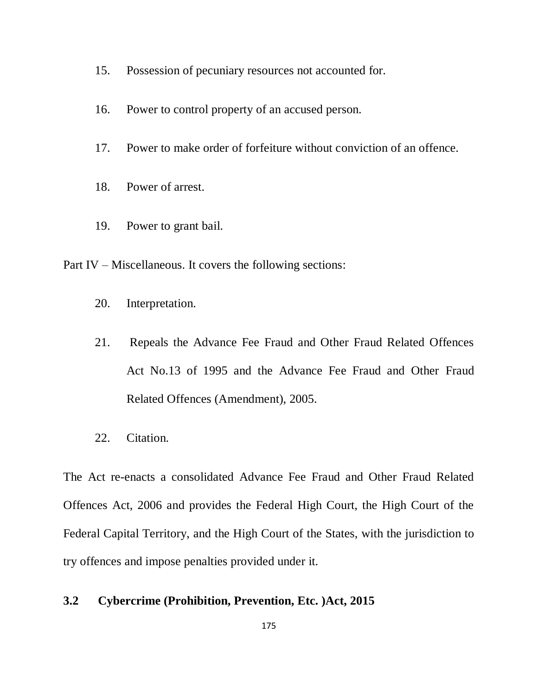- 15. Possession of pecuniary resources not accounted for.
- 16. Power to control property of an accused person.
- 17. Power to make order of forfeiture without conviction of an offence.
- 18. Power of arrest.
- 19. Power to grant bail.

Part IV – Miscellaneous. It covers the following sections:

- 20. Interpretation.
- 21. Repeals the Advance Fee Fraud and Other Fraud Related Offences Act No.13 of 1995 and the Advance Fee Fraud and Other Fraud Related Offences (Amendment), 2005.
- 22. Citation.

The Act re-enacts a consolidated Advance Fee Fraud and Other Fraud Related Offences Act, 2006 and provides the Federal High Court, the High Court of the Federal Capital Territory, and the High Court of the States, with the jurisdiction to try offences and impose penalties provided under it.

### **3.2 Cybercrime (Prohibition, Prevention, Etc. )Act, 2015**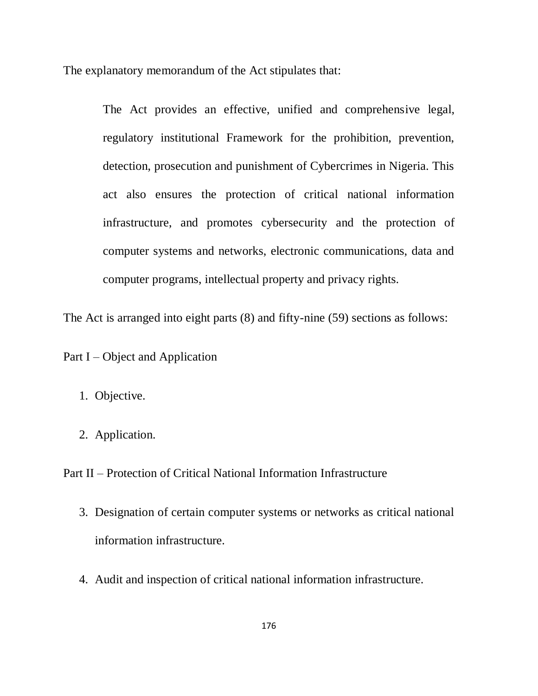The explanatory memorandum of the Act stipulates that:

The Act provides an effective, unified and comprehensive legal, regulatory institutional Framework for the prohibition, prevention, detection, prosecution and punishment of Cybercrimes in Nigeria. This act also ensures the protection of critical national information infrastructure, and promotes cybersecurity and the protection of computer systems and networks, electronic communications, data and computer programs, intellectual property and privacy rights.

The Act is arranged into eight parts (8) and fifty-nine (59) sections as follows:

Part I – Object and Application

- 1. Objective.
- 2. Application.

Part II – Protection of Critical National Information Infrastructure

- 3. Designation of certain computer systems or networks as critical national information infrastructure.
- 4. Audit and inspection of critical national information infrastructure.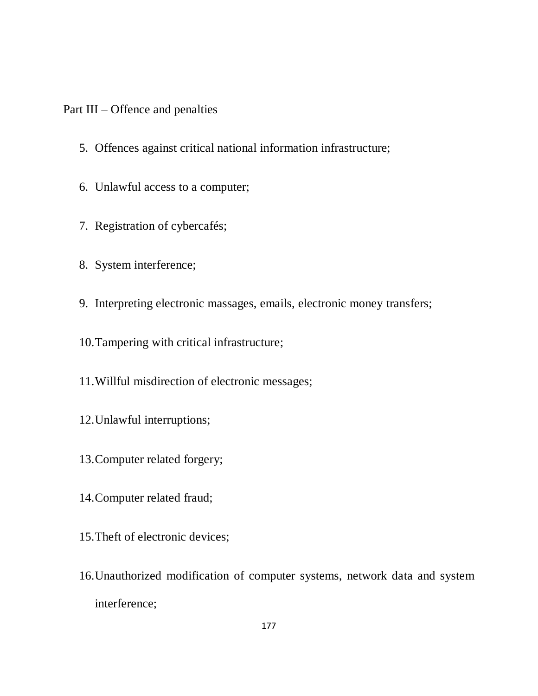Part III – Offence and penalties

- 5. Offences against critical national information infrastructure;
- 6. Unlawful access to a computer;
- 7. Registration of cybercafés;
- 8. System interference;
- 9. Interpreting electronic massages, emails, electronic money transfers;
- 10.Tampering with critical infrastructure;
- 11.Willful misdirection of electronic messages;
- 12.Unlawful interruptions;
- 13.Computer related forgery;
- 14.Computer related fraud;
- 15.Theft of electronic devices;
- 16.Unauthorized modification of computer systems, network data and system interference;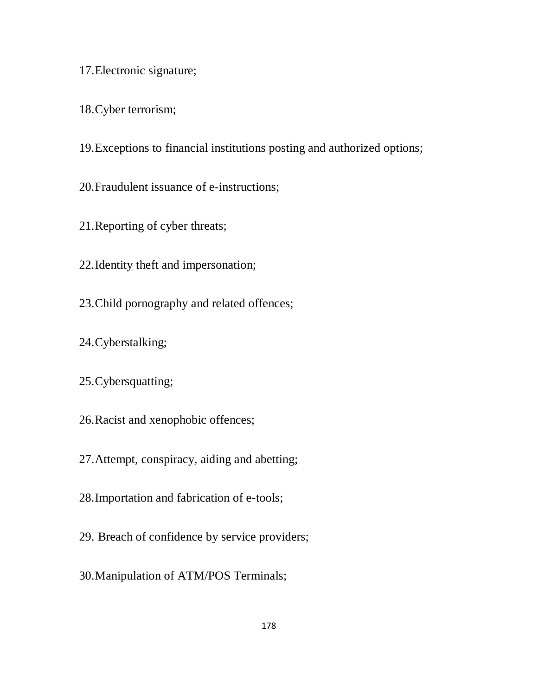- 17.Electronic signature;
- 18.Cyber terrorism;
- 19.Exceptions to financial institutions posting and authorized options;
- 20.Fraudulent issuance of e-instructions;
- 21.Reporting of cyber threats;
- 22.Identity theft and impersonation;
- 23.Child pornography and related offences;
- 24.Cyberstalking;
- 25.Cybersquatting;
- 26.Racist and xenophobic offences;
- 27.Attempt, conspiracy, aiding and abetting;
- 28.Importation and fabrication of e-tools;
- 29. Breach of confidence by service providers;
- 30.Manipulation of ATM/POS Terminals;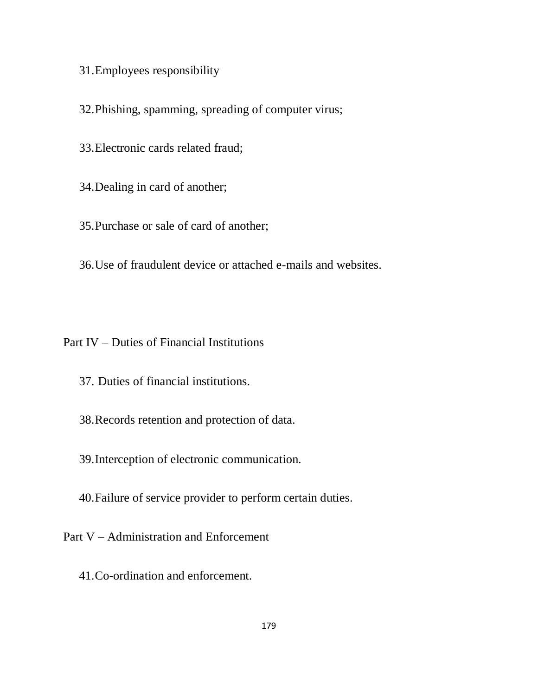31.Employees responsibility

32.Phishing, spamming, spreading of computer virus;

- 33.Electronic cards related fraud;
- 34.Dealing in card of another;
- 35.Purchase or sale of card of another;

36.Use of fraudulent device or attached e-mails and websites.

Part IV – Duties of Financial Institutions

- 37. Duties of financial institutions.
- 38.Records retention and protection of data.
- 39.Interception of electronic communication.
- 40.Failure of service provider to perform certain duties.

Part V – Administration and Enforcement

41.Co-ordination and enforcement.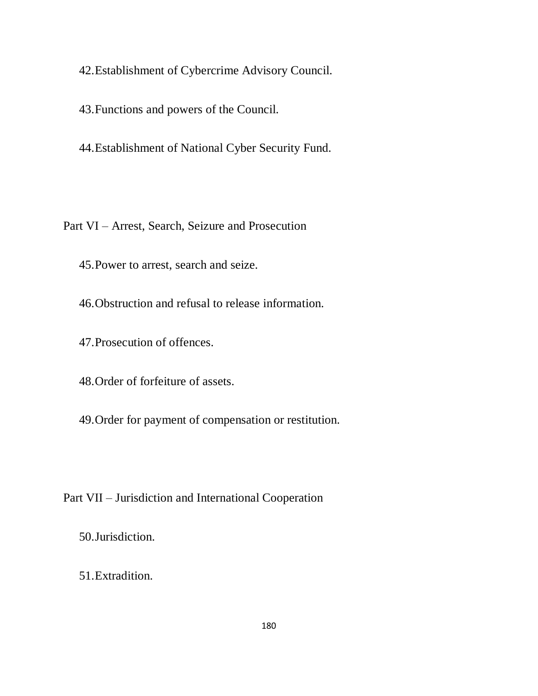42.Establishment of Cybercrime Advisory Council.

43.Functions and powers of the Council.

44.Establishment of National Cyber Security Fund.

Part VI – Arrest, Search, Seizure and Prosecution

45.Power to arrest, search and seize.

46.Obstruction and refusal to release information.

47.Prosecution of offences.

48.Order of forfeiture of assets.

49.Order for payment of compensation or restitution.

Part VII – Jurisdiction and International Cooperation

50.Jurisdiction.

51.Extradition.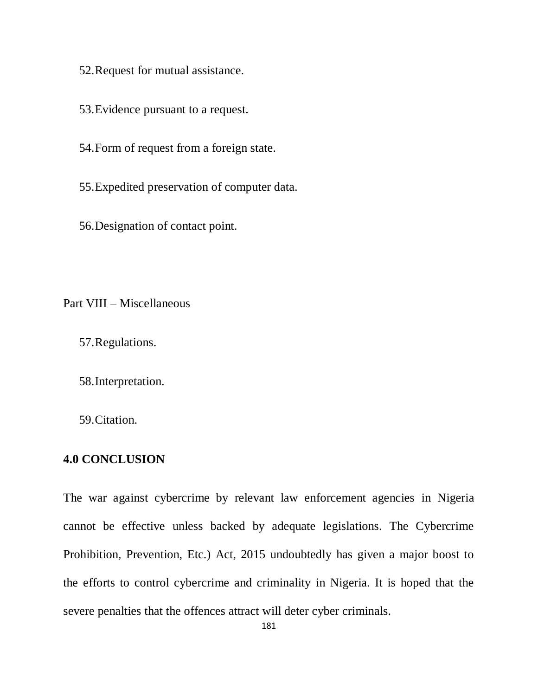52.Request for mutual assistance.

53.Evidence pursuant to a request.

54.Form of request from a foreign state.

55.Expedited preservation of computer data.

56.Designation of contact point.

Part VIII – Miscellaneous

57.Regulations.

58.Interpretation.

59.Citation.

### **4.0 CONCLUSION**

The war against cybercrime by relevant law enforcement agencies in Nigeria cannot be effective unless backed by adequate legislations. The Cybercrime Prohibition, Prevention, Etc.) Act, 2015 undoubtedly has given a major boost to the efforts to control cybercrime and criminality in Nigeria. It is hoped that the severe penalties that the offences attract will deter cyber criminals.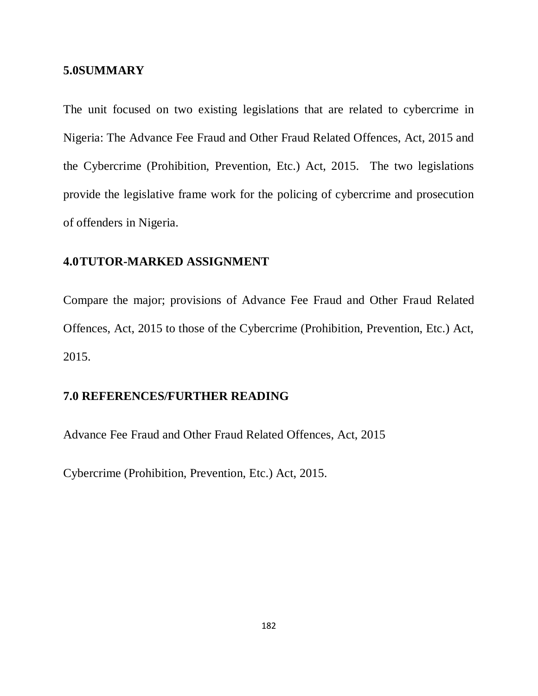#### **5.0SUMMARY**

The unit focused on two existing legislations that are related to cybercrime in Nigeria: The Advance Fee Fraud and Other Fraud Related Offences, Act, 2015 and the Cybercrime (Prohibition, Prevention, Etc.) Act, 2015. The two legislations provide the legislative frame work for the policing of cybercrime and prosecution of offenders in Nigeria.

### **4.0TUTOR-MARKED ASSIGNMENT**

Compare the major; provisions of Advance Fee Fraud and Other Fraud Related Offences, Act, 2015 to those of the Cybercrime (Prohibition, Prevention, Etc.) Act, 2015.

### **7.0 REFERENCES/FURTHER READING**

Advance Fee Fraud and Other Fraud Related Offences, Act, 2015

Cybercrime (Prohibition, Prevention, Etc.) Act, 2015.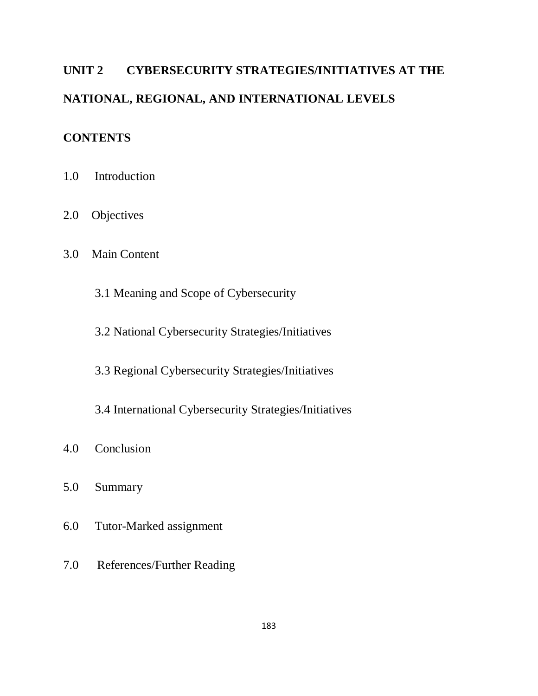# **UNIT 2 CYBERSECURITY STRATEGIES/INITIATIVES AT THE NATIONAL, REGIONAL, AND INTERNATIONAL LEVELS**

### **CONTENTS**

- 1.0 Introduction
- 2.0 Objectives
- 3.0 Main Content
	- 3.1 Meaning and Scope of Cybersecurity
	- 3.2 National Cybersecurity Strategies/Initiatives
	- 3.3 Regional Cybersecurity Strategies/Initiatives
	- 3.4 International Cybersecurity Strategies/Initiatives
- 4.0 Conclusion
- 5.0 Summary
- 6.0 Tutor-Marked assignment
- 7.0 References/Further Reading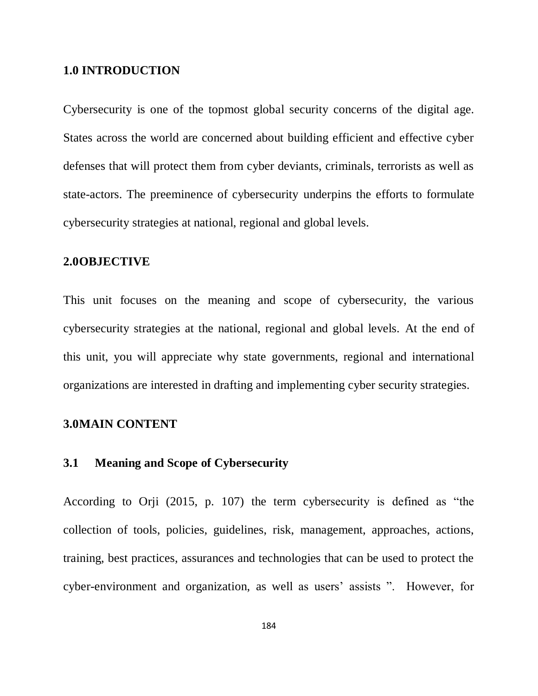#### **1.0 INTRODUCTION**

Cybersecurity is one of the topmost global security concerns of the digital age. States across the world are concerned about building efficient and effective cyber defenses that will protect them from cyber deviants, criminals, terrorists as well as state-actors. The preeminence of cybersecurity underpins the efforts to formulate cybersecurity strategies at national, regional and global levels.

### **2.0OBJECTIVE**

This unit focuses on the meaning and scope of cybersecurity, the various cybersecurity strategies at the national, regional and global levels. At the end of this unit, you will appreciate why state governments, regional and international organizations are interested in drafting and implementing cyber security strategies.

### **3.0MAIN CONTENT**

### **3.1 Meaning and Scope of Cybersecurity**

According to Orji (2015, p. 107) the term cybersecurity is defined as "the collection of tools, policies, guidelines, risk, management, approaches, actions, training, best practices, assurances and technologies that can be used to protect the cyber-environment and organization, as well as users' assists ". However, for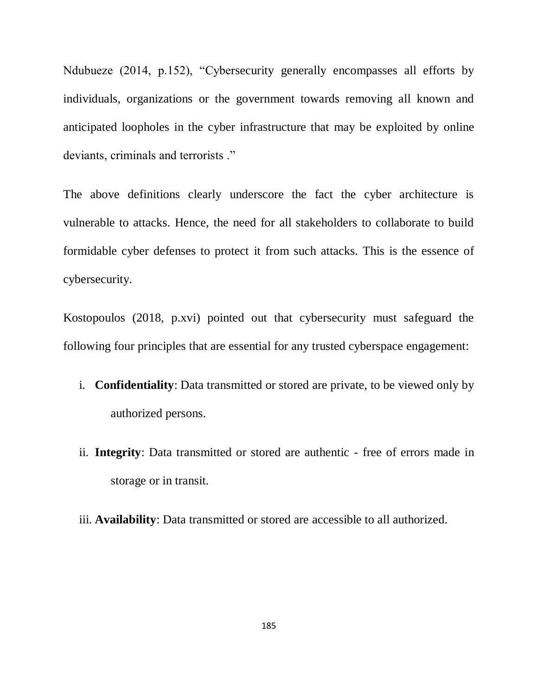Ndubueze (2014, p.152), "Cybersecurity generally encompasses all efforts by individuals, organizations or the government towards removing all known and anticipated loopholes in the cyber infrastructure that may be exploited by online deviants, criminals and terrorists ."

The above definitions clearly underscore the fact the cyber architecture is vulnerable to attacks. Hence, the need for all stakeholders to collaborate to build formidable cyber defenses to protect it from such attacks. This is the essence of cybersecurity.

Kostopoulos (2018, p.xvi) pointed out that cybersecurity must safeguard the following four principles that are essential for any trusted cyberspace engagement:

- i. **Confidentiality**: Data transmitted or stored are private, to be viewed only by authorized persons.
- ii. **Integrity**: Data transmitted or stored are authentic free of errors made in storage or in transit.
- iii. **Availability**: Data transmitted or stored are accessible to all authorized.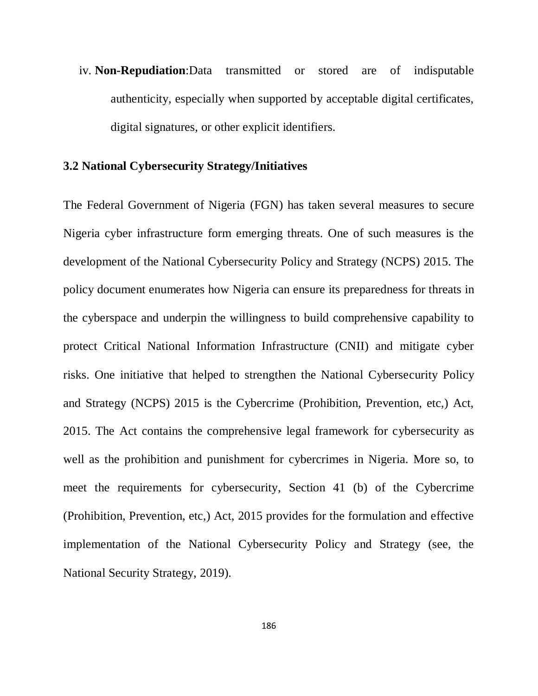iv. **Non-Repudiation**:Data transmitted or stored are of indisputable authenticity, especially when supported by acceptable digital certificates, digital signatures, or other explicit identifiers.

### **3.2 National Cybersecurity Strategy/Initiatives**

The Federal Government of Nigeria (FGN) has taken several measures to secure Nigeria cyber infrastructure form emerging threats. One of such measures is the development of the National Cybersecurity Policy and Strategy (NCPS) 2015. The policy document enumerates how Nigeria can ensure its preparedness for threats in the cyberspace and underpin the willingness to build comprehensive capability to protect Critical National Information Infrastructure (CNII) and mitigate cyber risks. One initiative that helped to strengthen the National Cybersecurity Policy and Strategy (NCPS) 2015 is the Cybercrime (Prohibition, Prevention, etc,) Act, 2015. The Act contains the comprehensive legal framework for cybersecurity as well as the prohibition and punishment for cybercrimes in Nigeria. More so, to meet the requirements for cybersecurity, Section 41 (b) of the Cybercrime (Prohibition, Prevention, etc,) Act, 2015 provides for the formulation and effective implementation of the National Cybersecurity Policy and Strategy (see, the National Security Strategy, 2019).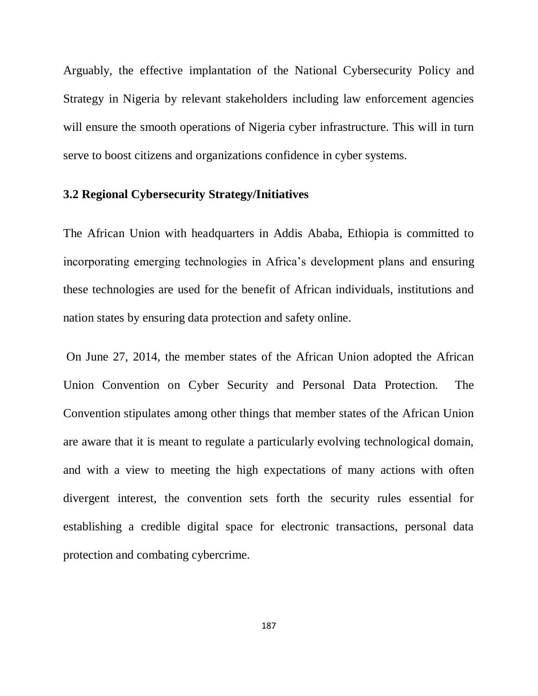Arguably, the effective implantation of the National Cybersecurity Policy and Strategy in Nigeria by relevant stakeholders including law enforcement agencies will ensure the smooth operations of Nigeria cyber infrastructure. This will in turn serve to boost citizens and organizations confidence in cyber systems.

### **3.2 Regional Cybersecurity Strategy/Initiatives**

The African Union with headquarters in Addis Ababa, Ethiopia is committed to incorporating emerging technologies in Africa"s development plans and ensuring these technologies are used for the benefit of African individuals, institutions and nation states by ensuring data protection and safety online.

On June 27, 2014, the member states of the African Union adopted the African Union Convention on Cyber Security and Personal Data Protection. The Convention stipulates among other things that member states of the African Union are aware that it is meant to regulate a particularly evolving technological domain, and with a view to meeting the high expectations of many actions with often divergent interest, the convention sets forth the security rules essential for establishing a credible digital space for electronic transactions, personal data protection and combating cybercrime.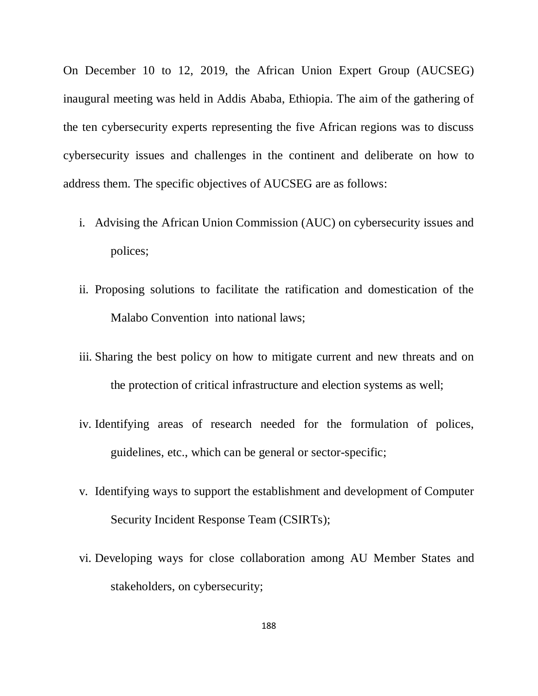On December 10 to 12, 2019, the African Union Expert Group (AUCSEG) inaugural meeting was held in Addis Ababa, Ethiopia. The aim of the gathering of the ten cybersecurity experts representing the five African regions was to discuss cybersecurity issues and challenges in the continent and deliberate on how to address them. The specific objectives of AUCSEG are as follows:

- i. Advising the African Union Commission (AUC) on cybersecurity issues and polices;
- ii. Proposing solutions to facilitate the ratification and domestication of the Malabo Convention into national laws;
- iii. Sharing the best policy on how to mitigate current and new threats and on the protection of critical infrastructure and election systems as well;
- iv. Identifying areas of research needed for the formulation of polices, guidelines, etc., which can be general or sector-specific;
- v. Identifying ways to support the establishment and development of Computer Security Incident Response Team (CSIRTs);
- vi. Developing ways for close collaboration among AU Member States and stakeholders, on cybersecurity;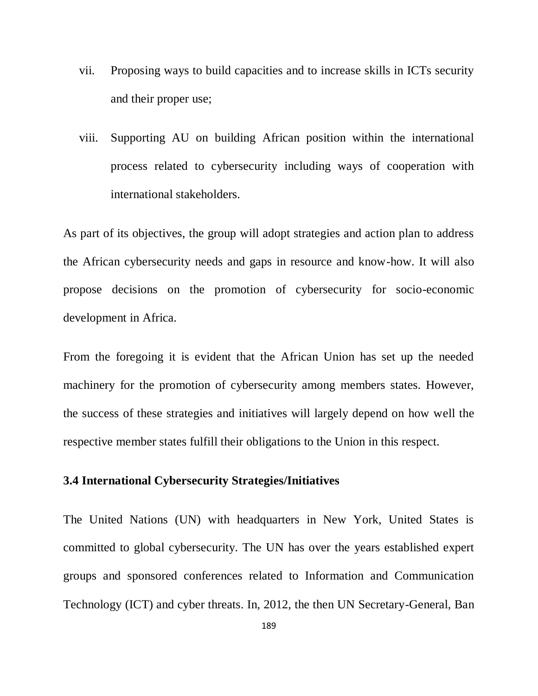- vii. Proposing ways to build capacities and to increase skills in ICTs security and their proper use;
- viii. Supporting AU on building African position within the international process related to cybersecurity including ways of cooperation with international stakeholders.

As part of its objectives, the group will adopt strategies and action plan to address the African cybersecurity needs and gaps in resource and know-how. It will also propose decisions on the promotion of cybersecurity for socio-economic development in Africa.

From the foregoing it is evident that the African Union has set up the needed machinery for the promotion of cybersecurity among members states. However, the success of these strategies and initiatives will largely depend on how well the respective member states fulfill their obligations to the Union in this respect.

### **3.4 International Cybersecurity Strategies/Initiatives**

The United Nations (UN) with headquarters in New York, United States is committed to global cybersecurity. The UN has over the years established expert groups and sponsored conferences related to Information and Communication Technology (ICT) and cyber threats. In, 2012, the then UN Secretary-General, Ban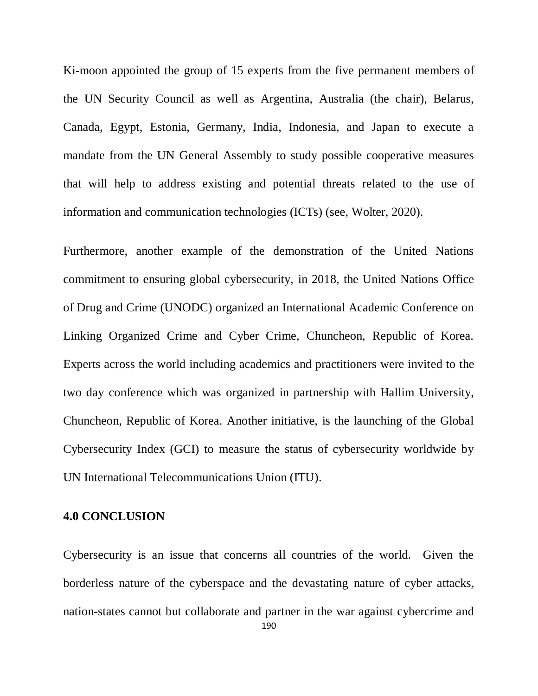Ki-moon appointed the group of 15 experts from the five permanent members of the UN Security Council as well as Argentina, Australia (the chair), Belarus, Canada, Egypt, Estonia, Germany, India, Indonesia, and Japan to execute a mandate from the UN General Assembly to study possible cooperative measures that will help to address existing and potential threats related to the use of information and communication technologies (ICTs) (see, Wolter, 2020).

Furthermore, another example of the demonstration of the United Nations commitment to ensuring global cybersecurity, in 2018, the United Nations Office of Drug and Crime (UNODC) organized an International Academic Conference on Linking Organized Crime and Cyber Crime, Chuncheon, Republic of Korea. Experts across the world including academics and practitioners were invited to the two day conference which was organized in partnership with Hallim University, Chuncheon, Republic of Korea. Another initiative, is the launching of the Global Cybersecurity Index (GCI) to measure the status of cybersecurity worldwide by UN International Telecommunications Union (ITU).

### **4.0 CONCLUSION**

Cybersecurity is an issue that concerns all countries of the world. Given the borderless nature of the cyberspace and the devastating nature of cyber attacks, nation-states cannot but collaborate and partner in the war against cybercrime and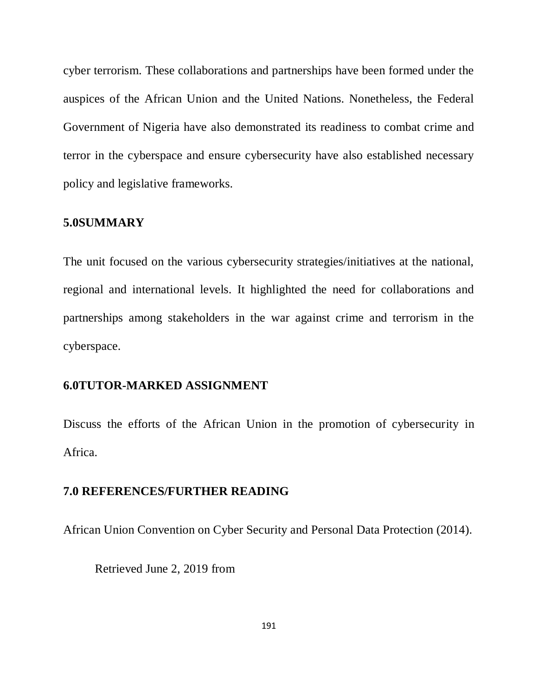cyber terrorism. These collaborations and partnerships have been formed under the auspices of the African Union and the United Nations. Nonetheless, the Federal Government of Nigeria have also demonstrated its readiness to combat crime and terror in the cyberspace and ensure cybersecurity have also established necessary policy and legislative frameworks.

### **5.0SUMMARY**

The unit focused on the various cybersecurity strategies/initiatives at the national, regional and international levels. It highlighted the need for collaborations and partnerships among stakeholders in the war against crime and terrorism in the cyberspace.

### **6.0TUTOR-MARKED ASSIGNMENT**

Discuss the efforts of the African Union in the promotion of cybersecurity in Africa.

### **7.0 REFERENCES/FURTHER READING**

African Union Convention on Cyber Security and Personal Data Protection (2014).

Retrieved June 2, 2019 from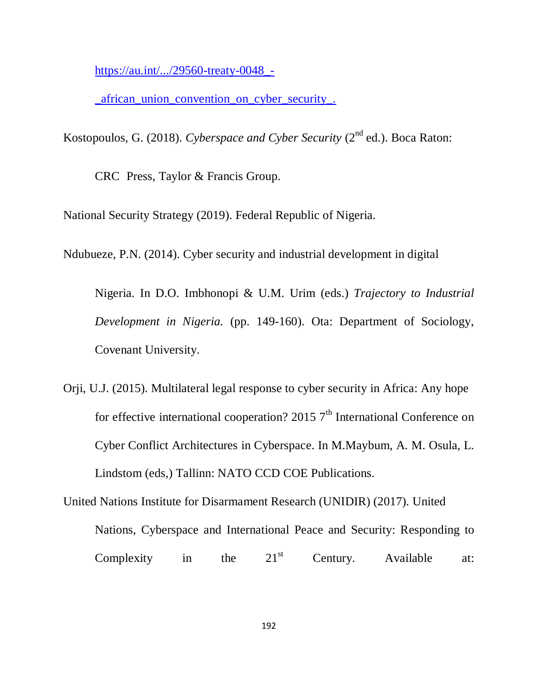[https://au.int/.../29560-treaty-0048\\_-](https://au.int/.../29560-treaty-0048_-_african_union_convention_on_cyber_security_.)

african union convention on cyber security.

Kostopoulos, G. (2018). *Cyberspace and Cyber Security* (2<sup>nd</sup> ed.). Boca Raton:

CRC Press, Taylor & Francis Group.

National Security Strategy (2019). Federal Republic of Nigeria.

Ndubueze, P.N. (2014). Cyber security and industrial development in digital

Nigeria. In D.O. Imbhonopi & U.M. Urim (eds.) *Trajectory to Industrial Development in Nigeria.* (pp. 149-160). Ota: Department of Sociology, Covenant University.

Orji, U.J. (2015). Multilateral legal response to cyber security in Africa: Any hope for effective international cooperation? 2015  $7<sup>th</sup>$  International Conference on Cyber Conflict Architectures in Cyberspace. In M.Maybum, A. M. Osula, L. Lindstom (eds,) Tallinn: NATO CCD COE Publications.

United Nations Institute for Disarmament Research (UNIDIR) (2017). United Nations, Cyberspace and International Peace and Security: Responding to Complexity in the  $21^{st}$  Century. Available at: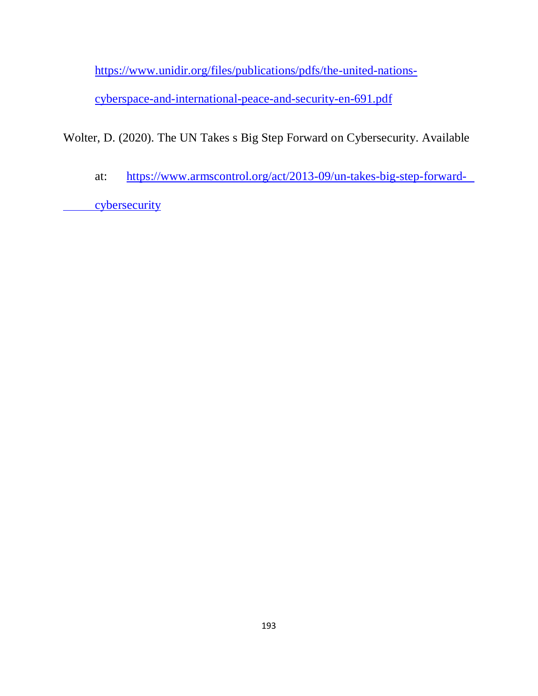[https://www.unidir.org/files/publications/pdfs/the-united-nations-](https://www.unidir.org/files/publications/pdfs/the-united-nations-cyberspace-and-international-peace-and-security-en-691.pdf)

[cyberspace-and-international-peace-and-security-en-691.pdf](https://www.unidir.org/files/publications/pdfs/the-united-nations-cyberspace-and-international-peace-and-security-en-691.pdf)

Wolter, D. (2020). The UN Takes s Big Step Forward on Cybersecurity. Available

at: [https://www.armscontrol.org/act/2013-09/un-takes-big-step-forward-](https://www.armscontrol.org/act/2013-09/un-takes-big-step-forward-cybersecurity)

[cybersecurity](https://www.armscontrol.org/act/2013-09/un-takes-big-step-forward-cybersecurity)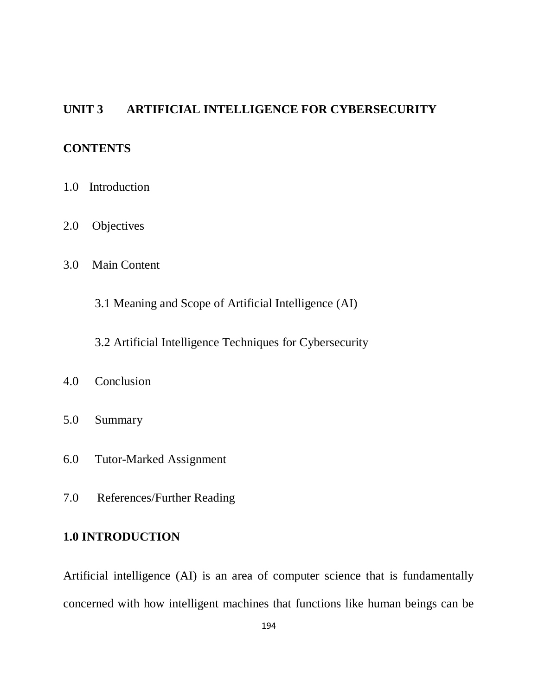### **UNIT 3 ARTIFICIAL INTELLIGENCE FOR CYBERSECURITY**

### **CONTENTS**

- 1.0 Introduction
- 2.0 Objectives
- 3.0 Main Content

3.1 Meaning and Scope of Artificial Intelligence (AI)

3.2 Artificial Intelligence Techniques for Cybersecurity

### 4.0 Conclusion

- 5.0 Summary
- 6.0 Tutor-Marked Assignment
- 7.0 References/Further Reading

### **1.0 INTRODUCTION**

Artificial intelligence (AI) is an area of computer science that is fundamentally concerned with how intelligent machines that functions like human beings can be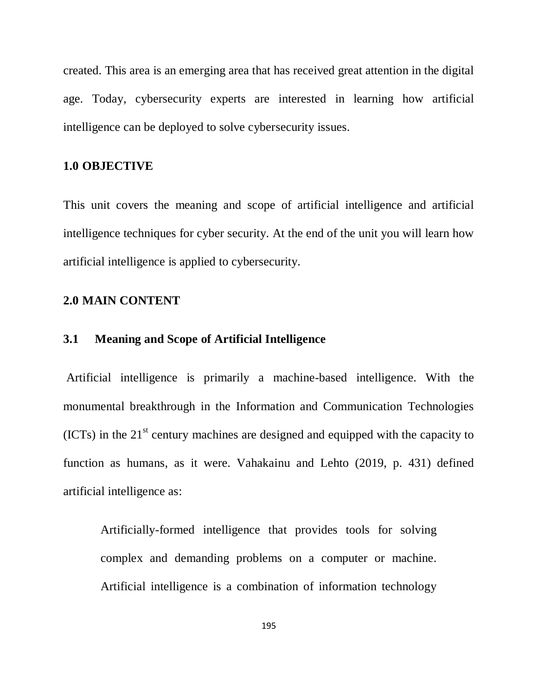created. This area is an emerging area that has received great attention in the digital age. Today, cybersecurity experts are interested in learning how artificial intelligence can be deployed to solve cybersecurity issues.

### **1.0 OBJECTIVE**

This unit covers the meaning and scope of artificial intelligence and artificial intelligence techniques for cyber security. At the end of the unit you will learn how artificial intelligence is applied to cybersecurity.

### **2.0 MAIN CONTENT**

### **3.1 Meaning and Scope of Artificial Intelligence**

Artificial intelligence is primarily a machine-based intelligence. With the monumental breakthrough in the Information and Communication Technologies  $(ICTs)$  in the  $21<sup>st</sup>$  century machines are designed and equipped with the capacity to function as humans, as it were. Vahakainu and Lehto (2019, p. 431) defined artificial intelligence as:

Artificially-formed intelligence that provides tools for solving complex and demanding problems on a computer or machine. Artificial intelligence is a combination of information technology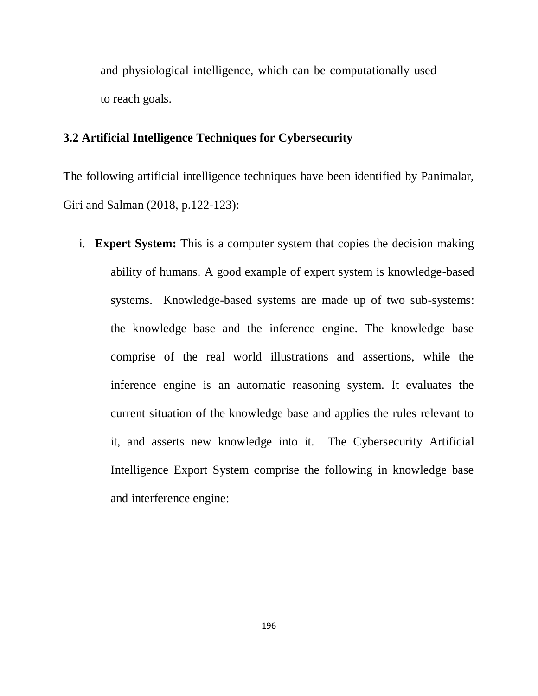and physiological intelligence, which can be computationally used to reach goals.

### **3.2 Artificial Intelligence Techniques for Cybersecurity**

The following artificial intelligence techniques have been identified by Panimalar, Giri and Salman (2018, p.122-123):

i. **Expert System:** This is a computer system that copies the decision making ability of humans. A good example of expert system is knowledge-based systems. Knowledge-based systems are made up of two sub-systems: the knowledge base and the inference engine. The knowledge base comprise of the real world illustrations and assertions, while the inference engine is an automatic reasoning system. It evaluates the current situation of the knowledge base and applies the rules relevant to it, and asserts new knowledge into it. The Cybersecurity Artificial Intelligence Export System comprise the following in knowledge base and interference engine: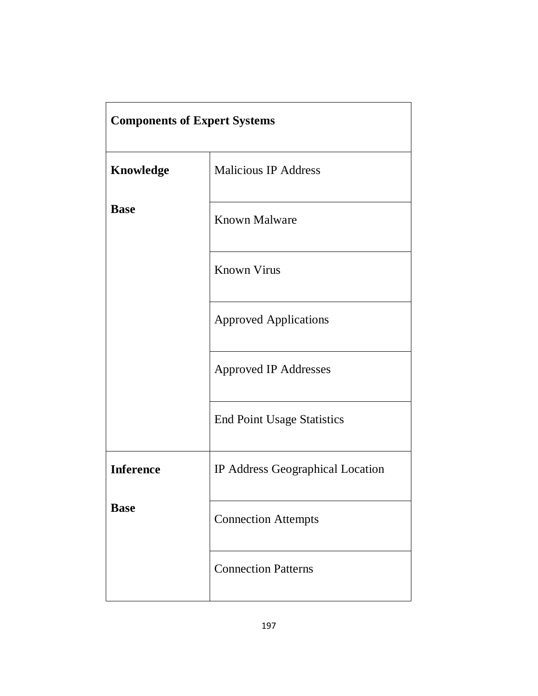| <b>Components of Expert Systems</b> |                                   |
|-------------------------------------|-----------------------------------|
| <b>Knowledge</b>                    | <b>Malicious IP Address</b>       |
| <b>Base</b>                         | <b>Known Malware</b>              |
|                                     | <b>Known Virus</b>                |
|                                     | <b>Approved Applications</b>      |
|                                     | <b>Approved IP Addresses</b>      |
|                                     | <b>End Point Usage Statistics</b> |
| <b>Inference</b>                    | IP Address Geographical Location  |
| <b>Base</b>                         | <b>Connection Attempts</b>        |
|                                     | <b>Connection Patterns</b>        |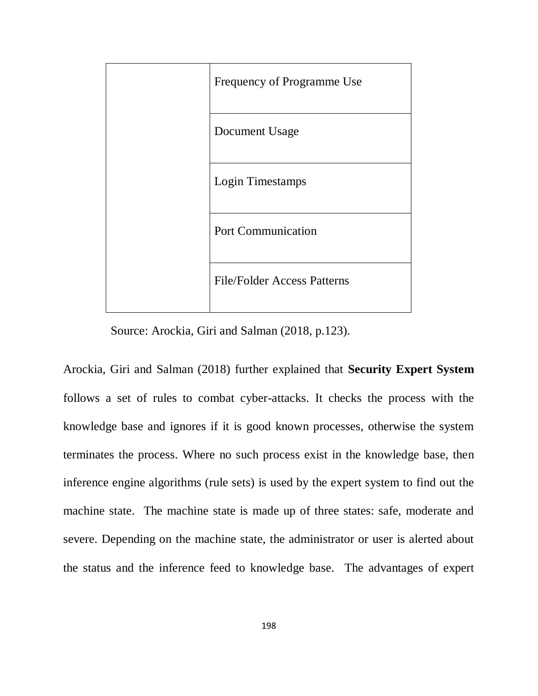| Frequency of Programme Use         |
|------------------------------------|
| Document Usage                     |
| Login Timestamps                   |
| <b>Port Communication</b>          |
| <b>File/Folder Access Patterns</b> |

Source: Arockia, Giri and Salman (2018, p.123).

Arockia, Giri and Salman (2018) further explained that **Security Expert System** follows a set of rules to combat cyber-attacks. It checks the process with the knowledge base and ignores if it is good known processes, otherwise the system terminates the process. Where no such process exist in the knowledge base, then inference engine algorithms (rule sets) is used by the expert system to find out the machine state. The machine state is made up of three states: safe, moderate and severe. Depending on the machine state, the administrator or user is alerted about the status and the inference feed to knowledge base. The advantages of expert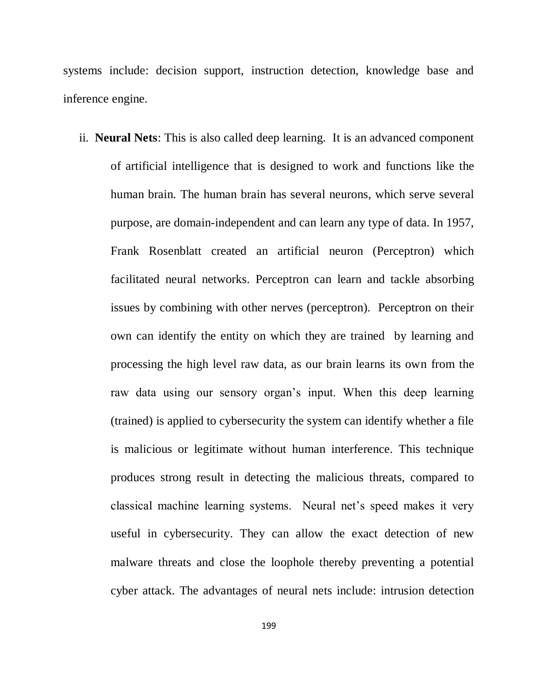systems include: decision support, instruction detection, knowledge base and inference engine.

ii. **Neural Nets**: This is also called deep learning. It is an advanced component of artificial intelligence that is designed to work and functions like the human brain. The human brain has several neurons, which serve several purpose, are domain-independent and can learn any type of data. In 1957, Frank Rosenblatt created an artificial neuron (Perceptron) which facilitated neural networks. Perceptron can learn and tackle absorbing issues by combining with other nerves (perceptron). Perceptron on their own can identify the entity on which they are trained by learning and processing the high level raw data, as our brain learns its own from the raw data using our sensory organ"s input. When this deep learning (trained) is applied to cybersecurity the system can identify whether a file is malicious or legitimate without human interference. This technique produces strong result in detecting the malicious threats, compared to classical machine learning systems. Neural net"s speed makes it very useful in cybersecurity. They can allow the exact detection of new malware threats and close the loophole thereby preventing a potential cyber attack. The advantages of neural nets include: intrusion detection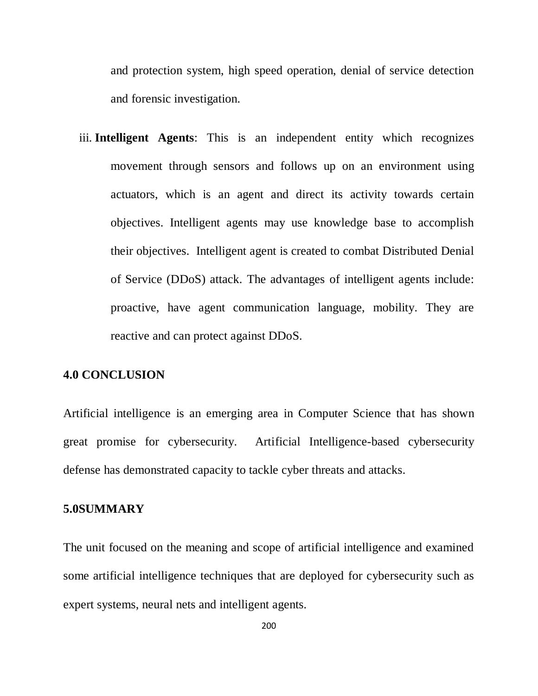and protection system, high speed operation, denial of service detection and forensic investigation.

iii. **Intelligent Agents**: This is an independent entity which recognizes movement through sensors and follows up on an environment using actuators, which is an agent and direct its activity towards certain objectives. Intelligent agents may use knowledge base to accomplish their objectives. Intelligent agent is created to combat Distributed Denial of Service (DDoS) attack. The advantages of intelligent agents include: proactive, have agent communication language, mobility. They are reactive and can protect against DDoS.

### **4.0 CONCLUSION**

Artificial intelligence is an emerging area in Computer Science that has shown great promise for cybersecurity. Artificial Intelligence-based cybersecurity defense has demonstrated capacity to tackle cyber threats and attacks.

#### **5.0SUMMARY**

The unit focused on the meaning and scope of artificial intelligence and examined some artificial intelligence techniques that are deployed for cybersecurity such as expert systems, neural nets and intelligent agents.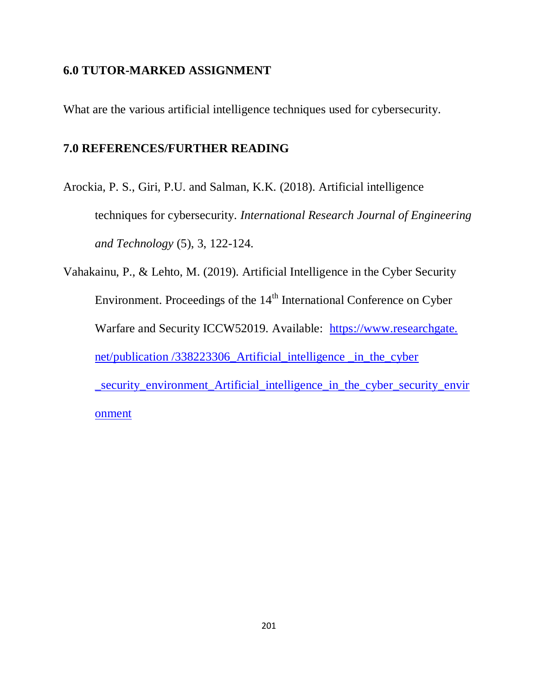### **6.0 TUTOR-MARKED ASSIGNMENT**

What are the various artificial intelligence techniques used for cybersecurity.

### **7.0 REFERENCES/FURTHER READING**

Arockia, P. S., Giri, P.U. and Salman, K.K. (2018). Artificial intelligence techniques for cybersecurity. *International Research Journal of Engineering and Technology* (5), 3, 122-124.

Vahakainu, P., & Lehto, M. (2019). Artificial Intelligence in the Cyber Security Environment. Proceedings of the  $14<sup>th</sup>$  International Conference on Cyber Warfare and Security ICCW52019. Available: https://www.researchgate. net/publication /338223306\_Artificial\_intelligence \_in\_the\_cyber \_security\_environment\_Artificial\_intelligence\_in\_the\_cyber\_security\_envir onment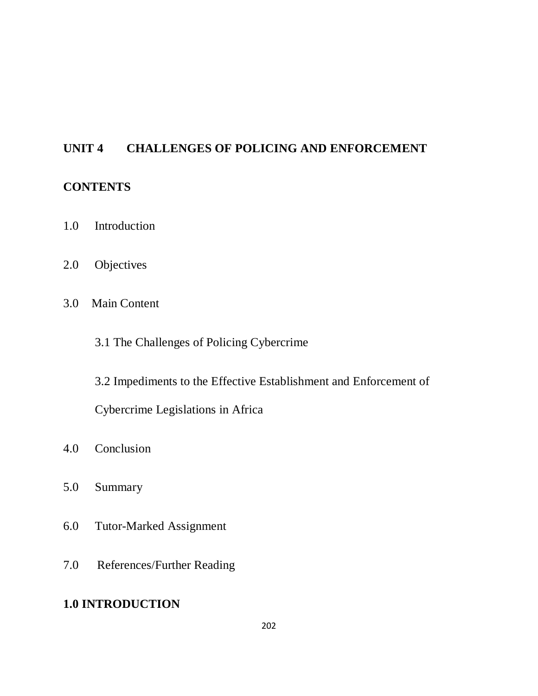### **UNIT 4 CHALLENGES OF POLICING AND ENFORCEMENT**

### **CONTENTS**

- 1.0 Introduction
- 2.0 Objectives
- 3.0 Main Content
	- 3.1 The Challenges of Policing Cybercrime

3.2 Impediments to the Effective Establishment and Enforcement of

Cybercrime Legislations in Africa

- 4.0 Conclusion
- 5.0 Summary
- 6.0 Tutor-Marked Assignment
- 7.0 References/Further Reading

### **1.0 INTRODUCTION**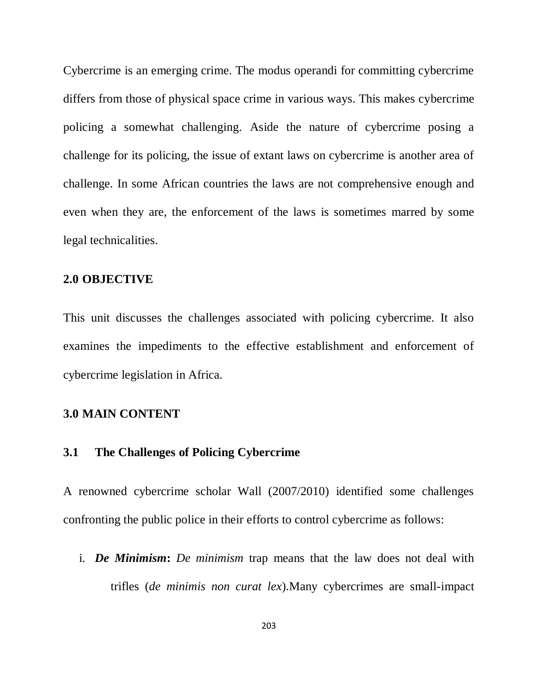Cybercrime is an emerging crime. The modus operandi for committing cybercrime differs from those of physical space crime in various ways. This makes cybercrime policing a somewhat challenging. Aside the nature of cybercrime posing a challenge for its policing, the issue of extant laws on cybercrime is another area of challenge. In some African countries the laws are not comprehensive enough and even when they are, the enforcement of the laws is sometimes marred by some legal technicalities.

#### **2.0 OBJECTIVE**

This unit discusses the challenges associated with policing cybercrime. It also examines the impediments to the effective establishment and enforcement of cybercrime legislation in Africa.

### **3.0 MAIN CONTENT**

### **3.1 The Challenges of Policing Cybercrime**

A renowned cybercrime scholar Wall (2007/2010) identified some challenges confronting the public police in their efforts to control cybercrime as follows:

i. *De Minimism***:** *De minimism* trap means that the law does not deal with trifles (*de minimis non curat lex*).Many cybercrimes are small-impact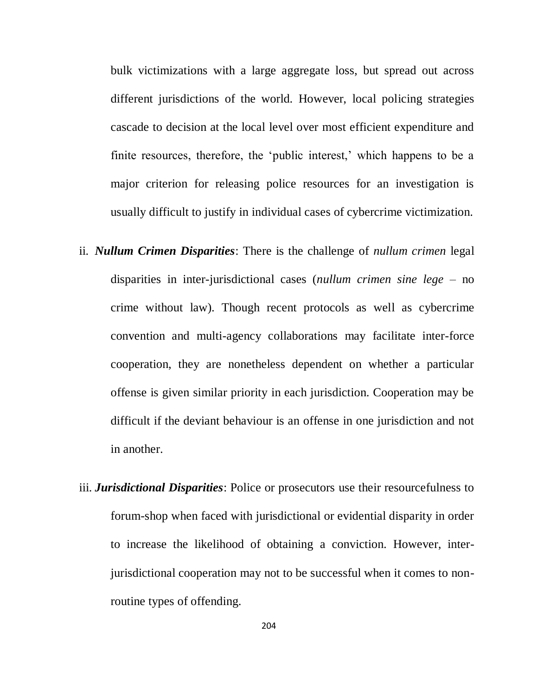bulk victimizations with a large aggregate loss, but spread out across different jurisdictions of the world. However, local policing strategies cascade to decision at the local level over most efficient expenditure and finite resources, therefore, the 'public interest,' which happens to be a major criterion for releasing police resources for an investigation is usually difficult to justify in individual cases of cybercrime victimization.

- ii. *Nullum Crimen Disparities*: There is the challenge of *nullum crimen* legal disparities in inter-jurisdictional cases (*nullum crimen sine lege* – no crime without law). Though recent protocols as well as cybercrime convention and multi-agency collaborations may facilitate inter-force cooperation, they are nonetheless dependent on whether a particular offense is given similar priority in each jurisdiction. Cooperation may be difficult if the deviant behaviour is an offense in one jurisdiction and not in another.
- iii. *Jurisdictional Disparities*: Police or prosecutors use their resourcefulness to forum-shop when faced with jurisdictional or evidential disparity in order to increase the likelihood of obtaining a conviction. However, interjurisdictional cooperation may not to be successful when it comes to nonroutine types of offending.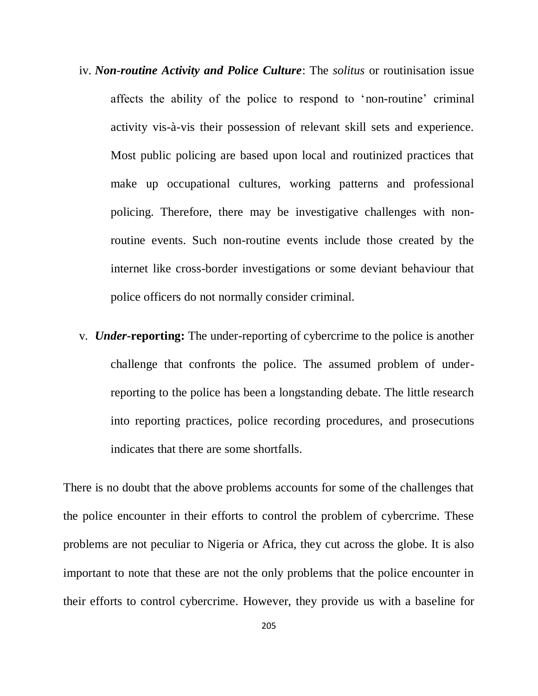- iv. *Non*-*routine Activity and Police Culture*: The *solitus* or routinisation issue affects the ability of the police to respond to "non-routine" criminal activity vis-à-vis their possession of relevant skill sets and experience. Most public policing are based upon local and routinized practices that make up occupational cultures, working patterns and professional policing. Therefore, there may be investigative challenges with nonroutine events. Such non-routine events include those created by the internet like cross-border investigations or some deviant behaviour that police officers do not normally consider criminal.
- v. *Under***-reporting:** The under-reporting of cybercrime to the police is another challenge that confronts the police. The assumed problem of underreporting to the police has been a longstanding debate. The little research into reporting practices, police recording procedures, and prosecutions indicates that there are some shortfalls.

There is no doubt that the above problems accounts for some of the challenges that the police encounter in their efforts to control the problem of cybercrime. These problems are not peculiar to Nigeria or Africa, they cut across the globe. It is also important to note that these are not the only problems that the police encounter in their efforts to control cybercrime. However, they provide us with a baseline for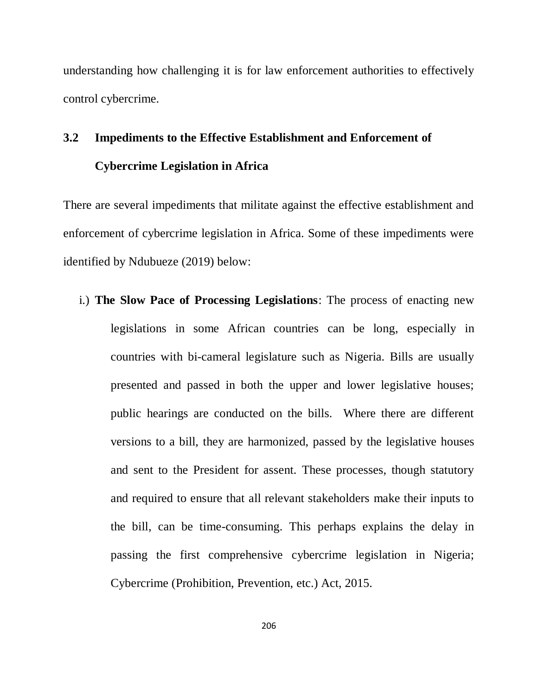understanding how challenging it is for law enforcement authorities to effectively control cybercrime.

## **3.2 Impediments to the Effective Establishment and Enforcement of Cybercrime Legislation in Africa**

There are several impediments that militate against the effective establishment and enforcement of cybercrime legislation in Africa. Some of these impediments were identified by Ndubueze (2019) below:

i.) **The Slow Pace of Processing Legislations**: The process of enacting new legislations in some African countries can be long, especially in countries with bi-cameral legislature such as Nigeria. Bills are usually presented and passed in both the upper and lower legislative houses; public hearings are conducted on the bills. Where there are different versions to a bill, they are harmonized, passed by the legislative houses and sent to the President for assent. These processes, though statutory and required to ensure that all relevant stakeholders make their inputs to the bill, can be time-consuming. This perhaps explains the delay in passing the first comprehensive cybercrime legislation in Nigeria; Cybercrime (Prohibition, Prevention, etc.) Act, 2015.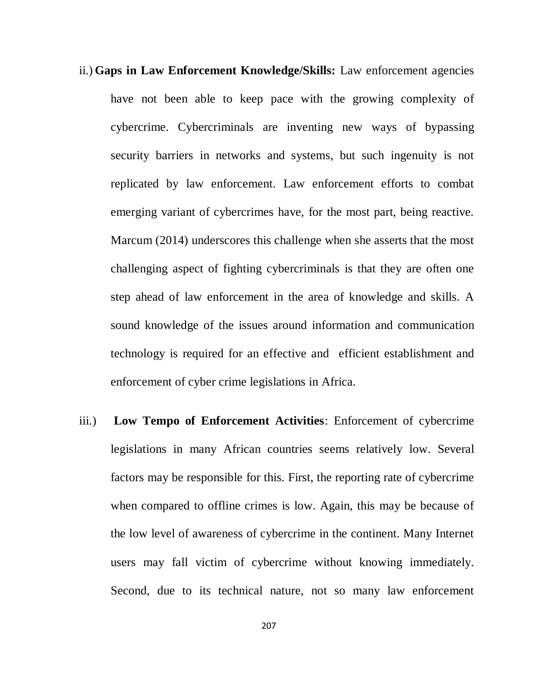- ii.) **Gaps in Law Enforcement Knowledge/Skills:** Law enforcement agencies have not been able to keep pace with the growing complexity of cybercrime. Cybercriminals are inventing new ways of bypassing security barriers in networks and systems, but such ingenuity is not replicated by law enforcement. Law enforcement efforts to combat emerging variant of cybercrimes have, for the most part, being reactive. Marcum (2014) underscores this challenge when she asserts that the most challenging aspect of fighting cybercriminals is that they are often one step ahead of law enforcement in the area of knowledge and skills. A sound knowledge of the issues around information and communication technology is required for an effective and efficient establishment and enforcement of cyber crime legislations in Africa.
- iii.) **Low Tempo of Enforcement Activities**: Enforcement of cybercrime legislations in many African countries seems relatively low. Several factors may be responsible for this. First, the reporting rate of cybercrime when compared to offline crimes is low. Again, this may be because of the low level of awareness of cybercrime in the continent. Many Internet users may fall victim of cybercrime without knowing immediately. Second, due to its technical nature, not so many law enforcement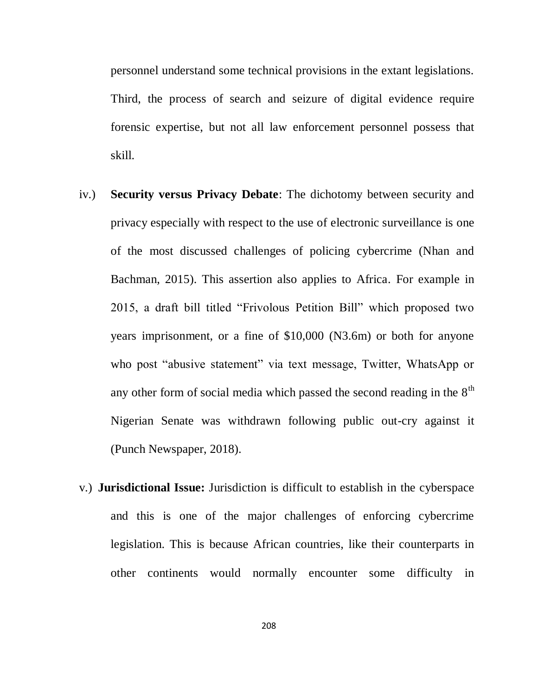personnel understand some technical provisions in the extant legislations. Third, the process of search and seizure of digital evidence require forensic expertise, but not all law enforcement personnel possess that skill.

- iv.) **Security versus Privacy Debate**: The dichotomy between security and privacy especially with respect to the use of electronic surveillance is one of the most discussed challenges of policing cybercrime (Nhan and Bachman, 2015). This assertion also applies to Africa. For example in 2015, a draft bill titled "Frivolous Petition Bill" which proposed two years imprisonment, or a fine of \$10,000 (N3.6m) or both for anyone who post "abusive statement" via text message, Twitter, WhatsApp or any other form of social media which passed the second reading in the  $8<sup>th</sup>$ Nigerian Senate was withdrawn following public out-cry against it (Punch Newspaper, 2018).
- v.) **Jurisdictional Issue:** Jurisdiction is difficult to establish in the cyberspace and this is one of the major challenges of enforcing cybercrime legislation. This is because African countries, like their counterparts in other continents would normally encounter some difficulty in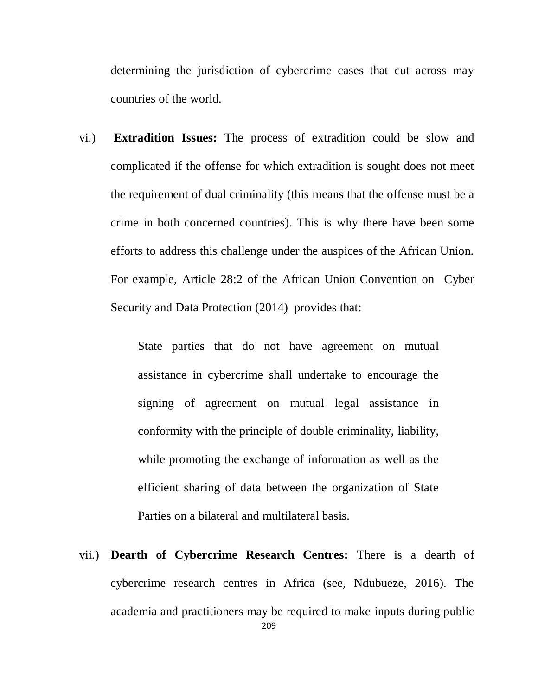determining the jurisdiction of cybercrime cases that cut across may countries of the world.

vi.) **Extradition Issues:** The process of extradition could be slow and complicated if the offense for which extradition is sought does not meet the requirement of dual criminality (this means that the offense must be a crime in both concerned countries). This is why there have been some efforts to address this challenge under the auspices of the African Union. For example, Article 28:2 of the African Union Convention on Cyber Security and Data Protection (2014) provides that:

> State parties that do not have agreement on mutual assistance in cybercrime shall undertake to encourage the signing of agreement on mutual legal assistance in conformity with the principle of double criminality, liability, while promoting the exchange of information as well as the efficient sharing of data between the organization of State Parties on a bilateral and multilateral basis.

209 vii.) **Dearth of Cybercrime Research Centres:** There is a dearth of cybercrime research centres in Africa (see, Ndubueze, 2016). The academia and practitioners may be required to make inputs during public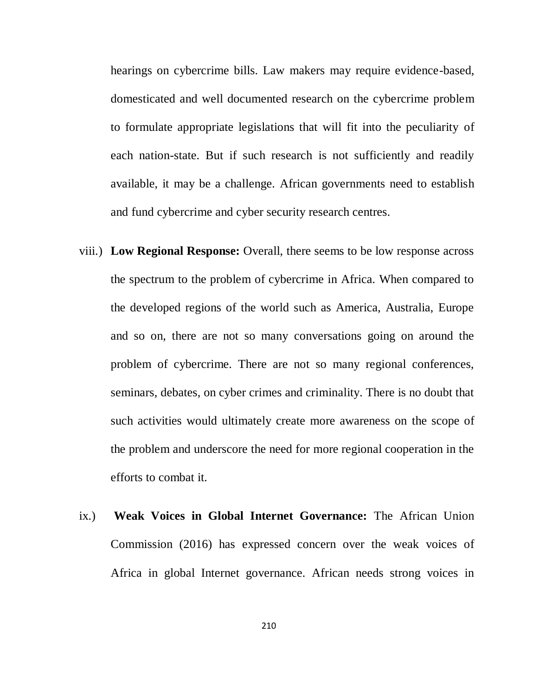hearings on cybercrime bills. Law makers may require evidence-based, domesticated and well documented research on the cybercrime problem to formulate appropriate legislations that will fit into the peculiarity of each nation-state. But if such research is not sufficiently and readily available, it may be a challenge. African governments need to establish and fund cybercrime and cyber security research centres.

- viii.) **Low Regional Response:** Overall, there seems to be low response across the spectrum to the problem of cybercrime in Africa. When compared to the developed regions of the world such as America, Australia, Europe and so on, there are not so many conversations going on around the problem of cybercrime. There are not so many regional conferences, seminars, debates, on cyber crimes and criminality. There is no doubt that such activities would ultimately create more awareness on the scope of the problem and underscore the need for more regional cooperation in the efforts to combat it.
- ix.) **Weak Voices in Global Internet Governance:** The African Union Commission (2016) has expressed concern over the weak voices of Africa in global Internet governance. African needs strong voices in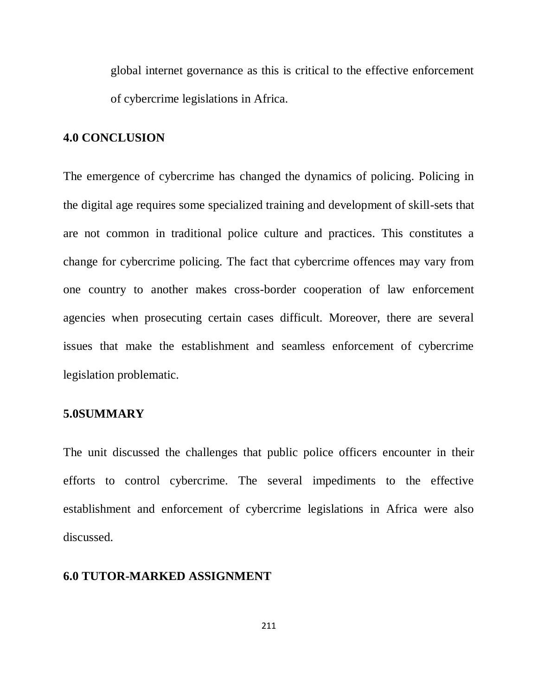global internet governance as this is critical to the effective enforcement of cybercrime legislations in Africa.

## **4.0 CONCLUSION**

The emergence of cybercrime has changed the dynamics of policing. Policing in the digital age requires some specialized training and development of skill-sets that are not common in traditional police culture and practices. This constitutes a change for cybercrime policing. The fact that cybercrime offences may vary from one country to another makes cross-border cooperation of law enforcement agencies when prosecuting certain cases difficult. Moreover, there are several issues that make the establishment and seamless enforcement of cybercrime legislation problematic.

## **5.0SUMMARY**

The unit discussed the challenges that public police officers encounter in their efforts to control cybercrime. The several impediments to the effective establishment and enforcement of cybercrime legislations in Africa were also discussed.

## **6.0 TUTOR-MARKED ASSIGNMENT**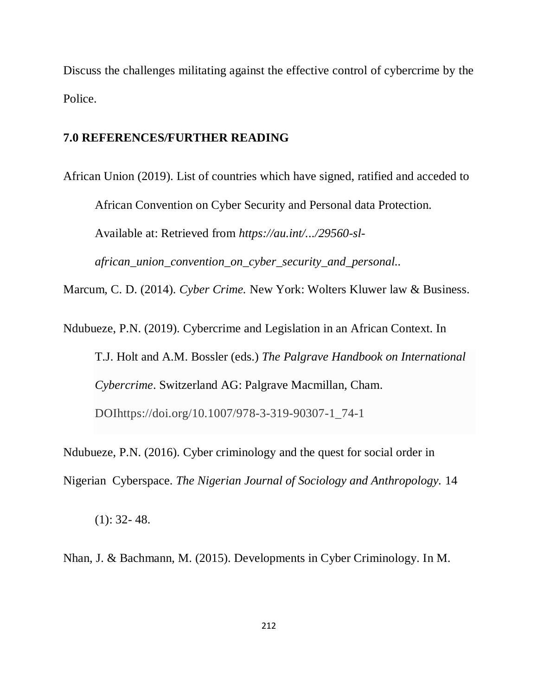Discuss the challenges militating against the effective control of cybercrime by the Police.

## **7.0 REFERENCES/FURTHER READING**

African Union (2019). List of countries which have signed, ratified and acceded to African Convention on Cyber Security and Personal data Protection. Available at: Retrieved from *[https://au.int/.../29560-sl](https://www.google.com/url?sa=t&rct=j&q=&esrc=s&source=web&cd=2&ved=2ahUKEwjk6OzngsviAhU1RRUIHRHbAPoQFjABegQIBhAC&url=https%3A%2F%2Fau.int%2Fsites%2Fdefault%2Ffiles%2Ftreaties%2F29560-sl-african_union_convention_on_cyber_security_and_personal_data_protection_2.pdf&usg=AOvVaw1DfI6hLNXZMcoL5ZN3nVGK)[african\\_union\\_convention\\_on\\_cyber\\_security\\_and\\_personal..](https://www.google.com/url?sa=t&rct=j&q=&esrc=s&source=web&cd=2&ved=2ahUKEwjk6OzngsviAhU1RRUIHRHbAPoQFjABegQIBhAC&url=https%3A%2F%2Fau.int%2Fsites%2Fdefault%2Ffiles%2Ftreaties%2F29560-sl-african_union_convention_on_cyber_security_and_personal_data_protection_2.pdf&usg=AOvVaw1DfI6hLNXZMcoL5ZN3nVGK)* Marcum, C. D. (2014). *Cyber Crime.* New York: Wolters Kluwer law & Business.

Ndubueze, P.N. (2019). Cybercrime and Legislation in an African Context. In T.J. Holt and A.M. Bossler (eds.) *The Palgrave Handbook on International Cybercrime*. Switzerland AG: Palgrave Macmillan, Cham. DOIhttps://doi.org/10.1007/978-3-319-90307-1\_74-1

Ndubueze, P.N. (2016). Cyber criminology and the quest for social order in Nigerian Cyberspace. *The Nigerian Journal of Sociology and Anthropology.* 14

 $(1): 32 - 48.$ 

Nhan, J. & Bachmann, M. (2015). Developments in Cyber Criminology. In M.